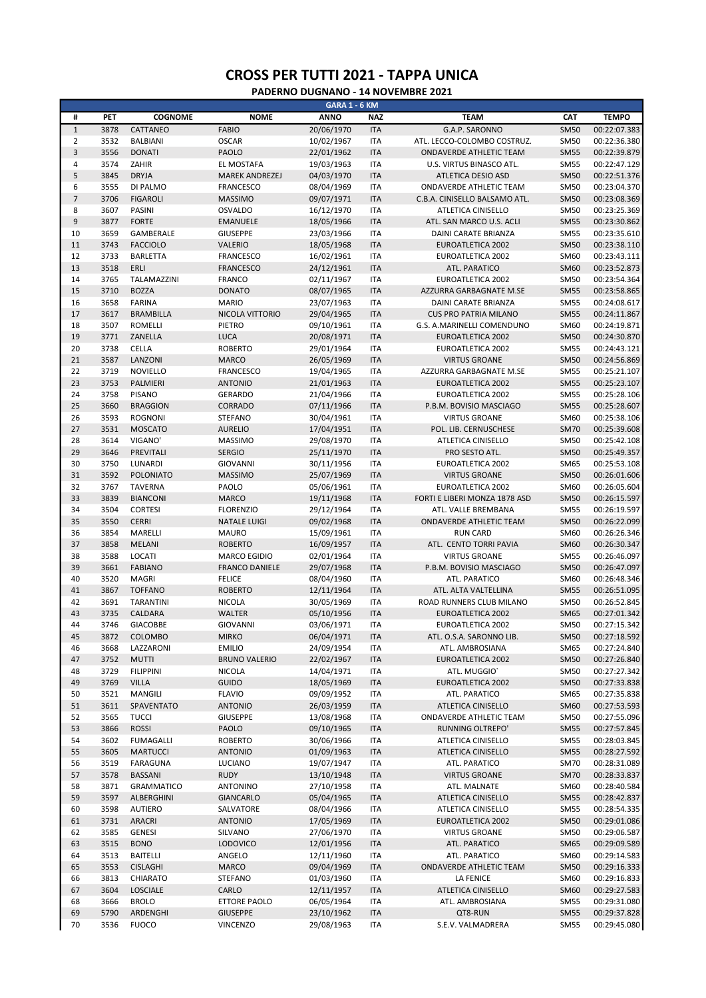|                  |              |                      |                                 | <b>GARA 1 - 6 KM</b>     |                          |                                     |                            |                              |
|------------------|--------------|----------------------|---------------------------------|--------------------------|--------------------------|-------------------------------------|----------------------------|------------------------------|
| #                | PET          | <b>COGNOME</b>       | <b>NOME</b>                     | <b>ANNO</b>              | <b>NAZ</b>               | <b>TEAM</b>                         | CAT                        | <b>TEMPO</b>                 |
| $\,1\,$          | 3878         | CATTANEO             | <b>FABIO</b>                    | 20/06/1970               | <b>ITA</b>               | G.A.P. SARONNO                      | <b>SM50</b>                | 00:22:07.383                 |
| $\overline{2}$   | 3532         | <b>BALBIANI</b>      | <b>OSCAR</b>                    | 10/02/1967               | <b>ITA</b>               | ATL. LECCO-COLOMBO COSTRUZ.         | <b>SM50</b>                | 00:22:36.380                 |
| $\overline{3}$   | 3556         | <b>DONATI</b>        | <b>PAOLO</b>                    | 22/01/1962               | <b>ITA</b>               | ONDAVERDE ATHLETIC TEAM             | <b>SM55</b>                | 00:22:39.879                 |
| 4                | 3574         | ZAHIR                | EL MOSTAFA                      | 19/03/1963               | <b>ITA</b>               | U.S. VIRTUS BINASCO ATL.            | <b>SM55</b>                | 00:22:47.129                 |
| 5                | 3845         | <b>DRYJA</b>         | MAREK ANDREZEJ                  | 04/03/1970               | <b>ITA</b>               | <b>ATLETICA DESIO ASD</b>           | <b>SM50</b>                | 00:22:51.376                 |
| 6                | 3555         | DI PALMO             | <b>FRANCESCO</b>                | 08/04/1969               | <b>ITA</b>               | ONDAVERDE ATHLETIC TEAM             | <b>SM50</b>                | 00:23:04.370                 |
| $\overline{7}$   | 3706         | <b>FIGAROLI</b>      | <b>MASSIMO</b>                  | 09/07/1971               | <b>ITA</b>               | C.B.A. CINISELLO BALSAMO ATL.       | <b>SM50</b>                | 00:23:08.369                 |
| 8                | 3607         | <b>PASINI</b>        | <b>OSVALDO</b>                  | 16/12/1970               | <b>ITA</b>               | ATLETICA CINISELLO                  | <b>SM50</b>                | 00:23:25.369                 |
| $\boldsymbol{9}$ | 3877         | <b>FORTE</b>         | <b>EMANUELE</b>                 | 18/05/1966               | <b>ITA</b>               | ATL. SAN MARCO U.S. ACLI            | <b>SM55</b>                | 00:23:30.862                 |
| 10               | 3659         | GAMBERALE            | <b>GIUSEPPE</b>                 | 23/03/1966               | <b>ITA</b>               | DAINI CARATE BRIANZA                | <b>SM55</b>                | 00:23:35.610                 |
| 11               | 3743         | <b>FACCIOLO</b>      | <b>VALERIO</b>                  | 18/05/1968               | <b>ITA</b>               | EUROATLETICA 2002                   | <b>SM50</b>                | 00:23:38.110                 |
| 12               | 3733         | <b>BARLETTA</b>      | <b>FRANCESCO</b>                | 16/02/1961               | <b>ITA</b>               | EUROATLETICA 2002                   | SM60                       | 00:23:43.111                 |
| 13               | 3518         | ERLI                 | <b>FRANCESCO</b>                | 24/12/1961               | <b>ITA</b>               | ATL. PARATICO                       | SM60                       | 00:23:52.873                 |
| 14               | 3765         | TALAMAZZINI          | <b>FRANCO</b>                   | 02/11/1967               | <b>ITA</b>               | EUROATLETICA 2002                   | <b>SM50</b>                | 00:23:54.364                 |
| 15               | 3710         | <b>BOZZA</b>         | <b>DONATO</b>                   | 08/07/1965               | <b>ITA</b>               | AZZURRA GARBAGNATE M.SE             | <b>SM55</b>                | 00:23:58.865                 |
| 16               | 3658         | <b>FARINA</b>        | <b>MARIO</b>                    | 23/07/1963               | <b>ITA</b>               | DAINI CARATE BRIANZA                | <b>SM55</b>                | 00:24:08.617                 |
| 17               | 3617         | <b>BRAMBILLA</b>     | NICOLA VITTORIO                 | 29/04/1965               | <b>ITA</b>               | CUS PRO PATRIA MILANO               | <b>SM55</b>                | 00:24:11.867                 |
| 18               | 3507         | <b>ROMELLI</b>       | PIETRO                          | 09/10/1961               | <b>ITA</b>               | G.S. A.MARINELLI COMENDUNO          | SM60                       | 00:24:19.871                 |
| 19               | 3771         | ZANELLA              | <b>LUCA</b>                     | 20/08/1971               | <b>ITA</b>               | EUROATLETICA 2002                   | <b>SM50</b>                | 00:24:30.870                 |
| 20               | 3738         | CELLA                | <b>ROBERTO</b>                  | 29/01/1964               | <b>ITA</b>               | EUROATLETICA 2002                   | <b>SM55</b>                | 00:24:43.121                 |
| 21               | 3587         | LANZONI              | <b>MARCO</b>                    | 26/05/1969               | <b>ITA</b>               | <b>VIRTUS GROANE</b>                | <b>SM50</b>                | 00:24:56.869                 |
| 22               | 3719         | <b>NOVIELLO</b>      | <b>FRANCESCO</b>                | 19/04/1965               | <b>ITA</b>               | AZZURRA GARBAGNATE M.SE             | <b>SM55</b>                | 00:25:21.107                 |
| 23               | 3753         | PALMIERI             | <b>ANTONIO</b>                  | 21/01/1963               | <b>ITA</b>               | EUROATLETICA 2002                   | <b>SM55</b>                | 00:25:23.107                 |
| 24               | 3758         | <b>PISANO</b>        | <b>GERARDO</b>                  | 21/04/1966               | <b>ITA</b>               | <b>EUROATLETICA 2002</b>            | <b>SM55</b>                | 00:25:28.106                 |
| 25               | 3660         | <b>BRAGGION</b>      | CORRADO                         | 07/11/1966               | <b>ITA</b>               | P.B.M. BOVISIO MASCIAGO             | <b>SM55</b>                | 00:25:28.607                 |
| 26               | 3593         | <b>ROGNONI</b>       | <b>STEFANO</b>                  | 30/04/1961               | <b>ITA</b>               | <b>VIRTUS GROANE</b>                | SM60                       | 00:25:38.106                 |
| 27               | 3531         | <b>MOSCATO</b>       | <b>AURELIO</b>                  | 17/04/1951<br>29/08/1970 | <b>ITA</b>               | POL. LIB. CERNUSCHESE               | <b>SM70</b>                | 00:25:39.608                 |
| 28<br>29         | 3614<br>3646 | VIGANO'              | <b>MASSIMO</b><br><b>SERGIO</b> |                          | <b>ITA</b>               | ATLETICA CINISELLO                  | <b>SM50</b><br><b>SM50</b> | 00:25:42.108                 |
| 30               | 3750         | PREVITALI<br>LUNARDI | <b>GIOVANNI</b>                 | 25/11/1970<br>30/11/1956 | <b>ITA</b><br><b>ITA</b> | PRO SESTO ATL.<br>EUROATLETICA 2002 | SM65                       | 00:25:49.357<br>00:25:53.108 |
| 31               | 3592         | <b>POLONIATO</b>     | <b>MASSIMO</b>                  | 25/07/1969               | <b>ITA</b>               | <b>VIRTUS GROANE</b>                | <b>SM50</b>                | 00:26:01.606                 |
| 32               | 3767         | <b>TAVERNA</b>       | PAOLO                           | 05/06/1961               | <b>ITA</b>               | EUROATLETICA 2002                   | SM60                       | 00:26:05.604                 |
| 33               | 3839         | <b>BIANCONI</b>      | <b>MARCO</b>                    | 19/11/1968               | <b>ITA</b>               | FORTI E LIBERI MONZA 1878 ASD       | <b>SM50</b>                | 00:26:15.597                 |
| 34               | 3504         | <b>CORTESI</b>       | <b>FLORENZIO</b>                | 29/12/1964               | <b>ITA</b>               | ATL. VALLE BREMBANA                 | <b>SM55</b>                | 00:26:19.597                 |
| 35               | 3550         | <b>CERRI</b>         | <b>NATALE LUIGI</b>             | 09/02/1968               | <b>ITA</b>               | ONDAVERDE ATHLETIC TEAM             | <b>SM50</b>                | 00:26:22.099                 |
| 36               | 3854         | MARELLI              | <b>MAURO</b>                    | 15/09/1961               | <b>ITA</b>               | <b>RUN CARD</b>                     | SM60                       | 00:26:26.346                 |
| 37               | 3858         | <b>MELANI</b>        | <b>ROBERTO</b>                  | 16/09/1957               | <b>ITA</b>               | ATL. CENTO TORRI PAVIA              | <b>SM60</b>                | 00:26:30.347                 |
| 38               | 3588         | LOCATI               | <b>MARCO EGIDIO</b>             | 02/01/1964               | <b>ITA</b>               | <b>VIRTUS GROANE</b>                | <b>SM55</b>                | 00:26:46.097                 |
| 39               | 3661         | <b>FABIANO</b>       | <b>FRANCO DANIELE</b>           | 29/07/1968               | <b>ITA</b>               | P.B.M. BOVISIO MASCIAGO             | <b>SM50</b>                | 00:26:47.097                 |
| 40               | 3520         | <b>MAGRI</b>         | <b>FELICE</b>                   | 08/04/1960               | <b>ITA</b>               | ATL. PARATICO                       | SM60                       | 00:26:48.346                 |
| 41               | 3867         | <b>TOFFANO</b>       | <b>ROBERTO</b>                  | 12/11/1964               | <b>ITA</b>               | ATL. ALTA VALTELLINA                | <b>SM55</b>                | 00:26:51.095                 |
| 42               | 3691         | <b>TARANTINI</b>     | <b>NICOLA</b>                   | 30/05/1969               | <b>ITA</b>               | ROAD RUNNERS CLUB MILANO            | <b>SM50</b>                | 00:26:52.845                 |
| 43               | 3735         | CALDARA              | <b>WALTER</b>                   | 05/10/1956               | <b>ITA</b>               | <b>EUROATLETICA 2002</b>            | <b>SM65</b>                | 00:27:01.342                 |
| 44               | 3746         | <b>GIACOBBE</b>      | <b>GIOVANNI</b>                 | 03/06/1971               | <b>ITA</b>               | EUROATLETICA 2002                   | <b>SM50</b>                | 00:27:15.342                 |
| 45               | 3872         | COLOMBO              | <b>MIRKO</b>                    | 06/04/1971               | <b>ITA</b>               | ATL. O.S.A. SARONNO LIB.            | <b>SM50</b>                | 00:27:18.592                 |
| 46               | 3668         | LAZZARONI            | <b>EMILIO</b>                   | 24/09/1954               | <b>ITA</b>               | ATL. AMBROSIANA                     | <b>SM65</b>                | 00:27:24.840                 |
| 47               | 3752         | <b>MUTTI</b>         | <b>BRUNO VALERIO</b>            | 22/02/1967               | <b>ITA</b>               | <b>EUROATLETICA 2002</b>            | <b>SM50</b>                | 00:27:26.840                 |
| 48               | 3729         | <b>FILIPPINI</b>     | <b>NICOLA</b>                   | 14/04/1971               | ITA                      | ATL. MUGGIO'                        | <b>SM50</b>                | 00:27:27.342                 |
| 49               | 3769         | <b>VILLA</b>         | <b>GUIDO</b>                    | 18/05/1969               | <b>ITA</b>               | EUROATLETICA 2002                   | <b>SM50</b>                | 00:27:33.838                 |
| 50               | 3521         | MANGILI              | <b>FLAVIO</b>                   | 09/09/1952               | <b>ITA</b>               | ATL. PARATICO                       | <b>SM65</b>                | 00:27:35.838                 |
| 51               | 3611         | SPAVENTATO           | <b>ANTONIO</b>                  | 26/03/1959               | <b>ITA</b>               | ATLETICA CINISELLO                  | <b>SM60</b>                | 00:27:53.593                 |
| 52               | 3565         | <b>TUCCI</b>         | <b>GIUSEPPE</b>                 | 13/08/1968               | <b>ITA</b>               | ONDAVERDE ATHLETIC TEAM             | <b>SM50</b>                | 00:27:55.096                 |
| 53               | 3866         | <b>ROSSI</b>         | PAOLO                           | 09/10/1965               | <b>ITA</b>               | RUNNING OLTREPO'                    | <b>SM55</b>                | 00:27:57.845                 |
| 54               | 3602         | <b>FUMAGALLI</b>     | <b>ROBERTO</b>                  | 30/06/1966               | <b>ITA</b>               | ATLETICA CINISELLO                  | <b>SM55</b>                | 00:28:03.845                 |
| 55               | 3605         | <b>MARTUCCI</b>      | <b>ANTONIO</b>                  | 01/09/1963               | <b>ITA</b>               | ATLETICA CINISELLO                  | <b>SM55</b>                | 00:28:27.592                 |
| 56               | 3519         | <b>FARAGUNA</b>      | LUCIANO                         | 19/07/1947               | <b>ITA</b>               | ATL. PARATICO                       | <b>SM70</b>                | 00:28:31.089                 |
| 57               | 3578         | <b>BASSANI</b>       | <b>RUDY</b>                     | 13/10/1948               | <b>ITA</b>               | <b>VIRTUS GROANE</b>                | <b>SM70</b>                | 00:28:33.837                 |
| 58               | 3871         | <b>GRAMMATICO</b>    | <b>ANTONINO</b>                 | 27/10/1958               | ITA                      | ATL. MALNATE                        | <b>SM60</b>                | 00:28:40.584                 |
| 59               | 3597         | ALBERGHINI           | <b>GIANCARLO</b>                | 05/04/1965               | <b>ITA</b>               | ATLETICA CINISELLO                  | <b>SM55</b>                | 00:28:42.837                 |
| 60               | 3598         | <b>AUTIERO</b>       | SALVATORE                       | 08/04/1966               | <b>ITA</b>               | ATLETICA CINISELLO                  | <b>SM55</b>                | 00:28:54.335                 |
| 61               | 3731         | ARACRI               | <b>ANTONIO</b>                  | 17/05/1969               | <b>ITA</b>               | EUROATLETICA 2002                   | <b>SM50</b>                | 00:29:01.086                 |
| 62               | 3585         | GENESI               | SILVANO                         | 27/06/1970               | ITA                      | <b>VIRTUS GROANE</b>                | <b>SM50</b>                | 00:29:06.587                 |
| 63               | 3515         | <b>BONO</b>          | <b>LODOVICO</b>                 | 12/01/1956               | <b>ITA</b>               | ATL. PARATICO                       | <b>SM65</b>                | 00:29:09.589                 |
| 64               | 3513         | <b>BAITELLI</b>      | ANGELO                          | 12/11/1960               | ITA                      | ATL. PARATICO                       | <b>SM60</b>                | 00:29:14.583                 |
| 65               | 3553         | <b>CISLAGHI</b>      | <b>MARCO</b>                    | 09/04/1969               | <b>ITA</b>               | ONDAVERDE ATHLETIC TEAM             | <b>SM50</b>                | 00:29:16.333                 |
| 66               | 3813         | CHIARATO             | <b>STEFANO</b>                  | 01/03/1960               | ITA                      | LA FENICE                           | <b>SM60</b>                | 00:29:16.833                 |
| 67               | 3604         | <b>LOSCIALE</b>      | CARLO                           | 12/11/1957               | <b>ITA</b>               | ATLETICA CINISELLO                  | <b>SM60</b>                | 00:29:27.583                 |
| 68               | 3666         | <b>BROLO</b>         | ETTORE PAOLO                    | 06/05/1964               | <b>ITA</b>               | ATL. AMBROSIANA                     | <b>SM55</b>                | 00:29:31.080                 |
| 69               | 5790         | ARDENGHI             | <b>GIUSEPPE</b>                 | 23/10/1962               | <b>ITA</b>               | QT8-RUN                             | <b>SM55</b>                | 00:29:37.828                 |
| 70               | 3536         | <b>FUOCO</b>         | <b>VINCENZO</b>                 | 29/08/1963               | <b>ITA</b>               | S.E.V. VALMADRERA                   | <b>SM55</b>                | 00:29:45.080                 |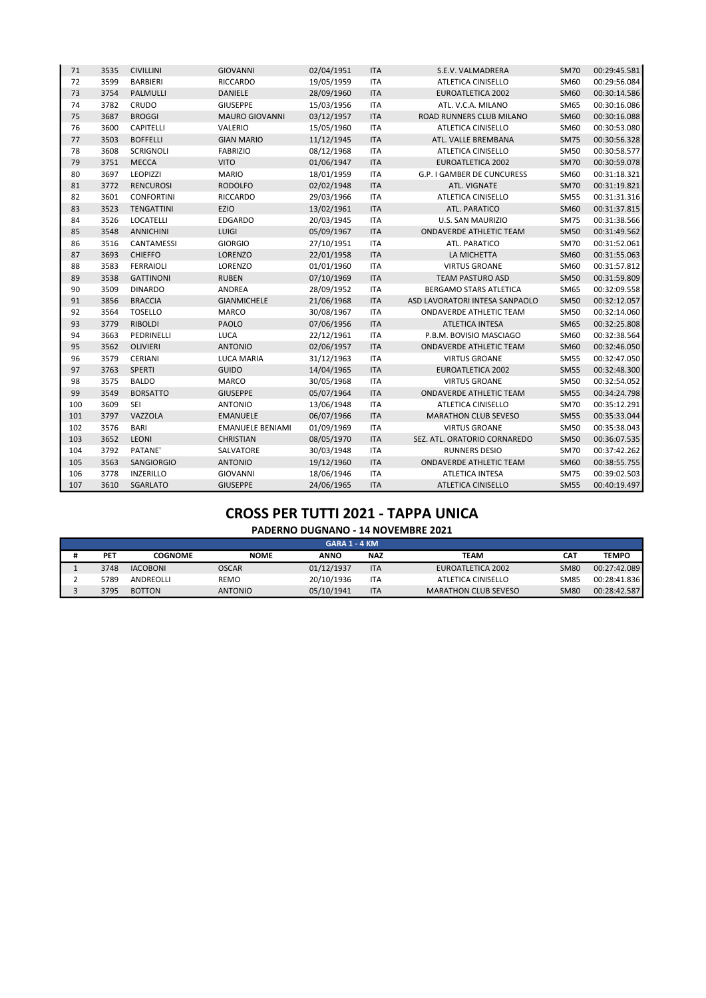| 71  | 3535 | <b>CIVILLINI</b>  | <b>GIOVANNI</b>         | 02/04/1951 | <b>ITA</b> | S.E.V. VALMADRERA              | <b>SM70</b> | 00:29:45.581 |
|-----|------|-------------------|-------------------------|------------|------------|--------------------------------|-------------|--------------|
| 72  | 3599 | <b>BARBIERI</b>   | RICCARDO                | 19/05/1959 | <b>ITA</b> | ATLETICA CINISELLO             | SM60        | 00:29:56.084 |
| 73  | 3754 | PALMULLI          | <b>DANIELE</b>          | 28/09/1960 | <b>ITA</b> | <b>EUROATLETICA 2002</b>       | <b>SM60</b> | 00:30:14.586 |
| 74  | 3782 | CRUDO             | <b>GIUSEPPE</b>         | 15/03/1956 | <b>ITA</b> | ATL. V.C.A. MILANO             | SM65        | 00:30:16.086 |
| 75  | 3687 | <b>BROGGI</b>     | MAURO GIOVANNI          | 03/12/1957 | <b>ITA</b> | ROAD RUNNERS CLUB MILANO       | <b>SM60</b> | 00:30:16.088 |
| 76  | 3600 | CAPITELLI         | VALERIO                 | 15/05/1960 | <b>ITA</b> | ATLETICA CINISELLO             | SM60        | 00:30:53.080 |
| 77  | 3503 | <b>BOFFELLI</b>   | <b>GIAN MARIO</b>       | 11/12/1945 | <b>ITA</b> | ATL. VALLE BREMBANA            | <b>SM75</b> | 00:30:56.328 |
| 78  | 3608 | <b>SCRIGNOLI</b>  | <b>FABRIZIO</b>         | 08/12/1968 | <b>ITA</b> | ATLETICA CINISELLO             | <b>SM50</b> | 00:30:58.577 |
| 79  | 3751 | <b>MECCA</b>      | <b>VITO</b>             | 01/06/1947 | <b>ITA</b> | EUROATLETICA 2002              | <b>SM70</b> | 00:30:59.078 |
| 80  | 3697 | <b>LEOPIZZI</b>   | <b>MARIO</b>            | 18/01/1959 | <b>ITA</b> | G.P. I GAMBER DE CUNCURESS     | SM60        | 00:31:18.321 |
| 81  | 3772 | <b>RENCUROSI</b>  | <b>RODOLFO</b>          | 02/02/1948 | <b>ITA</b> | ATL. VIGNATE                   | <b>SM70</b> | 00:31:19.821 |
| 82  | 3601 | <b>CONFORTINI</b> | <b>RICCARDO</b>         | 29/03/1966 | <b>ITA</b> | ATLETICA CINISELLO             | <b>SM55</b> | 00:31:31.316 |
| 83  | 3523 | <b>TENGATTINI</b> | <b>EZIO</b>             | 13/02/1961 | <b>ITA</b> | ATL. PARATICO                  | <b>SM60</b> | 00:31:37.815 |
| 84  | 3526 | LOCATELLI         | <b>EDGARDO</b>          | 20/03/1945 | <b>ITA</b> | U.S. SAN MAURIZIO              | <b>SM75</b> | 00:31:38.566 |
| 85  | 3548 | <b>ANNICHINI</b>  | LUIGI                   | 05/09/1967 | <b>ITA</b> | <b>ONDAVERDE ATHLETIC TEAM</b> | <b>SM50</b> | 00:31:49.562 |
| 86  | 3516 | CANTAMESSI        | <b>GIORGIO</b>          | 27/10/1951 | <b>ITA</b> | ATL. PARATICO                  | <b>SM70</b> | 00:31:52.061 |
| 87  | 3693 | <b>CHIEFFO</b>    | LORENZO                 | 22/01/1958 | <b>ITA</b> | LA MICHETTA                    | <b>SM60</b> | 00:31:55.063 |
| 88  | 3583 | <b>FERRAIOLI</b>  | LORENZO                 | 01/01/1960 | <b>ITA</b> | <b>VIRTUS GROANE</b>           | SM60        | 00:31:57.812 |
| 89  | 3538 | <b>GATTINONI</b>  | <b>RUBEN</b>            | 07/10/1969 | <b>ITA</b> | <b>TEAM PASTURO ASD</b>        | <b>SM50</b> | 00:31:59.809 |
| 90  | 3509 | <b>DINARDO</b>    | ANDREA                  | 28/09/1952 | <b>ITA</b> | BERGAMO STARS ATLETICA         | <b>SM65</b> | 00:32:09.558 |
| 91  | 3856 | <b>BRACCIA</b>    | <b>GIANMICHELE</b>      | 21/06/1968 | <b>ITA</b> | ASD LAVORATORI INTESA SANPAOLO | <b>SM50</b> | 00:32:12.057 |
| 92  | 3564 | <b>TOSELLO</b>    | <b>MARCO</b>            | 30/08/1967 | <b>ITA</b> | ONDAVERDE ATHLETIC TEAM        | <b>SM50</b> | 00:32:14.060 |
| 93  | 3779 | <b>RIBOLDI</b>    | <b>PAOLO</b>            | 07/06/1956 | <b>ITA</b> | ATLETICA INTESA                | <b>SM65</b> | 00:32:25.808 |
| 94  | 3663 | PEDRINELLI        | LUCA                    | 22/12/1961 | <b>ITA</b> | P.B.M. BOVISIO MASCIAGO        | SM60        | 00:32:38.564 |
| 95  | 3562 | <b>OLIVIERI</b>   | <b>ANTONIO</b>          | 02/06/1957 | <b>ITA</b> | ONDAVERDE ATHLETIC TEAM        | <b>SM60</b> | 00:32:46.050 |
| 96  | 3579 | CERIANI           | <b>LUCA MARIA</b>       | 31/12/1963 | <b>ITA</b> | <b>VIRTUS GROANE</b>           | <b>SM55</b> | 00:32:47.050 |
| 97  | 3763 | SPERTI            | <b>GUIDO</b>            | 14/04/1965 | <b>ITA</b> | <b>EUROATLETICA 2002</b>       | <b>SM55</b> | 00:32:48.300 |
| 98  | 3575 | <b>BALDO</b>      | <b>MARCO</b>            | 30/05/1968 | <b>ITA</b> | <b>VIRTUS GROANE</b>           | <b>SM50</b> | 00:32:54.052 |
| 99  | 3549 | <b>BORSATTO</b>   | <b>GIUSEPPE</b>         | 05/07/1964 | <b>ITA</b> | ONDAVERDE ATHLETIC TEAM        | <b>SM55</b> | 00:34:24.798 |
| 100 | 3609 | <b>SEI</b>        | <b>ANTONIO</b>          | 13/06/1948 | <b>ITA</b> | ATLETICA CINISELLO             | <b>SM70</b> | 00:35:12.291 |
| 101 | 3797 | VAZZOLA           | <b>EMANUELE</b>         | 06/07/1966 | <b>ITA</b> | <b>MARATHON CLUB SEVESO</b>    | <b>SM55</b> | 00:35:33.044 |
| 102 | 3576 | <b>BARI</b>       | <b>EMANUELE BENIAMI</b> | 01/09/1969 | <b>ITA</b> | <b>VIRTUS GROANE</b>           | <b>SM50</b> | 00:35:38.043 |
| 103 | 3652 | LEONI             | <b>CHRISTIAN</b>        | 08/05/1970 | <b>ITA</b> | SEZ. ATL. ORATORIO CORNAREDO   | <b>SM50</b> | 00:36:07.535 |
| 104 | 3792 | PATANE'           | SALVATORE               | 30/03/1948 | <b>ITA</b> | <b>RUNNERS DESIO</b>           | <b>SM70</b> | 00:37:42.262 |
| 105 | 3563 | SANGIORGIO        | <b>ANTONIO</b>          | 19/12/1960 | <b>ITA</b> | ONDAVERDE ATHLETIC TEAM        | <b>SM60</b> | 00:38:55.755 |
| 106 | 3778 | <b>INZERILLO</b>  | GIOVANNI                | 18/06/1946 | <b>ITA</b> | ATLETICA INTESA                | <b>SM75</b> | 00:39:02.503 |
| 107 | 3610 | <b>SGARLATO</b>   | <b>GIUSEPPE</b>         | 24/06/1965 | <b>ITA</b> | <b>ATLETICA CINISELLO</b>      | <b>SM55</b> | 00:40:19.497 |

| GARA 1 - 4 KM |            |                 |                |             |            |                             |             |              |  |
|---------------|------------|-----------------|----------------|-------------|------------|-----------------------------|-------------|--------------|--|
|               | <b>PET</b> | <b>COGNOME</b>  | <b>NOME</b>    | <b>ANNO</b> | <b>NAZ</b> | <b>TEAM</b>                 | <b>CAT</b>  | <b>TEMPO</b> |  |
|               | 3748       | <b>IACOBONI</b> | <b>OSCAR</b>   | 01/12/1937  | <b>ITA</b> | EUROATLETICA 2002           | <b>SM80</b> | 00:27:42.089 |  |
|               | 5789       | ANDREOLLI       | REMO           | 20/10/1936  | <b>ITA</b> | ATLETICA CINISELLO          | <b>SM85</b> | 00:28:41.836 |  |
|               | 3795       | <b>BOTTON</b>   | <b>ANTONIO</b> | 05/10/1941  | <b>ITA</b> | <b>MARATHON CLUB SEVESO</b> | <b>SM80</b> | 00:28:42.587 |  |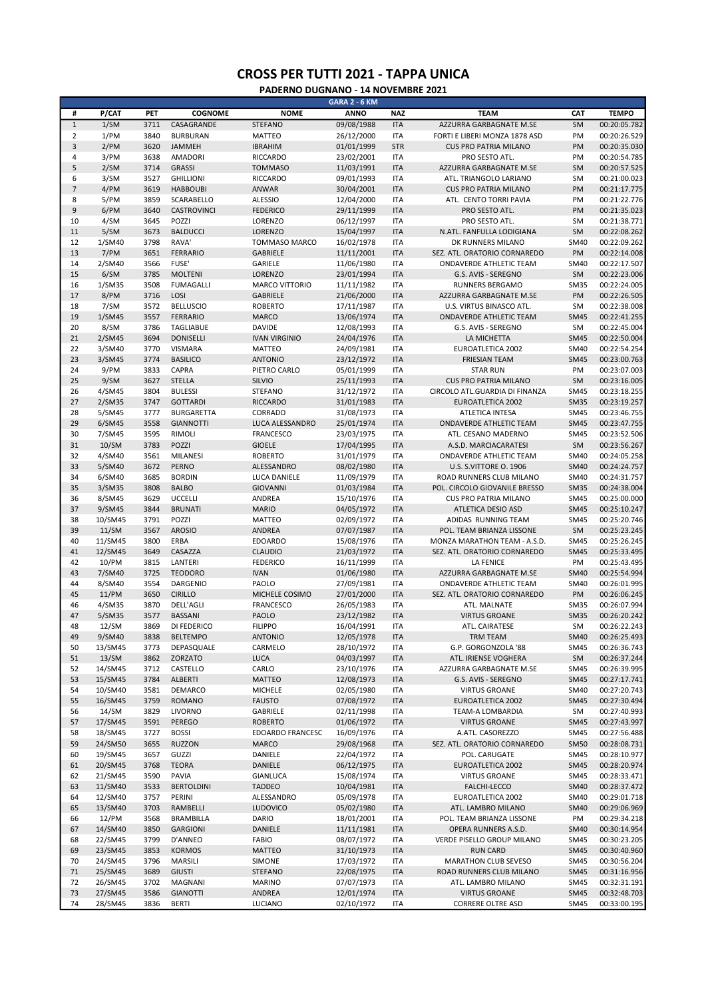|                          |         |      |                    |                      | <b>GARA 2 - 6 KM</b> |            |                                |             |              |
|--------------------------|---------|------|--------------------|----------------------|----------------------|------------|--------------------------------|-------------|--------------|
| #                        | P/CAT   | PET  | <b>COGNOME</b>     | <b>NOME</b>          | <b>ANNO</b>          | <b>NAZ</b> | <b>TEAM</b>                    | <b>CAT</b>  | <b>TEMPO</b> |
| $\,1\,$                  | 1/SM    | 3711 | CASAGRANDE         | <b>STEFANO</b>       | 09/08/1988           | <b>ITA</b> | AZZURRA GARBAGNATE M.SE        | SM          | 00:20:05.782 |
|                          |         |      |                    |                      |                      |            |                                |             |              |
| $\overline{2}$           | 1/PM    | 3840 | <b>BURBURAN</b>    | <b>MATTEO</b>        | 26/12/2000           | <b>ITA</b> | FORTI E LIBERI MONZA 1878 ASD  | PM          | 00:20:26.529 |
| 3                        | 2/PM    | 3620 | JAMMEH             | <b>IBRAHIM</b>       | 01/01/1999           | <b>STR</b> | <b>CUS PRO PATRIA MILANO</b>   | PM          | 00:20:35.030 |
| 4                        | 3/PM    | 3638 | <b>AMADORI</b>     | RICCARDO             | 23/02/2001           | <b>ITA</b> | PRO SESTO ATL.                 | PM          | 00:20:54.785 |
| 5                        | 2/SM    | 3714 | <b>GRASSI</b>      | <b>TOMMASO</b>       | 11/03/1991           | <b>ITA</b> | AZZURRA GARBAGNATE M.SE        | <b>SM</b>   | 00:20:57.525 |
| 6                        | 3/SM    | 3527 | <b>GHILLIONI</b>   | <b>RICCARDO</b>      | 09/01/1993           | <b>ITA</b> | ATL. TRIANGOLO LARIANO         | SM          | 00:21:00.023 |
| $\overline{\phantom{a}}$ | 4/PM    | 3619 | <b>HABBOUBI</b>    | ANWAR                | 30/04/2001           | <b>ITA</b> | <b>CUS PRO PATRIA MILANO</b>   | PM          | 00:21:17.775 |
| 8                        |         | 3859 | SCARABELLO         | <b>ALESSIO</b>       |                      | <b>ITA</b> | ATL. CENTO TORRI PAVIA         | PM          | 00:21:22.776 |
|                          | 5/PM    |      |                    |                      | 12/04/2000           |            |                                |             |              |
| 9                        | 6/PM    | 3640 | <b>CASTROVINCI</b> | <b>FEDERICO</b>      | 29/11/1999           | <b>ITA</b> | PRO SESTO ATL.                 | PM          | 00:21:35.023 |
| 10                       | 4/SM    | 3645 | POZZI              | LORENZO              | 06/12/1997           | <b>ITA</b> | PRO SESTO ATL.                 | SM          | 00:21:38.771 |
| 11                       | 5/SM    | 3673 | <b>BALDUCCI</b>    | <b>LORENZO</b>       | 15/04/1997           | <b>ITA</b> | N.ATL. FANFULLA LODIGIANA      | <b>SM</b>   | 00:22:08.262 |
| 12                       | 1/SM40  | 3798 | RAVA'              | <b>TOMMASO MARCO</b> | 16/02/1978           | <b>ITA</b> | DK RUNNERS MILANO              | SM40        | 00:22:09.262 |
| 13                       | 7/PM    | 3651 | <b>FERRARIO</b>    | <b>GABRIELE</b>      | 11/11/2001           | <b>ITA</b> | SEZ. ATL. ORATORIO CORNAREDO   | PM          | 00:22:14.008 |
| 14                       | 2/SM40  | 3566 | FUSE'              | <b>GARIELE</b>       | 11/06/1980           | <b>ITA</b> | ONDAVERDE ATHLETIC TEAM        | SM40        | 00:22:17.507 |
| 15                       | 6/SM    | 3785 | <b>MOLTENI</b>     | <b>LORENZO</b>       | 23/01/1994           | <b>ITA</b> | G.S. AVIS - SEREGNO            | SM          | 00:22:23.006 |
|                          |         |      |                    |                      |                      |            |                                |             |              |
| 16                       | 1/SM35  | 3508 | <b>FUMAGALLI</b>   | MARCO VITTORIO       | 11/11/1982           | <b>ITA</b> | <b>RUNNERS BERGAMO</b>         | <b>SM35</b> | 00:22:24.005 |
| 17                       | 8/PM    | 3716 | LOSI               | <b>GABRIELE</b>      | 21/06/2000           | <b>ITA</b> | AZZURRA GARBAGNATE M.SE        | PM          | 00:22:26.505 |
| 18                       | 7/SM    | 3572 | <b>BELLUSCIO</b>   | <b>ROBERTO</b>       | 17/11/1987           | <b>ITA</b> | U.S. VIRTUS BINASCO ATL.       | SM          | 00:22:38.008 |
| 19                       | 1/SM45  | 3557 | <b>FERRARIO</b>    | <b>MARCO</b>         | 13/06/1974           | <b>ITA</b> | ONDAVERDE ATHLETIC TEAM        | <b>SM45</b> | 00:22:41.255 |
| 20                       | 8/SM    | 3786 | <b>TAGLIABUE</b>   | <b>DAVIDE</b>        | 12/08/1993           | <b>ITA</b> | G.S. AVIS - SEREGNO            | SM          | 00:22:45.004 |
| 21                       | 2/SM45  | 3694 | <b>DONISELLI</b>   | <b>IVAN VIRGINIO</b> | 24/04/1976           | <b>ITA</b> | LA MICHETTA                    | <b>SM45</b> | 00:22:50.004 |
| 22                       | 3/SM40  | 3770 | <b>VISMARA</b>     | <b>MATTEO</b>        | 24/09/1981           | <b>ITA</b> | <b>EUROATLETICA 2002</b>       | SM40        | 00:22:54.254 |
|                          |         |      |                    |                      |                      |            |                                |             |              |
| 23                       | 3/SM45  | 3774 | <b>BASILICO</b>    | <b>ANTONIO</b>       | 23/12/1972           | <b>ITA</b> | <b>FRIESIAN TEAM</b>           | <b>SM45</b> | 00:23:00.763 |
| 24                       | 9/PM    | 3833 | <b>CAPRA</b>       | PIETRO CARLO         | 05/01/1999           | <b>ITA</b> | <b>STAR RUN</b>                | PM          | 00:23:07.003 |
| 25                       | 9/SM    | 3627 | <b>STELLA</b>      | SILVIO               | 25/11/1993           | <b>ITA</b> | <b>CUS PRO PATRIA MILANO</b>   | <b>SM</b>   | 00:23:16.005 |
| 26                       | 4/SM45  | 3804 | <b>BULESSI</b>     | <b>STEFANO</b>       | 31/12/1972           | <b>ITA</b> | CIRCOLO ATL.GUARDIA DI FINANZA | <b>SM45</b> | 00:23:18.255 |
| 27                       | 2/SM35  | 3747 | <b>GOTTARDI</b>    | <b>RICCARDO</b>      | 31/01/1983           | <b>ITA</b> | <b>EUROATLETICA 2002</b>       | <b>SM35</b> | 00:23:19.257 |
| 28                       | 5/SM45  | 3777 | <b>BURGARETTA</b>  | CORRADO              | 31/08/1973           | <b>ITA</b> | ATLETICA INTESA                | <b>SM45</b> | 00:23:46.755 |
| 29                       | 6/SM45  | 3558 | <b>GIANNOTTI</b>   | LUCA ALESSANDRO      | 25/01/1974           | <b>ITA</b> | ONDAVERDE ATHLETIC TEAM        | <b>SM45</b> | 00:23:47.755 |
|                          |         |      |                    |                      |                      |            |                                |             |              |
| 30                       | 7/SM45  | 3595 | RIMOLI             | <b>FRANCESCO</b>     | 23/03/1975           | <b>ITA</b> | ATL. CESANO MADERNO            | <b>SM45</b> | 00:23:52.506 |
| 31                       | 10/SM   | 3783 | <b>POZZI</b>       | <b>GIOELE</b>        | 17/04/1995           | <b>ITA</b> | A.S.D. MARCIACARATESI          | SM          | 00:23:56.267 |
| 32                       | 4/SM40  | 3561 | <b>MILANESI</b>    | <b>ROBERTO</b>       | 31/01/1979           | <b>ITA</b> | ONDAVERDE ATHLETIC TEAM        | SM40        | 00:24:05.258 |
| 33                       | 5/SM40  | 3672 | <b>PERNO</b>       | ALESSANDRO           | 08/02/1980           | <b>ITA</b> | U.S. S.VITTORE O. 1906         | <b>SM40</b> | 00:24:24.757 |
| 34                       | 6/SM40  | 3685 | <b>BORDIN</b>      | LUCA DANIELE         | 11/09/1979           | <b>ITA</b> | ROAD RUNNERS CLUB MILANO       | <b>SM40</b> | 00:24:31.757 |
| 35                       | 3/SM35  | 3808 | <b>BALBO</b>       | <b>GIOVANNI</b>      | 01/03/1984           | <b>ITA</b> | POL. CIRCOLO GIOVANILE BRESSO  | <b>SM35</b> | 00:24:38.004 |
| 36                       | 8/SM45  | 3629 | <b>UCCELLI</b>     | ANDREA               | 15/10/1976           | <b>ITA</b> | <b>CUS PRO PATRIA MILANO</b>   | <b>SM45</b> | 00:25:00.000 |
| 37                       | 9/SM45  | 3844 | <b>BRUNATI</b>     | <b>MARIO</b>         | 04/05/1972           | <b>ITA</b> | ATLETICA DESIO ASD             | <b>SM45</b> | 00:25:10.247 |
|                          |         |      |                    |                      |                      |            |                                |             |              |
| 38                       | 10/SM45 | 3791 | POZZI              | <b>MATTEO</b>        | 02/09/1972           | <b>ITA</b> | ADIDAS RUNNING TEAM            | <b>SM45</b> | 00:25:20.746 |
| 39                       | 11/SM   | 3567 | <b>AROSIO</b>      | ANDREA               | 07/07/1987           | <b>ITA</b> | POL. TEAM BRIANZA LISSONE      | SM          | 00:25:23.245 |
| 40                       | 11/SM45 | 3800 | ERBA               | <b>EDOARDO</b>       | 15/08/1976           | <b>ITA</b> | MONZA MARATHON TEAM - A.S.D.   | <b>SM45</b> | 00:25:26.245 |
| 41                       | 12/SM45 | 3649 | CASAZZA            | <b>CLAUDIO</b>       | 21/03/1972           | <b>ITA</b> | SEZ. ATL. ORATORIO CORNAREDO   | <b>SM45</b> | 00:25:33.495 |
| 42                       | 10/PM   | 3815 | LANTERI            | <b>FEDERICO</b>      | 16/11/1999           | <b>ITA</b> | <b>LA FENICE</b>               | PM          | 00:25:43.495 |
| 43                       | 7/SM40  | 3725 | <b>TEODORO</b>     | <b>IVAN</b>          | 01/06/1980           | <b>ITA</b> | AZZURRA GARBAGNATE M.SE        | <b>SM40</b> | 00:25:54.994 |
| 44                       | 8/SM40  | 3554 | <b>DARGENIO</b>    | PAOLO                | 27/09/1981           | <b>ITA</b> | ONDAVERDE ATHLETIC TEAM        | SM40        | 00:26:01.995 |
| 45                       |         | 3650 | <b>CIRILLO</b>     |                      |                      | <b>ITA</b> | SEZ. ATL. ORATORIO CORNAREDO   | PM          | 00:26:06.245 |
|                          | 11/PM   |      |                    | MICHELE COSIMO       | 27/01/2000           |            |                                |             |              |
| 46                       | 4/SM35  | 3870 | <b>DELL'AGLI</b>   | <b>FRANCESCO</b>     | 26/05/1983           | <b>ITA</b> | ATL. MALNATE                   | <b>SM35</b> | 00:26:07.994 |
| 47                       | 5/SM35  | 3577 | <b>BASSANI</b>     | PAOLO                | 23/12/1982           | <b>ITA</b> | <b>VIRTUS GROANE</b>           | <b>SM35</b> | 00:26:20.242 |
| 48                       | 12/SM   | 3869 | DI FEDERICO        | <b>FILIPPO</b>       | 16/04/1991           | <b>ITA</b> | ATL. CAIRATESE                 | SM          | 00:26:22.243 |
| 49                       | 9/SM40  | 3838 | <b>BELTEMPO</b>    | <b>ANTONIO</b>       | 12/05/1978           | <b>ITA</b> | TRM TEAM                       | <b>SM40</b> | 00:26:25.493 |
| 50                       | 13/SM45 | 3773 | DEPASQUALE         | CARMELO              | 28/10/1972           | <b>ITA</b> | G.P. GORGONZOLA '88            | <b>SM45</b> | 00:26:36.743 |
| 51                       | 13/SM   | 3862 | ZORZATO            | <b>LUCA</b>          | 04/03/1997           | <b>ITA</b> | ATL. IRIENSE VOGHERA           | SM          | 00:26:37.244 |
| 52                       | 14/SM45 | 3712 | CASTELLO           | CARLO                | 23/10/1976           | <b>ITA</b> | AZZURRA GARBAGNATE M.SE        | <b>SM45</b> | 00:26:39.995 |
| 53                       | 15/SM45 | 3784 | ALBERTI            | <b>MATTEO</b>        | 12/08/1973           | <b>ITA</b> | G.S. AVIS - SEREGNO            | <b>SM45</b> | 00:27:17.741 |
|                          |         |      |                    |                      |                      |            |                                |             |              |
| 54                       | 10/SM40 | 3581 | DEMARCO            | <b>MICHELE</b>       | 02/05/1980           | <b>ITA</b> | <b>VIRTUS GROANE</b>           | SM40        | 00:27:20.743 |
| 55                       | 16/SM45 | 3759 | ROMANO             | <b>FAUSTO</b>        | 07/08/1972           | <b>ITA</b> | <b>EUROATLETICA 2002</b>       | <b>SM45</b> | 00:27:30.494 |
| 56                       | 14/SM   | 3829 | LIVORNO            | GABRIELE             | 02/11/1998           | <b>ITA</b> | TEAM-A LOMBARDIA               | SM          | 00:27:40.993 |
| 57                       | 17/SM45 | 3591 | PEREGO             | <b>ROBERTO</b>       | 01/06/1972           | <b>ITA</b> | <b>VIRTUS GROANE</b>           | <b>SM45</b> | 00:27:43.997 |
| 58                       | 18/SM45 | 3727 | <b>BOSSI</b>       | EDOARDO FRANCESC     | 16/09/1976           | ITA        | A.ATL. CASOREZZO               | <b>SM45</b> | 00:27:56.488 |
| 59                       | 24/SM50 | 3655 | <b>RUZZON</b>      | MARCO                | 29/08/1968           | <b>ITA</b> | SEZ. ATL. ORATORIO CORNAREDO   | <b>SM50</b> | 00:28:08.731 |
| 60                       | 19/SM45 | 3657 | GUZZI              | DANIELE              | 22/04/1972           | <b>ITA</b> | POL. CARUGATE                  | <b>SM45</b> | 00:28:10.977 |
| 61                       | 20/SM45 | 3768 | <b>TEORA</b>       | DANIELE              | 06/12/1975           | <b>ITA</b> | EUROATLETICA 2002              | <b>SM45</b> | 00:28:20.974 |
|                          |         |      |                    |                      |                      |            |                                |             |              |
| 62                       | 21/SM45 | 3590 | PAVIA              | GIANLUCA             | 15/08/1974           | <b>ITA</b> | <b>VIRTUS GROANE</b>           | <b>SM45</b> | 00:28:33.471 |
| 63                       | 11/SM40 | 3533 | <b>BERTOLDINI</b>  | <b>TADDEO</b>        | 10/04/1981           | <b>ITA</b> | FALCHI-LECCO                   | <b>SM40</b> | 00:28:37.472 |
| 64                       | 12/SM40 | 3757 | PERINI             | ALESSANDRO           | 05/09/1978           | <b>ITA</b> | EUROATLETICA 2002              | <b>SM40</b> | 00:29:01.718 |
| 65                       | 13/SM40 | 3703 | RAMBELLI           | <b>LUDOVICO</b>      | 05/02/1980           | <b>ITA</b> | ATL. LAMBRO MILANO             | <b>SM40</b> | 00:29:06.969 |
| 66                       | 12/PM   | 3568 | BRAMBILLA          | DARIO                | 18/01/2001           | ITA        | POL. TEAM BRIANZA LISSONE      | PM          | 00:29:34.218 |
| 67                       | 14/SM40 | 3850 | GARGIONI           | DANIELE              | 11/11/1981           | <b>ITA</b> | OPERA RUNNERS A.S.D.           | <b>SM40</b> | 00:30:14.954 |
| 68                       | 22/SM45 | 3799 | D'ANNEO            | <b>FABIO</b>         | 08/07/1972           | ITA        | VERDE PISELLO GROUP MILANO     | <b>SM45</b> | 00:30:23.205 |
| 69                       | 23/SM45 | 3853 |                    |                      |                      | <b>ITA</b> | <b>RUN CARD</b>                | <b>SM45</b> |              |
|                          |         |      | <b>KORMOS</b>      | <b>MATTEO</b>        | 31/10/1973           |            |                                |             | 00:30:40.960 |
| 70                       | 24/SM45 | 3796 | MARSILI            | SIMONE               | 17/03/1972           | ITA        | MARATHON CLUB SEVESO           | <b>SM45</b> | 00:30:56.204 |
| 71                       | 25/SM45 | 3689 | <b>GIUSTI</b>      | <b>STEFANO</b>       | 22/08/1975           | <b>ITA</b> | ROAD RUNNERS CLUB MILANO       | <b>SM45</b> | 00:31:16.956 |
| 72                       | 26/SM45 | 3702 | MAGNANI            | <b>MARINO</b>        | 07/07/1973           | <b>ITA</b> | ATL. LAMBRO MILANO             | <b>SM45</b> | 00:32:31.191 |
| 73                       | 27/SM45 | 3586 | <b>GIANOTTI</b>    | ANDREA               | 12/01/1974           | <b>ITA</b> | <b>VIRTUS GROANE</b>           | <b>SM45</b> | 00:32:48.703 |
| 74                       | 28/SM45 | 3836 | <b>BERTI</b>       | LUCIANO              | 02/10/1972           | ITA        | <b>CORRERE OLTRE ASD</b>       | <b>SM45</b> | 00:33:00.195 |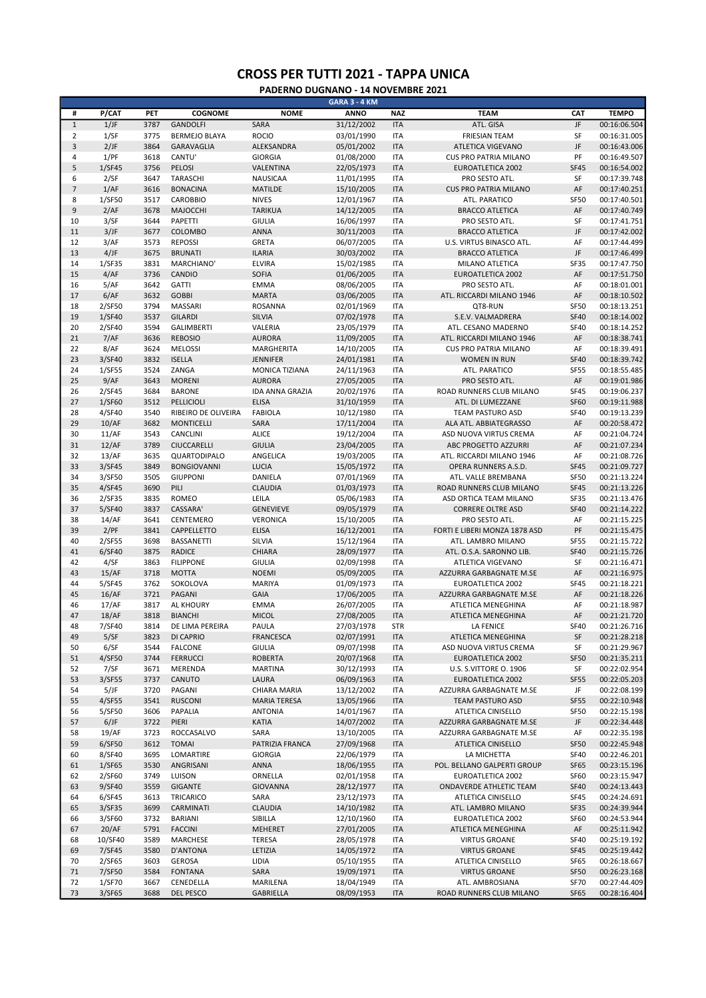|                |         |      |                      |                        | GARA 3 - 4 KM |            |                               |             |              |
|----------------|---------|------|----------------------|------------------------|---------------|------------|-------------------------------|-------------|--------------|
| #              | P/CAT   | PET  | <b>COGNOME</b>       | <b>NOME</b>            | <b>ANNO</b>   | <b>NAZ</b> | <b>TEAM</b>                   | CAT         | <b>TEMPO</b> |
| $\mathbf 1$    | 1/JF    | 3787 | <b>GANDOLFI</b>      | SARA                   | 31/12/2002    | <b>ITA</b> | ATL. GISA                     | JF          | 00:16:06.504 |
| 2              | 1/SF    | 3775 | <b>BERMEJO BLAYA</b> | <b>ROCIO</b>           | 03/01/1990    | <b>ITA</b> | <b>FRIESIAN TEAM</b>          | SF          | 00:16:31.005 |
| 3              | 2/JF    | 3864 | GARAVAGLIA           | ALEKSANDRA             | 05/01/2002    | <b>ITA</b> | ATLETICA VIGEVANO             | JF          | 00:16:43.006 |
| 4              | 1/PF    | 3618 | CANTU'               | <b>GIORGIA</b>         | 01/08/2000    | <b>ITA</b> | <b>CUS PRO PATRIA MILANO</b>  | PF          | 00:16:49.507 |
| 5              | 1/SF45  | 3756 | PELOSI               | VALENTINA              | 22/05/1973    | <b>ITA</b> | <b>EUROATLETICA 2002</b>      | <b>SF45</b> | 00:16:54.002 |
| 6              | 2/SF    | 3647 | TARASCHI             | NAUSICAA               | 11/01/1995    | <b>ITA</b> | PRO SESTO ATL.                | SF          | 00:17:39.748 |
| $\overline{7}$ | 1/AF    | 3616 | <b>BONACINA</b>      | <b>MATILDE</b>         | 15/10/2005    | <b>ITA</b> | <b>CUS PRO PATRIA MILANO</b>  | AF          | 00:17:40.251 |
| 8              | 1/SF50  | 3517 | <b>CAROBBIO</b>      | <b>NIVES</b>           | 12/01/1967    | <b>ITA</b> | ATL. PARATICO                 | <b>SF50</b> | 00:17:40.501 |
| 9              |         |      |                      |                        |               |            |                               | AF          |              |
|                | 2/AF    | 3678 | MAJOCCHI             | <b>TARIKUA</b>         | 14/12/2005    | <b>ITA</b> | <b>BRACCO ATLETICA</b>        |             | 00:17:40.749 |
| 10             | 3/SF    | 3644 | PAPETTI              | <b>GIULIA</b>          | 16/06/1997    | <b>ITA</b> | PRO SESTO ATL.                | SF          | 00:17:41.751 |
| 11             | 3/JF    | 3677 | <b>COLOMBO</b>       | <b>ANNA</b>            | 30/11/2003    | <b>ITA</b> | <b>BRACCO ATLETICA</b>        | JF          | 00:17:42.002 |
| 12             | 3/AF    | 3573 | <b>REPOSSI</b>       | <b>GRETA</b>           | 06/07/2005    | <b>ITA</b> | U.S. VIRTUS BINASCO ATL.      | AF          | 00:17:44.499 |
| 13             | 4/JF    | 3675 | <b>BRUNATI</b>       | <b>ILARIA</b>          | 30/03/2002    | <b>ITA</b> | <b>BRACCO ATLETICA</b>        | JF          | 00:17:46.499 |
| 14             | 1/SF35  | 3831 | MARCHIANO'           | <b>ELVIRA</b>          | 15/02/1985    | <b>ITA</b> | MILANO ATLETICA               | <b>SF35</b> | 00:17:47.750 |
| 15             | 4/AF    | 3736 | CANDIO               | <b>SOFIA</b>           | 01/06/2005    | <b>ITA</b> | EUROATLETICA 2002             | AF          | 00:17:51.750 |
| 16             | 5/AF    | 3642 | <b>GATTI</b>         | <b>EMMA</b>            | 08/06/2005    | <b>ITA</b> | PRO SESTO ATL.                | AF          | 00:18:01.001 |
| 17             | 6/AF    | 3632 | <b>GOBBI</b>         | <b>MARTA</b>           | 03/06/2005    | <b>ITA</b> | ATL. RICCARDI MILANO 1946     | AF          | 00:18:10.502 |
| 18             | 2/SF50  | 3794 | MASSARI              | <b>ROSANNA</b>         | 02/01/1969    | <b>ITA</b> | QT8-RUN                       | <b>SF50</b> | 00:18:13.251 |
| 19             | 1/SF40  | 3537 | <b>GILARDI</b>       | <b>SILVIA</b>          | 07/02/1978    | <b>ITA</b> | S.E.V. VALMADRERA             | <b>SF40</b> | 00:18:14.002 |
| 20             | 2/SF40  | 3594 | <b>GALIMBERTI</b>    | VALERIA                | 23/05/1979    | <b>ITA</b> | ATL. CESANO MADERNO           | <b>SF40</b> | 00:18:14.252 |
|                |         |      |                      |                        |               |            |                               |             |              |
| 21             | 7/AF    | 3636 | <b>REBOSIO</b>       | <b>AURORA</b>          | 11/09/2005    | <b>ITA</b> | ATL. RICCARDI MILANO 1946     | AF          | 00:18:38.741 |
| 22             | 8/AF    | 3624 | <b>MELOSSI</b>       | MARGHERITA             | 14/10/2005    | <b>ITA</b> | <b>CUS PRO PATRIA MILANO</b>  | AF          | 00:18:39.491 |
| 23             | 3/SF40  | 3832 | <b>ISELLA</b>        | <b>JENNIFER</b>        | 24/01/1981    | <b>ITA</b> | WOMEN IN RUN                  | <b>SF40</b> | 00:18:39.742 |
| 24             | 1/SF55  | 3524 | ZANGA                | MONICA TIZIANA         | 24/11/1963    | <b>ITA</b> | ATL. PARATICO                 | <b>SF55</b> | 00:18:55.485 |
| 25             | 9/AF    | 3643 | <b>MORENI</b>        | <b>AURORA</b>          | 27/05/2005    | <b>ITA</b> | PRO SESTO ATL.                | AF          | 00:19:01.986 |
| 26             | 2/SF45  | 3684 | <b>BARONE</b>        | <b>IDA ANNA GRAZIA</b> | 20/02/1976    | <b>ITA</b> | ROAD RUNNERS CLUB MILANO      | <b>SF45</b> | 00:19:06.237 |
| 27             | 1/SF60  | 3512 | <b>PELLICIOLI</b>    | <b>ELISA</b>           | 31/10/1959    | <b>ITA</b> | ATL. DI LUMEZZANE             | <b>SF60</b> | 00:19:11.988 |
| 28             | 4/SF40  | 3540 | RIBEIRO DE OLIVEIRA  | <b>FABIOLA</b>         | 10/12/1980    | <b>ITA</b> | <b>TEAM PASTURO ASD</b>       | <b>SF40</b> | 00:19:13.239 |
| 29             | 10/AF   | 3682 | <b>MONTICELLI</b>    | SARA                   | 17/11/2004    | <b>ITA</b> | ALA ATL. ABBIATEGRASSO        | AF          | 00:20:58.472 |
|                |         |      |                      |                        |               |            |                               |             |              |
| 30             | 11/AF   | 3543 | CANCLINI             | <b>ALICE</b>           | 19/12/2004    | <b>ITA</b> | ASD NUOVA VIRTUS CREMA        | AF          | 00:21:04.724 |
| 31             | 12/AF   | 3789 | CIUCCARELLI          | <b>GIULIA</b>          | 23/04/2005    | <b>ITA</b> | ABC PROGETTO AZZURRI          | AF          | 00:21:07.234 |
| 32             | 13/AF   | 3635 | QUARTODIPALO         | ANGELICA               | 19/03/2005    | <b>ITA</b> | ATL. RICCARDI MILANO 1946     | AF          | 00:21:08.726 |
| 33             | 3/SF45  | 3849 | <b>BONGIOVANNI</b>   | <b>LUCIA</b>           | 15/05/1972    | <b>ITA</b> | OPERA RUNNERS A.S.D.          | <b>SF45</b> | 00:21:09.727 |
| 34             | 3/SF50  | 3505 | <b>GIUPPONI</b>      | DANIELA                | 07/01/1969    | <b>ITA</b> | ATL. VALLE BREMBANA           | <b>SF50</b> | 00:21:13.224 |
| 35             | 4/SF45  | 3690 | PILI                 | <b>CLAUDIA</b>         | 01/03/1973    | <b>ITA</b> | ROAD RUNNERS CLUB MILANO      | <b>SF45</b> | 00:21:13.226 |
| 36             | 2/SF35  | 3835 | <b>ROMEO</b>         | LEILA                  | 05/06/1983    | <b>ITA</b> | ASD ORTICA TEAM MILANO        | <b>SF35</b> | 00:21:13.476 |
| 37             | 5/SF40  | 3837 | <b>CASSARA</b>       | <b>GENEVIEVE</b>       | 09/05/1979    | <b>ITA</b> | <b>CORRERE OLTRE ASD</b>      | <b>SF40</b> | 00:21:14.222 |
| 38             | 14/AF   | 3641 | CENTEMERO            | VERONICA               | 15/10/2005    | <b>ITA</b> | PRO SESTO ATL.                | AF          | 00:21:15.225 |
| 39             | 2/PF    | 3841 | CAPPELLETTO          | <b>ELISA</b>           | 16/12/2001    | <b>ITA</b> | FORTI E LIBERI MONZA 1878 ASD | PF          | 00:21:15.475 |
| 40             | 2/SF55  | 3698 | <b>BASSANETTI</b>    | SILVIA                 | 15/12/1964    | <b>ITA</b> | ATL. LAMBRO MILANO            | <b>SF55</b> | 00:21:15.722 |
|                |         |      |                      |                        |               |            |                               |             |              |
| 41             | 6/SF40  | 3875 | <b>RADICE</b>        | CHIARA                 | 28/09/1977    | <b>ITA</b> | ATL. O.S.A. SARONNO LIB.      | <b>SF40</b> | 00:21:15.726 |
| 42             | 4/SF    | 3863 | <b>FILIPPONE</b>     | <b>GIULIA</b>          | 02/09/1998    | <b>ITA</b> | <b>ATLETICA VIGEVANO</b>      | SF          | 00:21:16.471 |
| 43             | 15/AF   | 3718 | <b>MOTTA</b>         | <b>NOEMI</b>           | 05/09/2005    | <b>ITA</b> | AZZURRA GARBAGNATE M.SE       | AF          | 00:21:16.975 |
| 44             | 5/SF45  | 3762 | SOKOLOVA             | MARIYA                 | 01/09/1973    | <b>ITA</b> | EUROATLETICA 2002             | <b>SF45</b> | 00:21:18.221 |
| 45             | 16/AF   | 3721 | PAGANI               | <b>GAIA</b>            | 17/06/2005    | <b>ITA</b> | AZZURRA GARBAGNATE M.SE       | AF          | 00:21:18.226 |
| 46             | 17/AF   | 3817 | <b>AL KHOURY</b>     | <b>EMMA</b>            | 26/07/2005    | <b>ITA</b> | ATLETICA MENEGHINA            | AF          | 00:21:18.987 |
| 47             | 18/AF   | 3818 | <b>BIANCHI</b>       | <b>MICOL</b>           | 27/08/2005    | <b>ITA</b> | ATLETICA MENEGHINA            | AF          | 00:21:21.720 |
| 48             | 7/SF40  | 3814 | DE LIMA PEREIRA      | PAULA                  | 27/03/1978    | <b>STR</b> | <b>LA FENICE</b>              | <b>SF40</b> | 00:21:26.716 |
| 49             | $5/$ SF | 3823 | DI CAPRIO            | FRANCESCA              | 02/07/1991    | <b>ITA</b> | ATLETICA MENEGHINA            | SF          | 00:21:28.218 |
| 50             | 6/SF    | 3544 | <b>FALCONE</b>       | <b>GIULIA</b>          | 09/07/1998    | ITA        | ASD NUOVA VIRTUS CREMA        | SF          | 00:21:29.967 |
|                |         |      |                      |                        |               |            |                               |             |              |
| 51             | 4/SF50  | 3744 | <b>FERRUCCI</b>      | <b>ROBERTA</b>         | 20/07/1968    | <b>ITA</b> | EUROATLETICA 2002             | <b>SF50</b> | 00:21:35.211 |
| 52             | 7/SF    | 3671 | MERENDA              | <b>MARTINA</b>         | 30/12/1993    | ITA        | U.S. S.VITTORE O. 1906        | SF          | 00:22:02.954 |
| 53             | 3/SF55  | 3737 | CANUTO               | LAURA                  | 06/09/1963    | <b>ITA</b> | EUROATLETICA 2002             | <b>SF55</b> | 00:22:05.203 |
| 54             | 5/JF    | 3720 | PAGANI               | CHIARA MARIA           | 13/12/2002    | ITA        | AZZURRA GARBAGNATE M.SE       | JF          | 00:22:08.199 |
| 55             | 4/SF55  | 3541 | <b>RUSCONI</b>       | <b>MARIA TERESA</b>    | 13/05/1966    | <b>ITA</b> | <b>TEAM PASTURO ASD</b>       | <b>SF55</b> | 00:22:10.948 |
| 56             | 5/SF50  | 3606 | PAPALIA              | <b>ANTONIA</b>         | 14/01/1967    | ITA        | ATLETICA CINISELLO            | <b>SF50</b> | 00:22:15.198 |
| 57             | 6/JF    | 3722 | PIERI                | <b>KATIA</b>           | 14/07/2002    | <b>ITA</b> | AZZURRA GARBAGNATE M.SE       | JF          | 00:22:34.448 |
| 58             | 19/AF   | 3723 | ROCCASALVO           | SARA                   | 13/10/2005    | ITA        | AZZURRA GARBAGNATE M.SE       | AF          | 00:22:35.198 |
| 59             | 6/SF50  | 3612 | <b>TOMAI</b>         | PATRIZIA FRANCA        | 27/09/1968    | <b>ITA</b> | ATLETICA CINISELLO            | <b>SF50</b> | 00:22:45.948 |
| 60             | 8/SF40  | 3695 | LOMARTIRE            | <b>GIORGIA</b>         | 22/06/1979    | ITA        | LA MICHETTA                   | <b>SF40</b> | 00:22:46.201 |
|                |         |      |                      |                        |               |            |                               |             |              |
| 61             | 1/SF65  | 3530 | ANGRISANI            | <b>ANNA</b>            | 18/06/1955    | <b>ITA</b> | POL. BELLANO GALPERTI GROUP   | <b>SF65</b> | 00:23:15.196 |
| 62             | 2/SF60  | 3749 | LUISON               | ORNELLA                | 02/01/1958    | ITA        | EUROATLETICA 2002             | <b>SF60</b> | 00:23:15.947 |
| 63             | 9/SF40  | 3559 | GIGANTE              | <b>GIOVANNA</b>        | 28/12/1977    | <b>ITA</b> | ONDAVERDE ATHLETIC TEAM       | <b>SF40</b> | 00:24:13.443 |
| 64             | 6/SF45  | 3613 | TRICARICO            | SARA                   | 23/12/1973    | ITA        | ATLETICA CINISELLO            | <b>SF45</b> | 00:24:24.691 |
| 65             | 3/SF35  | 3699 | CARMINATI            | <b>CLAUDIA</b>         | 14/10/1982    | <b>ITA</b> | ATL. LAMBRO MILANO            | <b>SF35</b> | 00:24:39.944 |
| 66             | 3/SF60  | 3732 | <b>BARIANI</b>       | SIBILLA                | 12/10/1960    | ITA        | EUROATLETICA 2002             | <b>SF60</b> | 00:24:53.944 |
| 67             | 20/AF   | 5791 | <b>FACCINI</b>       | MEHERET                | 27/01/2005    | <b>ITA</b> | ATLETICA MENEGHINA            | AF          | 00:25:11.942 |
| 68             | 10/SF40 | 3589 | MARCHESE             | <b>TERESA</b>          | 28/05/1978    | <b>ITA</b> | <b>VIRTUS GROANE</b>          | <b>SF40</b> | 00:25:19.192 |
| 69             | 7/SF45  | 3580 | D'ANTONA             | LETIZIA                | 14/05/1972    | <b>ITA</b> | <b>VIRTUS GROANE</b>          | <b>SF45</b> | 00:25:19.442 |
| 70             |         | 3603 | <b>GEROSA</b>        | LIDIA                  | 05/10/1955    |            | ATLETICA CINISELLO            | <b>SF65</b> |              |
|                | 2/SF65  |      |                      |                        |               | <b>ITA</b> |                               |             | 00:26:18.667 |
| 71             | 7/SF50  | 3584 | <b>FONTANA</b>       | SARA                   | 19/09/1971    | <b>ITA</b> | <b>VIRTUS GROANE</b>          | <b>SF50</b> | 00:26:23.168 |
| 72             | 1/SF70  | 3667 | CENEDELLA            | MARILENA               | 18/04/1949    | <b>ITA</b> | ATL. AMBROSIANA               | <b>SF70</b> | 00:27:44.409 |
| 73             | 3/SF65  | 3688 | DEL PESCO            | GABRIELLA              | 08/09/1953    | <b>ITA</b> | ROAD RUNNERS CLUB MILANO      | <b>SF65</b> | 00:28:16.404 |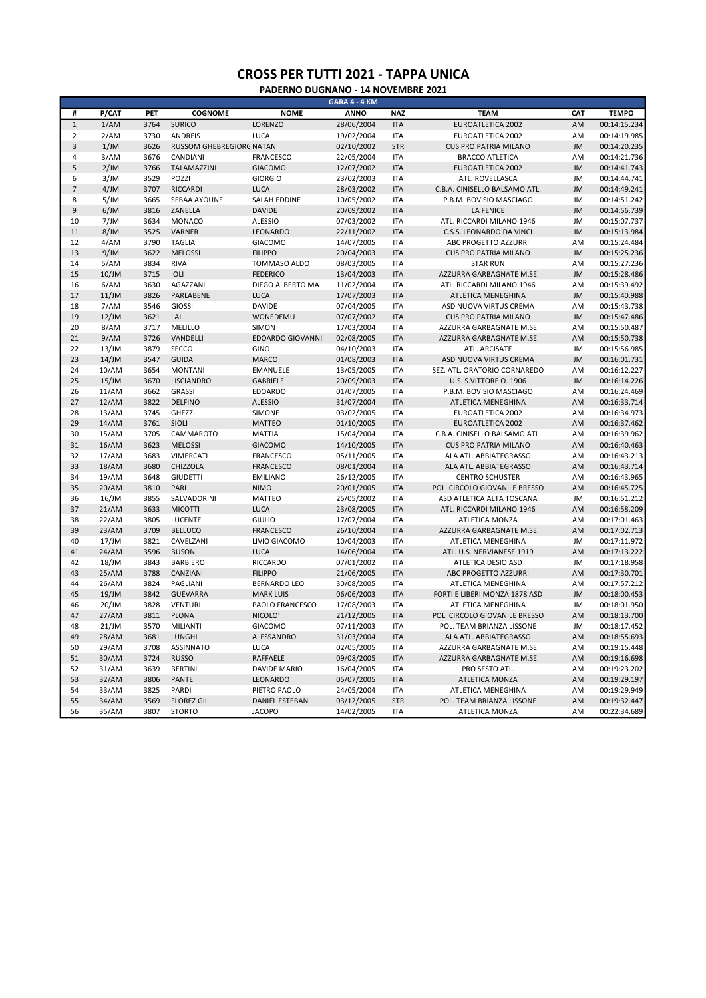|                | GARA 4 - 4 KM |      |                                 |                         |             |            |                               |           |              |  |
|----------------|---------------|------|---------------------------------|-------------------------|-------------|------------|-------------------------------|-----------|--------------|--|
| #              | P/CAT         | PET  | <b>COGNOME</b>                  | <b>NOME</b>             | <b>ANNO</b> | <b>NAZ</b> | <b>TEAM</b>                   | CAT       | <b>TEMPO</b> |  |
| $\overline{1}$ | 1/AM          | 3764 | <b>SURICO</b>                   | LORENZO                 | 28/06/2004  | <b>ITA</b> | <b>EUROATLETICA 2002</b>      | AM        | 00:14:15.234 |  |
| $\overline{2}$ | 2/AM          | 3730 | <b>ANDREIS</b>                  | LUCA                    | 19/02/2004  | <b>ITA</b> | EUROATLETICA 2002             | AM        | 00:14:19.985 |  |
| 3              | 1/JM          | 3626 | <b>RUSSOM GHEBREGIORG NATAN</b> |                         | 02/10/2002  | <b>STR</b> | <b>CUS PRO PATRIA MILANO</b>  | JM        | 00:14:20.235 |  |
| 4              | 3/AM          | 3676 | CANDIANI                        | <b>FRANCESCO</b>        | 22/05/2004  | <b>ITA</b> | <b>BRACCO ATLETICA</b>        | AM        | 00:14:21.736 |  |
| 5              | 2/JM          | 3766 | TALAMAZZINI                     | <b>GIACOMO</b>          | 12/07/2002  | <b>ITA</b> | <b>EUROATLETICA 2002</b>      | JM        | 00:14:41.743 |  |
| 6              | 3/JM          | 3529 | POZZI                           | <b>GIORGIO</b>          | 23/02/2003  | <b>ITA</b> | ATL. ROVELLASCA               | <b>JM</b> | 00:14:44.741 |  |
| $\overline{7}$ | 4/JM          | 3707 | <b>RICCARDI</b>                 | <b>LUCA</b>             | 28/03/2002  | <b>ITA</b> | C.B.A. CINISELLO BALSAMO ATL. | <b>JM</b> | 00:14:49.241 |  |
| 8              | 5/JM          | 3665 | SEBAA AYOUNE                    | <b>SALAH EDDINE</b>     | 10/05/2002  | <b>ITA</b> | P.B.M. BOVISIO MASCIAGO       | JM        | 00:14:51.242 |  |
| 9              | 6/JM          | 3816 | ZANELLA                         | <b>DAVIDE</b>           | 20/09/2002  | <b>ITA</b> | <b>LA FENICE</b>              | <b>JM</b> | 00:14:56.739 |  |
| 10             | 7/JM          | 3634 | MONACO <sup>®</sup>             | <b>ALESSIO</b>          | 07/03/2002  | <b>ITA</b> | ATL. RICCARDI MILANO 1946     | JM        | 00:15:07.737 |  |
| 11             | 8/JM          | 3525 | <b>VARNER</b>                   | LEONARDO                | 22/11/2002  | <b>ITA</b> | C.S.S. LEONARDO DA VINCI      | <b>JM</b> | 00:15:13.984 |  |
| 12             | 4/AM          | 3790 | <b>TAGLIA</b>                   | <b>GIACOMO</b>          | 14/07/2005  | <b>ITA</b> | ABC PROGETTO AZZURRI          | AM        | 00:15:24.484 |  |
| 13             | 9/JM          | 3622 | <b>MELOSSI</b>                  | <b>FILIPPO</b>          | 20/04/2003  | <b>ITA</b> | <b>CUS PRO PATRIA MILANO</b>  | JM        | 00:15:25.236 |  |
| 14             | 5/AM          | 3834 | <b>RIVA</b>                     | TOMMASO ALDO            | 08/03/2005  | <b>ITA</b> | <b>STAR RUN</b>               | AM        | 00:15:27.236 |  |
| 15             | $10$ /JM      | 3715 | IOLI                            | <b>FEDERICO</b>         | 13/04/2003  | <b>ITA</b> | AZZURRA GARBAGNATE M.SE       | <b>JM</b> | 00:15:28.486 |  |
| 16             | 6/AM          | 3630 | <b>AGAZZANI</b>                 | DIEGO ALBERTO MA        | 11/02/2004  | <b>ITA</b> | ATL. RICCARDI MILANO 1946     | AM        | 00:15:39.492 |  |
| 17             | 11/JM         | 3826 | PARLABENE                       | <b>LUCA</b>             | 17/07/2003  | <b>ITA</b> | ATLETICA MENEGHINA            | <b>JM</b> | 00:15:40.988 |  |
| 18             | 7/AM          | 3546 | <b>GIOSSI</b>                   | <b>DAVIDE</b>           | 07/04/2005  | <b>ITA</b> | ASD NUOVA VIRTUS CREMA        | AM        | 00:15:43.738 |  |
| 19             | 12/JM         | 3621 | LAI                             | WONEDEMU                | 07/07/2002  | <b>ITA</b> | <b>CUS PRO PATRIA MILANO</b>  | JM        | 00:15:47.486 |  |
| 20             | 8/AM          | 3717 | MELILLO                         | <b>SIMON</b>            | 17/03/2004  | <b>ITA</b> | AZZURRA GARBAGNATE M.SE       | AM        | 00:15:50.487 |  |
| 21             | 9/AM          | 3726 | VANDELLI                        | <b>EDOARDO GIOVANNI</b> | 02/08/2005  | <b>ITA</b> | AZZURRA GARBAGNATE M.SE       | AM        | 00:15:50.738 |  |
| 22             | 13/JM         | 3879 | <b>SECCO</b>                    | GINO                    | 04/10/2003  | <b>ITA</b> | ATL. ARCISATE                 | JM        | 00:15:56.985 |  |
| 23             | 14/JM         | 3547 | <b>GUIDA</b>                    | <b>MARCO</b>            | 01/08/2003  | <b>ITA</b> | ASD NUOVA VIRTUS CREMA        | JM        | 00:16:01.731 |  |
| 24             | 10/AM         | 3654 | <b>MONTANI</b>                  | <b>EMANUELE</b>         | 13/05/2005  | <b>ITA</b> | SEZ. ATL. ORATORIO CORNAREDO  | AM        | 00:16:12.227 |  |
| 25             | 15/JM         | 3670 | <b>LISCIANDRO</b>               | <b>GABRIELE</b>         | 20/09/2003  | <b>ITA</b> | U.S. S.VITTORE O. 1906        | <b>JM</b> | 00:16:14.226 |  |
| 26             | 11/AM         | 3662 | <b>GRASSI</b>                   | <b>EDOARDO</b>          | 01/07/2005  | <b>ITA</b> | P.B.M. BOVISIO MASCIAGO       | AM        | 00:16:24.469 |  |
| 27             | 12/AM         | 3822 | <b>DELFINO</b>                  | <b>ALESSIO</b>          | 31/07/2004  | <b>ITA</b> | ATLETICA MENEGHINA            | AM        | 00:16:33.714 |  |
| 28             | 13/AM         | 3745 | <b>GHEZZI</b>                   | SIMONE                  | 03/02/2005  | <b>ITA</b> | EUROATLETICA 2002             | AM        | 00:16:34.973 |  |
| 29             | 14/AM         | 3761 | SIOLI                           | <b>MATTEO</b>           | 01/10/2005  | <b>ITA</b> | <b>EUROATLETICA 2002</b>      | AM        | 00:16:37.462 |  |
| 30             | 15/AM         | 3705 | CAMMAROTO                       | <b>MATTIA</b>           | 15/04/2004  | <b>ITA</b> | C.B.A. CINISELLO BALSAMO ATL. | AM        | 00:16:39.962 |  |
| 31             | 16/AM         | 3623 | <b>MELOSSI</b>                  | <b>GIACOMO</b>          | 14/10/2005  | <b>ITA</b> | <b>CUS PRO PATRIA MILANO</b>  | AM        | 00:16:40.463 |  |
| 32             | 17/AM         | 3683 | VIMERCATI                       | <b>FRANCESCO</b>        | 05/11/2005  | <b>ITA</b> | ALA ATL. ABBIATEGRASSO        | AM        | 00:16:43.213 |  |
| 33             | 18/AM         | 3680 | CHIZZOLA                        | <b>FRANCESCO</b>        | 08/01/2004  | <b>ITA</b> | ALA ATL. ABBIATEGRASSO        | AM        | 00:16:43.714 |  |
| 34             | 19/AM         | 3648 | <b>GIUDETTI</b>                 | <b>EMILIANO</b>         | 26/12/2005  | <b>ITA</b> | <b>CENTRO SCHUSTER</b>        | AM        | 00:16:43.965 |  |
| 35             | 20/AM         | 3810 | PARI                            | <b>NIMO</b>             | 20/01/2005  | <b>ITA</b> | POL. CIRCOLO GIOVANILE BRESSO | AM        | 00:16:45.725 |  |
| 36             | 16/JM         | 3855 | SALVADORINI                     | <b>MATTEO</b>           | 25/05/2002  | <b>ITA</b> | ASD ATLETICA ALTA TOSCANA     | JM        | 00:16:51.212 |  |
| 37             | 21/AM         | 3633 | <b>MICOTTI</b>                  | <b>LUCA</b>             | 23/08/2005  | <b>ITA</b> | ATL. RICCARDI MILANO 1946     | AM        | 00:16:58.209 |  |
| 38             | 22/AM         | 3805 | LUCENTE                         | <b>GIULIO</b>           | 17/07/2004  | <b>ITA</b> | ATLETICA MONZA                | AM        | 00:17:01.463 |  |
| 39             | 23/AM         | 3709 | <b>BELLUCO</b>                  | <b>FRANCESCO</b>        | 26/10/2004  | <b>ITA</b> | AZZURRA GARBAGNATE M.SE       | AM        | 00:17:02.713 |  |
| 40             | 17/JM         | 3821 | CAVELZANI                       | LIVIO GIACOMO           | 10/04/2003  | <b>ITA</b> | ATLETICA MENEGHINA            | JM        | 00:17:11.972 |  |
| 41             | 24/AM         | 3596 | <b>BUSON</b>                    | LUCA                    | 14/06/2004  | <b>ITA</b> | ATL. U.S. NERVIANESE 1919     | AM        | 00:17:13.222 |  |
| 42             | 18/JM         | 3843 | <b>BARBIERO</b>                 | RICCARDO                | 07/01/2002  | <b>ITA</b> | ATLETICA DESIO ASD            | JM        | 00:17:18.958 |  |
| 43             | 25/AM         | 3788 | CANZIANI                        | <b>FILIPPO</b>          | 21/06/2005  | <b>ITA</b> | ABC PROGETTO AZZURRI          | AM        | 00:17:30.701 |  |
| 44             | 26/AM         | 3824 | <b>PAGLIANI</b>                 | <b>BERNARDO LEO</b>     | 30/08/2005  | <b>ITA</b> | ATLETICA MENEGHINA            | AM        | 00:17:57.212 |  |
| 45             | $19$ /JM      | 3842 | <b>GUEVARRA</b>                 | <b>MARK LUIS</b>        | 06/06/2003  | <b>ITA</b> | FORTI E LIBERI MONZA 1878 ASD | JM        | 00:18:00.453 |  |
| 46             | 20/JM         | 3828 | <b>VENTURI</b>                  | PAOLO FRANCESCO         | 17/08/2003  | <b>ITA</b> | ATLETICA MENEGHINA            | JM        | 00:18:01.950 |  |
| 47             | 27/AM         | 3811 | <b>PLONA</b>                    | NICOLO <sup>®</sup>     | 21/12/2005  | <b>ITA</b> | POL. CIRCOLO GIOVANILE BRESSO | AM        | 00:18:13.700 |  |
| 48             | 21/JM         | 3570 | MILIANTI                        | <b>GIACOMO</b>          | 07/11/2003  | <b>ITA</b> | POL. TEAM BRIANZA LISSONE     | JM        | 00:18:17.452 |  |
| 49             | 28/AM         | 3681 | <b>LUNGHI</b>                   | ALESSANDRO              | 31/03/2004  | <b>ITA</b> | ALA ATL. ABBIATEGRASSO        | AM        | 00:18:55.693 |  |
| 50             | 29/AM         | 3708 | <b>ASSINNATO</b>                | <b>LUCA</b>             | 02/05/2005  | <b>ITA</b> | AZZURRA GARBAGNATE M.SE       | AM        | 00:19:15.448 |  |
| 51             | 30/AM         | 3724 | <b>RUSSO</b>                    | <b>RAFFAELE</b>         | 09/08/2005  | <b>ITA</b> | AZZURRA GARBAGNATE M.SE       | AM        | 00:19:16.698 |  |
| 52             | 31/AM         | 3639 | <b>BERTINI</b>                  | <b>DAVIDE MARIO</b>     | 16/04/2005  | <b>ITA</b> | PRO SESTO ATL.                | AM        | 00:19:23.202 |  |
| 53             | 32/AM         | 3806 | <b>PANTE</b>                    | LEONARDO                | 05/07/2005  | <b>ITA</b> | <b>ATLETICA MONZA</b>         | AM        | 00:19:29.197 |  |
| 54             | 33/AM         | 3825 | PARDI                           | PIETRO PAOLO            | 24/05/2004  | <b>ITA</b> | ATLETICA MENEGHINA            | AM        | 00:19:29.949 |  |
| 55             | 34/AM         | 3569 | <b>FLOREZ GIL</b>               | <b>DANIEL ESTEBAN</b>   | 03/12/2005  | <b>STR</b> | POL. TEAM BRIANZA LISSONE     | AM        | 00:19:32.447 |  |
| 56             | 35/AM         | 3807 | <b>STORTO</b>                   | <b>JACOPO</b>           | 14/02/2005  | <b>ITA</b> | ATLETICA MONZA                | AM        | 00:22:34.689 |  |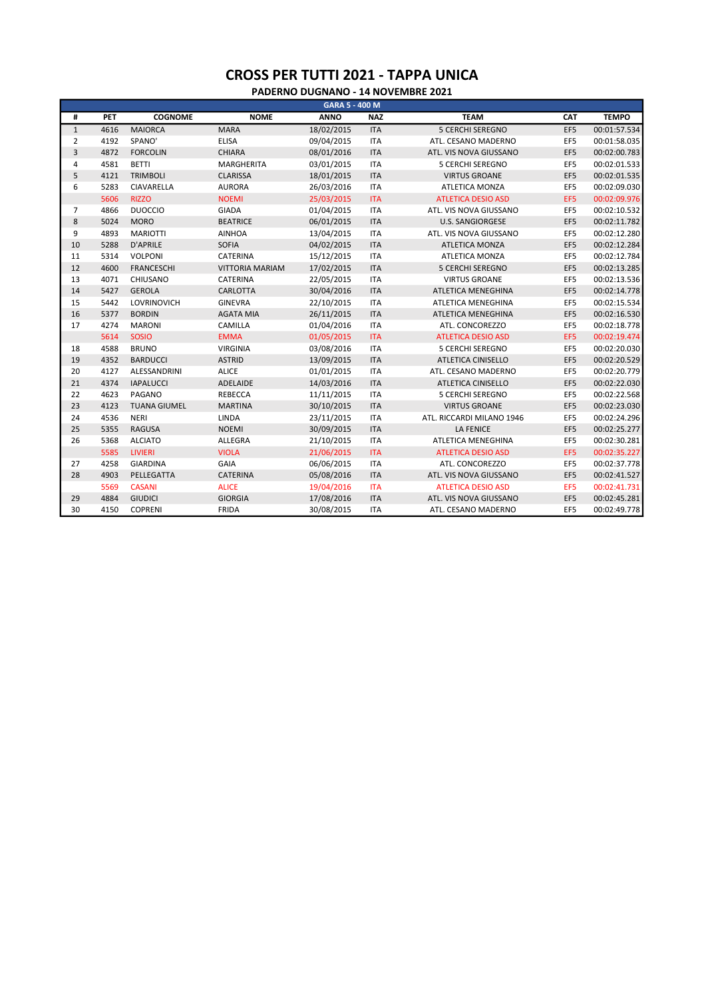|                |      |                     |                        | GARA 5 - 400 M |            |                           |                 |              |
|----------------|------|---------------------|------------------------|----------------|------------|---------------------------|-----------------|--------------|
| #              | PET  | <b>COGNOME</b>      | <b>NOME</b>            | <b>ANNO</b>    | <b>NAZ</b> | <b>TEAM</b>               | CAT             | <b>TEMPO</b> |
| $\mathbf{1}$   | 4616 | <b>MAIORCA</b>      | <b>MARA</b>            | 18/02/2015     | <b>ITA</b> | <b>5 CERCHI SEREGNO</b>   | EF <sub>5</sub> | 00:01:57.534 |
| $\overline{2}$ | 4192 | SPANO'              | <b>ELISA</b>           | 09/04/2015     | <b>ITA</b> | ATL. CESANO MADERNO       | EF5             | 00:01:58.035 |
| 3              | 4872 | <b>FORCOLIN</b>     | <b>CHIARA</b>          | 08/01/2016     | <b>ITA</b> | ATL. VIS NOVA GIUSSANO    | EF5             | 00:02:00.783 |
| $\overline{4}$ | 4581 | <b>BETTI</b>        | MARGHERITA             | 03/01/2015     | <b>ITA</b> | <b>5 CERCHI SEREGNO</b>   | EF5             | 00:02:01.533 |
| 5              | 4121 | <b>TRIMBOLI</b>     | <b>CLARISSA</b>        | 18/01/2015     | <b>ITA</b> | <b>VIRTUS GROANE</b>      | EF5             | 00:02:01.535 |
| 6              | 5283 | CIAVARELLA          | <b>AURORA</b>          | 26/03/2016     | <b>ITA</b> | ATLETICA MONZA            | EF5             | 00:02:09.030 |
|                | 5606 | <b>RIZZO</b>        | <b>NOEMI</b>           | 25/03/2015     | <b>ITA</b> | <b>ATLETICA DESIO ASD</b> | EF5             | 00:02:09.976 |
| 7              | 4866 | <b>DUOCCIO</b>      | <b>GIADA</b>           | 01/04/2015     | <b>ITA</b> | ATL. VIS NOVA GIUSSANO    | EF5             | 00:02:10.532 |
| $\bf 8$        | 5024 | <b>MORO</b>         | <b>BEATRICE</b>        | 06/01/2015     | <b>ITA</b> | <b>U.S. SANGIORGESE</b>   | EF5             | 00:02:11.782 |
| 9              | 4893 | <b>MARIOTTI</b>     | <b>AINHOA</b>          | 13/04/2015     | <b>ITA</b> | ATL. VIS NOVA GIUSSANO    | EF5             | 00:02:12.280 |
| 10             | 5288 | <b>D'APRILE</b>     | <b>SOFIA</b>           | 04/02/2015     | <b>ITA</b> | <b>ATLETICA MONZA</b>     | EF5             | 00:02:12.284 |
| 11             | 5314 | VOLPONI             | CATERINA               | 15/12/2015     | <b>ITA</b> | ATLETICA MONZA            | EF5             | 00:02:12.784 |
| 12             | 4600 | <b>FRANCESCHI</b>   | <b>VITTORIA MARIAM</b> | 17/02/2015     | <b>ITA</b> | <b>5 CERCHI SEREGNO</b>   | EF5             | 00:02:13.285 |
| 13             | 4071 | CHIUSANO            | CATERINA               | 22/05/2015     | <b>ITA</b> | <b>VIRTUS GROANE</b>      | EF5             | 00:02:13.536 |
| 14             | 5427 | <b>GEROLA</b>       | CARLOTTA               | 30/04/2016     | <b>ITA</b> | ATLETICA MENEGHINA        | EF5             | 00:02:14.778 |
| 15             | 5442 | <b>LOVRINOVICH</b>  | <b>GINEVRA</b>         | 22/10/2015     | <b>ITA</b> | <b>ATLETICA MENEGHINA</b> | EF5             | 00:02:15.534 |
| 16             | 5377 | <b>BORDIN</b>       | <b>AGATA MIA</b>       | 26/11/2015     | <b>ITA</b> | ATLETICA MENEGHINA        | EF5             | 00:02:16.530 |
| 17             | 4274 | <b>MARONI</b>       | CAMILLA                | 01/04/2016     | <b>ITA</b> | ATL. CONCOREZZO           | EF5             | 00:02:18.778 |
|                | 5614 | <b>SOSIO</b>        | <b>EMMA</b>            | 01/05/2015     | <b>ITA</b> | <b>ATLETICA DESIO ASD</b> | EF5             | 00:02:19.474 |
| 18             | 4588 | <b>BRUNO</b>        | <b>VIRGINIA</b>        | 03/08/2016     | <b>ITA</b> | <b>5 CERCHI SEREGNO</b>   | EF5             | 00:02:20.030 |
| 19             | 4352 | <b>BARDUCCI</b>     | <b>ASTRID</b>          | 13/09/2015     | <b>ITA</b> | <b>ATLETICA CINISELLO</b> | EF5             | 00:02:20.529 |
| 20             | 4127 | ALESSANDRINI        | <b>ALICE</b>           | 01/01/2015     | <b>ITA</b> | ATL. CESANO MADERNO       | EF5             | 00:02:20.779 |
| 21             | 4374 | <b>IAPALUCCI</b>    | ADELAIDE               | 14/03/2016     | <b>ITA</b> | <b>ATLETICA CINISELLO</b> | EF5             | 00:02:22.030 |
| 22             | 4623 | PAGANO              | <b>REBECCA</b>         | 11/11/2015     | <b>ITA</b> | <b>5 CERCHI SEREGNO</b>   | EF5             | 00:02:22.568 |
| 23             | 4123 | <b>TUANA GIUMEL</b> | <b>MARTINA</b>         | 30/10/2015     | <b>ITA</b> | <b>VIRTUS GROANE</b>      | EF5             | 00:02:23.030 |
| 24             | 4536 | <b>NERI</b>         | LINDA                  | 23/11/2015     | <b>ITA</b> | ATL. RICCARDI MILANO 1946 | EF5             | 00:02:24.296 |
| 25             | 5355 | <b>RAGUSA</b>       | <b>NOEMI</b>           | 30/09/2015     | <b>ITA</b> | <b>LA FENICE</b>          | EF5             | 00:02:25.277 |
| 26             | 5368 | <b>ALCIATO</b>      | ALLEGRA                | 21/10/2015     | <b>ITA</b> | ATLETICA MENEGHINA        | EF5             | 00:02:30.281 |
|                | 5585 | <b>LIVIERI</b>      | <b>VIOLA</b>           | 21/06/2015     | <b>ITA</b> | <b>ATLETICA DESIO ASD</b> | EF5             | 00:02:35.227 |
| 27             | 4258 | <b>GIARDINA</b>     | GAIA                   | 06/06/2015     | <b>ITA</b> | ATL. CONCOREZZO           | EF5             | 00:02:37.778 |
| 28             | 4903 | PELLEGATTA          | <b>CATERINA</b>        | 05/08/2016     | <b>ITA</b> | ATL. VIS NOVA GIUSSANO    | EF5             | 00:02:41.527 |
|                | 5569 | <b>CASANI</b>       | <b>ALICE</b>           | 19/04/2016     | <b>ITA</b> | <b>ATLETICA DESIO ASD</b> | EF5             | 00:02:41.731 |
| 29             | 4884 | <b>GIUDICI</b>      | <b>GIORGIA</b>         | 17/08/2016     | <b>ITA</b> | ATL. VIS NOVA GIUSSANO    | EF5             | 00:02:45.281 |
| 30             | 4150 | COPRENI             | <b>FRIDA</b>           | 30/08/2015     | <b>ITA</b> | ATL. CESANO MADERNO       | EF5             | 00:02:49.778 |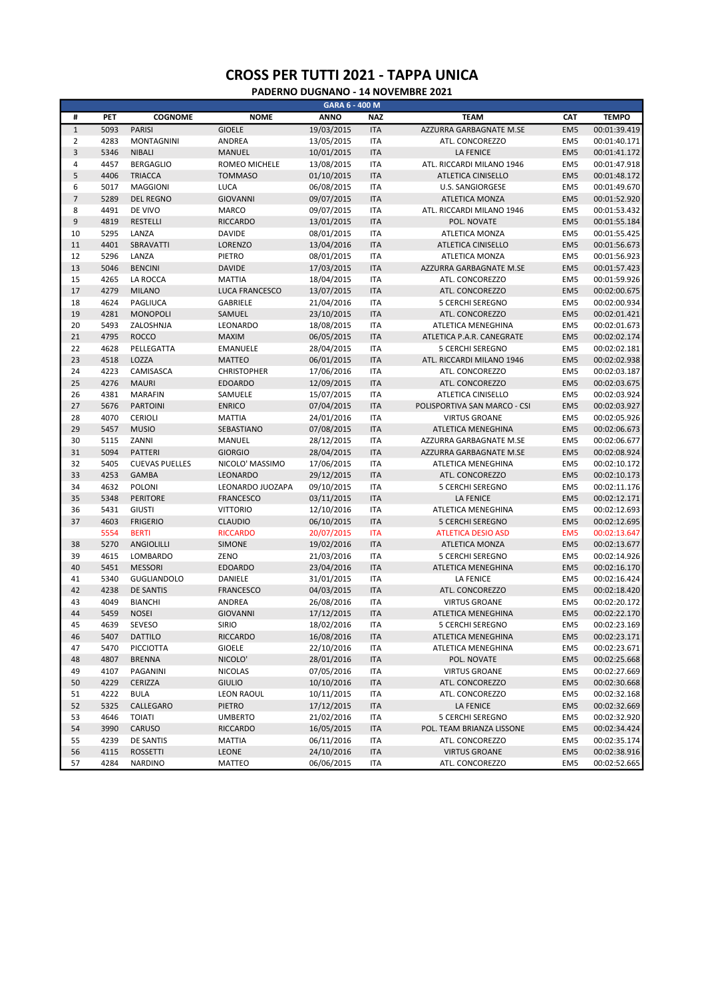| #                | PET          | <b>COGNOME</b>                        | <b>NOME</b>                 | <b>ANNO</b> | <b>NAZ</b>               | <b>TEAM</b>                           | CAT                                | <b>TEMPO</b> |
|------------------|--------------|---------------------------------------|-----------------------------|-------------|--------------------------|---------------------------------------|------------------------------------|--------------|
| $\,1\,$          | 5093         | <b>PARISI</b>                         | <b>GIOELE</b>               | 19/03/2015  | <b>ITA</b>               | AZZURRA GARBAGNATE M.SE               | EM <sub>5</sub>                    | 00:01:39.419 |
| $\overline{2}$   | 4283         | <b>MONTAGNINI</b>                     | ANDREA                      | 13/05/2015  | <b>ITA</b>               | ATL. CONCOREZZO                       | EM <sub>5</sub>                    | 00:01:40.171 |
| $\mathsf 3$      | 5346         | <b>NIBALI</b>                         | <b>MANUEL</b>               | 10/01/2015  | <b>ITA</b>               | <b>LA FENICE</b>                      | EM <sub>5</sub>                    | 00:01:41.172 |
| $\overline{4}$   | 4457         | <b>BERGAGLIO</b>                      | ROMEO MICHELE               | 13/08/2015  | <b>ITA</b>               | ATL. RICCARDI MILANO 1946             | EM <sub>5</sub>                    | 00:01:47.918 |
| 5                | 4406         | <b>TRIACCA</b>                        | <b>TOMMASO</b>              | 01/10/2015  | <b>ITA</b>               | <b>ATLETICA CINISELLO</b>             | EM <sub>5</sub>                    | 00:01:48.172 |
| 6                | 5017         | <b>MAGGIONI</b>                       | LUCA                        | 06/08/2015  | <b>ITA</b>               | <b>U.S. SANGIORGESE</b>               | EM <sub>5</sub>                    | 00:01:49.670 |
| $\overline{7}$   | 5289         | <b>DEL REGNO</b>                      | <b>GIOVANNI</b>             | 09/07/2015  | <b>ITA</b>               | <b>ATLETICA MONZA</b>                 | EM <sub>5</sub>                    | 00:01:52.920 |
| 8                | 4491         | DE VIVO                               | <b>MARCO</b>                | 09/07/2015  | <b>ITA</b>               | ATL. RICCARDI MILANO 1946             | EM <sub>5</sub>                    | 00:01:53.432 |
| $\boldsymbol{9}$ | 4819         | <b>RESTELLI</b>                       | <b>RICCARDO</b>             | 13/01/2015  | <b>ITA</b>               | POL. NOVATE                           | EM <sub>5</sub>                    | 00:01:55.184 |
| 10               | 5295         | LANZA                                 | <b>DAVIDE</b>               | 08/01/2015  | <b>ITA</b>               | ATLETICA MONZA                        | EM <sub>5</sub>                    | 00:01:55.425 |
| 11               | 4401         | SBRAVATTI                             | LORENZO                     | 13/04/2016  | <b>ITA</b>               | ATLETICA CINISELLO                    | EM <sub>5</sub>                    | 00:01:56.673 |
| 12               | 5296         | LANZA                                 | PIETRO                      | 08/01/2015  | <b>ITA</b>               | ATLETICA MONZA                        | EM <sub>5</sub>                    | 00:01:56.923 |
| 13               | 5046         | <b>BENCINI</b>                        | <b>DAVIDE</b>               | 17/03/2015  | <b>ITA</b>               | AZZURRA GARBAGNATE M.SE               | EM <sub>5</sub>                    | 00:01:57.423 |
| 15               | 4265         | LA ROCCA                              | <b>MATTIA</b>               | 18/04/2015  | <b>ITA</b>               | ATL. CONCOREZZO                       | EM <sub>5</sub>                    | 00:01:59.926 |
| 17               | 4279         | <b>MILANO</b>                         | LUCA FRANCESCO              | 13/07/2015  | <b>ITA</b>               | ATL. CONCOREZZO                       | EM <sub>5</sub>                    | 00:02:00.675 |
| 18               | 4624         | PAGLIUCA                              | GABRIELE                    | 21/04/2016  | <b>ITA</b>               | <b>5 CERCHI SEREGNO</b>               | EM <sub>5</sub>                    | 00:02:00.934 |
| 19               | 4281         | <b>MONOPOLI</b>                       | SAMUEL                      | 23/10/2015  | <b>ITA</b>               | ATL. CONCOREZZO                       | EM <sub>5</sub>                    | 00:02:01.421 |
| 20               | 5493         | ZALOSHNJA                             | LEONARDO                    | 18/08/2015  | <b>ITA</b>               | ATLETICA MENEGHINA                    | EM <sub>5</sub>                    | 00:02:01.673 |
| 21               | 4795         | <b>ROCCO</b>                          | <b>MAXIM</b>                | 06/05/2015  | <b>ITA</b>               | ATLETICA P.A.R. CANEGRATE             | EM <sub>5</sub>                    | 00:02:02.174 |
| 22               | 4628         | PELLEGATTA                            | <b>EMANUELE</b>             | 28/04/2015  | <b>ITA</b>               | <b>5 CERCHI SEREGNO</b>               | EM <sub>5</sub>                    | 00:02:02.181 |
| 23               | 4518         | LOZZA                                 | <b>MATTEO</b>               | 06/01/2015  | <b>ITA</b>               | ATL. RICCARDI MILANO 1946             | EM <sub>5</sub>                    | 00:02:02.938 |
| 24               | 4223         | CAMISASCA                             | <b>CHRISTOPHER</b>          | 17/06/2016  | <b>ITA</b>               | ATL. CONCOREZZO                       | EM <sub>5</sub>                    | 00:02:03.187 |
| 25               | 4276         | <b>MAURI</b>                          | <b>EDOARDO</b>              | 12/09/2015  | <b>ITA</b>               | ATL. CONCOREZZO                       | EM <sub>5</sub>                    | 00:02:03.675 |
| 26               | 4381         | <b>MARAFIN</b>                        | SAMUELE                     | 15/07/2015  | <b>ITA</b>               | ATLETICA CINISELLO                    | EM <sub>5</sub>                    | 00:02:03.924 |
| 27               | 5676         | <b>PARTOINI</b>                       | <b>ENRICO</b>               | 07/04/2015  | <b>ITA</b>               | POLISPORTIVA SAN MARCO - CSI          | EM <sub>5</sub>                    | 00:02:03.927 |
| 28               | 4070         | <b>CERIOLI</b>                        | <b>MATTIA</b>               | 24/01/2016  | <b>ITA</b>               | <b>VIRTUS GROANE</b>                  | EM <sub>5</sub>                    | 00:02:05.926 |
| 29               | 5457         | <b>MUSIO</b>                          | SEBASTIANO                  | 07/08/2015  | <b>ITA</b>               | ATLETICA MENEGHINA                    | EM <sub>5</sub>                    | 00:02:06.673 |
| 30               | 5115         | ZANNI                                 |                             | 28/12/2015  | <b>ITA</b>               | AZZURRA GARBAGNATE M.SE               | EM <sub>5</sub>                    | 00:02:06.677 |
| 31               | 5094         | <b>PATTERI</b>                        | MANUEL<br><b>GIORGIO</b>    |             | <b>ITA</b>               |                                       | EM <sub>5</sub>                    |              |
| 32               |              |                                       |                             | 28/04/2015  |                          | AZZURRA GARBAGNATE M.SE               | EM <sub>5</sub>                    | 00:02:08.924 |
| 33               | 5405<br>4253 | <b>CUEVAS PUELLES</b><br><b>GAMBA</b> | NICOLO' MASSIMO<br>LEONARDO | 17/06/2015  | <b>ITA</b><br><b>ITA</b> | ATLETICA MENEGHINA<br>ATL. CONCOREZZO | EM <sub>5</sub>                    | 00:02:10.172 |
| 34               |              |                                       |                             | 29/12/2015  |                          |                                       |                                    | 00:02:10.173 |
|                  | 4632         | POLONI                                | LEONARDO JUOZAPA            | 09/10/2015  | <b>ITA</b>               | 5 CERCHI SEREGNO                      | EM <sub>5</sub><br>EM <sub>5</sub> | 00:02:11.176 |
| 35               | 5348         | <b>PERITORE</b>                       | <b>FRANCESCO</b>            | 03/11/2015  | <b>ITA</b>               | <b>LA FENICE</b>                      |                                    | 00:02:12.171 |
| 36               | 5431         | <b>GIUSTI</b>                         | <b>VITTORIO</b>             | 12/10/2016  | <b>ITA</b>               | ATLETICA MENEGHINA                    | EM <sub>5</sub>                    | 00:02:12.693 |
| 37               | 4603         | <b>FRIGERIO</b>                       | <b>CLAUDIO</b>              | 06/10/2015  | <b>ITA</b>               | <b>5 CERCHI SEREGNO</b>               | EM <sub>5</sub>                    | 00:02:12.695 |
|                  | 5554         | <b>BERTI</b>                          | <b>RICCARDO</b>             | 20/07/2015  | <b>ITA</b>               | <b>ATLETICA DESIO ASD</b>             | EM <sub>5</sub>                    | 00:02:13.647 |
| 38               | 5270         | ANGIOLILLI                            | <b>SIMONE</b>               | 19/02/2016  | <b>ITA</b>               | ATLETICA MONZA                        | EM <sub>5</sub>                    | 00:02:13.677 |
| 39               | 4615         | LOMBARDO                              | ZENO                        | 21/03/2016  | <b>ITA</b>               | 5 CERCHI SEREGNO                      | EM <sub>5</sub>                    | 00:02:14.926 |
| 40               | 5451         | <b>MESSORI</b>                        | <b>EDOARDO</b>              | 23/04/2016  | <b>ITA</b>               | ATLETICA MENEGHINA                    | EM <sub>5</sub>                    | 00:02:16.170 |
| 41               | 5340         | <b>GUGLIANDOLO</b>                    | DANIELE                     | 31/01/2015  | <b>ITA</b>               | <b>LA FENICE</b>                      | EM <sub>5</sub>                    | 00:02:16.424 |
| 42               | 4238         | <b>DE SANTIS</b>                      | <b>FRANCESCO</b>            | 04/03/2015  | <b>ITA</b>               | ATL. CONCOREZZO                       | EM <sub>5</sub>                    | 00:02:18.420 |
| 43               | 4049         | <b>BIANCHI</b>                        | ANDREA                      | 26/08/2016  | <b>ITA</b>               | <b>VIRTUS GROANE</b>                  | EM <sub>5</sub>                    | 00:02:20.172 |
| 44               | 5459         | <b>NOSEI</b>                          | <b>GIOVANNI</b>             | 17/12/2015  | <b>ITA</b>               | ATLETICA MENEGHINA                    | EM <sub>5</sub>                    | 00:02:22.170 |
| 45               | 4639         | <b>SEVESO</b>                         | <b>SIRIO</b>                | 18/02/2016  | <b>ITA</b>               | <b>5 CERCHI SEREGNO</b>               | EM <sub>5</sub>                    | 00:02:23.169 |
| 46               | 5407         | <b>DATTILO</b>                        | <b>RICCARDO</b>             | 16/08/2016  | <b>ITA</b>               | ATLETICA MENEGHINA                    | EM <sub>5</sub>                    | 00:02:23.171 |
| 47               | 5470         | <b>PICCIOTTA</b>                      | <b>GIOELE</b>               | 22/10/2016  | <b>ITA</b>               | ATLETICA MENEGHINA                    | EM <sub>5</sub>                    | 00:02:23.671 |
| 48               | 4807         | <b>BRENNA</b>                         | NICOLO'                     | 28/01/2016  | <b>ITA</b>               | POL. NOVATE                           | EM <sub>5</sub>                    | 00:02:25.668 |
| 49               | 4107         | PAGANINI                              | <b>NICOLAS</b>              | 07/05/2016  | <b>ITA</b>               | <b>VIRTUS GROANE</b>                  | EM <sub>5</sub>                    | 00:02:27.669 |
| 50               | 4229         | CERIZZA                               | <b>GIULIO</b>               | 10/10/2016  | <b>ITA</b>               | ATL. CONCOREZZO                       | EM <sub>5</sub>                    | 00:02:30.668 |
| 51               | 4222         | <b>BULA</b>                           | <b>LEON RAOUL</b>           | 10/11/2015  | ITA                      | ATL. CONCOREZZO                       | EM <sub>5</sub>                    | 00:02:32.168 |
| 52               | 5325         | CALLEGARO                             | <b>PIETRO</b>               | 17/12/2015  | <b>ITA</b>               | <b>LA FENICE</b>                      | EM <sub>5</sub>                    | 00:02:32.669 |
| 53               | 4646         | <b>TOIATI</b>                         | <b>UMBERTO</b>              | 21/02/2016  | ITA                      | 5 CERCHI SEREGNO                      | EM <sub>5</sub>                    | 00:02:32.920 |
| 54               | 3990         | CARUSO                                | <b>RICCARDO</b>             | 16/05/2015  | <b>ITA</b>               | POL. TEAM BRIANZA LISSONE             | EM <sub>5</sub>                    | 00:02:34.424 |
| 55               | 4239         | DE SANTIS                             | MATTIA                      | 06/11/2016  | ITA                      | ATL. CONCOREZZO                       | EM <sub>5</sub>                    | 00:02:35.174 |
| 56               | 4115         | <b>ROSSETTI</b>                       | <b>LEONE</b>                | 24/10/2016  | <b>ITA</b>               | <b>VIRTUS GROANE</b>                  | EM <sub>5</sub>                    | 00:02:38.916 |
| 57               | 4284         | <b>NARDINO</b>                        | <b>MATTEO</b>               | 06/06/2015  | <b>ITA</b>               | ATL. CONCOREZZO                       | EM <sub>5</sub>                    | 00:02:52.665 |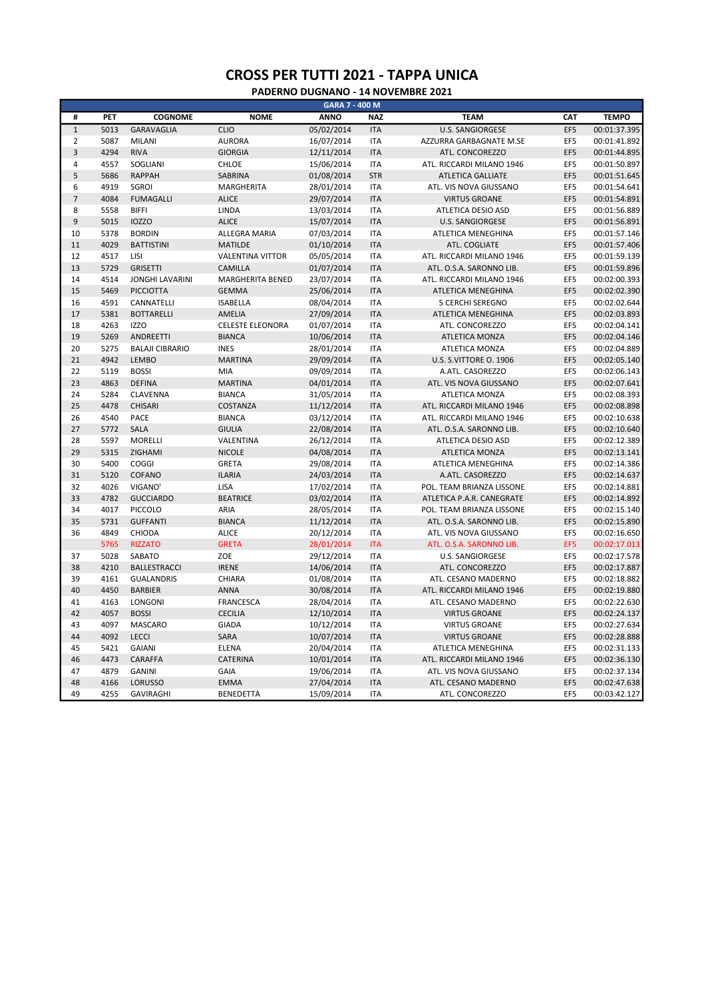|                | GARA 7 - 400 M |                        |                         |             |            |                           |     |              |  |  |
|----------------|----------------|------------------------|-------------------------|-------------|------------|---------------------------|-----|--------------|--|--|
| #              | PET            | <b>COGNOME</b>         | <b>NOME</b>             | <b>ANNO</b> | <b>NAZ</b> | <b>TEAM</b>               | CAT | <b>TEMPO</b> |  |  |
| $\mathbf 1$    | 5013           | <b>GARAVAGLIA</b>      | <b>CLIO</b>             | 05/02/2014  | <b>ITA</b> | <b>U.S. SANGIORGESE</b>   | EF5 | 00:01:37.395 |  |  |
| $\overline{2}$ | 5087           | <b>MILANI</b>          | <b>AURORA</b>           | 16/07/2014  | <b>ITA</b> | AZZURRA GARBAGNATE M.SE   | EF5 | 00:01:41.892 |  |  |
| $\mathsf 3$    | 4294           | <b>RIVA</b>            | <b>GIORGIA</b>          | 12/11/2014  | <b>ITA</b> | ATL. CONCOREZZO           | EF5 | 00:01:44.895 |  |  |
| $\sqrt{4}$     | 4557           | SOGLIANI               | <b>CHLOE</b>            | 15/06/2014  | <b>ITA</b> | ATL. RICCARDI MILANO 1946 | EF5 | 00:01:50.897 |  |  |
| 5              | 5686           | <b>RAPPAH</b>          | <b>SABRINA</b>          | 01/08/2014  | <b>STR</b> | <b>ATLETICA GALLIATE</b>  | EF5 | 00:01:51.645 |  |  |
| 6              | 4919           | <b>SGROI</b>           | MARGHERITA              | 28/01/2014  | <b>ITA</b> | ATL. VIS NOVA GIUSSANO    | EF5 | 00:01:54.641 |  |  |
| $\overline{7}$ | 4084           | <b>FUMAGALLI</b>       | <b>ALICE</b>            | 29/07/2014  | <b>ITA</b> | <b>VIRTUS GROANE</b>      | EF5 | 00:01:54.891 |  |  |
| 8              | 5558           | <b>BIFFI</b>           | LINDA                   | 13/03/2014  | <b>ITA</b> | ATLETICA DESIO ASD        | EF5 | 00:01:56.889 |  |  |
| 9              | 5015           | <b>IOZZO</b>           | <b>ALICE</b>            | 15/07/2014  | <b>ITA</b> | <b>U.S. SANGIORGESE</b>   | EF5 | 00:01:56.891 |  |  |
| 10             | 5378           | <b>BORDIN</b>          | ALLEGRA MARIA           | 07/03/2014  | <b>ITA</b> | ATLETICA MENEGHINA        | EF5 | 00:01:57.146 |  |  |
| 11             | 4029           | <b>BATTISTINI</b>      | <b>MATILDE</b>          | 01/10/2014  | <b>ITA</b> | ATL. COGLIATE             | EF5 | 00:01:57.406 |  |  |
| 12             | 4517           | LISI                   | <b>VALENTINA VITTOR</b> | 05/05/2014  | <b>ITA</b> | ATL. RICCARDI MILANO 1946 | EF5 | 00:01:59.139 |  |  |
| 13             | 5729           | <b>GRISETTI</b>        | CAMILLA                 | 01/07/2014  | <b>ITA</b> | ATL. O.S.A. SARONNO LIB.  | EF5 | 00:01:59.896 |  |  |
| 14             | 4514           | <b>JONGHI LAVARINI</b> | MARGHERITA BENED        | 23/07/2014  | <b>ITA</b> | ATL. RICCARDI MILANO 1946 | EF5 | 00:02:00.393 |  |  |
| 15             | 5469           | <b>PICCIOTTA</b>       | <b>GEMMA</b>            | 25/06/2014  | <b>ITA</b> | ATLETICA MENEGHINA        | EF5 | 00:02:02.390 |  |  |
| 16             | 4591           | CANNATELLI             | <b>ISABELLA</b>         | 08/04/2014  | <b>ITA</b> | <b>5 CERCHI SEREGNO</b>   | EF5 | 00:02:02.644 |  |  |
| 17             | 5381           | <b>BOTTARELLI</b>      | AMELIA                  | 27/09/2014  | <b>ITA</b> | ATLETICA MENEGHINA        | EF5 | 00:02:03.893 |  |  |
| 18             | 4263           | <b>IZZO</b>            | <b>CELESTE ELEONORA</b> | 01/07/2014  | <b>ITA</b> | ATL. CONCOREZZO           | EF5 | 00:02:04.141 |  |  |
| 19             | 5269           | <b>ANDREETTI</b>       | <b>BIANCA</b>           | 10/06/2014  | <b>ITA</b> | <b>ATLETICA MONZA</b>     | EF5 | 00:02:04.146 |  |  |
| 20             | 5275           | <b>BALAJI CIBRARIO</b> | <b>INES</b>             | 28/01/2014  | <b>ITA</b> | ATLETICA MONZA            | EF5 | 00:02:04.889 |  |  |
| 21             | 4942           | <b>LEMBO</b>           | <b>MARTINA</b>          | 29/09/2014  | <b>ITA</b> | U.S. S.VITTORE O. 1906    | EF5 | 00:02:05.140 |  |  |
| 22             | 5119           | <b>BOSSI</b>           | MIA                     | 09/09/2014  | <b>ITA</b> | A.ATL. CASOREZZO          | EF5 | 00:02:06.143 |  |  |
| 23             | 4863           | <b>DEFINA</b>          | <b>MARTINA</b>          | 04/01/2014  | <b>ITA</b> | ATL. VIS NOVA GIUSSANO    | EF5 | 00:02:07.641 |  |  |
| 24             | 5284           | CLAVENNA               | <b>BIANCA</b>           | 31/05/2014  | <b>ITA</b> | ATLETICA MONZA            | EF5 | 00:02:08.393 |  |  |
| 25             | 4478           | CHISARI                | COSTANZA                | 11/12/2014  | <b>ITA</b> | ATL. RICCARDI MILANO 1946 | EF5 | 00:02:08.898 |  |  |
| 26             | 4540           | PACE                   | <b>BIANCA</b>           | 03/12/2014  | <b>ITA</b> | ATL. RICCARDI MILANO 1946 | EF5 | 00:02:10.638 |  |  |
| 27             | 5772           | <b>SALA</b>            | <b>GIULIA</b>           | 22/08/2014  | <b>ITA</b> | ATL. O.S.A. SARONNO LIB.  | EF5 | 00:02:10.640 |  |  |
| 28             | 5597           | <b>MORELLI</b>         | VALENTINA               | 26/12/2014  | <b>ITA</b> | ATLETICA DESIO ASD        | EF5 | 00:02:12.389 |  |  |
| 29             | 5315           | ZIGHAMI                | <b>NICOLE</b>           | 04/08/2014  | <b>ITA</b> | <b>ATLETICA MONZA</b>     | EF5 | 00:02:13.141 |  |  |
| 30             | 5400           | COGGI                  | <b>GRETA</b>            | 29/08/2014  | <b>ITA</b> | ATLETICA MENEGHINA        | EF5 | 00:02:14.386 |  |  |
| 31             | 5120           | COFANO                 | <b>ILARIA</b>           | 24/03/2014  | <b>ITA</b> | A.ATL. CASOREZZO          | EF5 | 00:02:14.637 |  |  |
| 32             | 4026           | VIGANO'                | LISA                    | 17/02/2014  | <b>ITA</b> | POL. TEAM BRIANZA LISSONE | EF5 | 00:02:14.881 |  |  |
| 33             | 4782           | <b>GUCCIARDO</b>       | <b>BEATRICE</b>         | 03/02/2014  | <b>ITA</b> | ATLETICA P.A.R. CANEGRATE | EF5 | 00:02:14.892 |  |  |
| 34             | 4017           | PICCOLO                | ARIA                    | 28/05/2014  | <b>ITA</b> | POL. TEAM BRIANZA LISSONE | EF5 | 00:02:15.140 |  |  |
| 35             | 5731           | <b>GUFFANTI</b>        | <b>BIANCA</b>           | 11/12/2014  | <b>ITA</b> | ATL. O.S.A. SARONNO LIB.  | EF5 | 00:02:15.890 |  |  |
| 36             | 4849           | CHIODA                 | <b>ALICE</b>            | 20/12/2014  | <b>ITA</b> | ATL. VIS NOVA GIUSSANO    | EF5 | 00:02:16.650 |  |  |
|                | 5765           | <b>RIZZATO</b>         | <b>GRETA</b>            | 28/01/2014  | <b>ITA</b> | ATL. O.S.A. SARONNO LIB.  | EF5 | 00:02:17.013 |  |  |
| 37             | 5028           | SABATO                 | <b>ZOE</b>              | 29/12/2014  | <b>ITA</b> | <b>U.S. SANGIORGESE</b>   | EF5 | 00:02:17.578 |  |  |
| 38             | 4210           | <b>BALLESTRACCI</b>    | <b>IRENE</b>            | 14/06/2014  | <b>ITA</b> | ATL. CONCOREZZO           | EF5 | 00:02:17.887 |  |  |
| 39             | 4161           | <b>GUALANDRIS</b>      | CHIARA                  | 01/08/2014  | <b>ITA</b> | ATL. CESANO MADERNO       | EF5 | 00:02:18.882 |  |  |
| 40             | 4450           | <b>BARBIER</b>         | <b>ANNA</b>             | 30/08/2014  | <b>ITA</b> | ATL. RICCARDI MILANO 1946 | EF5 | 00:02:19.880 |  |  |
| 41             | 4163           | LONGONI                | <b>FRANCESCA</b>        | 28/04/2014  | <b>ITA</b> | ATL. CESANO MADERNO       | EF5 | 00:02:22.630 |  |  |
| 42             | 4057           | <b>BOSSI</b>           | <b>CECILIA</b>          | 12/10/2014  | <b>ITA</b> | <b>VIRTUS GROANE</b>      | EF5 | 00:02:24.137 |  |  |
| 43             | 4097           | <b>MASCARO</b>         | <b>GIADA</b>            | 10/12/2014  | <b>ITA</b> | <b>VIRTUS GROANE</b>      | EF5 | 00:02:27.634 |  |  |
| 44             | 4092           | <b>LECCI</b>           | SARA                    | 10/07/2014  | <b>ITA</b> | <b>VIRTUS GROANE</b>      | EF5 | 00:02:28.888 |  |  |
| 45             | 5421           | <b>GAIANI</b>          | <b>ELENA</b>            | 20/04/2014  | <b>ITA</b> | ATLETICA MENEGHINA        | EF5 | 00:02:31.133 |  |  |
| 46             | 4473           | CARAFFA                | <b>CATERINA</b>         | 10/01/2014  | <b>ITA</b> | ATL. RICCARDI MILANO 1946 | EF5 | 00:02:36.130 |  |  |
| 47             | 4879           | <b>GANINI</b>          | <b>GAIA</b>             | 19/06/2014  | <b>ITA</b> | ATL. VIS NOVA GIUSSANO    | EF5 | 00:02:37.134 |  |  |
| 48             | 4166           | <b>LORUSSO</b>         | <b>EMMA</b>             | 27/04/2014  | <b>ITA</b> | ATL. CESANO MADERNO       | EF5 | 00:02:47.638 |  |  |
| 49             | 4255           | <b>GAVIRAGHI</b>       | <b>BENEDETTA</b>        | 15/09/2014  | <b>ITA</b> | ATL. CONCOREZZO           | EF5 | 00:03:42.127 |  |  |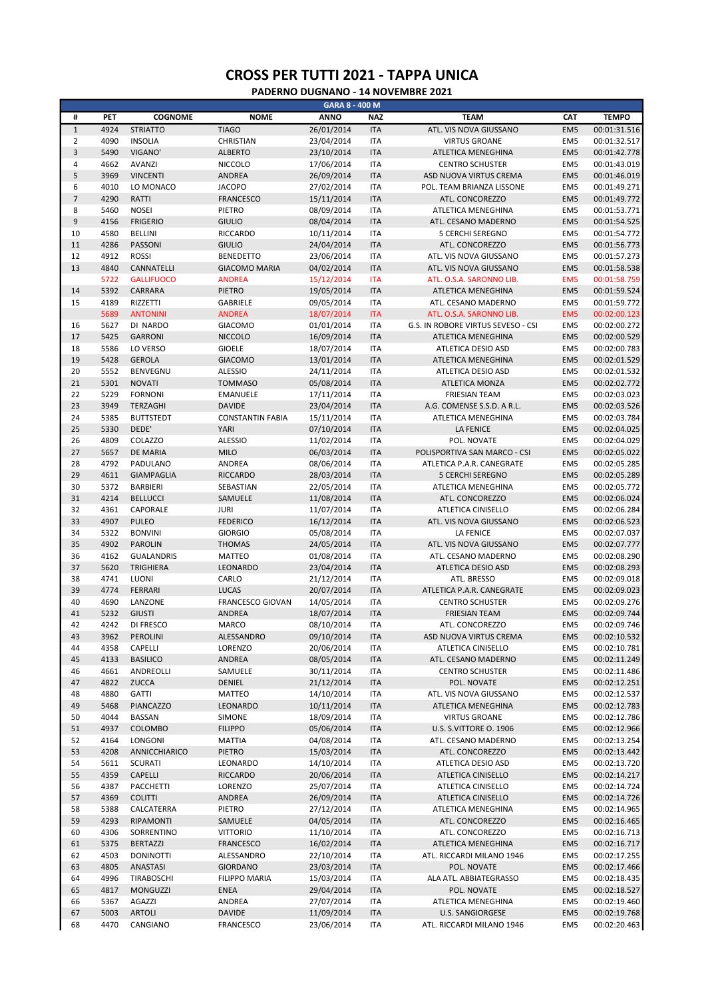|                  |      |                   |                         | GARA 8 - 400 M |            |                                    |                 |              |
|------------------|------|-------------------|-------------------------|----------------|------------|------------------------------------|-----------------|--------------|
| #                | PET  | <b>COGNOME</b>    | <b>NOME</b>             | <b>ANNO</b>    | <b>NAZ</b> | <b>TEAM</b>                        | CAT             | <b>TEMPO</b> |
| $\,1\,$          | 4924 | <b>STRIATTO</b>   | <b>TIAGO</b>            | 26/01/2014     | <b>ITA</b> | ATL. VIS NOVA GIUSSANO             | EM <sub>5</sub> | 00:01:31.516 |
| $\overline{2}$   | 4090 | <b>INSOLIA</b>    | CHRISTIAN               | 23/04/2014     | <b>ITA</b> | <b>VIRTUS GROANE</b>               | EM <sub>5</sub> | 00:01:32.517 |
| $\mathsf 3$      | 5490 | VIGANO'           | <b>ALBERTO</b>          | 23/10/2014     | <b>ITA</b> | ATLETICA MENEGHINA                 | EM <sub>5</sub> | 00:01:42.778 |
|                  |      |                   |                         |                |            |                                    |                 |              |
| 4                | 4662 | AVANZI            | <b>NICCOLO</b>          | 17/06/2014     | <b>ITA</b> | <b>CENTRO SCHUSTER</b>             | EM <sub>5</sub> | 00:01:43.019 |
| 5                | 3969 | <b>VINCENTI</b>   | ANDREA                  | 26/09/2014     | <b>ITA</b> | ASD NUOVA VIRTUS CREMA             | EM <sub>5</sub> | 00:01:46.019 |
| 6                | 4010 | LO MONACO         | <b>JACOPO</b>           | 27/02/2014     | <b>ITA</b> | POL. TEAM BRIANZA LISSONE          | EM <sub>5</sub> | 00:01:49.271 |
| $\overline{7}$   | 4290 | RATTI             | <b>FRANCESCO</b>        | 15/11/2014     | <b>ITA</b> | ATL. CONCOREZZO                    | EM <sub>5</sub> | 00:01:49.772 |
| 8                | 5460 | <b>NOSEI</b>      | PIETRO                  | 08/09/2014     | <b>ITA</b> | ATLETICA MENEGHINA                 | EM <sub>5</sub> | 00:01:53.771 |
| $\boldsymbol{9}$ | 4156 | <b>FRIGERIO</b>   | <b>GIULIO</b>           | 08/04/2014     | <b>ITA</b> | ATL. CESANO MADERNO                | EM <sub>5</sub> | 00:01:54.525 |
| 10               | 4580 | <b>BELLINI</b>    | RICCARDO                | 10/11/2014     | <b>ITA</b> | <b>5 CERCHI SEREGNO</b>            | EM <sub>5</sub> | 00:01:54.772 |
| 11               | 4286 | PASSONI           | <b>GIULIO</b>           | 24/04/2014     | <b>ITA</b> | ATL. CONCOREZZO                    | EM <sub>5</sub> | 00:01:56.773 |
| 12               | 4912 | <b>ROSSI</b>      | <b>BENEDETTO</b>        | 23/06/2014     | <b>ITA</b> | ATL. VIS NOVA GIUSSANO             | EM <sub>5</sub> | 00:01:57.273 |
| 13               | 4840 | CANNATELLI        | <b>GIACOMO MARIA</b>    | 04/02/2014     | <b>ITA</b> | ATL. VIS NOVA GIUSSANO             | EM <sub>5</sub> | 00:01:58.538 |
|                  | 5722 | <b>GALLIFUOCO</b> | <b>ANDREA</b>           | 15/12/2014     | <b>ITA</b> | ATL. O.S.A. SARONNO LIB.           | EM <sub>5</sub> | 00:01:58.759 |
|                  | 5392 |                   |                         |                | <b>ITA</b> |                                    |                 |              |
| 14               |      | CARRARA           | <b>PIETRO</b>           | 19/05/2014     |            | ATLETICA MENEGHINA                 | EM <sub>5</sub> | 00:01:59.524 |
| 15               | 4189 | RIZZETTI          | GABRIELE                | 09/05/2014     | <b>ITA</b> | ATL. CESANO MADERNO                | EM <sub>5</sub> | 00:01:59.772 |
|                  | 5689 | <b>ANTONINI</b>   | <b>ANDREA</b>           | 18/07/2014     | <b>ITA</b> | ATL. O.S.A. SARONNO LIB.           | EM <sub>5</sub> | 00:02:00.123 |
| 16               | 5627 | DI NARDO          | <b>GIACOMO</b>          | 01/01/2014     | <b>ITA</b> | G.S. IN ROBORE VIRTUS SEVESO - CSI | EM5             | 00:02:00.272 |
| 17               | 5425 | <b>GARRONI</b>    | <b>NICCOLO</b>          | 16/09/2014     | <b>ITA</b> | ATLETICA MENEGHINA                 | EM <sub>5</sub> | 00:02:00.529 |
| 18               | 5586 | LO VERSO          | <b>GIOELE</b>           | 18/07/2014     | <b>ITA</b> | ATLETICA DESIO ASD                 | EM <sub>5</sub> | 00:02:00.783 |
| 19               | 5428 | <b>GEROLA</b>     | <b>GIACOMO</b>          | 13/01/2014     | <b>ITA</b> | ATLETICA MENEGHINA                 | EM <sub>5</sub> | 00:02:01.529 |
| 20               | 5552 | BENVEGNU          | <b>ALESSIO</b>          | 24/11/2014     | <b>ITA</b> | ATLETICA DESIO ASD                 | EM <sub>5</sub> | 00:02:01.532 |
| 21               | 5301 | <b>NOVATI</b>     | <b>TOMMASO</b>          | 05/08/2014     | <b>ITA</b> | ATLETICA MONZA                     | EM <sub>5</sub> | 00:02:02.772 |
| 22               | 5229 | <b>FORNONI</b>    | <b>EMANUELE</b>         | 17/11/2014     | <b>ITA</b> | <b>FRIESIAN TEAM</b>               | EM <sub>5</sub> | 00:02:03.023 |
|                  |      |                   |                         |                |            |                                    |                 |              |
| 23               | 3949 | TERZAGHI          | <b>DAVIDE</b>           | 23/04/2014     | <b>ITA</b> | A.G. COMENSE S.S.D. A R.L.         | EM <sub>5</sub> | 00:02:03.526 |
| 24               | 5385 | <b>BUTTSTEDT</b>  | <b>CONSTANTIN FABIA</b> | 15/11/2014     | <b>ITA</b> | ATLETICA MENEGHINA                 | EM <sub>5</sub> | 00:02:03.784 |
| 25               | 5330 | DEDE'             | YARI                    | 07/10/2014     | <b>ITA</b> | <b>LA FENICE</b>                   | EM <sub>5</sub> | 00:02:04.025 |
| 26               | 4809 | COLAZZO           | <b>ALESSIO</b>          | 11/02/2014     | <b>ITA</b> | POL. NOVATE                        | EM <sub>5</sub> | 00:02:04.029 |
| 27               | 5657 | <b>DE MARIA</b>   | <b>MILO</b>             | 06/03/2014     | <b>ITA</b> | POLISPORTIVA SAN MARCO - CSI       | EM <sub>5</sub> | 00:02:05.022 |
| 28               | 4792 | PADULANO          | ANDREA                  | 08/06/2014     | <b>ITA</b> | ATLETICA P.A.R. CANEGRATE          | EM5             | 00:02:05.285 |
| 29               | 4611 | <b>GIAMPAGLIA</b> | <b>RICCARDO</b>         | 28/03/2014     | <b>ITA</b> | <b>5 CERCHI SEREGNO</b>            | EM <sub>5</sub> | 00:02:05.289 |
| 30               | 5372 | <b>BARBIERI</b>   | SEBASTIAN               | 22/05/2014     | <b>ITA</b> | ATLETICA MENEGHINA                 | EM <sub>5</sub> | 00:02:05.772 |
| 31               | 4214 | <b>BELLUCCI</b>   | SAMUELE                 | 11/08/2014     | <b>ITA</b> | ATL. CONCOREZZO                    | EM <sub>5</sub> | 00:02:06.024 |
|                  |      |                   |                         |                |            |                                    |                 |              |
| 32               | 4361 | CAPORALE          | <b>JURI</b>             | 11/07/2014     | <b>ITA</b> | ATLETICA CINISELLO                 | EM <sub>5</sub> | 00:02:06.284 |
| 33               | 4907 | <b>PULEO</b>      | <b>FEDERICO</b>         | 16/12/2014     | <b>ITA</b> | ATL. VIS NOVA GIUSSANO             | EM <sub>5</sub> | 00:02:06.523 |
| 34               | 5322 | <b>BONVINI</b>    | <b>GIORGIO</b>          | 05/08/2014     | <b>ITA</b> | <b>LA FENICE</b>                   | EM5             | 00:02:07.037 |
| 35               | 4902 | <b>PAROLIN</b>    | <b>THOMAS</b>           | 24/05/2014     | <b>ITA</b> | ATL. VIS NOVA GIUSSANO             | EM <sub>5</sub> | 00:02:07.777 |
| 36               | 4162 | <b>GUALANDRIS</b> | <b>MATTEO</b>           | 01/08/2014     | <b>ITA</b> | ATL. CESANO MADERNO                | EM5             | 00:02:08.290 |
| 37               | 5620 | <b>TRIGHIERA</b>  | LEONARDO                | 23/04/2014     | <b>ITA</b> | ATLETICA DESIO ASD                 | EM <sub>5</sub> | 00:02:08.293 |
| 38               | 4741 | LUONI             | CARLO                   | 21/12/2014     | <b>ITA</b> | ATL. BRESSO                        | EM <sub>5</sub> | 00:02:09.018 |
| 39               | 4774 | FERRARI           | <b>LUCAS</b>            | 20/07/2014     | <b>ITA</b> | ATLETICA P.A.R. CANEGRATE          | EM <sub>5</sub> | 00:02:09.023 |
| 40               | 4690 | LANZONE           | FRANCESCO GIOVAN        | 14/05/2014     | <b>ITA</b> | <b>CENTRO SCHUSTER</b>             | EM <sub>5</sub> | 00:02:09.276 |
| 41               | 5232 | <b>GIUSTI</b>     | <b>ANDREA</b>           | 18/07/2014     | <b>ITA</b> | <b>FRIESIAN TEAM</b>               | EM <sub>5</sub> | 00:02:09.744 |
|                  |      |                   |                         |                |            |                                    |                 |              |
| 42               | 4242 | DI FRESCO         | <b>MARCO</b>            | 08/10/2014     | <b>ITA</b> | ATL. CONCOREZZO                    | EM <sub>5</sub> | 00:02:09.746 |
| 43               | 3962 | PEROLINI          | ALESSANDRO              | 09/10/2014     | <b>ITA</b> | ASD NUOVA VIRTUS CREMA             | EM <sub>5</sub> | 00:02:10.532 |
| 44               | 4358 | CAPELLI           | LORENZO                 | 20/06/2014     | <b>ITA</b> | ATLETICA CINISELLO                 | EM <sub>5</sub> | 00:02:10.781 |
| 45               | 4133 | <b>BASILICO</b>   | ANDREA                  | 08/05/2014     | <b>ITA</b> | ATL. CESANO MADERNO                | EM <sub>5</sub> | 00:02:11.249 |
| 46               | 4661 | ANDREOLLI         | SAMUELE                 | 30/11/2014     | <b>ITA</b> | <b>CENTRO SCHUSTER</b>             | EM <sub>5</sub> | 00:02:11.486 |
| 47               | 4822 | ZUCCA             | DENIEL                  | 21/12/2014     | <b>ITA</b> | POL. NOVATE                        | EM <sub>5</sub> | 00:02:12.251 |
| 48               | 4880 | <b>GATTI</b>      | MATTEO                  | 14/10/2014     | <b>ITA</b> | ATL. VIS NOVA GIUSSANO             | EM <sub>5</sub> | 00:02:12.537 |
| 49               | 5468 | PIANCAZZO         | LEONARDO                | 10/11/2014     | <b>ITA</b> | ATLETICA MENEGHINA                 | EM <sub>5</sub> | 00:02:12.783 |
| 50               | 4044 | <b>BASSAN</b>     | SIMONE                  | 18/09/2014     | <b>ITA</b> | <b>VIRTUS GROANE</b>               | EM <sub>5</sub> | 00:02:12.786 |
|                  |      |                   |                         |                |            |                                    |                 |              |
| 51               | 4937 | COLOMBO           | <b>FILIPPO</b>          | 05/06/2014     | <b>ITA</b> | U.S. S.VITTORE O. 1906             | EM <sub>5</sub> | 00:02:12.966 |
| 52               | 4164 | LONGONI           | <b>MATTIA</b>           | 04/08/2014     | <b>ITA</b> | ATL. CESANO MADERNO                | EM <sub>5</sub> | 00:02:13.254 |
| 53               | 4208 | ANNICCHIARICO     | <b>PIETRO</b>           | 15/03/2014     | <b>ITA</b> | ATL. CONCOREZZO                    | EM <sub>5</sub> | 00:02:13.442 |
| 54               | 5611 | <b>SCURATI</b>    | LEONARDO                | 14/10/2014     | <b>ITA</b> | ATLETICA DESIO ASD                 | EM <sub>5</sub> | 00:02:13.720 |
| 55               | 4359 | CAPELLI           | <b>RICCARDO</b>         | 20/06/2014     | <b>ITA</b> | ATLETICA CINISELLO                 | EM <sub>5</sub> | 00:02:14.217 |
| 56               | 4387 | PACCHETTI         | LORENZO                 | 25/07/2014     | ITA        | ATLETICA CINISELLO                 | EM <sub>5</sub> | 00:02:14.724 |
| 57               | 4369 | <b>COLITTI</b>    | ANDREA                  | 26/09/2014     | <b>ITA</b> | ATLETICA CINISELLO                 | EM <sub>5</sub> | 00:02:14.726 |
| 58               | 5388 | CALCATERRA        | PIETRO                  | 27/12/2014     | <b>ITA</b> | ATLETICA MENEGHINA                 | EM <sub>5</sub> | 00:02:14.965 |
| 59               | 4293 | RIPAMONTI         | SAMUELE                 | 04/05/2014     | <b>ITA</b> | ATL. CONCOREZZO                    | EM <sub>5</sub> | 00:02:16.465 |
|                  |      |                   |                         |                |            |                                    |                 |              |
| 60               | 4306 | SORRENTINO        | <b>VITTORIO</b>         | 11/10/2014     | <b>ITA</b> | ATL. CONCOREZZO                    | EM5             | 00:02:16.713 |
| 61               | 5375 | <b>BERTAZZI</b>   | <b>FRANCESCO</b>        | 16/02/2014     | <b>ITA</b> | ATLETICA MENEGHINA                 | EM <sub>5</sub> | 00:02:16.717 |
| 62               | 4503 | <b>DONINOTTI</b>  | ALESSANDRO              | 22/10/2014     | <b>ITA</b> | ATL. RICCARDI MILANO 1946          | EM <sub>5</sub> | 00:02:17.255 |
| 63               | 4805 | <b>ANASTASI</b>   | <b>GIORDANO</b>         | 23/03/2014     | <b>ITA</b> | POL. NOVATE                        | EM <sub>5</sub> | 00:02:17.466 |
| 64               | 4996 | TIRABOSCHI        | <b>FILIPPO MARIA</b>    | 15/03/2014     | ITA        | ALA ATL. ABBIATEGRASSO             | EM <sub>5</sub> | 00:02:18.435 |
| 65               | 4817 | <b>MONGUZZI</b>   | <b>ENEA</b>             | 29/04/2014     | <b>ITA</b> | POL. NOVATE                        | EM <sub>5</sub> | 00:02:18.527 |
| 66               | 5367 | <b>AGAZZI</b>     | ANDREA                  | 27/07/2014     | <b>ITA</b> | ATLETICA MENEGHINA                 | EM <sub>5</sub> | 00:02:19.460 |
| 67               | 5003 | <b>ARTOLI</b>     | <b>DAVIDE</b>           | 11/09/2014     | <b>ITA</b> | <b>U.S. SANGIORGESE</b>            | EM <sub>5</sub> | 00:02:19.768 |
| 68               | 4470 | CANGIANO          | FRANCESCO               | 23/06/2014     | <b>ITA</b> | ATL. RICCARDI MILANO 1946          | EM5             | 00:02:20.463 |
|                  |      |                   |                         |                |            |                                    |                 |              |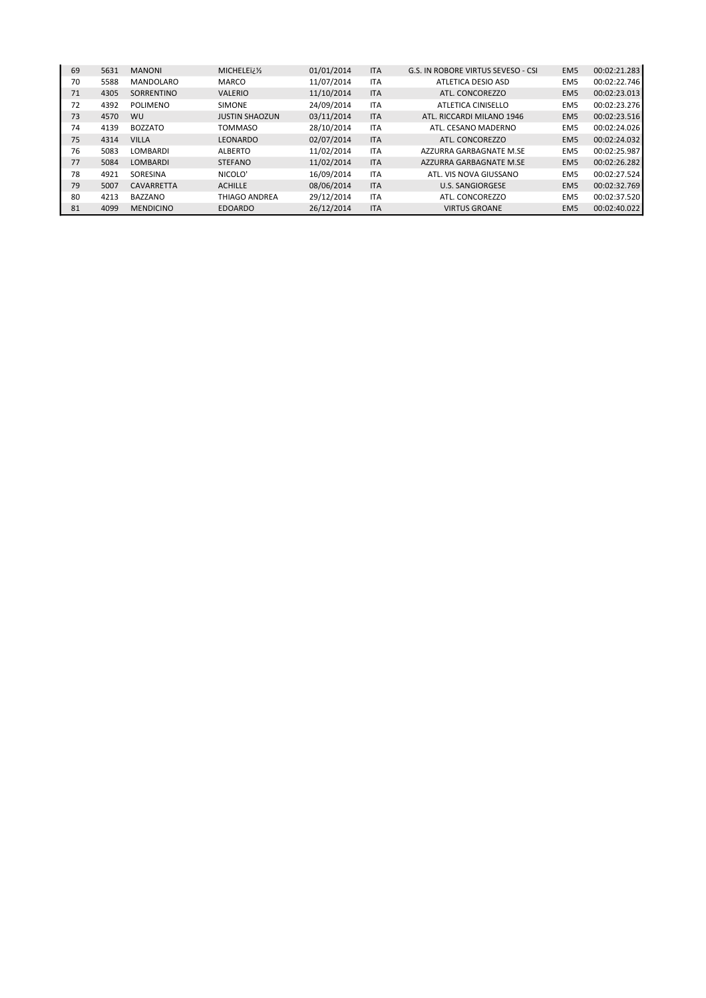| 69 | 5631 | <b>MANONI</b>    | MICHELEï¿1/2          | 01/01/2014 | <b>ITA</b> | G.S. IN ROBORE VIRTUS SEVESO - CSI | EM <sub>5</sub> | 00:02:21.283 |
|----|------|------------------|-----------------------|------------|------------|------------------------------------|-----------------|--------------|
| 70 | 5588 | <b>MANDOLARO</b> | MARCO                 | 11/07/2014 | <b>ITA</b> | ATLETICA DESIO ASD                 | EM <sub>5</sub> | 00:02:22.746 |
| 71 | 4305 | SORRENTINO       | <b>VALERIO</b>        | 11/10/2014 | <b>ITA</b> | ATL. CONCOREZZO                    | EM <sub>5</sub> | 00:02:23.013 |
| 72 | 4392 | <b>POLIMENO</b>  | <b>SIMONE</b>         | 24/09/2014 | <b>ITA</b> | ATLETICA CINISELLO                 | EM <sub>5</sub> | 00:02:23.276 |
| 73 | 4570 | WU               | <b>JUSTIN SHAOZUN</b> | 03/11/2014 | <b>ITA</b> | ATL. RICCARDI MILANO 1946          | EM <sub>5</sub> | 00:02:23.516 |
| 74 | 4139 | <b>BOZZATO</b>   | <b>TOMMASO</b>        | 28/10/2014 | <b>ITA</b> | ATL. CESANO MADERNO                | EM <sub>5</sub> | 00:02:24.026 |
| 75 | 4314 | <b>VILLA</b>     | LEONARDO              | 02/07/2014 | <b>ITA</b> | ATL. CONCOREZZO                    | EM <sub>5</sub> | 00:02:24.032 |
| 76 | 5083 | <b>LOMBARDI</b>  | <b>ALBERTO</b>        | 11/02/2014 | <b>ITA</b> | AZZURRA GARBAGNATE M.SE            | EM <sub>5</sub> | 00:02:25.987 |
| 77 | 5084 | <b>LOMBARDI</b>  | <b>STEFANO</b>        | 11/02/2014 | <b>ITA</b> | AZZURRA GARBAGNATE M.SE            | EM <sub>5</sub> | 00:02:26.282 |
| 78 | 4921 | SORESINA         | NICOLO'               | 16/09/2014 | <b>ITA</b> | ATL, VIS NOVA GIUSSANO             | EM <sub>5</sub> | 00:02:27.524 |
| 79 | 5007 | CAVARRETTA       | <b>ACHILLE</b>        | 08/06/2014 | <b>ITA</b> | <b>U.S. SANGIORGESE</b>            | EM <sub>5</sub> | 00:02:32.769 |
| 80 | 4213 | <b>BAZZANO</b>   | THIAGO ANDREA         | 29/12/2014 | <b>ITA</b> | ATL. CONCOREZZO                    | EM <sub>5</sub> | 00:02:37.520 |
| 81 | 4099 | <b>MENDICINO</b> | <b>EDOARDO</b>        | 26/12/2014 | <b>ITA</b> | <b>VIRTUS GROANE</b>               | EM <sub>5</sub> | 00:02:40.022 |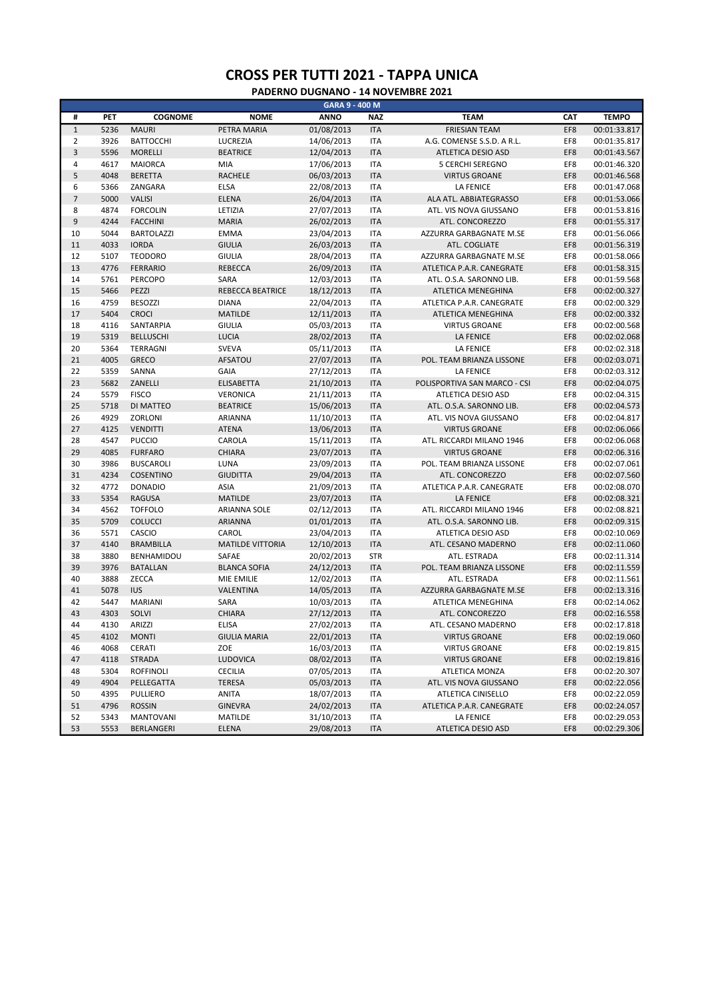| GARA 9 - 400 M   |      |                   |                         |             |            |                              |     |              |  |
|------------------|------|-------------------|-------------------------|-------------|------------|------------------------------|-----|--------------|--|
| #                | PET  | <b>COGNOME</b>    | <b>NOME</b>             | <b>ANNO</b> | <b>NAZ</b> | <b>TEAM</b>                  | CAT | <b>TEMPO</b> |  |
| $\,1\,$          | 5236 | <b>MAURI</b>      | PETRA MARIA             | 01/08/2013  | <b>ITA</b> | <b>FRIESIAN TEAM</b>         | EF8 | 00:01:33.817 |  |
| $\overline{2}$   | 3926 | <b>BATTOCCHI</b>  | LUCREZIA                | 14/06/2013  | <b>ITA</b> | A.G. COMENSE S.S.D. A R.L.   | EF8 | 00:01:35.817 |  |
| $\overline{3}$   | 5596 | <b>MORELLI</b>    | <b>BEATRICE</b>         | 12/04/2013  | <b>ITA</b> | ATLETICA DESIO ASD           | EF8 | 00:01:43.567 |  |
| 4                | 4617 | <b>MAIORCA</b>    | MIA                     | 17/06/2013  | <b>ITA</b> | 5 CERCHI SEREGNO             | EF8 | 00:01:46.320 |  |
| 5                | 4048 | <b>BERETTA</b>    | <b>RACHELE</b>          | 06/03/2013  | <b>ITA</b> | <b>VIRTUS GROANE</b>         | EF8 | 00:01:46.568 |  |
| 6                | 5366 | ZANGARA           | <b>ELSA</b>             | 22/08/2013  | <b>ITA</b> | <b>LA FENICE</b>             | EF8 | 00:01:47.068 |  |
| $\overline{7}$   | 5000 | <b>VALISI</b>     | <b>ELENA</b>            | 26/04/2013  | <b>ITA</b> | ALA ATL. ABBIATEGRASSO       | EF8 | 00:01:53.066 |  |
| 8                | 4874 | <b>FORCOLIN</b>   | LETIZIA                 | 27/07/2013  | <b>ITA</b> | ATL. VIS NOVA GIUSSANO       | EF8 | 00:01:53.816 |  |
| $\boldsymbol{9}$ | 4244 | <b>FACCHINI</b>   | <b>MARIA</b>            | 26/02/2013  | <b>ITA</b> | ATL. CONCOREZZO              | EF8 | 00:01:55.317 |  |
| 10               | 5044 | <b>BARTOLAZZI</b> | <b>EMMA</b>             | 23/04/2013  | <b>ITA</b> | AZZURRA GARBAGNATE M.SE      | EF8 | 00:01:56.066 |  |
| 11               | 4033 | <b>IORDA</b>      | <b>GIULIA</b>           | 26/03/2013  | <b>ITA</b> | ATL. COGLIATE                | EF8 | 00:01:56.319 |  |
| 12               | 5107 | <b>TEODORO</b>    | <b>GIULIA</b>           | 28/04/2013  | <b>ITA</b> | AZZURRA GARBAGNATE M.SE      | EF8 | 00:01:58.066 |  |
| 13               | 4776 | <b>FERRARIO</b>   | <b>REBECCA</b>          | 26/09/2013  | <b>ITA</b> | ATLETICA P.A.R. CANEGRATE    | EF8 | 00:01:58.315 |  |
| 14               | 5761 | <b>PERCOPO</b>    | SARA                    | 12/03/2013  | <b>ITA</b> | ATL. O.S.A. SARONNO LIB.     | EF8 | 00:01:59.568 |  |
| 15               | 5466 | PEZZI             | <b>REBECCA BEATRICE</b> | 18/12/2013  | <b>ITA</b> | ATLETICA MENEGHINA           | EF8 | 00:02:00.327 |  |
| 16               | 4759 | <b>BESOZZI</b>    | <b>DIANA</b>            | 22/04/2013  | <b>ITA</b> | ATLETICA P.A.R. CANEGRATE    | EF8 | 00:02:00.329 |  |
| 17               | 5404 | <b>CROCI</b>      | <b>MATILDE</b>          | 12/11/2013  | <b>ITA</b> | ATLETICA MENEGHINA           | EF8 | 00:02:00.332 |  |
| 18               | 4116 | SANTARPIA         | <b>GIULIA</b>           | 05/03/2013  | <b>ITA</b> | <b>VIRTUS GROANE</b>         | EF8 | 00:02:00.568 |  |
| 19               | 5319 | <b>BELLUSCHI</b>  | <b>LUCIA</b>            | 28/02/2013  | <b>ITA</b> | <b>LA FENICE</b>             | EF8 | 00:02:02.068 |  |
| 20               | 5364 | TERRAGNI          | <b>SVEVA</b>            | 05/11/2013  | <b>ITA</b> | <b>LA FENICE</b>             | EF8 | 00:02:02.318 |  |
| 21               | 4005 | <b>GRECO</b>      | AFSATOU                 | 27/07/2013  | <b>ITA</b> | POL. TEAM BRIANZA LISSONE    | EF8 | 00:02:03.071 |  |
| 22               | 5359 | SANNA             | <b>GAIA</b>             | 27/12/2013  | <b>ITA</b> | <b>LA FENICE</b>             | EF8 | 00:02:03.312 |  |
| 23               | 5682 | ZANELLI           | <b>ELISABETTA</b>       | 21/10/2013  | <b>ITA</b> | POLISPORTIVA SAN MARCO - CSI | EF8 | 00:02:04.075 |  |
| 24               | 5579 | <b>FISCO</b>      | <b>VERONICA</b>         | 21/11/2013  | <b>ITA</b> | ATLETICA DESIO ASD           | EF8 | 00:02:04.315 |  |
| 25               | 5718 | DI MATTEO         | <b>BEATRICE</b>         | 15/06/2013  | <b>ITA</b> | ATL. O.S.A. SARONNO LIB.     | EF8 | 00:02:04.573 |  |
| 26               | 4929 | ZORLONI           | ARIANNA                 | 11/10/2013  | <b>ITA</b> | ATL. VIS NOVA GIUSSANO       | EF8 | 00:02:04.817 |  |
| 27               | 4125 | <b>VENDITTI</b>   | <b>ATENA</b>            | 13/06/2013  | <b>ITA</b> | <b>VIRTUS GROANE</b>         | EF8 | 00:02:06.066 |  |
| 28               | 4547 | <b>PUCCIO</b>     | CAROLA                  | 15/11/2013  | <b>ITA</b> | ATL. RICCARDI MILANO 1946    | EF8 | 00:02:06.068 |  |
| 29               | 4085 | <b>FURFARO</b>    | CHIARA                  | 23/07/2013  | <b>ITA</b> | <b>VIRTUS GROANE</b>         | EF8 | 00:02:06.316 |  |
| 30               | 3986 | <b>BUSCAROLI</b>  | LUNA                    | 23/09/2013  | <b>ITA</b> | POL. TEAM BRIANZA LISSONE    | EF8 | 00:02:07.061 |  |
| 31               | 4234 | <b>COSENTINO</b>  | <b>GIUDITTA</b>         | 29/04/2013  | <b>ITA</b> | ATL. CONCOREZZO              | EF8 | 00:02:07.560 |  |
| 32               | 4772 | <b>DONADIO</b>    | ASIA                    | 21/09/2013  | <b>ITA</b> | ATLETICA P.A.R. CANEGRATE    | EF8 | 00:02:08.070 |  |
| 33               | 5354 | <b>RAGUSA</b>     | <b>MATILDE</b>          | 23/07/2013  | <b>ITA</b> | <b>LA FENICE</b>             | EF8 | 00:02:08.321 |  |
| 34               | 4562 | <b>TOFFOLO</b>    | <b>ARIANNA SOLE</b>     | 02/12/2013  | <b>ITA</b> | ATL. RICCARDI MILANO 1946    | EF8 | 00:02:08.821 |  |
| 35               | 5709 | COLUCCI           | ARIANNA                 | 01/01/2013  | <b>ITA</b> | ATL. O.S.A. SARONNO LIB.     | EF8 | 00:02:09.315 |  |
| 36               | 5571 | CASCIO            | CAROL                   | 23/04/2013  | <b>ITA</b> | ATLETICA DESIO ASD           | EF8 | 00:02:10.069 |  |
| 37               | 4140 | <b>BRAMBILLA</b>  | <b>MATILDE VITTORIA</b> | 12/10/2013  | <b>ITA</b> | ATL. CESANO MADERNO          | EF8 | 00:02:11.060 |  |
| 38               | 3880 | BENHAMIDOU        | SAFAE                   | 20/02/2013  | <b>STR</b> | ATL. ESTRADA                 | EF8 | 00:02:11.314 |  |
| 39               | 3976 | <b>BATALLAN</b>   | <b>BLANCA SOFIA</b>     | 24/12/2013  | <b>ITA</b> | POL. TEAM BRIANZA LISSONE    | EF8 | 00:02:11.559 |  |
| 40               | 3888 | ZECCA             | MIE EMILIE              | 12/02/2013  | <b>ITA</b> | ATL. ESTRADA                 | EF8 | 00:02:11.561 |  |
| 41               | 5078 | IUS               | VALENTINA               | 14/05/2013  | <b>ITA</b> | AZZURRA GARBAGNATE M.SE      | EF8 | 00:02:13.316 |  |
| 42               | 5447 | MARIANI           | SARA                    | 10/03/2013  | <b>ITA</b> | ATLETICA MENEGHINA           | EF8 | 00:02:14.062 |  |
| 43               | 4303 | SOLVI             | <b>CHIARA</b>           | 27/12/2013  | <b>ITA</b> | ATL. CONCOREZZO              | EF8 | 00:02:16.558 |  |
| 44               | 4130 | ARIZZI            | <b>ELISA</b>            | 27/02/2013  | <b>ITA</b> | ATL. CESANO MADERNO          | EF8 | 00:02:17.818 |  |
| 45               | 4102 | <b>MONTI</b>      | <b>GIULIA MARIA</b>     | 22/01/2013  | <b>ITA</b> | <b>VIRTUS GROANE</b>         | EF8 | 00:02:19.060 |  |
| 46               | 4068 | CERATI            | ZOE                     | 16/03/2013  | <b>ITA</b> | <b>VIRTUS GROANE</b>         | EF8 | 00:02:19.815 |  |
| 47               | 4118 | STRADA            | LUDOVICA                | 08/02/2013  | <b>ITA</b> | <b>VIRTUS GROANE</b>         | EF8 | 00:02:19.816 |  |
| 48               | 5304 | <b>ROFFINOLI</b>  | <b>CECILIA</b>          | 07/05/2013  | ITA        | ATLETICA MONZA               | EF8 | 00:02:20.307 |  |
| 49               | 4904 | PELLEGATTA        | <b>TERESA</b>           | 05/03/2013  | <b>ITA</b> | ATL. VIS NOVA GIUSSANO       | EF8 | 00:02:22.056 |  |
| 50               | 4395 | PULLIERO          | ANITA                   | 18/07/2013  | <b>ITA</b> | ATLETICA CINISELLO           | EF8 | 00:02:22.059 |  |
| 51               | 4796 | <b>ROSSIN</b>     | <b>GINEVRA</b>          | 24/02/2013  | <b>ITA</b> | ATLETICA P.A.R. CANEGRATE    | EF8 | 00:02:24.057 |  |
| 52               | 5343 | <b>MANTOVANI</b>  | MATILDE                 | 31/10/2013  | <b>ITA</b> | LA FENICE                    | EF8 | 00:02:29.053 |  |
| 53               | 5553 | BERLANGERI        | ELENA                   | 29/08/2013  | <b>ITA</b> | ATLETICA DESIO ASD           | EF8 | 00:02:29.306 |  |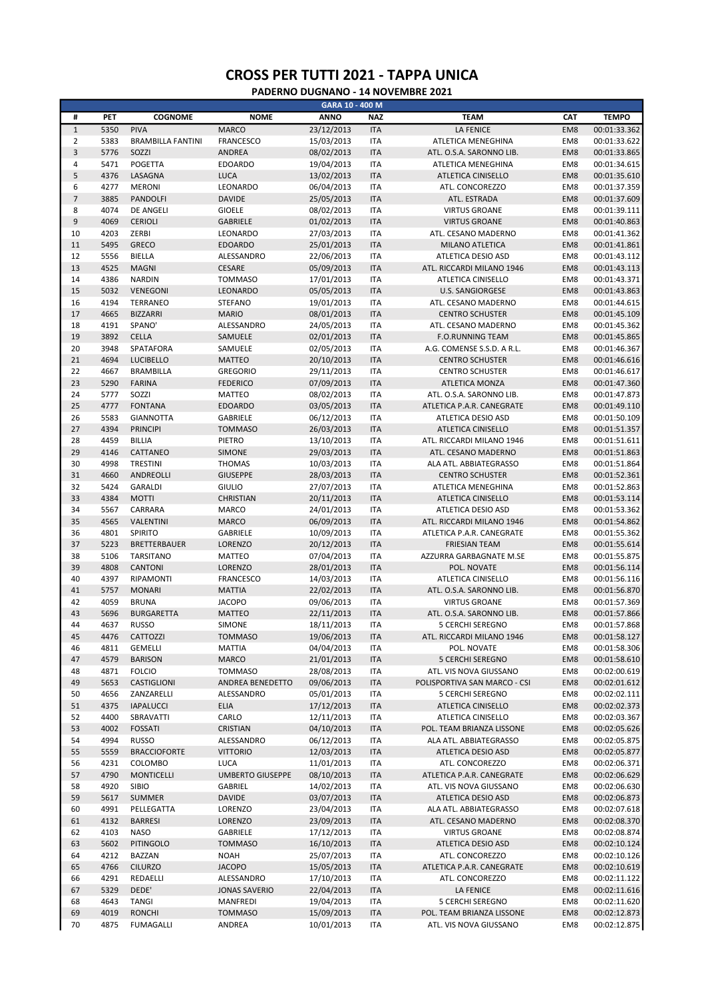|                      |              |                                     |                                 | GARA 10 - 400 M          |                          |                                                 |            |                              |
|----------------------|--------------|-------------------------------------|---------------------------------|--------------------------|--------------------------|-------------------------------------------------|------------|------------------------------|
| #                    | PET          | <b>COGNOME</b>                      | <b>NOME</b>                     | <b>ANNO</b>              | <b>NAZ</b>               | <b>TEAM</b>                                     | CAT        | <b>TEMPO</b>                 |
| $\mathbf 1$          | 5350         | <b>PIVA</b>                         | <b>MARCO</b>                    | 23/12/2013               | <b>ITA</b>               | <b>LA FENICE</b>                                | EM8        | 00:01:33.362                 |
| $\overline{2}$       | 5383         | <b>BRAMBILLA FANTINI</b>            | <b>FRANCESCO</b>                | 15/03/2013               | <b>ITA</b>               | ATLETICA MENEGHINA                              | EM8        | 00:01:33.622                 |
| $\overline{3}$       | 5776         | SOZZI                               | ANDREA                          | 08/02/2013               | <b>ITA</b>               | ATL. O.S.A. SARONNO LIB.                        | EM8        | 00:01:33.865                 |
| $\overline{4}$       | 5471         | POGETTA                             | <b>EDOARDO</b>                  | 19/04/2013               | <b>ITA</b>               | ATLETICA MENEGHINA                              | EM8        | 00:01:34.615                 |
| 5                    | 4376         | LASAGNA                             | <b>LUCA</b>                     | 13/02/2013               | <b>ITA</b>               | <b>ATLETICA CINISELLO</b>                       | EM8        | 00:01:35.610                 |
| 6                    | 4277         | <b>MERONI</b>                       | LEONARDO                        | 06/04/2013               | <b>ITA</b>               | ATL. CONCOREZZO                                 | EM8        | 00:01:37.359                 |
| $\overline{7}$       | 3885         | <b>PANDOLFI</b>                     | <b>DAVIDE</b>                   | 25/05/2013               | <b>ITA</b>               | ATL. ESTRADA                                    | EM8        | 00:01:37.609                 |
| 8                    | 4074         | <b>DE ANGELI</b>                    | <b>GIOELE</b>                   | 08/02/2013               | <b>ITA</b>               | <b>VIRTUS GROANE</b>                            | EM8        | 00:01:39.111                 |
| $\overline{9}$<br>10 | 4069<br>4203 | <b>CERIOLI</b><br>ZERBI             | <b>GABRIELE</b><br>LEONARDO     | 01/02/2013<br>27/03/2013 | <b>ITA</b><br><b>ITA</b> | <b>VIRTUS GROANE</b><br>ATL. CESANO MADERNO     | EM8<br>EM8 | 00:01:40.863<br>00:01:41.362 |
| 11                   | 5495         | <b>GRECO</b>                        | <b>EDOARDO</b>                  | 25/01/2013               | <b>ITA</b>               | MILANO ATLETICA                                 | EM8        | 00:01:41.861                 |
| 12                   | 5556         | BIELLA                              | ALESSANDRO                      | 22/06/2013               | <b>ITA</b>               | ATLETICA DESIO ASD                              | EM8        | 00:01:43.112                 |
| 13                   | 4525         | <b>MAGNI</b>                        | <b>CESARE</b>                   | 05/09/2013               | <b>ITA</b>               | ATL. RICCARDI MILANO 1946                       | EM8        | 00:01:43.113                 |
| 14                   | 4386         | <b>NARDIN</b>                       | <b>TOMMASO</b>                  | 17/01/2013               | <b>ITA</b>               | ATLETICA CINISELLO                              | EM8        | 00:01:43.371                 |
| 15                   | 5032         | VENEGONI                            | LEONARDO                        | 05/05/2013               | <b>ITA</b>               | <b>U.S. SANGIORGESE</b>                         | EM8        | 00:01:43.863                 |
| 16                   | 4194         | TERRANEO                            | <b>STEFANO</b>                  | 19/01/2013               | <b>ITA</b>               | ATL. CESANO MADERNO                             | EM8        | 00:01:44.615                 |
| 17                   | 4665         | <b>BIZZARRI</b>                     | <b>MARIO</b>                    | 08/01/2013               | <b>ITA</b>               | <b>CENTRO SCHUSTER</b>                          | EM8        | 00:01:45.109                 |
| 18                   | 4191         | SPANO'                              | ALESSANDRO                      | 24/05/2013               | <b>ITA</b>               | ATL. CESANO MADERNO                             | EM8        | 00:01:45.362                 |
| 19                   | 3892         | <b>CELLA</b>                        | SAMUELE                         | 02/01/2013               | <b>ITA</b>               | <b>F.O.RUNNING TEAM</b>                         | EM8        | 00:01:45.865                 |
| 20                   | 3948         | SPATAFORA                           | SAMUELE                         | 02/05/2013               | <b>ITA</b>               | A.G. COMENSE S.S.D. A R.L.                      | EM8        | 00:01:46.367                 |
| 21                   | 4694         | <b>LUCIBELLO</b>                    | <b>MATTEO</b>                   | 20/10/2013               | <b>ITA</b>               | <b>CENTRO SCHUSTER</b>                          | EM8        | 00:01:46.616                 |
| 22                   | 4667         | <b>BRAMBILLA</b>                    | <b>GREGORIO</b>                 | 29/11/2013               | <b>ITA</b>               | <b>CENTRO SCHUSTER</b>                          | EM8        | 00:01:46.617                 |
| 23                   | 5290         | <b>FARINA</b>                       | <b>FEDERICO</b>                 | 07/09/2013               | <b>ITA</b>               | ATLETICA MONZA                                  | EM8        | 00:01:47.360                 |
| 24                   | 5777         | SOZZI                               | <b>MATTEO</b>                   | 08/02/2013               | <b>ITA</b>               | ATL. O.S.A. SARONNO LIB.                        | EM8        | 00:01:47.873                 |
| 25                   | 4777         | <b>FONTANA</b>                      | <b>EDOARDO</b>                  | 03/05/2013               | <b>ITA</b>               | ATLETICA P.A.R. CANEGRATE                       | EM8        | 00:01:49.110                 |
| 26                   | 5583<br>4394 | <b>GIANNOTTA</b><br><b>PRINCIPI</b> | GABRIELE                        | 06/12/2013               | <b>ITA</b>               | ATLETICA DESIO ASD                              | EM8<br>EM8 | 00:01:50.109                 |
| 27<br>28             | 4459         | <b>BILLIA</b>                       | <b>TOMMASO</b><br>PIETRO        | 26/03/2013<br>13/10/2013 | <b>ITA</b><br><b>ITA</b> | ATLETICA CINISELLO<br>ATL. RICCARDI MILANO 1946 | EM8        | 00:01:51.357<br>00:01:51.611 |
| 29                   | 4146         | CATTANEO                            | <b>SIMONE</b>                   | 29/03/2013               | <b>ITA</b>               | ATL. CESANO MADERNO                             | EM8        | 00:01:51.863                 |
| 30                   | 4998         | <b>TRESTINI</b>                     | <b>THOMAS</b>                   | 10/03/2013               | <b>ITA</b>               | ALA ATL. ABBIATEGRASSO                          | EM8        | 00:01:51.864                 |
| 31                   | 4660         | ANDREOLLI                           | <b>GIUSEPPE</b>                 | 28/03/2013               | <b>ITA</b>               | <b>CENTRO SCHUSTER</b>                          | EM8        | 00:01:52.361                 |
| 32                   | 5424         | <b>GARALDI</b>                      | <b>GIULIO</b>                   | 27/07/2013               | <b>ITA</b>               | ATLETICA MENEGHINA                              | EM8        | 00:01:52.863                 |
| 33                   | 4384         | <b>MOTTI</b>                        | <b>CHRISTIAN</b>                | 20/11/2013               | <b>ITA</b>               | ATLETICA CINISELLO                              | EM8        | 00:01:53.114                 |
| 34                   | 5567         | CARRARA                             | <b>MARCO</b>                    | 24/01/2013               | <b>ITA</b>               | ATLETICA DESIO ASD                              | EM8        | 00:01:53.362                 |
| 35                   | 4565         | VALENTINI                           | <b>MARCO</b>                    | 06/09/2013               | <b>ITA</b>               | ATL. RICCARDI MILANO 1946                       | EM8        | 00:01:54.862                 |
| 36                   | 4801         | SPIRITO                             | GABRIELE                        | 10/09/2013               | <b>ITA</b>               | ATLETICA P.A.R. CANEGRATE                       | EM8        | 00:01:55.362                 |
| 37                   | 5223         | <b>BRETTERBAUER</b>                 | LORENZO                         | 20/12/2013               | <b>ITA</b>               | <b>FRIESIAN TEAM</b>                            | EM8        | 00:01:55.614                 |
| 38                   | 5106         | <b>TARSITANO</b>                    | <b>MATTEO</b>                   | 07/04/2013               | <b>ITA</b>               | AZZURRA GARBAGNATE M.SE                         | EM8        | 00:01:55.875                 |
| 39                   | 4808         | <b>CANTONI</b>                      | <b>LORENZO</b>                  | 28/01/2013               | <b>ITA</b>               | POL. NOVATE                                     | EM8        | 00:01:56.114                 |
| 40                   | 4397         | RIPAMONTI                           | <b>FRANCESCO</b>                | 14/03/2013               | <b>ITA</b>               | ATLETICA CINISELLO                              | EM8        | 00:01:56.116                 |
| 41                   | 5757         | <b>MONARI</b>                       | <b>MATTIA</b>                   | 22/02/2013               | <b>ITA</b>               | ATL. O.S.A. SARONNO LIB.                        | EM8        | 00:01:56.870                 |
| 42                   | 4059         | <b>BRUNA</b>                        | <b>JACOPO</b>                   | 09/06/2013               | <b>ITA</b>               | <b>VIRTUS GROANE</b>                            | EM8        | 00:01:57.369                 |
| 43<br>44             | 5696<br>4637 | <b>BURGARETTA</b>                   | <b>MATTEO</b>                   | 22/11/2013               | <b>ITA</b>               | ATL. O.S.A. SARONNO LIB.                        | EM8<br>EM8 | 00:01:57.866                 |
| 45                   | 4476         | <b>RUSSO</b>                        | SIMONE                          | 18/11/2013<br>19/06/2013 | <b>ITA</b><br><b>ITA</b> | <b>5 CERCHI SEREGNO</b>                         |            | 00:01:57.868<br>00:01:58.127 |
| 46                   | 4811         | CATTOZZI<br><b>GEMELLI</b>          | <b>TOMMASO</b><br><b>MATTIA</b> | 04/04/2013               | <b>ITA</b>               | ATL. RICCARDI MILANO 1946<br>POL. NOVATE        | EM8<br>EM8 | 00:01:58.306                 |
| 47                   | 4579         | <b>BARISON</b>                      | <b>MARCO</b>                    | 21/01/2013               | <b>ITA</b>               | 5 CERCHI SEREGNO                                | EM8        | 00:01:58.610                 |
| 48                   | 4871         | <b>FOLCIO</b>                       | <b>TOMMASO</b>                  | 28/08/2013               | <b>ITA</b>               | ATL. VIS NOVA GIUSSANO                          | EM8        | 00:02:00.619                 |
| 49                   | 5653         | CASTIGLIONI                         | ANDREA BENEDETTO                | 09/06/2013               | <b>ITA</b>               | POLISPORTIVA SAN MARCO - CSI                    | EM8        | 00:02:01.612                 |
| 50                   | 4656         | ZANZARELLI                          | ALESSANDRO                      | 05/01/2013               | <b>ITA</b>               | <b>5 CERCHI SEREGNO</b>                         | EM8        | 00:02:02.111                 |
| 51                   | 4375         | <b>IAPALUCCI</b>                    | <b>ELIA</b>                     | 17/12/2013               | <b>ITA</b>               | ATLETICA CINISELLO                              | EM8        | 00:02:02.373                 |
| 52                   | 4400         | SBRAVATTI                           | CARLO                           | 12/11/2013               | <b>ITA</b>               | ATLETICA CINISELLO                              | EM8        | 00:02:03.367                 |
| 53                   | 4002         | <b>FOSSATI</b>                      | CRISTIAN                        | 04/10/2013               | <b>ITA</b>               | POL. TEAM BRIANZA LISSONE                       | EM8        | 00:02:05.626                 |
| 54                   | 4994         | <b>RUSSO</b>                        | ALESSANDRO                      | 06/12/2013               | <b>ITA</b>               | ALA ATL. ABBIATEGRASSO                          | EM8        | 00:02:05.875                 |
| 55                   | 5559         | <b>BRACCIOFORTE</b>                 | <b>VITTORIO</b>                 | 12/03/2013               | <b>ITA</b>               | ATLETICA DESIO ASD                              | EM8        | 00:02:05.877                 |
| 56                   | 4231         | COLOMBO                             | LUCA                            | 11/01/2013               | <b>ITA</b>               | ATL. CONCOREZZO                                 | EM8        | 00:02:06.371                 |
| 57                   | 4790         | <b>MONTICELLI</b>                   | <b>UMBERTO GIUSEPPE</b>         | 08/10/2013               | <b>ITA</b>               | ATLETICA P.A.R. CANEGRATE                       | EM8        | 00:02:06.629                 |
| 58                   | 4920         | SIBIO                               | GABRIEL                         | 14/02/2013               | <b>ITA</b>               | ATL. VIS NOVA GIUSSANO                          | EM8        | 00:02:06.630                 |
| 59                   | 5617         | <b>SUMMER</b>                       | <b>DAVIDE</b>                   | 03/07/2013               | <b>ITA</b>               | ATLETICA DESIO ASD                              | EM8        | 00:02:06.873                 |
| 60                   | 4991         | PELLEGATTA                          | LORENZO                         | 23/04/2013               | <b>ITA</b>               | ALA ATL. ABBIATEGRASSO                          | EM8        | 00:02:07.618                 |
| 61                   | 4132         | <b>BARRESI</b>                      | LORENZO                         | 23/09/2013               | <b>ITA</b>               | ATL. CESANO MADERNO                             | EM8        | 00:02:08.370                 |
| 62                   | 4103<br>5602 | <b>NASO</b>                         | GABRIELE                        | 17/12/2013               | <b>ITA</b>               | <b>VIRTUS GROANE</b>                            | EM8        | 00:02:08.874                 |
| 63<br>64             | 4212         | <b>PITINGOLO</b><br><b>BAZZAN</b>   | <b>TOMMASO</b><br><b>NOAH</b>   | 16/10/2013<br>25/07/2013 | <b>ITA</b><br><b>ITA</b> | ATLETICA DESIO ASD<br>ATL. CONCOREZZO           | EM8<br>EM8 | 00:02:10.124<br>00:02:10.126 |
| 65                   | 4766         | <b>CILURZO</b>                      | <b>JACOPO</b>                   | 15/05/2013               | <b>ITA</b>               | ATLETICA P.A.R. CANEGRATE                       | EM8        | 00:02:10.619                 |
| 66                   | 4291         | REDAELLI                            | ALESSANDRO                      | 17/10/2013               | <b>ITA</b>               | ATL. CONCOREZZO                                 | EM8        | 00:02:11.122                 |
| 67                   | 5329         | DEDE'                               | JONAS SAVERIO                   | 22/04/2013               | <b>ITA</b>               | <b>LA FENICE</b>                                | EM8        | 00:02:11.616                 |
| 68                   | 4643         | <b>TANGI</b>                        | MANFREDI                        | 19/04/2013               | <b>ITA</b>               | <b>5 CERCHI SEREGNO</b>                         | EM8        | 00:02:11.620                 |
| 69                   | 4019         | <b>RONCHI</b>                       | <b>TOMMASO</b>                  | 15/09/2013               | <b>ITA</b>               | POL. TEAM BRIANZA LISSONE                       | EM8        | 00:02:12.873                 |
| 70                   | 4875         | <b>FUMAGALLI</b>                    | ANDREA                          | 10/01/2013               | <b>ITA</b>               | ATL. VIS NOVA GIUSSANO                          | EM8        | 00:02:12.875                 |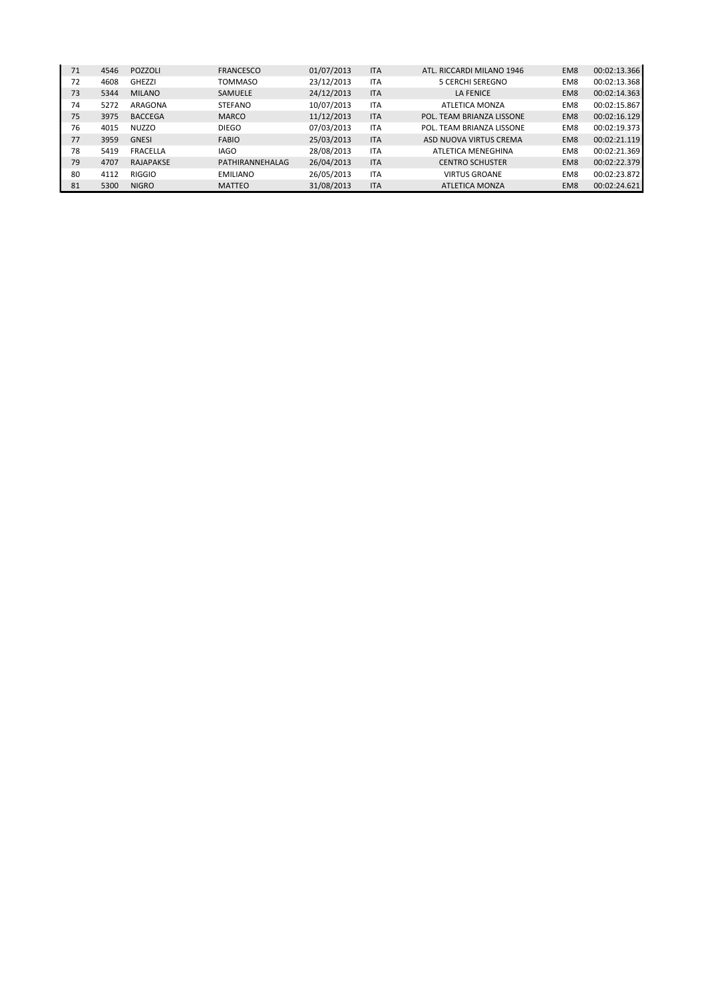| 71 | 4546 | POZZOLI        | <b>FRANCESCO</b> | 01/07/2013 | <b>ITA</b> | ATL. RICCARDI MILANO 1946 | EM <sub>8</sub> | 00:02:13.366 |
|----|------|----------------|------------------|------------|------------|---------------------------|-----------------|--------------|
| 72 | 4608 | GHEZZI         | <b>TOMMASO</b>   | 23/12/2013 | <b>ITA</b> | <b>5 CERCHI SEREGNO</b>   | EM <sub>8</sub> | 00:02:13.368 |
| 73 | 5344 | <b>MILANO</b>  | <b>SAMUELE</b>   | 24/12/2013 | <b>ITA</b> | <b>LA FENICE</b>          | EM <sub>8</sub> | 00:02:14.363 |
| 74 | 5272 | ARAGONA        | <b>STEFANO</b>   | 10/07/2013 | <b>ITA</b> | ATLETICA MONZA            | EM <sub>8</sub> | 00:02:15.867 |
| 75 | 3975 | <b>BACCEGA</b> | <b>MARCO</b>     | 11/12/2013 | <b>ITA</b> | POL. TEAM BRIANZA LISSONE | EM <sub>8</sub> | 00:02:16.129 |
| 76 | 4015 | <b>NUZZO</b>   | <b>DIEGO</b>     | 07/03/2013 | <b>ITA</b> | POL. TEAM BRIANZA LISSONE | EM8             | 00:02:19.373 |
| 77 | 3959 | <b>GNESI</b>   | <b>FABIO</b>     | 25/03/2013 | <b>ITA</b> | ASD NUOVA VIRTUS CREMA    | EM <sub>8</sub> | 00:02:21.119 |
| 78 | 5419 | FRACELLA       | <b>IAGO</b>      | 28/08/2013 | <b>ITA</b> | ATLETICA MENEGHINA        | EM <sub>8</sub> | 00:02:21.369 |
| 79 | 4707 | RAJAPAKSE      | PATHIRANNEHALAG  | 26/04/2013 | <b>ITA</b> | <b>CENTRO SCHUSTER</b>    | EM <sub>8</sub> | 00:02:22.379 |
| 80 | 4112 | RIGGIO         | <b>EMILIANO</b>  | 26/05/2013 | <b>ITA</b> | <b>VIRTUS GROANE</b>      | EM8             | 00:02:23.872 |
| 81 | 5300 | <b>NIGRO</b>   | <b>MATTEO</b>    | 31/08/2013 | <b>ITA</b> | <b>ATLETICA MONZA</b>     | EM <sub>8</sub> | 00:02:24.621 |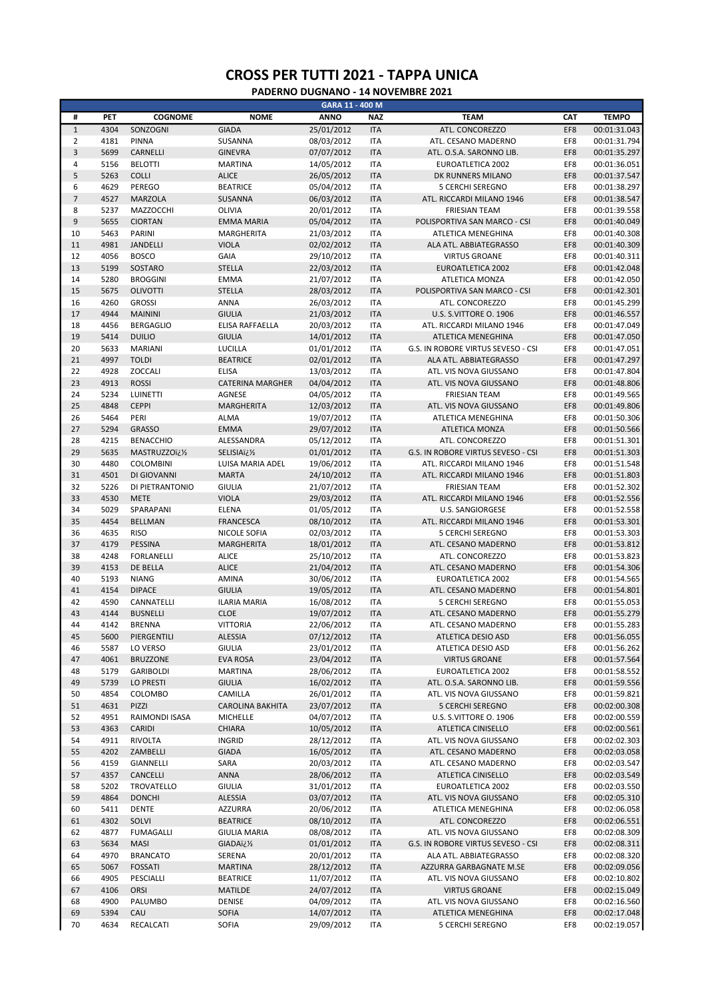|                |      |                   |                         | GARA 11 - 400 M |            |                                    |            |              |
|----------------|------|-------------------|-------------------------|-----------------|------------|------------------------------------|------------|--------------|
| #              | PET  | <b>COGNOME</b>    | <b>NOME</b>             | <b>ANNO</b>     | <b>NAZ</b> | <b>TEAM</b>                        | <b>CAT</b> | <b>TEMPO</b> |
| $\mathbf 1$    | 4304 | SONZOGNI          | <b>GIADA</b>            | 25/01/2012      | <b>ITA</b> | ATL. CONCOREZZO                    | EF8        | 00:01:31.043 |
| $\overline{2}$ | 4181 | <b>PINNA</b>      | SUSANNA                 | 08/03/2012      | <b>ITA</b> | ATL. CESANO MADERNO                | EF8        | 00:01:31.794 |
| 3              | 5699 | CARNELLI          | <b>GINEVRA</b>          | 07/07/2012      | <b>ITA</b> | ATL. O.S.A. SARONNO LIB.           | EF8        | 00:01:35.297 |
| 4              | 5156 | <b>BELOTTI</b>    | <b>MARTINA</b>          | 14/05/2012      | <b>ITA</b> | EUROATLETICA 2002                  | EF8        | 00:01:36.051 |
| 5              | 5263 | <b>COLLI</b>      | <b>ALICE</b>            | 26/05/2012      | <b>ITA</b> | DK RUNNERS MILANO                  | EF8        | 00:01:37.547 |
| 6              | 4629 | PEREGO            | <b>BEATRICE</b>         | 05/04/2012      | <b>ITA</b> | <b>5 CERCHI SEREGNO</b>            | EF8        | 00:01:38.297 |
| $\overline{7}$ | 4527 | <b>MARZOLA</b>    | SUSANNA                 | 06/03/2012      | <b>ITA</b> |                                    | EF8        | 00:01:38.547 |
|                |      |                   |                         |                 |            | ATL. RICCARDI MILANO 1946          |            |              |
| 8              | 5237 | <b>MAZZOCCHI</b>  | OLIVIA                  | 20/01/2012      | <b>ITA</b> | <b>FRIESIAN TEAM</b>               | EF8        | 00:01:39.558 |
| 9              | 5655 | <b>CIORTAN</b>    | <b>EMMA MARIA</b>       | 05/04/2012      | <b>ITA</b> | POLISPORTIVA SAN MARCO - CSI       | EF8        | 00:01:40.049 |
| 10             | 5463 | PARINI            | MARGHERITA              | 21/03/2012      | <b>ITA</b> | ATLETICA MENEGHINA                 | EF8        | 00:01:40.308 |
| 11             | 4981 | JANDELLI          | <b>VIOLA</b>            | 02/02/2012      | <b>ITA</b> | ALA ATL. ABBIATEGRASSO             | EF8        | 00:01:40.309 |
| 12             | 4056 | <b>BOSCO</b>      | GAIA                    | 29/10/2012      | <b>ITA</b> | <b>VIRTUS GROANE</b>               | EF8        | 00:01:40.311 |
| 13             | 5199 | SOSTARO           | <b>STELLA</b>           | 22/03/2012      | <b>ITA</b> | EUROATLETICA 2002                  | EF8        | 00:01:42.048 |
| 14             | 5280 | <b>BROGGINI</b>   | <b>EMMA</b>             | 21/07/2012      | <b>ITA</b> | ATLETICA MONZA                     | EF8        | 00:01:42.050 |
| 15             | 5675 | <b>OLIVOTTI</b>   | <b>STELLA</b>           | 28/03/2012      | <b>ITA</b> | POLISPORTIVA SAN MARCO - CSI       | EF8        | 00:01:42.301 |
| 16             | 4260 | <b>GROSSI</b>     | <b>ANNA</b>             | 26/03/2012      | <b>ITA</b> | ATL. CONCOREZZO                    | EF8        | 00:01:45.299 |
| 17             | 4944 | <b>MAININI</b>    | <b>GIULIA</b>           | 21/03/2012      | <b>ITA</b> | U.S. S.VITTORE O. 1906             | EF8        | 00:01:46.557 |
|                |      |                   |                         |                 | <b>ITA</b> |                                    | EF8        |              |
| 18             | 4456 | <b>BERGAGLIO</b>  | ELISA RAFFAELLA         | 20/03/2012      |            | ATL. RICCARDI MILANO 1946          |            | 00:01:47.049 |
| 19             | 5414 | <b>DUILIO</b>     | <b>GIULIA</b>           | 14/01/2012      | <b>ITA</b> | ATLETICA MENEGHINA                 | EF8        | 00:01:47.050 |
| 20             | 5633 | <b>MARIANI</b>    | LUCILLA                 | 01/01/2012      | <b>ITA</b> | G.S. IN ROBORE VIRTUS SEVESO - CSI | EF8        | 00:01:47.051 |
| 21             | 4997 | <b>TOLDI</b>      | <b>BEATRICE</b>         | 02/01/2012      | <b>ITA</b> | ALA ATL. ABBIATEGRASSO             | EF8        | 00:01:47.297 |
| 22             | 4928 | <b>ZOCCALI</b>    | <b>ELISA</b>            | 13/03/2012      | <b>ITA</b> | ATL. VIS NOVA GIUSSANO             | EF8        | 00:01:47.804 |
| 23             | 4913 | <b>ROSSI</b>      | <b>CATERINA MARGHER</b> | 04/04/2012      | <b>ITA</b> | ATL. VIS NOVA GIUSSANO             | EF8        | 00:01:48.806 |
| 24             | 5234 | LUINETTI          | AGNESE                  | 04/05/2012      | <b>ITA</b> | <b>FRIESIAN TEAM</b>               | EF8        | 00:01:49.565 |
| 25             | 4848 | <b>CEPPI</b>      | <b>MARGHERITA</b>       | 12/03/2012      | <b>ITA</b> | ATL. VIS NOVA GIUSSANO             | EF8        | 00:01:49.806 |
|                | 5464 | PERI              |                         |                 | <b>ITA</b> |                                    | EF8        |              |
| 26             |      |                   | <b>ALMA</b>             | 19/07/2012      |            | ATLETICA MENEGHINA                 |            | 00:01:50.306 |
| 27             | 5294 | <b>GRASSO</b>     | <b>EMMA</b>             | 29/07/2012      | <b>ITA</b> | <b>ATLETICA MONZA</b>              | EF8        | 00:01:50.566 |
| 28             | 4215 | <b>BENACCHIO</b>  | ALESSANDRA              | 05/12/2012      | <b>ITA</b> | ATL. CONCOREZZO                    | EF8        | 00:01:51.301 |
| 29             | 5635 | MASTRUZZOï¿1/2    | SELISIAï¿1/2            | 01/01/2012      | <b>ITA</b> | G.S. IN ROBORE VIRTUS SEVESO - CSI | EF8        | 00:01:51.303 |
| 30             | 4480 | COLOMBINI         | LUISA MARIA ADEL        | 19/06/2012      | <b>ITA</b> | ATL. RICCARDI MILANO 1946          | EF8        | 00:01:51.548 |
| 31             | 4501 | DI GIOVANNI       | <b>MARTA</b>            | 24/10/2012      | <b>ITA</b> | ATL. RICCARDI MILANO 1946          | EF8        | 00:01:51.803 |
| 32             | 5226 | DI PIETRANTONIO   | <b>GIULIA</b>           | 21/07/2012      | <b>ITA</b> | <b>FRIESIAN TEAM</b>               | EF8        | 00:01:52.302 |
| 33             | 4530 | <b>METE</b>       | <b>VIOLA</b>            | 29/03/2012      | <b>ITA</b> | ATL. RICCARDI MILANO 1946          | EF8        | 00:01:52.556 |
| 34             |      |                   |                         |                 |            |                                    | EF8        |              |
|                | 5029 | SPARAPANI         | <b>ELENA</b>            | 01/05/2012      | <b>ITA</b> | U.S. SANGIORGESE                   |            | 00:01:52.558 |
| 35             | 4454 | <b>BELLMAN</b>    | <b>FRANCESCA</b>        | 08/10/2012      | <b>ITA</b> | ATL. RICCARDI MILANO 1946          | EF8        | 00:01:53.301 |
| 36             | 4635 | <b>RISO</b>       | NICOLE SOFIA            | 02/03/2012      | <b>ITA</b> | 5 CERCHI SEREGNO                   | EF8        | 00:01:53.303 |
| 37             | 4179 | <b>PESSINA</b>    | MARGHERITA              | 18/01/2012      | <b>ITA</b> | ATL. CESANO MADERNO                | EF8        | 00:01:53.812 |
| 38             | 4248 | <b>FORLANELLI</b> | <b>ALICE</b>            | 25/10/2012      | <b>ITA</b> | ATL. CONCOREZZO                    | EF8        | 00:01:53.823 |
| 39             | 4153 | DE BELLA          | <b>ALICE</b>            | 21/04/2012      | <b>ITA</b> | ATL. CESANO MADERNO                | EF8        | 00:01:54.306 |
| 40             | 5193 | <b>NIANG</b>      | AMINA                   | 30/06/2012      | <b>ITA</b> | <b>EUROATLETICA 2002</b>           | EF8        | 00:01:54.565 |
| 41             | 4154 | <b>DIPACE</b>     | <b>GIULIA</b>           | 19/05/2012      | <b>ITA</b> | ATL. CESANO MADERNO                | EF8        | 00:01:54.801 |
| 42             | 4590 | CANNATELLI        | <b>ILARIA MARIA</b>     | 16/08/2012      | <b>ITA</b> | <b>5 CERCHI SEREGNO</b>            | EF8        | 00:01:55.053 |
|                |      |                   |                         |                 |            |                                    |            |              |
| 43             | 4144 | <b>BUSNELLI</b>   | <b>CLOE</b>             | 19/07/2012      | <b>ITA</b> | ATL. CESANO MADERNO                | EF8        | 00:01:55.279 |
| 44             | 4142 | <b>BRENNA</b>     | <b>VITTORIA</b>         | 22/06/2012      | <b>ITA</b> | ATL. CESANO MADERNO                | EF8        | 00:01:55.283 |
| 45             | 5600 | PIERGENTILI       | <b>ALESSIA</b>          | 07/12/2012      | <b>ITA</b> | ATLETICA DESIO ASD                 | EF8        | 00:01:56.055 |
| 46             | 5587 | LO VERSO          | <b>GIULIA</b>           | 23/01/2012      | <b>ITA</b> | ATLETICA DESIO ASD                 | EF8        | 00:01:56.262 |
| 47             | 4061 | <b>BRUZZONE</b>   | <b>EVA ROSA</b>         | 23/04/2012      | <b>ITA</b> | <b>VIRTUS GROANE</b>               | EF8        | 00:01:57.564 |
| 48             | 5179 | <b>GARIBOLDI</b>  | MARTINA                 | 28/06/2012      | <b>ITA</b> | EUROATLETICA 2002                  | EF8        | 00:01:58.552 |
| 49             | 5739 | <b>LO PRESTI</b>  | <b>GIULIA</b>           | 16/02/2012      | <b>ITA</b> | ATL. O.S.A. SARONNO LIB.           | EF8        | 00:01:59.556 |
| 50             | 4854 | COLOMBO           | CAMILLA                 | 26/01/2012      | ITA        | ATL. VIS NOVA GIUSSANO             | EF8        | 00:01:59.821 |
|                |      |                   |                         |                 |            |                                    |            | 00:02:00.308 |
| 51             | 4631 | PIZZI             | <b>CAROLINA BAKHITA</b> | 23/07/2012      | <b>ITA</b> | <b>5 CERCHI SEREGNO</b>            | EF8        |              |
| 52             | 4951 | RAIMONDI ISASA    | <b>MICHELLE</b>         | 04/07/2012      | <b>ITA</b> | U.S. S.VITTORE O. 1906             | EF8        | 00:02:00.559 |
| 53             | 4363 | CARIDI            | <b>CHIARA</b>           | 10/05/2012      | <b>ITA</b> | ATLETICA CINISELLO                 | EF8        | 00:02:00.561 |
| 54             | 4911 | <b>RIVOLTA</b>    | <b>INGRID</b>           | 28/12/2012      | <b>ITA</b> | ATL. VIS NOVA GIUSSANO             | EF8        | 00:02:02.303 |
| 55             | 4202 | ZAMBELLI          | <b>GIADA</b>            | 16/05/2012      | <b>ITA</b> | ATL. CESANO MADERNO                | EF8        | 00:02:03.058 |
| 56             | 4159 | GIANNELLI         | SARA                    | 20/03/2012      | <b>ITA</b> | ATL. CESANO MADERNO                | EF8        | 00:02:03.547 |
| 57             | 4357 | CANCELLI          | <b>ANNA</b>             | 28/06/2012      | <b>ITA</b> | ATLETICA CINISELLO                 | EF8        | 00:02:03.549 |
| 58             | 5202 | TROVATELLO        | <b>GIULIA</b>           | 31/01/2012      | ITA        | EUROATLETICA 2002                  | EF8        | 00:02:03.550 |
|                |      |                   |                         |                 |            |                                    |            |              |
| 59             | 4864 | <b>DONCHI</b>     | ALESSIA                 | 03/07/2012      | <b>ITA</b> | ATL. VIS NOVA GIUSSANO             | EF8        | 00:02:05.310 |
| 60             | 5411 | <b>DENTE</b>      | AZZURRA                 | 20/06/2012      | <b>ITA</b> | ATLETICA MENEGHINA                 | EF8        | 00:02:06.058 |
| 61             | 4302 | SOLVI             | <b>BEATRICE</b>         | 08/10/2012      | <b>ITA</b> | ATL. CONCOREZZO                    | EF8        | 00:02:06.551 |
| 62             | 4877 | <b>FUMAGALLI</b>  | <b>GIULIA MARIA</b>     | 08/08/2012      | <b>ITA</b> | ATL. VIS NOVA GIUSSANO             | EF8        | 00:02:08.309 |
| 63             | 5634 | <b>MASI</b>       | <i>SIADAïذ½</i>         | 01/01/2012      | <b>ITA</b> | G.S. IN ROBORE VIRTUS SEVESO - CSI | EF8        | 00:02:08.311 |
| 64             | 4970 | <b>BRANCATO</b>   | SERENA                  | 20/01/2012      | <b>ITA</b> | ALA ATL. ABBIATEGRASSO             | EF8        | 00:02:08.320 |
| 65             | 5067 | <b>FOSSATI</b>    | <b>MARTINA</b>          | 28/12/2012      | <b>ITA</b> | AZZURRA GARBAGNATE M.SE            | EF8        | 00:02:09.056 |
|                |      |                   |                         |                 |            |                                    |            |              |
| 66             | 4905 | PESCIALLI         | <b>BEATRICE</b>         | 11/07/2012      | ITA        | ATL. VIS NOVA GIUSSANO             | EF8        | 00:02:10.802 |
| 67             | 4106 | <b>ORSI</b>       | MATILDE                 | 24/07/2012      | <b>ITA</b> | <b>VIRTUS GROANE</b>               | EF8        | 00:02:15.049 |
| 68             | 4900 | PALUMBO           | <b>DENISE</b>           | 04/09/2012      | <b>ITA</b> | ATL. VIS NOVA GIUSSANO             | EF8        | 00:02:16.560 |
| 69             | 5394 | CAU               | SOFIA                   | 14/07/2012      | <b>ITA</b> | ATLETICA MENEGHINA                 | EF8        | 00:02:17.048 |
| 70             | 4634 | RECALCATI         | SOFIA                   | 29/09/2012      | <b>ITA</b> | 5 CERCHI SEREGNO                   | EF8        | 00:02:19.057 |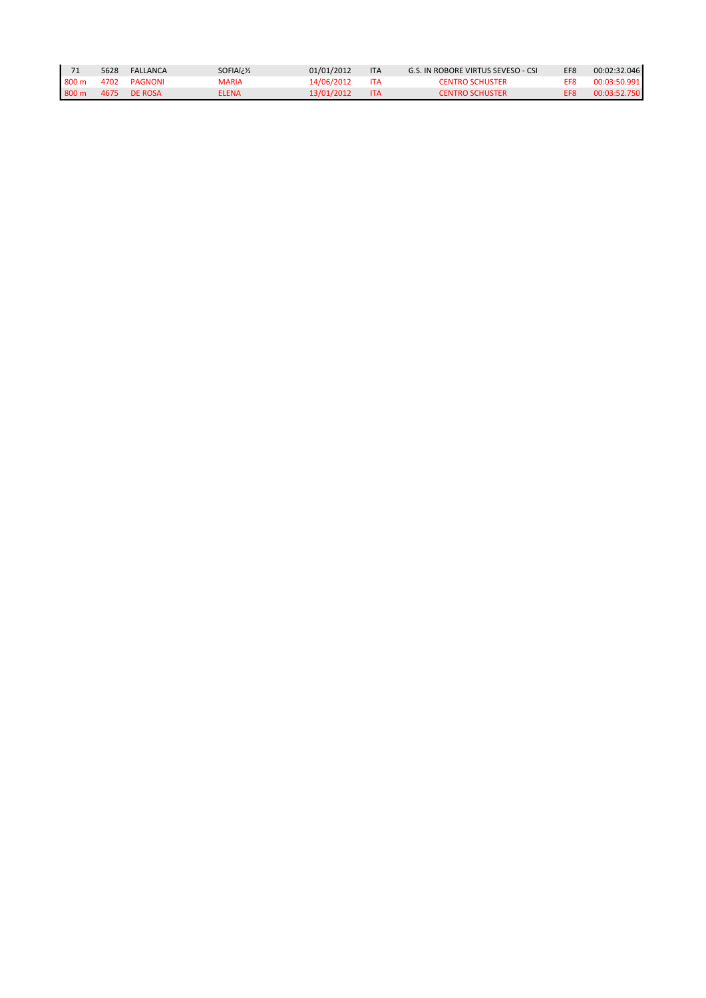|                  | 5628 | FALLANCA | SOFIAïi 1/2 | 01/01/2012 | <b>ITA</b> | G.S. IN ROBORE VIRTUS SEVESO - CSI | FF <sub>R</sub> | 00:02:32.046 |
|------------------|------|----------|-------------|------------|------------|------------------------------------|-----------------|--------------|
| $800 \text{ m}$  | 4702 | PAGNONI  | MARIA       | 14/06/2012 | <b>ITA</b> | <b>CENTRO SCHUSTER</b>             | <b>FFR</b>      | 00:03:50.991 |
| 800 <sub>m</sub> | 4675 | DE ROSA  | ELENA       | 13/01/2012 |            | <b>CENTRO SCHUSTER</b>             |                 | 00:03:52.750 |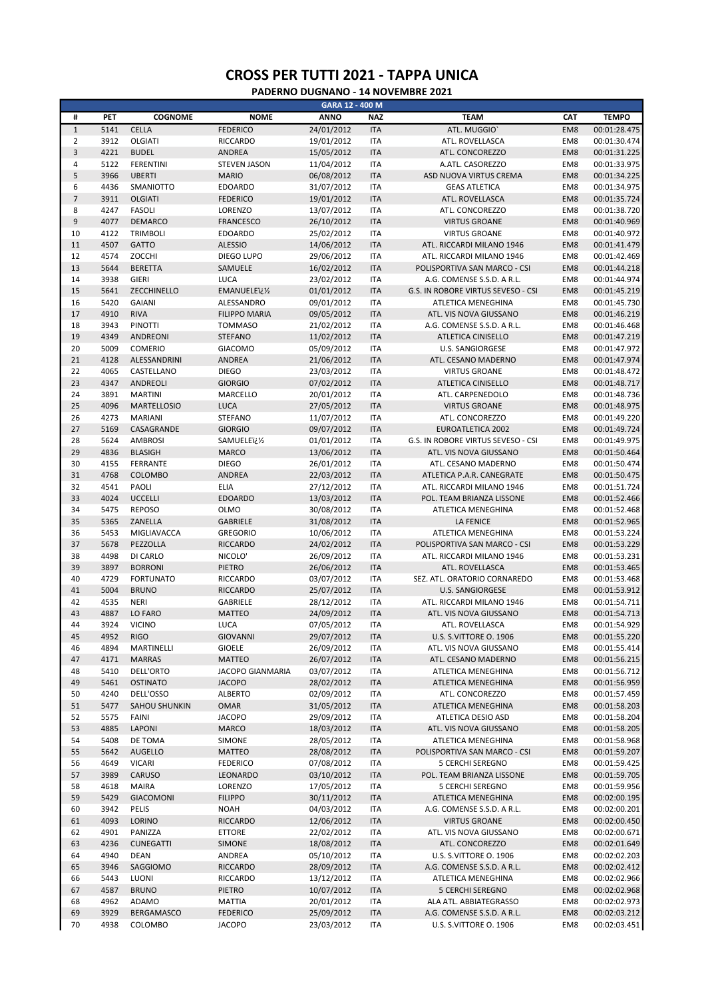|                  |      |                    |                         | GARA 12 - 400 M |            |                                    |     |              |
|------------------|------|--------------------|-------------------------|-----------------|------------|------------------------------------|-----|--------------|
| #                | PET  | <b>COGNOME</b>     | <b>NOME</b>             | <b>ANNO</b>     | <b>NAZ</b> | <b>TEAM</b>                        | CAT | <b>TEMPO</b> |
| $\,1\,$          | 5141 | <b>CELLA</b>       | <b>FEDERICO</b>         | 24/01/2012      | <b>ITA</b> | ATL. MUGGIO'                       | EM8 | 00:01:28.475 |
| $\overline{2}$   | 3912 | <b>OLGIATI</b>     | RICCARDO                | 19/01/2012      | <b>ITA</b> | ATL. ROVELLASCA                    | EM8 | 00:01:30.474 |
|                  |      |                    |                         |                 |            |                                    |     |              |
| $\overline{3}$   | 4221 | <b>BUDEL</b>       | <b>ANDREA</b>           | 15/05/2012      | <b>ITA</b> | ATL. CONCOREZZO                    | EM8 | 00:01:31.225 |
| $\overline{4}$   | 5122 | <b>FERENTINI</b>   | <b>STEVEN JASON</b>     | 11/04/2012      | <b>ITA</b> | A.ATL. CASOREZZO                   | EM8 | 00:01:33.975 |
| 5                | 3966 | <b>UBERTI</b>      | <b>MARIO</b>            | 06/08/2012      | <b>ITA</b> | ASD NUOVA VIRTUS CREMA             | EM8 | 00:01:34.225 |
| 6                | 4436 | SMANIOTTO          | <b>EDOARDO</b>          | 31/07/2012      | <b>ITA</b> | <b>GEAS ATLETICA</b>               | EM8 | 00:01:34.975 |
| $\overline{7}$   | 3911 | <b>OLGIATI</b>     | <b>FEDERICO</b>         | 19/01/2012      | <b>ITA</b> | ATL. ROVELLASCA                    | EM8 | 00:01:35.724 |
| 8                | 4247 | <b>FASOLI</b>      | LORENZO                 | 13/07/2012      | <b>ITA</b> | ATL. CONCOREZZO                    | EM8 | 00:01:38.720 |
|                  |      |                    |                         |                 |            |                                    |     |              |
| $\boldsymbol{9}$ | 4077 | <b>DEMARCO</b>     | <b>FRANCESCO</b>        | 26/10/2012      | <b>ITA</b> | <b>VIRTUS GROANE</b>               | EM8 | 00:01:40.969 |
| 10               | 4122 | <b>TRIMBOLI</b>    | <b>EDOARDO</b>          | 25/02/2012      | <b>ITA</b> | <b>VIRTUS GROANE</b>               | EM8 | 00:01:40.972 |
| 11               | 4507 | <b>GATTO</b>       | <b>ALESSIO</b>          | 14/06/2012      | <b>ITA</b> | ATL. RICCARDI MILANO 1946          | EM8 | 00:01:41.479 |
| 12               | 4574 | ZOCCHI             | DIEGO LUPO              | 29/06/2012      | <b>ITA</b> | ATL. RICCARDI MILANO 1946          | EM8 | 00:01:42.469 |
| 13               | 5644 | <b>BERETTA</b>     | SAMUELE                 | 16/02/2012      | <b>ITA</b> | POLISPORTIVA SAN MARCO - CSI       | EM8 | 00:01:44.218 |
| 14               | 3938 | <b>GIERI</b>       | <b>LUCA</b>             | 23/02/2012      | <b>ITA</b> | A.G. COMENSE S.S.D. A R.L.         | EM8 | 00:01:44.974 |
|                  |      |                    |                         |                 |            |                                    |     |              |
| 15               | 5641 | ZECCHINELLO        | EMANUELEï¿1/2           | 01/01/2012      | <b>ITA</b> | G.S. IN ROBORE VIRTUS SEVESO - CSI | EM8 | 00:01:45.219 |
| 16               | 5420 | <b>GAIANI</b>      | ALESSANDRO              | 09/01/2012      | <b>ITA</b> | ATLETICA MENEGHINA                 | EM8 | 00:01:45.730 |
| 17               | 4910 | <b>RIVA</b>        | <b>FILIPPO MARIA</b>    | 09/05/2012      | <b>ITA</b> | ATL. VIS NOVA GIUSSANO             | EM8 | 00:01:46.219 |
| 18               | 3943 | <b>PINOTTI</b>     | <b>TOMMASO</b>          | 21/02/2012      | <b>ITA</b> | A.G. COMENSE S.S.D. A R.L.         | EM8 | 00:01:46.468 |
| 19               | 4349 | <b>ANDREONI</b>    | <b>STEFANO</b>          | 11/02/2012      | <b>ITA</b> | <b>ATLETICA CINISELLO</b>          | EM8 | 00:01:47.219 |
| 20               | 5009 | <b>COMERIO</b>     | <b>GIACOMO</b>          | 05/09/2012      | <b>ITA</b> | U.S. SANGIORGESE                   | EM8 | 00:01:47.972 |
|                  |      |                    |                         |                 |            |                                    |     |              |
| 21               | 4128 | ALESSANDRINI       | <b>ANDREA</b>           | 21/06/2012      | <b>ITA</b> | ATL. CESANO MADERNO                | EM8 | 00:01:47.974 |
| 22               | 4065 | CASTELLANO         | <b>DIEGO</b>            | 23/03/2012      | <b>ITA</b> | <b>VIRTUS GROANE</b>               | EM8 | 00:01:48.472 |
| 23               | 4347 | ANDREOLI           | <b>GIORGIO</b>          | 07/02/2012      | <b>ITA</b> | <b>ATLETICA CINISELLO</b>          | EM8 | 00:01:48.717 |
| 24               | 3891 | <b>MARTINI</b>     | MARCELLO                | 20/01/2012      | <b>ITA</b> | ATL. CARPENEDOLO                   | EM8 | 00:01:48.736 |
| 25               | 4096 | <b>MARTELLOSIO</b> | <b>LUCA</b>             | 27/05/2012      | <b>ITA</b> | <b>VIRTUS GROANE</b>               | EM8 | 00:01:48.975 |
|                  |      |                    |                         |                 |            |                                    |     |              |
| 26               | 4273 | <b>MARIANI</b>     | <b>STEFANO</b>          | 11/07/2012      | <b>ITA</b> | ATL. CONCOREZZO                    | EM8 | 00:01:49.220 |
| 27               | 5169 | CASAGRANDE         | <b>GIORGIO</b>          | 09/07/2012      | <b>ITA</b> | <b>EUROATLETICA 2002</b>           | EM8 | 00:01:49.724 |
| 28               | 5624 | <b>AMBROSI</b>     | SAMUELEï¿1/2            | 01/01/2012      | <b>ITA</b> | G.S. IN ROBORE VIRTUS SEVESO - CSI | EM8 | 00:01:49.975 |
| 29               | 4836 | <b>BLASIGH</b>     | <b>MARCO</b>            | 13/06/2012      | <b>ITA</b> | ATL. VIS NOVA GIUSSANO             | EM8 | 00:01:50.464 |
| 30               | 4155 | FERRANTE           | <b>DIEGO</b>            | 26/01/2012      | <b>ITA</b> | ATL. CESANO MADERNO                | EM8 | 00:01:50.474 |
| 31               | 4768 | COLOMBO            | <b>ANDREA</b>           | 22/03/2012      | <b>ITA</b> | ATLETICA P.A.R. CANEGRATE          | EM8 | 00:01:50.475 |
|                  |      |                    |                         |                 |            |                                    |     |              |
| 32               | 4541 | PAOLI              | <b>ELIA</b>             | 27/12/2012      | <b>ITA</b> | ATL. RICCARDI MILANO 1946          | EM8 | 00:01:51.724 |
| 33               | 4024 | <b>UCCELLI</b>     | <b>EDOARDO</b>          | 13/03/2012      | <b>ITA</b> | POL. TEAM BRIANZA LISSONE          | EM8 | 00:01:52.466 |
| 34               | 5475 | <b>REPOSO</b>      | <b>OLMO</b>             | 30/08/2012      | <b>ITA</b> | ATLETICA MENEGHINA                 | EM8 | 00:01:52.468 |
| 35               | 5365 | ZANELLA            | <b>GABRIELE</b>         | 31/08/2012      | <b>ITA</b> | <b>LA FENICE</b>                   | EM8 | 00:01:52.965 |
| 36               | 5453 | MIGLIAVACCA        | <b>GREGORIO</b>         | 10/06/2012      | <b>ITA</b> | ATLETICA MENEGHINA                 | EM8 | 00:01:53.224 |
| 37               | 5678 | PEZZOLLA           | <b>RICCARDO</b>         | 24/02/2012      | <b>ITA</b> | POLISPORTIVA SAN MARCO - CSI       | EM8 | 00:01:53.229 |
|                  |      |                    |                         |                 |            |                                    |     |              |
| 38               | 4498 | DI CARLO           | NICOLO'                 | 26/09/2012      | <b>ITA</b> | ATL. RICCARDI MILANO 1946          | EM8 | 00:01:53.231 |
| 39               | 3897 | <b>BORRONI</b>     | PIETRO                  | 26/06/2012      | <b>ITA</b> | ATL. ROVELLASCA                    | EM8 | 00:01:53.465 |
| 40               | 4729 | <b>FORTUNATO</b>   | RICCARDO                | 03/07/2012      | <b>ITA</b> | SEZ. ATL. ORATORIO CORNAREDO       | EM8 | 00:01:53.468 |
| 41               | 5004 | <b>BRUNO</b>       | <b>RICCARDO</b>         | 25/07/2012      | <b>ITA</b> | <b>U.S. SANGIORGESE</b>            | EM8 | 00:01:53.912 |
| 42               | 4535 | <b>NERI</b>        | GABRIELE                | 28/12/2012      | <b>ITA</b> | ATL. RICCARDI MILANO 1946          | EM8 | 00:01:54.711 |
| 43               | 4887 | LO FARO            | <b>MATTEO</b>           | 24/09/2012      | <b>ITA</b> | ATL. VIS NOVA GIUSSANO             | EM8 | 00:01:54.713 |
|                  |      |                    |                         |                 |            |                                    |     |              |
| 44               | 3924 | <b>VICINO</b>      | LUCA                    | 07/05/2012      | <b>ITA</b> | ATL. ROVELLASCA                    | EM8 | 00:01:54.929 |
| 45               | 4952 | <b>RIGO</b>        | <b>GIOVANNI</b>         | 29/07/2012      | <b>ITA</b> | U.S. S.VITTORE O. 1906             | EM8 | 00:01:55.220 |
| 46               | 4894 | MARTINELLI         | <b>GIOELE</b>           | 26/09/2012      | <b>ITA</b> | ATL. VIS NOVA GIUSSANO             | EM8 | 00:01:55.414 |
| 47               | 4171 | <b>MARRAS</b>      | <b>MATTEO</b>           | 26/07/2012      | <b>ITA</b> | ATL. CESANO MADERNO                | EM8 | 00:01:56.215 |
| 48               | 5410 | DELL'ORTO          | <b>JACOPO GIANMARIA</b> | 03/07/2012      | <b>ITA</b> | ATLETICA MENEGHINA                 | EM8 | 00:01:56.712 |
| 49               | 5461 | <b>OSTINATO</b>    | <b>JACOPO</b>           | 28/02/2012      | <b>ITA</b> | ATLETICA MENEGHINA                 | EM8 |              |
|                  |      |                    |                         |                 |            |                                    |     | 00:01:56.959 |
| 50               | 4240 | DELL'OSSO          | <b>ALBERTO</b>          | 02/09/2012      | <b>ITA</b> | ATL. CONCOREZZO                    | EM8 | 00:01:57.459 |
| 51               | 5477 | SAHOU SHUNKIN      | <b>OMAR</b>             | 31/05/2012      | <b>ITA</b> | ATLETICA MENEGHINA                 | EM8 | 00:01:58.203 |
| 52               | 5575 | <b>FAINI</b>       | <b>JACOPO</b>           | 29/09/2012      | <b>ITA</b> | ATLETICA DESIO ASD                 | EM8 | 00:01:58.204 |
| 53               | 4885 | LAPONI             | <b>MARCO</b>            | 18/03/2012      | <b>ITA</b> | ATL. VIS NOVA GIUSSANO             | EM8 | 00:01:58.205 |
| 54               | 5408 | DE TOMA            | SIMONE                  | 28/05/2012      | <b>ITA</b> | ATLETICA MENEGHINA                 | EM8 | 00:01:58.968 |
|                  |      |                    |                         | 28/08/2012      |            |                                    |     |              |
| 55               | 5642 | <b>AUGELLO</b>     | <b>MATTEO</b>           |                 | <b>ITA</b> | POLISPORTIVA SAN MARCO - CSI       | EM8 | 00:01:59.207 |
| 56               | 4649 | <b>VICARI</b>      | <b>FEDERICO</b>         | 07/08/2012      | <b>ITA</b> | <b>5 CERCHI SEREGNO</b>            | EM8 | 00:01:59.425 |
| 57               | 3989 | CARUSO             | LEONARDO                | 03/10/2012      | <b>ITA</b> | POL. TEAM BRIANZA LISSONE          | EM8 | 00:01:59.705 |
| 58               | 4618 | <b>MAIRA</b>       | LORENZO                 | 17/05/2012      | <b>ITA</b> | 5 CERCHI SEREGNO                   | EM8 | 00:01:59.956 |
| 59               | 5429 | <b>GIACOMONI</b>   | <b>FILIPPO</b>          | 30/11/2012      | <b>ITA</b> | ATLETICA MENEGHINA                 | EM8 | 00:02:00.195 |
| 60               | 3942 | PELIS              | <b>NOAH</b>             | 04/03/2012      | <b>ITA</b> | A.G. COMENSE S.S.D. A R.L.         | EM8 | 00:02:00.201 |
|                  |      |                    |                         |                 |            |                                    |     |              |
| 61               | 4093 | LORINO             | <b>RICCARDO</b>         | 12/06/2012      | <b>ITA</b> | <b>VIRTUS GROANE</b>               | EM8 | 00:02:00.450 |
| 62               | 4901 | PANIZZA            | ETTORE                  | 22/02/2012      | <b>ITA</b> | ATL. VIS NOVA GIUSSANO             | EM8 | 00:02:00.671 |
| 63               | 4236 | <b>CUNEGATTI</b>   | <b>SIMONE</b>           | 18/08/2012      | <b>ITA</b> | ATL. CONCOREZZO                    | EM8 | 00:02:01.649 |
| 64               | 4940 | <b>DEAN</b>        | ANDREA                  | 05/10/2012      | <b>ITA</b> | U.S. S.VITTORE O. 1906             | EM8 | 00:02:02.203 |
| 65               | 3946 | SAGGIOMO           | RICCARDO                | 28/09/2012      | <b>ITA</b> | A.G. COMENSE S.S.D. A R.L.         | EM8 | 00:02:02.412 |
|                  | 5443 | LUONI              |                         |                 | <b>ITA</b> |                                    |     |              |
| 66               |      |                    | RICCARDO                | 13/12/2012      |            | ATLETICA MENEGHINA                 | EM8 | 00:02:02.966 |
| 67               | 4587 | <b>BRUNO</b>       | PIETRO                  | 10/07/2012      | <b>ITA</b> | <b>5 CERCHI SEREGNO</b>            | EM8 | 00:02:02.968 |
| 68               | 4962 | ADAMO              | MATTIA                  | 20/01/2012      | <b>ITA</b> | ALA ATL. ABBIATEGRASSO             | EM8 | 00:02:02.973 |
| 69               | 3929 | <b>BERGAMASCO</b>  | <b>FEDERICO</b>         | 25/09/2012      | <b>ITA</b> | A.G. COMENSE S.S.D. A R.L.         | EM8 | 00:02:03.212 |
| 70               | 4938 | COLOMBO            | <b>JACOPO</b>           | 23/03/2012      | <b>ITA</b> | U.S. S.VITTORE O. 1906             | EM8 | 00:02:03.451 |
|                  |      |                    |                         |                 |            |                                    |     |              |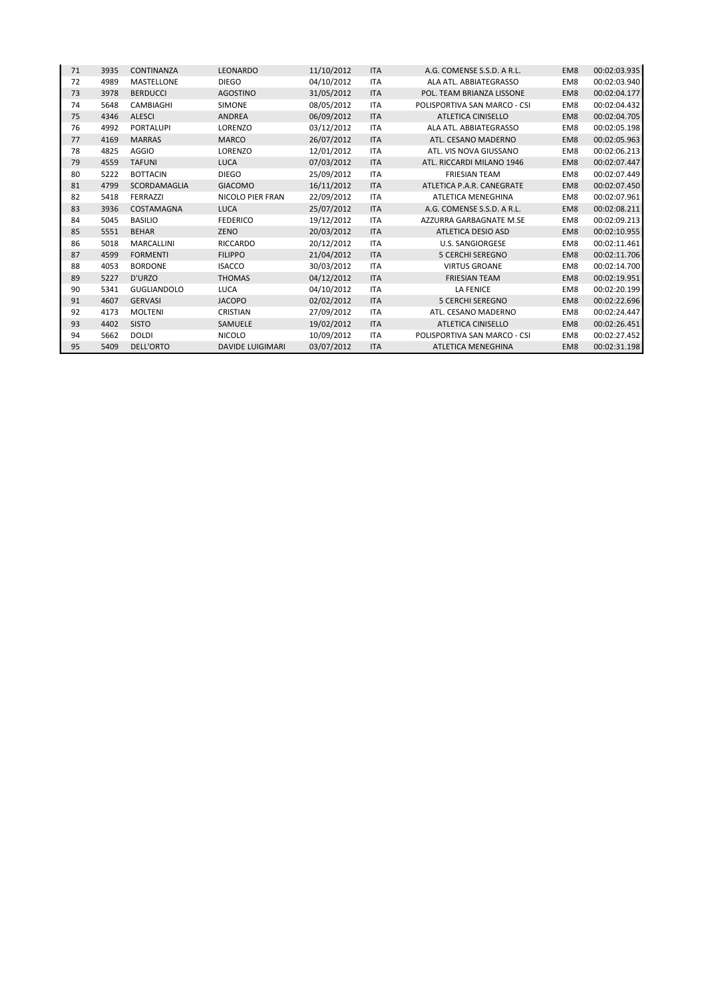| 71 | 3935 | CONTINANZA         | LEONARDO                | 11/10/2012 | <b>ITA</b> | A.G. COMENSE S.S.D. A R.L.   | EM <sub>8</sub> | 00:02:03.935 |
|----|------|--------------------|-------------------------|------------|------------|------------------------------|-----------------|--------------|
| 72 | 4989 | <b>MASTELLONE</b>  | <b>DIEGO</b>            | 04/10/2012 | <b>ITA</b> | ALA ATL. ABBIATEGRASSO       | EM8             | 00:02:03.940 |
| 73 | 3978 | <b>BERDUCCI</b>    | <b>AGOSTINO</b>         | 31/05/2012 | <b>ITA</b> | POL. TEAM BRIANZA LISSONE    | EM8             | 00:02:04.177 |
| 74 | 5648 | CAMBIAGHI          | <b>SIMONE</b>           | 08/05/2012 | <b>ITA</b> | POLISPORTIVA SAN MARCO - CSI | EM8             | 00:02:04.432 |
| 75 | 4346 | <b>ALESCI</b>      | ANDREA                  | 06/09/2012 | <b>ITA</b> | ATLETICA CINISELLO           | EM8             | 00:02:04.705 |
| 76 | 4992 | <b>PORTALUPI</b>   | LORENZO                 | 03/12/2012 | <b>ITA</b> | ALA ATL. ABBIATEGRASSO       | EM8             | 00:02:05.198 |
| 77 | 4169 | <b>MARRAS</b>      | <b>MARCO</b>            | 26/07/2012 | <b>ITA</b> | ATL. CESANO MADERNO          | EM8             | 00:02:05.963 |
| 78 | 4825 | <b>AGGIO</b>       | LORENZO                 | 12/01/2012 | <b>ITA</b> | ATL. VIS NOVA GIUSSANO       | EM8             | 00:02:06.213 |
| 79 | 4559 | <b>TAFUNI</b>      | <b>LUCA</b>             | 07/03/2012 | <b>ITA</b> | ATL. RICCARDI MILANO 1946    | EM8             | 00:02:07.447 |
| 80 | 5222 | <b>BOTTACIN</b>    | <b>DIEGO</b>            | 25/09/2012 | <b>ITA</b> | <b>FRIESIAN TEAM</b>         | EM8             | 00:02:07.449 |
| 81 | 4799 | SCORDAMAGLIA       | <b>GIACOMO</b>          | 16/11/2012 | <b>ITA</b> | ATLETICA P.A.R. CANEGRATE    | EM8             | 00:02:07.450 |
| 82 | 5418 | <b>FERRAZZI</b>    | NICOLO PIER FRAN        | 22/09/2012 | <b>ITA</b> | ATLETICA MENEGHINA           | EM8             | 00:02:07.961 |
| 83 | 3936 | COSTAMAGNA         | LUCA                    | 25/07/2012 | <b>ITA</b> | A.G. COMENSE S.S.D. A R.L.   | EM8             | 00:02:08.211 |
| 84 | 5045 | <b>BASILIO</b>     | <b>FEDERICO</b>         | 19/12/2012 | <b>ITA</b> | AZZURRA GARBAGNATE M.SE      | EM8             | 00:02:09.213 |
| 85 | 5551 | <b>BEHAR</b>       | ZENO                    | 20/03/2012 | <b>ITA</b> | ATLETICA DESIO ASD           | EM8             | 00:02:10.955 |
| 86 | 5018 | <b>MARCALLINI</b>  | <b>RICCARDO</b>         | 20/12/2012 | <b>ITA</b> | <b>U.S. SANGIORGESE</b>      | EM8             | 00:02:11.461 |
| 87 | 4599 | <b>FORMENTI</b>    | <b>FILIPPO</b>          | 21/04/2012 | <b>ITA</b> | <b>5 CERCHI SEREGNO</b>      | EM8             | 00:02:11.706 |
| 88 | 4053 | <b>BORDONE</b>     | <b>ISACCO</b>           | 30/03/2012 | <b>ITA</b> | <b>VIRTUS GROANE</b>         | EM8             | 00:02:14.700 |
| 89 | 5227 | D'URZO             | <b>THOMAS</b>           | 04/12/2012 | <b>ITA</b> | <b>FRIESIAN TEAM</b>         | EM8             | 00:02:19.951 |
| 90 | 5341 | <b>GUGLIANDOLO</b> | <b>LUCA</b>             | 04/10/2012 | <b>ITA</b> | <b>LA FENICE</b>             | EM8             | 00:02:20.199 |
| 91 | 4607 | <b>GERVASI</b>     | <b>JACOPO</b>           | 02/02/2012 | <b>ITA</b> | <b>5 CERCHI SEREGNO</b>      | EM8             | 00:02:22.696 |
| 92 | 4173 | <b>MOLTENI</b>     | <b>CRISTIAN</b>         | 27/09/2012 | <b>ITA</b> | ATL. CESANO MADERNO          | EM8             | 00:02:24.447 |
| 93 | 4402 | <b>SISTO</b>       | <b>SAMUELE</b>          | 19/02/2012 | <b>ITA</b> | <b>ATLETICA CINISELLO</b>    | EM8             | 00:02:26.451 |
| 94 | 5662 | <b>DOLDI</b>       | <b>NICOLO</b>           | 10/09/2012 | <b>ITA</b> | POLISPORTIVA SAN MARCO - CSI | EM8             | 00:02:27.452 |
| 95 | 5409 | <b>DELL'ORTO</b>   | <b>DAVIDE LUIGIMARI</b> | 03/07/2012 | <b>ITA</b> | ATLETICA MENEGHINA           | EM8             | 00:02:31.198 |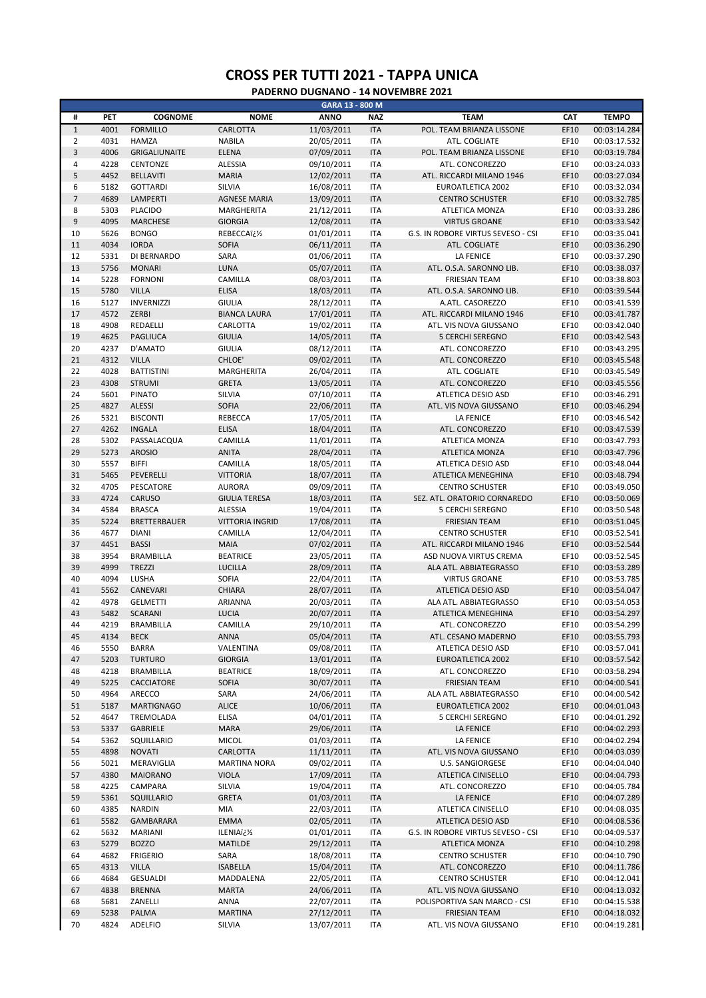|                |              |                                  |                               | GARA 13 - 800 M          |                          |                                                      |              |                              |
|----------------|--------------|----------------------------------|-------------------------------|--------------------------|--------------------------|------------------------------------------------------|--------------|------------------------------|
| #              | PET          | <b>COGNOME</b>                   | <b>NOME</b>                   | <b>ANNO</b>              | <b>NAZ</b>               | <b>TEAM</b>                                          | CAT          | <b>TEMPO</b>                 |
| $\mathbf 1$    | 4001         | <b>FORMILLO</b>                  | CARLOTTA                      | 11/03/2011               | <b>ITA</b>               | POL. TEAM BRIANZA LISSONE                            | EF10         | 00:03:14.284                 |
| $\overline{2}$ | 4031         | <b>HAMZA</b>                     | <b>NABILA</b>                 | 20/05/2011               | <b>ITA</b>               | ATL. COGLIATE                                        | EF10         | 00:03:17.532                 |
| 3              | 4006         | <b>GRIGALIUNAITE</b>             | <b>ELENA</b>                  | 07/09/2011               | <b>ITA</b>               | POL. TEAM BRIANZA LISSONE                            | EF10         | 00:03:19.784                 |
| 4              | 4228         | CENTONZE                         | <b>ALESSIA</b>                | 09/10/2011               | <b>ITA</b>               | ATL. CONCOREZZO                                      | EF10         | 00:03:24.033                 |
| 5              | 4452         | <b>BELLAVITI</b>                 | <b>MARIA</b>                  | 12/02/2011               | <b>ITA</b>               | ATL. RICCARDI MILANO 1946                            | EF10         | 00:03:27.034                 |
| 6              | 5182         | <b>GOTTARDI</b>                  | SILVIA                        | 16/08/2011               | <b>ITA</b>               | <b>EUROATLETICA 2002</b>                             | EF10         | 00:03:32.034                 |
| $\overline{7}$ | 4689         | LAMPERTI                         | <b>AGNESE MARIA</b>           | 13/09/2011               | <b>ITA</b>               | <b>CENTRO SCHUSTER</b>                               | EF10         | 00:03:32.785                 |
| 8              | 5303         | <b>PLACIDO</b>                   | MARGHERITA                    | 21/12/2011               | <b>ITA</b>               | ATLETICA MONZA                                       | EF10         | 00:03:33.286                 |
| 9              | 4095         | <b>MARCHESE</b>                  | <b>GIORGIA</b>                | 12/08/2011               | <b>ITA</b>               | <b>VIRTUS GROANE</b>                                 | EF10         | 00:03:33.542                 |
| 10             | 5626         | <b>BONGO</b>                     | REBECCAï¿1/2                  | 01/01/2011               | <b>ITA</b>               | G.S. IN ROBORE VIRTUS SEVESO - CSI                   | EF10         | 00:03:35.041                 |
| 11             | 4034         | <b>IORDA</b>                     | <b>SOFIA</b>                  | 06/11/2011               | <b>ITA</b>               | ATL. COGLIATE                                        | EF10         | 00:03:36.290                 |
| 12             | 5331         | DI BERNARDO                      | SARA                          | 01/06/2011               | <b>ITA</b>               | LA FENICE                                            | EF10         | 00:03:37.290                 |
| 13             | 5756         | <b>MONARI</b>                    | LUNA                          | 05/07/2011               | <b>ITA</b>               | ATL. O.S.A. SARONNO LIB.                             | EF10         | 00:03:38.037                 |
| 14             | 5228         | <b>FORNONI</b>                   | CAMILLA                       | 08/03/2011               | <b>ITA</b>               | <b>FRIESIAN TEAM</b>                                 | EF10         | 00:03:38.803                 |
| 15             | 5780         | <b>VILLA</b>                     | <b>ELISA</b>                  | 18/03/2011               | <b>ITA</b>               | ATL. O.S.A. SARONNO LIB.                             | EF10         | 00:03:39.544                 |
| 16             | 5127         | <b>INVERNIZZI</b>                | <b>GIULIA</b>                 | 28/12/2011               | <b>ITA</b>               | A.ATL. CASOREZZO                                     | EF10         | 00:03:41.539                 |
| 17             | 4572         | ZERBI                            | <b>BIANCA LAURA</b>           | 17/01/2011               | <b>ITA</b>               | ATL. RICCARDI MILANO 1946                            | EF10         | 00:03:41.787                 |
| 18             | 4908         | REDAELLI                         | CARLOTTA                      | 19/02/2011               | <b>ITA</b>               | ATL. VIS NOVA GIUSSANO                               | EF10         | 00:03:42.040                 |
| 19             | 4625         | <b>PAGLIUCA</b>                  | <b>GIULIA</b>                 | 14/05/2011               | <b>ITA</b>               | <b>5 CERCHI SEREGNO</b>                              | EF10         | 00:03:42.543                 |
| 20             | 4237         | D'AMATO                          | <b>GIULIA</b>                 | 08/12/2011               | <b>ITA</b>               | ATL. CONCOREZZO                                      | EF10         | 00:03:43.295                 |
| 21             | 4312         | <b>VILLA</b>                     | CHLOE'                        | 09/02/2011               | <b>ITA</b>               | ATL. CONCOREZZO                                      | EF10         | 00:03:45.548                 |
| 22             | 4028         | <b>BATTISTINI</b>                | MARGHERITA                    | 26/04/2011               | <b>ITA</b>               | ATL. COGLIATE                                        | EF10         | 00:03:45.549                 |
| 23             | 4308         | <b>STRUMI</b>                    | <b>GRETA</b>                  | 13/05/2011               | <b>ITA</b>               | ATL. CONCOREZZO                                      | EF10         | 00:03:45.556                 |
| 24             | 5601         | <b>PINATO</b>                    | SILVIA                        | 07/10/2011               | <b>ITA</b>               | ATLETICA DESIO ASD                                   | EF10         | 00:03:46.291                 |
| 25             | 4827         | <b>ALESSI</b><br><b>BISCONTI</b> | <b>SOFIA</b><br>REBECCA       | 22/06/2011               | <b>ITA</b>               | ATL. VIS NOVA GIUSSANO                               | EF10         | 00:03:46.294<br>00:03:46.542 |
| 26<br>27       | 5321<br>4262 | <b>INGALA</b>                    | <b>ELISA</b>                  | 17/05/2011               | <b>ITA</b><br><b>ITA</b> | <b>LA FENICE</b><br>ATL. CONCOREZZO                  | EF10<br>EF10 |                              |
| 28             | 5302         | PASSALACQUA                      | CAMILLA                       | 18/04/2011<br>11/01/2011 | <b>ITA</b>               | ATLETICA MONZA                                       | EF10         | 00:03:47.539<br>00:03:47.793 |
| 29             | 5273         | <b>AROSIO</b>                    | <b>ANITA</b>                  | 28/04/2011               | <b>ITA</b>               | ATLETICA MONZA                                       | EF10         | 00:03:47.796                 |
| 30             | 5557         | <b>BIFFI</b>                     | CAMILLA                       | 18/05/2011               | <b>ITA</b>               | ATLETICA DESIO ASD                                   | EF10         | 00:03:48.044                 |
| 31             | 5465         | PEVERELLI                        | <b>VITTORIA</b>               | 18/07/2011               | <b>ITA</b>               | ATLETICA MENEGHINA                                   | EF10         | 00:03:48.794                 |
| 32             | 4705         | PESCATORE                        | <b>AURORA</b>                 | 09/09/2011               | <b>ITA</b>               | <b>CENTRO SCHUSTER</b>                               | EF10         | 00:03:49.050                 |
| 33             | 4724         | CARUSO                           | <b>GIULIA TERESA</b>          | 18/03/2011               | <b>ITA</b>               | SEZ. ATL. ORATORIO CORNAREDO                         | EF10         | 00:03:50.069                 |
| 34             | 4584         | <b>BRASCA</b>                    | ALESSIA                       | 19/04/2011               | <b>ITA</b>               | <b>5 CERCHI SEREGNO</b>                              | EF10         | 00:03:50.548                 |
| 35             | 5224         | <b>BRETTERBAUER</b>              | <b>VITTORIA INGRID</b>        | 17/08/2011               | <b>ITA</b>               | <b>FRIESIAN TEAM</b>                                 | EF10         | 00:03:51.045                 |
| 36             | 4677         | <b>DIANI</b>                     | CAMILLA                       | 12/04/2011               | <b>ITA</b>               | <b>CENTRO SCHUSTER</b>                               | EF10         | 00:03:52.541                 |
| 37             | 4451         | <b>BASSI</b>                     | <b>MAIA</b>                   | 07/02/2011               | <b>ITA</b>               | ATL. RICCARDI MILANO 1946                            | EF10         | 00:03:52.544                 |
| 38             | 3954         | <b>BRAMBILLA</b>                 | <b>BEATRICE</b>               | 23/05/2011               | <b>ITA</b>               | ASD NUOVA VIRTUS CREMA                               | EF10         | 00:03:52.545                 |
| 39             | 4999         | <b>TREZZI</b>                    | LUCILLA                       | 28/09/2011               | <b>ITA</b>               | ALA ATL. ABBIATEGRASSO                               | EF10         | 00:03:53.289                 |
| 40             | 4094         | LUSHA                            | <b>SOFIA</b>                  | 22/04/2011               | <b>ITA</b>               | <b>VIRTUS GROANE</b>                                 | EF10         | 00:03:53.785                 |
| 41             | 5562         | CANEVARI                         | <b>CHIARA</b>                 | 28/07/2011               | <b>ITA</b>               | ATLETICA DESIO ASD                                   | EF10         | 00:03:54.047                 |
| 42             | 4978         | <b>GELMETTI</b>                  | ARIANNA                       | 20/03/2011               | <b>ITA</b>               | ALA ATL. ABBIATEGRASSO                               | EF10         | 00:03:54.053                 |
| 43             | 5482         | <b>SCARANI</b>                   | <b>LUCIA</b>                  | 20/07/2011               | <b>ITA</b>               | <b>ATLETICA MENEGHINA</b>                            | EF10         | 00:03:54.297                 |
| 44             | 4219         | <b>BRAMBILLA</b>                 | CAMILLA                       | 29/10/2011               | <b>ITA</b>               | ATL. CONCOREZZO                                      | EF10         | 00:03:54.299                 |
| 45             | 4134         | <b>BECK</b>                      | ANNA                          | 05/04/2011               | <b>ITA</b>               | ATL. CESANO MADERNO                                  | EF10         | 00:03:55.793                 |
| 46             | 5550         | <b>BARRA</b>                     | VALENTINA                     | 09/08/2011               | <b>ITA</b>               | ATLETICA DESIO ASD                                   | EF10         | 00:03:57.041                 |
| 47             | 5203         | <b>TURTURO</b>                   | <b>GIORGIA</b>                | 13/01/2011               | <b>ITA</b>               | EUROATLETICA 2002                                    | EF10         | 00:03:57.542                 |
| 48             | 4218         | <b>BRAMBILLA</b>                 | <b>BEATRICE</b>               | 18/09/2011               | <b>ITA</b>               | ATL. CONCOREZZO                                      | EF10         | 00:03:58.294                 |
| 49             | 5225         | CACCIATORE                       | SOFIA                         | 30/07/2011               | <b>ITA</b>               | <b>FRIESIAN TEAM</b>                                 | EF10         | 00:04:00.541                 |
| 50             | 4964         | ARECCO                           | SARA                          | 24/06/2011               | <b>ITA</b>               | ALA ATL. ABBIATEGRASSO                               | EF10         | 00:04:00.542                 |
| 51             | 5187         | <b>MARTIGNAGO</b>                | <b>ALICE</b>                  | 10/06/2011               | <b>ITA</b>               | EUROATLETICA 2002                                    | EF10         | 00:04:01.043                 |
| 52             | 4647         | TREMOLADA                        | ELISA                         | 04/01/2011               | <b>ITA</b>               | 5 CERCHI SEREGNO                                     | EF10         | 00:04:01.292                 |
| 53             | 5337         | GABRIELE                         | <b>MARA</b>                   | 29/06/2011               | <b>ITA</b>               | LA FENICE                                            | EF10         | 00:04:02.293                 |
| 54             | 5362         | SQUILLARIO                       | <b>MICOL</b>                  | 01/03/2011               | <b>ITA</b>               | <b>LA FENICE</b>                                     | EF10         | 00:04:02.294                 |
| 55             | 4898         | <b>NOVATI</b>                    | CARLOTTA                      | 11/11/2011               | <b>ITA</b>               | ATL. VIS NOVA GIUSSANO                               | EF10         | 00:04:03.039                 |
| 56             | 5021         | MERAVIGLIA                       | <b>MARTINA NORA</b>           | 09/02/2011               | <b>ITA</b>               | <b>U.S. SANGIORGESE</b>                              | EF10         | 00:04:04.040                 |
| 57             | 4380         | <b>MAIORANO</b>                  | <b>VIOLA</b>                  | 17/09/2011               | <b>ITA</b>               | ATLETICA CINISELLO                                   | EF10         | 00:04:04.793                 |
| 58             | 4225         | CAMPARA                          | SILVIA                        | 19/04/2011               | <b>ITA</b>               | ATL. CONCOREZZO                                      | EF10         | 00:04:05.784                 |
| 59             | 5361         | SQUILLARIO                       | <b>GRETA</b>                  | 01/03/2011               | <b>ITA</b>               | <b>LA FENICE</b>                                     | EF10         | 00:04:07.289                 |
| 60             | 4385         | <b>NARDIN</b>                    | MIA                           | 22/03/2011               | <b>ITA</b>               | ATLETICA CINISELLO                                   | EF10         | 00:04:08.035                 |
| 61             | 5582         | GAMBARARA                        | <b>EMMA</b>                   | 02/05/2011               | <b>ITA</b>               | ATLETICA DESIO ASD                                   | EF10         | 00:04:08.536                 |
| 62             | 5632         | MARIANI                          | ILENIA�                       | 01/01/2011               | <b>ITA</b>               | G.S. IN ROBORE VIRTUS SEVESO - CSI                   | EF10         | 00:04:09.537                 |
| 63             | 5279         | <b>BOZZO</b>                     | <b>MATILDE</b>                | 29/12/2011               | <b>ITA</b>               | ATLETICA MONZA                                       | EF10         | 00:04:10.298                 |
| 64             | 4682         | <b>FRIGERIO</b>                  | SARA                          | 18/08/2011               | <b>ITA</b>               | <b>CENTRO SCHUSTER</b>                               | EF10         | 00:04:10.790                 |
| 65             | 4313         | <b>VILLA</b>                     | <b>ISABELLA</b>               | 15/04/2011               | <b>ITA</b>               | ATL. CONCOREZZO                                      | EF10         | 00:04:11.786                 |
| 66             | 4684         | <b>GESUALDI</b>                  | MADDALENA                     | 22/05/2011               | <b>ITA</b>               | <b>CENTRO SCHUSTER</b>                               | EF10         | 00:04:12.041                 |
| 67             | 4838         | <b>BRENNA</b>                    | <b>MARTA</b>                  | 24/06/2011               | <b>ITA</b>               | ATL. VIS NOVA GIUSSANO                               | EF10         | 00:04:13.032                 |
| 68<br>69       | 5681<br>5238 | ZANELLI<br>PALMA                 | <b>ANNA</b><br><b>MARTINA</b> | 22/07/2011<br>27/12/2011 | <b>ITA</b><br><b>ITA</b> | POLISPORTIVA SAN MARCO - CSI<br><b>FRIESIAN TEAM</b> | EF10<br>EF10 | 00:04:15.538<br>00:04:18.032 |
| 70             | 4824         | <b>ADELFIO</b>                   | SILVIA                        | 13/07/2011               | <b>ITA</b>               | ATL. VIS NOVA GIUSSANO                               | EF10         | 00:04:19.281                 |
|                |              |                                  |                               |                          |                          |                                                      |              |                              |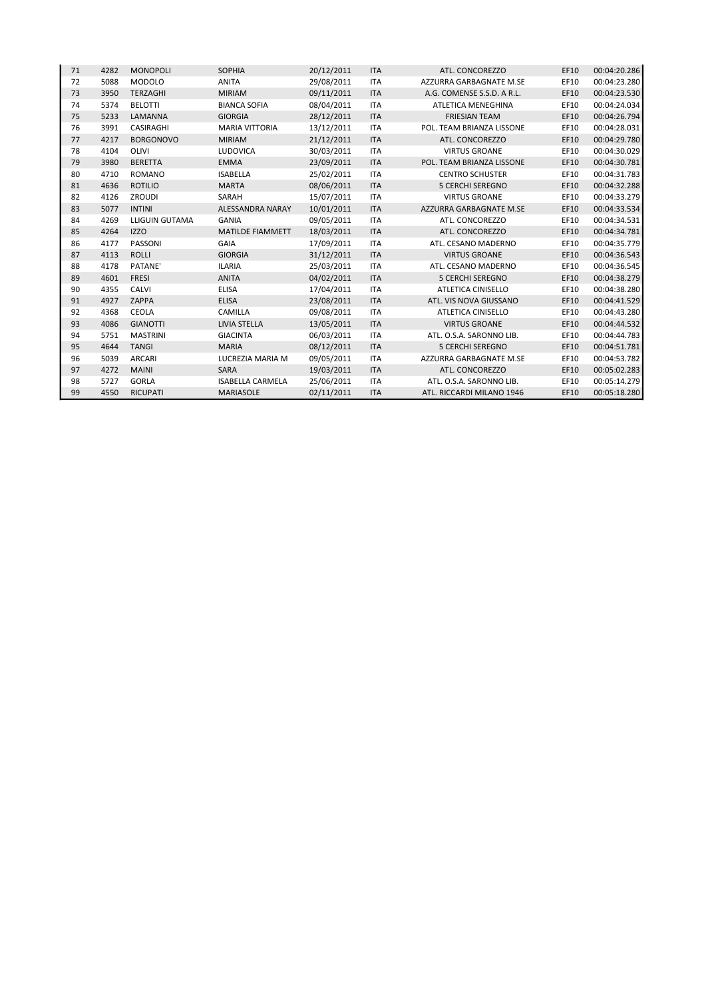| 71 | 4282 | <b>MONOPOLI</b>       | <b>SOPHIA</b>           | 20/12/2011 | <b>ITA</b> | ATL. CONCOREZZO            | EF10 | 00:04:20.286 |
|----|------|-----------------------|-------------------------|------------|------------|----------------------------|------|--------------|
| 72 | 5088 | <b>MODOLO</b>         | <b>ANITA</b>            | 29/08/2011 | <b>ITA</b> | AZZURRA GARBAGNATE M.SE    | EF10 | 00:04:23.280 |
| 73 | 3950 | TERZAGHI              | <b>MIRIAM</b>           | 09/11/2011 | <b>ITA</b> | A.G. COMENSE S.S.D. A R.L. | EF10 | 00:04:23.530 |
| 74 | 5374 | <b>BELOTTI</b>        | <b>BIANCA SOFIA</b>     | 08/04/2011 | <b>ITA</b> | ATLETICA MENEGHINA         | EF10 | 00:04:24.034 |
| 75 | 5233 | LAMANNA               | <b>GIORGIA</b>          | 28/12/2011 | <b>ITA</b> | <b>FRIESIAN TEAM</b>       | EF10 | 00:04:26.794 |
| 76 | 3991 | <b>CASIRAGHI</b>      | <b>MARIA VITTORIA</b>   | 13/12/2011 | <b>ITA</b> | POL. TEAM BRIANZA LISSONE  | EF10 | 00:04:28.031 |
| 77 | 4217 | <b>BORGONOVO</b>      | <b>MIRIAM</b>           | 21/12/2011 | <b>ITA</b> | ATL. CONCOREZZO            | EF10 | 00:04:29.780 |
| 78 | 4104 | OLIVI                 | LUDOVICA                | 30/03/2011 | <b>ITA</b> | <b>VIRTUS GROANE</b>       | EF10 | 00:04:30.029 |
| 79 | 3980 | <b>BERETTA</b>        | <b>EMMA</b>             | 23/09/2011 | <b>ITA</b> | POL. TEAM BRIANZA LISSONE  | EF10 | 00:04:30.781 |
| 80 | 4710 | <b>ROMANO</b>         | <b>ISABELLA</b>         | 25/02/2011 | <b>ITA</b> | <b>CENTRO SCHUSTER</b>     | EF10 | 00:04:31.783 |
| 81 | 4636 | <b>ROTILIO</b>        | <b>MARTA</b>            | 08/06/2011 | <b>ITA</b> | <b>5 CERCHI SEREGNO</b>    | EF10 | 00:04:32.288 |
| 82 | 4126 | <b>ZROUDI</b>         | SARAH                   | 15/07/2011 | <b>ITA</b> | <b>VIRTUS GROANE</b>       | EF10 | 00:04:33.279 |
| 83 | 5077 | <b>INTINI</b>         | ALESSANDRA NARAY        | 10/01/2011 | <b>ITA</b> | AZZURRA GARBAGNATE M.SE    | EF10 | 00:04:33.534 |
| 84 | 4269 | <b>LLIGUIN GUTAMA</b> | <b>GANIA</b>            | 09/05/2011 | <b>ITA</b> | ATL. CONCOREZZO            | EF10 | 00:04:34.531 |
| 85 | 4264 | <b>IZZO</b>           | <b>MATILDE FIAMMETT</b> | 18/03/2011 | <b>ITA</b> | ATL. CONCOREZZO            | EF10 | 00:04:34.781 |
| 86 | 4177 | PASSONI               | GAIA                    | 17/09/2011 | <b>ITA</b> | ATL. CESANO MADERNO        | EF10 | 00:04:35.779 |
| 87 | 4113 | <b>ROLLI</b>          | <b>GIORGIA</b>          | 31/12/2011 | <b>ITA</b> | <b>VIRTUS GROANE</b>       | EF10 | 00:04:36.543 |
| 88 | 4178 | PATANE'               | <b>ILARIA</b>           | 25/03/2011 | <b>ITA</b> | ATL. CESANO MADERNO        | EF10 | 00:04:36.545 |
| 89 | 4601 | <b>FRESI</b>          | <b>ANITA</b>            | 04/02/2011 | <b>ITA</b> | <b>5 CERCHI SEREGNO</b>    | EF10 | 00:04:38.279 |
| 90 | 4355 | CALVI                 | <b>ELISA</b>            | 17/04/2011 | <b>ITA</b> | ATLETICA CINISELLO         | EF10 | 00:04:38.280 |
| 91 | 4927 | ZAPPA                 | <b>ELISA</b>            | 23/08/2011 | <b>ITA</b> | ATL. VIS NOVA GIUSSANO     | EF10 | 00:04:41.529 |
| 92 | 4368 | <b>CEOLA</b>          | CAMILLA                 | 09/08/2011 | <b>ITA</b> | <b>ATLETICA CINISELLO</b>  | EF10 | 00:04:43.280 |
| 93 | 4086 | <b>GIANOTTI</b>       | LIVIA STELLA            | 13/05/2011 | <b>ITA</b> | <b>VIRTUS GROANE</b>       | EF10 | 00:04:44.532 |
| 94 | 5751 | <b>MASTRINI</b>       | <b>GIACINTA</b>         | 06/03/2011 | <b>ITA</b> | ATL. O.S.A. SARONNO LIB.   | EF10 | 00:04:44.783 |
| 95 | 4644 | <b>TANGI</b>          | <b>MARIA</b>            | 08/12/2011 | <b>ITA</b> | <b>5 CERCHI SEREGNO</b>    | EF10 | 00:04:51.781 |
| 96 | 5039 | <b>ARCARI</b>         | LUCREZIA MARIA M        | 09/05/2011 | <b>ITA</b> | AZZURRA GARBAGNATE M.SE    | EF10 | 00:04:53.782 |
| 97 | 4272 | <b>MAINI</b>          | SARA                    | 19/03/2011 | <b>ITA</b> | ATL. CONCOREZZO            | EF10 | 00:05:02.283 |
| 98 | 5727 | <b>GORLA</b>          | <b>ISABELLA CARMELA</b> | 25/06/2011 | <b>ITA</b> | ATL. O.S.A. SARONNO LIB.   | EF10 | 00:05:14.279 |
| 99 | 4550 | <b>RICUPATI</b>       | <b>MARIASOLE</b>        | 02/11/2011 | <b>ITA</b> | ATL. RICCARDI MILANO 1946  | EF10 | 00:05:18.280 |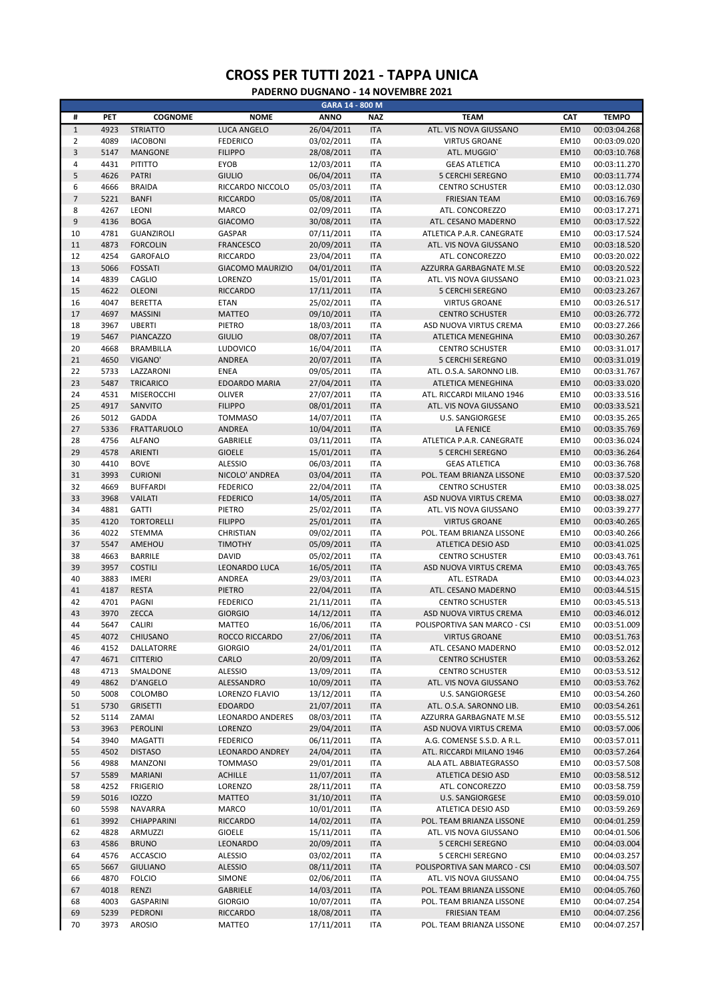|                |      |                    |                         | GARA 14 - 800 M |            |                              |             |              |
|----------------|------|--------------------|-------------------------|-----------------|------------|------------------------------|-------------|--------------|
| #              | PET  | <b>COGNOME</b>     | <b>NOME</b>             | <b>ANNO</b>     | <b>NAZ</b> | <b>TEAM</b>                  | CAT         | <b>TEMPO</b> |
| $\mathbf{1}$   | 4923 | <b>STRIATTO</b>    | <b>LUCA ANGELO</b>      | 26/04/2011      | <b>ITA</b> | ATL. VIS NOVA GIUSSANO       | <b>EM10</b> | 00:03:04.268 |
| $\overline{2}$ | 4089 | <b>IACOBONI</b>    | <b>FEDERICO</b>         | 03/02/2011      | <b>ITA</b> | <b>VIRTUS GROANE</b>         | EM10        | 00:03:09.020 |
| $\overline{3}$ | 5147 | <b>MANGONE</b>     | <b>FILIPPO</b>          | 28/08/2011      | <b>ITA</b> | ATL. MUGGIO'                 | <b>EM10</b> | 00:03:10.768 |
| $\overline{4}$ | 4431 | <b>PITITTO</b>     | EYOB                    | 12/03/2011      | <b>ITA</b> | <b>GEAS ATLETICA</b>         | EM10        | 00:03:11.270 |
| 5              | 4626 | <b>PATRI</b>       | <b>GIULIO</b>           | 06/04/2011      | <b>ITA</b> | <b>5 CERCHI SEREGNO</b>      | <b>EM10</b> | 00:03:11.774 |
| 6              | 4666 | <b>BRAIDA</b>      | RICCARDO NICCOLO        | 05/03/2011      | <b>ITA</b> | <b>CENTRO SCHUSTER</b>       | EM10        | 00:03:12.030 |
| $\overline{7}$ | 5221 | <b>BANFI</b>       | <b>RICCARDO</b>         | 05/08/2011      | <b>ITA</b> | <b>FRIESIAN TEAM</b>         | <b>EM10</b> | 00:03:16.769 |
| 8              | 4267 | LEONI              | <b>MARCO</b>            | 02/09/2011      | <b>ITA</b> | ATL. CONCOREZZO              | EM10        | 00:03:17.271 |
| $\overline{9}$ | 4136 | <b>BOGA</b>        | <b>GIACOMO</b>          | 30/08/2011      | <b>ITA</b> | ATL. CESANO MADERNO          | <b>EM10</b> | 00:03:17.522 |
| 10             | 4781 | <b>GUANZIROLI</b>  | GASPAR                  | 07/11/2011      | <b>ITA</b> | ATLETICA P.A.R. CANEGRATE    | EM10        | 00:03:17.524 |
| 11             | 4873 | <b>FORCOLIN</b>    | <b>FRANCESCO</b>        | 20/09/2011      | <b>ITA</b> | ATL. VIS NOVA GIUSSANO       | <b>EM10</b> | 00:03:18.520 |
| 12             | 4254 | <b>GAROFALO</b>    | <b>RICCARDO</b>         | 23/04/2011      | <b>ITA</b> | ATL. CONCOREZZO              | EM10        | 00:03:20.022 |
| 13             | 5066 | <b>FOSSATI</b>     | <b>GIACOMO MAURIZIO</b> | 04/01/2011      | <b>ITA</b> | AZZURRA GARBAGNATE M.SE      | <b>EM10</b> | 00:03:20.522 |
| 14             | 4839 | CAGLIO             | LORENZO                 | 15/01/2011      | <b>ITA</b> | ATL. VIS NOVA GIUSSANO       | EM10        | 00:03:21.023 |
| 15             | 4622 | <b>OLEONI</b>      | <b>RICCARDO</b>         | 17/11/2011      | <b>ITA</b> | <b>5 CERCHI SEREGNO</b>      | <b>EM10</b> | 00:03:23.267 |
| 16             | 4047 | <b>BERETTA</b>     | <b>ETAN</b>             | 25/02/2011      | <b>ITA</b> | <b>VIRTUS GROANE</b>         | EM10        | 00:03:26.517 |
| 17             | 4697 | <b>MASSINI</b>     | <b>MATTEO</b>           | 09/10/2011      | <b>ITA</b> | <b>CENTRO SCHUSTER</b>       | <b>EM10</b> | 00:03:26.772 |
| 18             | 3967 | <b>UBERTI</b>      | PIETRO                  | 18/03/2011      | <b>ITA</b> | ASD NUOVA VIRTUS CREMA       | EM10        | 00:03:27.266 |
| 19             | 5467 | <b>PIANCAZZO</b>   | <b>GIULIO</b>           | 08/07/2011      | <b>ITA</b> | ATLETICA MENEGHINA           | <b>EM10</b> | 00:03:30.267 |
| 20             | 4668 | <b>BRAMBILLA</b>   | LUDOVICO                | 16/04/2011      | <b>ITA</b> | <b>CENTRO SCHUSTER</b>       | EM10        | 00:03:31.017 |
| 21             | 4650 | VIGANO'            | <b>ANDREA</b>           | 20/07/2011      | <b>ITA</b> | <b>5 CERCHI SEREGNO</b>      | <b>EM10</b> | 00:03:31.019 |
| 22             | 5733 |                    | <b>ENEA</b>             |                 |            | ATL. O.S.A. SARONNO LIB.     | EM10        |              |
|                |      | LAZZARONI          |                         | 09/05/2011      | <b>ITA</b> |                              |             | 00:03:31.767 |
| 23             | 5487 | <b>TRICARICO</b>   | <b>EDOARDO MARIA</b>    | 27/04/2011      | <b>ITA</b> | ATLETICA MENEGHINA           | <b>EM10</b> | 00:03:33.020 |
| 24             | 4531 | MISEROCCHI         | <b>OLIVER</b>           | 27/07/2011      | <b>ITA</b> | ATL. RICCARDI MILANO 1946    | EM10        | 00:03:33.516 |
| 25             | 4917 | SANVITO            | <b>FILIPPO</b>          | 08/01/2011      | <b>ITA</b> | ATL. VIS NOVA GIUSSANO       | <b>EM10</b> | 00:03:33.521 |
| 26             | 5012 | <b>GADDA</b>       | <b>TOMMASO</b>          | 14/07/2011      | <b>ITA</b> | <b>U.S. SANGIORGESE</b>      | EM10        | 00:03:35.265 |
| 27             | 5336 | <b>FRATTARUOLO</b> | <b>ANDREA</b>           | 10/04/2011      | <b>ITA</b> | <b>LA FENICE</b>             | <b>EM10</b> | 00:03:35.769 |
| 28             | 4756 | <b>ALFANO</b>      | <b>GABRIELE</b>         | 03/11/2011      | <b>ITA</b> | ATLETICA P.A.R. CANEGRATE    | EM10        | 00:03:36.024 |
| 29             | 4578 | <b>ARIENTI</b>     | <b>GIOELE</b>           | 15/01/2011      | <b>ITA</b> | <b>5 CERCHI SEREGNO</b>      | <b>EM10</b> | 00:03:36.264 |
| 30             | 4410 | <b>BOVE</b>        | <b>ALESSIO</b>          | 06/03/2011      | <b>ITA</b> | <b>GEAS ATLETICA</b>         | EM10        | 00:03:36.768 |
| 31             | 3993 | <b>CURIONI</b>     | NICOLO' ANDREA          | 03/04/2011      | <b>ITA</b> | POL. TEAM BRIANZA LISSONE    | <b>EM10</b> | 00:03:37.520 |
| 32             | 4669 | <b>BUFFARDI</b>    | <b>FEDERICO</b>         | 22/04/2011      | <b>ITA</b> | <b>CENTRO SCHUSTER</b>       | EM10        | 00:03:38.025 |
| 33             | 3968 | <b>VAILATI</b>     | <b>FEDERICO</b>         | 14/05/2011      | <b>ITA</b> | ASD NUOVA VIRTUS CREMA       | <b>EM10</b> | 00:03:38.027 |
| 34             | 4881 | <b>GATTI</b>       | <b>PIETRO</b>           | 25/02/2011      | <b>ITA</b> | ATL. VIS NOVA GIUSSANO       | EM10        | 00:03:39.277 |
| 35             | 4120 | <b>TORTORELLI</b>  | <b>FILIPPO</b>          | 25/01/2011      | <b>ITA</b> | <b>VIRTUS GROANE</b>         | <b>EM10</b> | 00:03:40.265 |
| 36             | 4022 | <b>STEMMA</b>      | CHRISTIAN               | 09/02/2011      | <b>ITA</b> | POL. TEAM BRIANZA LISSONE    | EM10        | 00:03:40.266 |
| 37             | 5547 | AMEHOU             | <b>TIMOTHY</b>          | 05/09/2011      | <b>ITA</b> | ATLETICA DESIO ASD           | <b>EM10</b> | 00:03:41.025 |
| 38             | 4663 | <b>BARRILE</b>     | DAVID                   | 05/02/2011      | <b>ITA</b> | <b>CENTRO SCHUSTER</b>       | EM10        | 00:03:43.761 |
| 39             | 3957 | <b>COSTILI</b>     | LEONARDO LUCA           | 16/05/2011      | <b>ITA</b> | ASD NUOVA VIRTUS CREMA       | <b>EM10</b> | 00:03:43.765 |
| 40             | 3883 | <b>IMERI</b>       | ANDREA                  | 29/03/2011      | <b>ITA</b> | ATL. ESTRADA                 | EM10        | 00:03:44.023 |
| 41             | 4187 | <b>RESTA</b>       | PIETRO                  | 22/04/2011      | <b>ITA</b> | ATL. CESANO MADERNO          | <b>EM10</b> | 00:03:44.515 |
| 42             | 4701 | PAGNI              | <b>FEDERICO</b>         | 21/11/2011      | <b>ITA</b> | <b>CENTRO SCHUSTER</b>       | EM10        | 00:03:45.513 |
| 43             | 3970 | ZECCA              | <b>GIORGIO</b>          | 14/12/2011      | <b>ITA</b> | ASD NUOVA VIRTUS CREMA       | <b>EM10</b> | 00:03:46.012 |
| 44             | 5647 | CALIRI             | MATTEO                  | 16/06/2011      | <b>ITA</b> |                              | EM10        | 00:03:51.009 |
|                |      |                    |                         |                 |            | POLISPORTIVA SAN MARCO - CSI |             |              |
| 45             | 4072 | CHIUSANO           | ROCCO RICCARDO          | 27/06/2011      | <b>ITA</b> | <b>VIRTUS GROANE</b>         | EM10        | 00:03:51.763 |
| 46             | 4152 | DALLATORRE         | <b>GIORGIO</b>          | 24/01/2011      | <b>ITA</b> | ATL. CESANO MADERNO          | EM10        | 00:03:52.012 |
| 47             | 4671 | <b>CITTERIO</b>    | CARLO                   | 20/09/2011      | <b>ITA</b> | <b>CENTRO SCHUSTER</b>       | <b>EM10</b> | 00:03:53.262 |
| 48             | 4713 | SMALDONE           | <b>ALESSIO</b>          | 13/09/2011      | <b>ITA</b> | <b>CENTRO SCHUSTER</b>       | EM10        | 00:03:53.512 |
| 49             | 4862 | D'ANGELO           | ALESSANDRO              | 10/09/2011      | <b>ITA</b> | ATL. VIS NOVA GIUSSANO       | <b>EM10</b> | 00:03:53.762 |
| 50             | 5008 | COLOMBO            | LORENZO FLAVIO          | 13/12/2011      | <b>ITA</b> | <b>U.S. SANGIORGESE</b>      | EM10        | 00:03:54.260 |
| 51             | 5730 | <b>GRISETTI</b>    | <b>EDOARDO</b>          | 21/07/2011      | <b>ITA</b> | ATL. O.S.A. SARONNO LIB.     | EM10        | 00:03:54.261 |
| 52             | 5114 | ZAMAI              | <b>LEONARDO ANDERES</b> | 08/03/2011      | <b>ITA</b> | AZZURRA GARBAGNATE M.SE      | EM10        | 00:03:55.512 |
| 53             | 3963 | PEROLINI           | LORENZO                 | 29/04/2011      | <b>ITA</b> | ASD NUOVA VIRTUS CREMA       | EM10        | 00:03:57.006 |
| 54             | 3940 | MAGATTI            | <b>FEDERICO</b>         | 06/11/2011      | <b>ITA</b> | A.G. COMENSE S.S.D. A R.L.   | EM10        | 00:03:57.011 |
| 55             | 4502 | <b>DISTASO</b>     | <b>LEONARDO ANDREY</b>  | 24/04/2011      | <b>ITA</b> | ATL. RICCARDI MILANO 1946    | <b>EM10</b> | 00:03:57.264 |
| 56             | 4988 | MANZONI            | <b>TOMMASO</b>          | 29/01/2011      | <b>ITA</b> | ALA ATL. ABBIATEGRASSO       | EM10        | 00:03:57.508 |
| 57             | 5589 | MARIANI            | ACHILLE                 | 11/07/2011      | <b>ITA</b> | ATLETICA DESIO ASD           | EM10        | 00:03:58.512 |
| 58             | 4252 | <b>FRIGERIO</b>    | LORENZO                 | 28/11/2011      | <b>ITA</b> | ATL. CONCOREZZO              | EM10        | 00:03:58.759 |
| 59             | 5016 | <b>IOZZO</b>       | <b>MATTEO</b>           | 31/10/2011      | <b>ITA</b> | <b>U.S. SANGIORGESE</b>      | EM10        | 00:03:59.010 |
| 60             | 5598 | <b>NAVARRA</b>     | MARCO                   | 10/01/2011      | <b>ITA</b> | ATLETICA DESIO ASD           | EM10        | 00:03:59.269 |
| 61             | 3992 | CHIAPPARINI        | <b>RICCARDO</b>         | 14/02/2011      | <b>ITA</b> | POL. TEAM BRIANZA LISSONE    | EM10        | 00:04:01.259 |
| 62             | 4828 | ARMUZZI            | <b>GIOELE</b>           | 15/11/2011      | ITA        | ATL. VIS NOVA GIUSSANO       | EM10        | 00:04:01.506 |
| 63             | 4586 | <b>BRUNO</b>       | LEONARDO                | 20/09/2011      | <b>ITA</b> | <b>5 CERCHI SEREGNO</b>      | <b>EM10</b> | 00:04:03.004 |
| 64             | 4576 | <b>ACCASCIO</b>    | <b>ALESSIO</b>          | 03/02/2011      | <b>ITA</b> | 5 CERCHI SEREGNO             | EM10        | 00:04:03.257 |
|                |      |                    |                         |                 |            |                              |             |              |
| 65             | 5667 | <b>GIULIANO</b>    | <b>ALESSIO</b>          | 08/11/2011      | <b>ITA</b> | POLISPORTIVA SAN MARCO - CSI | EM10        | 00:04:03.507 |
| 66             | 4870 | <b>FOLCIO</b>      | <b>SIMONE</b>           | 02/06/2011      | <b>ITA</b> | ATL. VIS NOVA GIUSSANO       | EM10        | 00:04:04.755 |
| 67             | 4018 | RENZI              | GABRIELE                | 14/03/2011      | <b>ITA</b> | POL. TEAM BRIANZA LISSONE    | EM10        | 00:04:05.760 |
| 68             | 4003 | GASPARINI          | <b>GIORGIO</b>          | 10/07/2011      | <b>ITA</b> | POL. TEAM BRIANZA LISSONE    | EM10        | 00:04:07.254 |
| 69             | 5239 | PEDRONI            | <b>RICCARDO</b>         | 18/08/2011      | <b>ITA</b> | FRIESIAN TEAM                | <b>EM10</b> | 00:04:07.256 |
| 70             | 3973 | <b>AROSIO</b>      | MATTEO                  | 17/11/2011      | <b>ITA</b> | POL. TEAM BRIANZA LISSONE    | EM10        | 00:04:07.257 |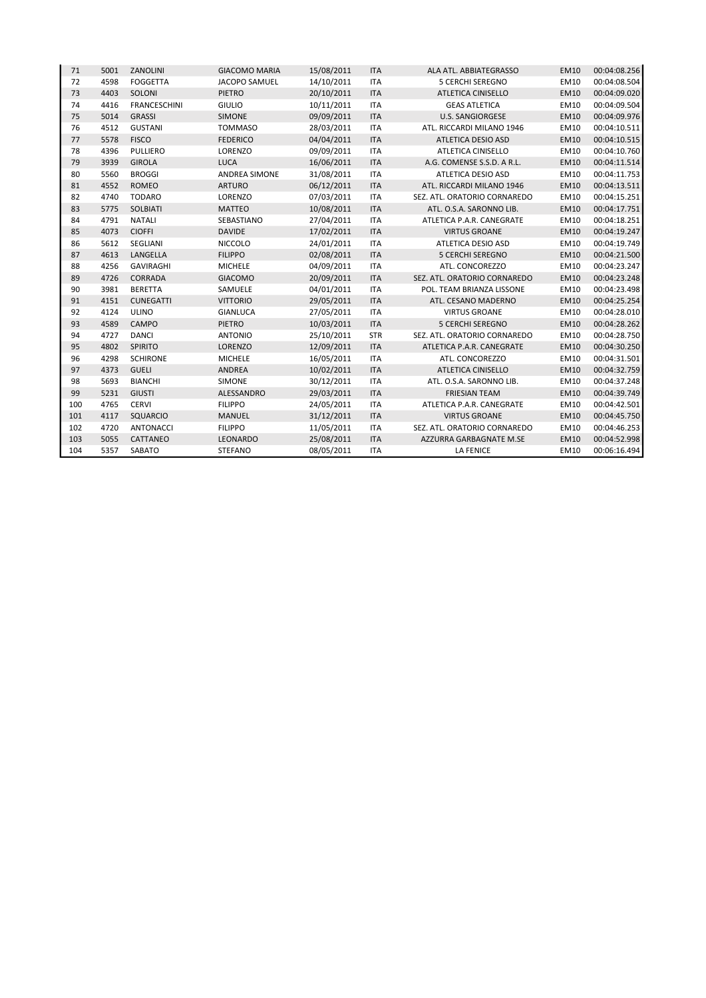| 71  | 5001 | ZANOLINI            | <b>GIACOMO MARIA</b> | 15/08/2011 | <b>ITA</b> | ALA ATL. ABBIATEGRASSO       | EM10        | 00:04:08.256 |
|-----|------|---------------------|----------------------|------------|------------|------------------------------|-------------|--------------|
| 72  | 4598 | <b>FOGGETTA</b>     | <b>JACOPO SAMUEL</b> | 14/10/2011 | <b>ITA</b> | <b>5 CERCHI SEREGNO</b>      | <b>EM10</b> | 00:04:08.504 |
| 73  | 4403 | SOLONI              | <b>PIETRO</b>        | 20/10/2011 | <b>ITA</b> | <b>ATLETICA CINISELLO</b>    | EM10        | 00:04:09.020 |
| 74  | 4416 | <b>FRANCESCHINI</b> | <b>GIULIO</b>        | 10/11/2011 | <b>ITA</b> | <b>GEAS ATLETICA</b>         | EM10        | 00:04:09.504 |
| 75  | 5014 | <b>GRASSI</b>       | <b>SIMONE</b>        | 09/09/2011 | <b>ITA</b> | U.S. SANGIORGESE             | <b>EM10</b> | 00:04:09.976 |
| 76  | 4512 | <b>GUSTANI</b>      | <b>TOMMASO</b>       | 28/03/2011 | <b>ITA</b> | ATL. RICCARDI MILANO 1946    | EM10        | 00:04:10.511 |
| 77  | 5578 | <b>FISCO</b>        | <b>FEDERICO</b>      | 04/04/2011 | <b>ITA</b> | ATLETICA DESIO ASD           | <b>EM10</b> | 00:04:10.515 |
| 78  | 4396 | PULLIERO            | LORENZO              | 09/09/2011 | <b>ITA</b> | ATLETICA CINISELLO           | EM10        | 00:04:10.760 |
| 79  | 3939 | <b>GIROLA</b>       | <b>LUCA</b>          | 16/06/2011 | <b>ITA</b> | A.G. COMENSE S.S.D. A R.L.   | <b>EM10</b> | 00:04:11.514 |
| 80  | 5560 | <b>BROGGI</b>       | ANDREA SIMONE        | 31/08/2011 | <b>ITA</b> | <b>ATLETICA DESIO ASD</b>    | EM10        | 00:04:11.753 |
| 81  | 4552 | ROMEO               | <b>ARTURO</b>        | 06/12/2011 | <b>ITA</b> | ATL. RICCARDI MILANO 1946    | <b>EM10</b> | 00:04:13.511 |
| 82  | 4740 | <b>TODARO</b>       | LORENZO              | 07/03/2011 | <b>ITA</b> | SEZ. ATL. ORATORIO CORNAREDO | <b>EM10</b> | 00:04:15.251 |
| 83  | 5775 | <b>SOLBIATI</b>     | <b>MATTEO</b>        | 10/08/2011 | <b>ITA</b> | ATL. O.S.A. SARONNO LIB.     | <b>EM10</b> | 00:04:17.751 |
| 84  | 4791 | <b>NATALI</b>       | SEBASTIANO           | 27/04/2011 | <b>ITA</b> | ATLETICA P.A.R. CANEGRATE    | EM10        | 00:04:18.251 |
| 85  | 4073 | <b>CIOFFI</b>       | <b>DAVIDE</b>        | 17/02/2011 | <b>ITA</b> | <b>VIRTUS GROANE</b>         | <b>EM10</b> | 00:04:19.247 |
| 86  | 5612 | SEGLIANI            | <b>NICCOLO</b>       | 24/01/2011 | <b>ITA</b> | ATLETICA DESIO ASD           | <b>EM10</b> | 00:04:19.749 |
| 87  | 4613 | LANGELLA            | <b>FILIPPO</b>       | 02/08/2011 | <b>ITA</b> | <b>5 CERCHI SEREGNO</b>      | <b>EM10</b> | 00:04:21.500 |
| 88  | 4256 | <b>GAVIRAGHI</b>    | <b>MICHELE</b>       | 04/09/2011 | <b>ITA</b> | ATL. CONCOREZZO              | EM10        | 00:04:23.247 |
| 89  | 4726 | CORRADA             | <b>GIACOMO</b>       | 20/09/2011 | <b>ITA</b> | SEZ. ATL. ORATORIO CORNAREDO | <b>EM10</b> | 00:04:23.248 |
| 90  | 3981 | <b>BERETTA</b>      | SAMUELE              | 04/01/2011 | <b>ITA</b> | POL. TEAM BRIANZA LISSONE    | EM10        | 00:04:23.498 |
| 91  | 4151 | <b>CUNEGATTI</b>    | <b>VITTORIO</b>      | 29/05/2011 | <b>ITA</b> | ATL. CESANO MADERNO          | <b>EM10</b> | 00:04:25.254 |
| 92  | 4124 | <b>ULINO</b>        | <b>GIANLUCA</b>      | 27/05/2011 | <b>ITA</b> | <b>VIRTUS GROANE</b>         | EM10        | 00:04:28.010 |
| 93  | 4589 | <b>CAMPO</b>        | PIETRO               | 10/03/2011 | <b>ITA</b> | <b>5 CERCHI SEREGNO</b>      | <b>EM10</b> | 00:04:28.262 |
| 94  | 4727 | <b>DANCI</b>        | <b>ANTONIO</b>       | 25/10/2011 | <b>STR</b> | SEZ. ATL. ORATORIO CORNAREDO | EM10        | 00:04:28.750 |
| 95  | 4802 | SPIRITO             | LORENZO              | 12/09/2011 | <b>ITA</b> | ATLETICA P.A.R. CANEGRATE    | <b>EM10</b> | 00:04:30.250 |
| 96  | 4298 | <b>SCHIRONE</b>     | <b>MICHELE</b>       | 16/05/2011 | <b>ITA</b> | ATL. CONCOREZZO              | <b>EM10</b> | 00:04:31.501 |
| 97  | 4373 | <b>GUELI</b>        | <b>ANDREA</b>        | 10/02/2011 | <b>ITA</b> | <b>ATLETICA CINISELLO</b>    | <b>EM10</b> | 00:04:32.759 |
| 98  | 5693 | <b>BIANCHI</b>      | SIMONE               | 30/12/2011 | <b>ITA</b> | ATL. O.S.A. SARONNO LIB.     | EM10        | 00:04:37.248 |
| 99  | 5231 | <b>GIUSTI</b>       | ALESSANDRO           | 29/03/2011 | <b>ITA</b> | <b>FRIESIAN TEAM</b>         | <b>EM10</b> | 00:04:39.749 |
| 100 | 4765 | <b>CERVI</b>        | <b>FILIPPO</b>       | 24/05/2011 | <b>ITA</b> | ATLETICA P.A.R. CANEGRATE    | EM10        | 00:04:42.501 |
| 101 | 4117 | <b>SQUARCIO</b>     | <b>MANUEL</b>        | 31/12/2011 | <b>ITA</b> | <b>VIRTUS GROANE</b>         | <b>EM10</b> | 00:04:45.750 |
| 102 | 4720 | <b>ANTONACCI</b>    | <b>FILIPPO</b>       | 11/05/2011 | <b>ITA</b> | SEZ. ATL. ORATORIO CORNAREDO | <b>EM10</b> | 00:04:46.253 |
| 103 | 5055 | CATTANEO            | LEONARDO             | 25/08/2011 | <b>ITA</b> | AZZURRA GARBAGNATE M.SE      | <b>EM10</b> | 00:04:52.998 |
| 104 | 5357 | SABATO              | <b>STEFANO</b>       | 08/05/2011 | <b>ITA</b> | <b>LA FENICE</b>             | EM10        | 00:06:16.494 |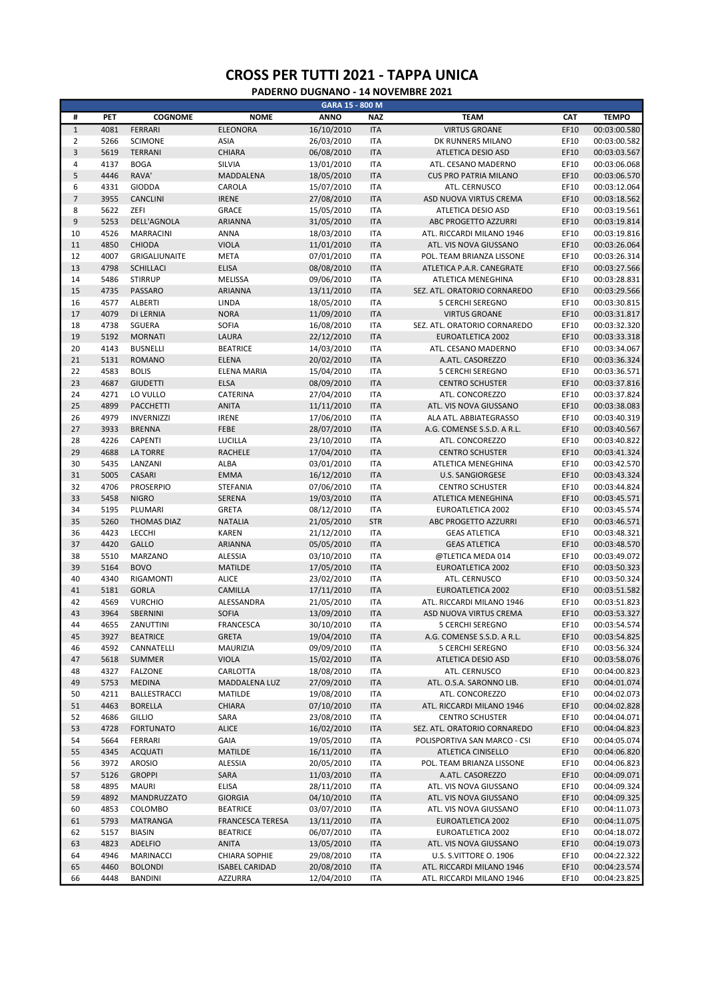|                  |      |                     |                         | GARA 15 - 800 M |            |                              |      |              |
|------------------|------|---------------------|-------------------------|-----------------|------------|------------------------------|------|--------------|
| #                | PET  | <b>COGNOME</b>      | <b>NOME</b>             | <b>ANNO</b>     | <b>NAZ</b> | <b>TEAM</b>                  | CAT  | <b>TEMPO</b> |
| $\,1\,$          | 4081 | <b>FERRARI</b>      | <b>ELEONORA</b>         | 16/10/2010      | <b>ITA</b> | <b>VIRTUS GROANE</b>         | EF10 | 00:03:00.580 |
| $\overline{2}$   | 5266 | <b>SCIMONE</b>      | <b>ASIA</b>             | 26/03/2010      | <b>ITA</b> | DK RUNNERS MILANO            | EF10 | 00:03:00.582 |
| $\mathsf 3$      | 5619 | <b>TERRANI</b>      | <b>CHIARA</b>           | 06/08/2010      | <b>ITA</b> | ATLETICA DESIO ASD           | EF10 | 00:03:03.567 |
| $\overline{4}$   | 4137 | <b>BOGA</b>         | SILVIA                  | 13/01/2010      | <b>ITA</b> | ATL. CESANO MADERNO          | EF10 | 00:03:06.068 |
| 5                | 4446 | RAVA'               | MADDALENA               | 18/05/2010      | <b>ITA</b> | <b>CUS PRO PATRIA MILANO</b> | EF10 | 00:03:06.570 |
| 6                | 4331 | <b>GIODDA</b>       | CAROLA                  | 15/07/2010      | <b>ITA</b> | ATL. CERNUSCO                | EF10 | 00:03:12.064 |
| $\overline{7}$   | 3955 | CANCLINI            | <b>IRENE</b>            | 27/08/2010      | <b>ITA</b> | ASD NUOVA VIRTUS CREMA       | EF10 | 00:03:18.562 |
| 8                | 5622 | ZEFI                | <b>GRACE</b>            | 15/05/2010      | <b>ITA</b> | ATLETICA DESIO ASD           | EF10 | 00:03:19.561 |
| $\boldsymbol{9}$ | 5253 | DELL'AGNOLA         | ARIANNA                 | 31/05/2010      | <b>ITA</b> | ABC PROGETTO AZZURRI         | EF10 | 00:03:19.814 |
| 10               | 4526 | <b>MARRACINI</b>    | <b>ANNA</b>             | 18/03/2010      | <b>ITA</b> | ATL. RICCARDI MILANO 1946    | EF10 | 00:03:19.816 |
| 11               | 4850 | <b>CHIODA</b>       | <b>VIOLA</b>            | 11/01/2010      | <b>ITA</b> | ATL. VIS NOVA GIUSSANO       | EF10 | 00:03:26.064 |
| 12               | 4007 | GRIGALIUNAITE       | <b>META</b>             | 07/01/2010      | <b>ITA</b> | POL. TEAM BRIANZA LISSONE    | EF10 | 00:03:26.314 |
| 13               | 4798 | <b>SCHILLACI</b>    | <b>ELISA</b>            | 08/08/2010      | <b>ITA</b> | ATLETICA P.A.R. CANEGRATE    | EF10 | 00:03:27.566 |
| 14               | 5486 | <b>STIRRUP</b>      | MELISSA                 | 09/06/2010      | <b>ITA</b> |                              | EF10 | 00:03:28.831 |
| 15               |      |                     |                         |                 |            | ATLETICA MENEGHINA           |      |              |
|                  | 4735 | PASSARO             | ARIANNA                 | 13/11/2010      | <b>ITA</b> | SEZ. ATL. ORATORIO CORNAREDO | EF10 | 00:03:29.566 |
| 16               | 4577 | <b>ALBERTI</b>      | LINDA                   | 18/05/2010      | <b>ITA</b> | 5 CERCHI SEREGNO             | EF10 | 00:03:30.815 |
| 17               | 4079 | DI LERNIA           | <b>NORA</b>             | 11/09/2010      | <b>ITA</b> | <b>VIRTUS GROANE</b>         | EF10 | 00:03:31.817 |
| 18               | 4738 | SGUERA              | <b>SOFIA</b>            | 16/08/2010      | <b>ITA</b> | SEZ. ATL. ORATORIO CORNAREDO | EF10 | 00:03:32.320 |
| 19               | 5192 | <b>MORNATI</b>      | LAURA                   | 22/12/2010      | <b>ITA</b> | <b>EUROATLETICA 2002</b>     | EF10 | 00:03:33.318 |
| 20               | 4143 | <b>BUSNELLI</b>     | <b>BEATRICE</b>         | 14/03/2010      | <b>ITA</b> | ATL. CESANO MADERNO          | EF10 | 00:03:34.067 |
| 21               | 5131 | <b>ROMANO</b>       | <b>ELENA</b>            | 20/02/2010      | <b>ITA</b> | A.ATL. CASOREZZO             | EF10 | 00:03:36.324 |
| 22               | 4583 | <b>BOLIS</b>        | ELENA MARIA             | 15/04/2010      | <b>ITA</b> | <b>5 CERCHI SEREGNO</b>      | EF10 | 00:03:36.571 |
| 23               | 4687 | <b>GIUDETTI</b>     | <b>ELSA</b>             | 08/09/2010      | <b>ITA</b> | <b>CENTRO SCHUSTER</b>       | EF10 | 00:03:37.816 |
| 24               | 4271 | LO VULLO            | CATERINA                | 27/04/2010      | <b>ITA</b> | ATL. CONCOREZZO              | EF10 | 00:03:37.824 |
| 25               | 4899 | PACCHETTI           | <b>ANITA</b>            | 11/11/2010      | <b>ITA</b> | ATL. VIS NOVA GIUSSANO       | EF10 | 00:03:38.083 |
| 26               | 4979 | <b>INVERNIZZI</b>   | <b>IRENE</b>            | 17/06/2010      | <b>ITA</b> | ALA ATL. ABBIATEGRASSO       | EF10 | 00:03:40.319 |
| 27               | 3933 | <b>BRENNA</b>       | FEBE                    | 28/07/2010      | <b>ITA</b> | A.G. COMENSE S.S.D. A R.L.   | EF10 | 00:03:40.567 |
| 28               | 4226 | <b>CAPENTI</b>      | LUCILLA                 | 23/10/2010      | <b>ITA</b> | ATL. CONCOREZZO              | EF10 | 00:03:40.822 |
| 29               | 4688 | <b>LA TORRE</b>     | <b>RACHELE</b>          | 17/04/2010      | <b>ITA</b> | <b>CENTRO SCHUSTER</b>       | EF10 | 00:03:41.324 |
| 30               | 5435 | LANZANI             | ALBA                    | 03/01/2010      | <b>ITA</b> | ATLETICA MENEGHINA           | EF10 | 00:03:42.570 |
| 31               | 5005 | CASARI              | <b>EMMA</b>             | 16/12/2010      | <b>ITA</b> | <b>U.S. SANGIORGESE</b>      | EF10 | 00:03:43.324 |
| 32               | 4706 | <b>PROSERPIO</b>    | STEFANIA                | 07/06/2010      | <b>ITA</b> | <b>CENTRO SCHUSTER</b>       | EF10 | 00:03:44.824 |
| 33               | 5458 | <b>NIGRO</b>        | SERENA                  | 19/03/2010      | <b>ITA</b> | ATLETICA MENEGHINA           | EF10 | 00:03:45.571 |
| 34               | 5195 | PLUMARI             | <b>GRETA</b>            | 08/12/2010      | <b>ITA</b> | EUROATLETICA 2002            | EF10 | 00:03:45.574 |
| 35               | 5260 | <b>THOMAS DIAZ</b>  | <b>NATALIA</b>          | 21/05/2010      | <b>STR</b> | ABC PROGETTO AZZURRI         | EF10 | 00:03:46.571 |
| 36               | 4423 | LECCHI              | <b>KAREN</b>            | 21/12/2010      | <b>ITA</b> | <b>GEAS ATLETICA</b>         | EF10 | 00:03:48.321 |
| 37               | 4420 | GALLO               |                         |                 |            |                              | EF10 |              |
|                  |      |                     | ARIANNA                 | 05/05/2010      | <b>ITA</b> | <b>GEAS ATLETICA</b>         |      | 00:03:48.570 |
| 38               | 5510 | MARZANO             | ALESSIA                 | 03/10/2010      | <b>ITA</b> | @TLETICA MEDA 014            | EF10 | 00:03:49.072 |
| 39               | 5164 | <b>BOVO</b>         | <b>MATILDE</b>          | 17/05/2010      | <b>ITA</b> | EUROATLETICA 2002            | EF10 | 00:03:50.323 |
| 40               | 4340 | RIGAMONTI           | <b>ALICE</b>            | 23/02/2010      | <b>ITA</b> | ATL. CERNUSCO                | EF10 | 00:03:50.324 |
| 41               | 5181 | <b>GORLA</b>        | CAMILLA                 | 17/11/2010      | <b>ITA</b> | <b>EUROATLETICA 2002</b>     | EF10 | 00:03:51.582 |
| 42               | 4569 | <b>VURCHIO</b>      | ALESSANDRA              | 21/05/2010      | <b>ITA</b> | ATL. RICCARDI MILANO 1946    | EF10 | 00:03:51.823 |
| 43               | 3964 | SBERNINI            | <b>SOFIA</b>            | 13/09/2010      | <b>ITA</b> | ASD NUOVA VIRTUS CREMA       | EF10 | 00:03:53.327 |
| 44               | 4655 | ZANUTTINI           | <b>FRANCESCA</b>        | 30/10/2010      | <b>ITA</b> | <b>5 CERCHI SEREGNO</b>      | EF10 | 00:03:54.574 |
| 45               | 3927 | <b>BEATRICE</b>     | <b>GRETA</b>            | 19/04/2010      | <b>ITA</b> | A.G. COMENSE S.S.D. A R.L.   | EF10 | 00:03:54.825 |
| 46               | 4592 | CANNATELLI          | MAURIZIA                | 09/09/2010      | <b>ITA</b> | 5 CERCHI SEREGNO             | EF10 | 00:03:56.324 |
| 47               | 5618 | SUMMER              | <b>VIOLA</b>            | 15/02/2010      | <b>ITA</b> | ATLETICA DESIO ASD           | EF10 | 00:03:58.076 |
| 48               | 4327 | <b>FALZONE</b>      | CARLOTTA                | 18/08/2010      | <b>ITA</b> | ATL. CERNUSCO                | EF10 | 00:04:00.823 |
| 49               | 5753 | <b>MEDINA</b>       | MADDALENA LUZ           | 27/09/2010      | <b>ITA</b> | ATL. O.S.A. SARONNO LIB.     | EF10 | 00:04:01.074 |
| 50               | 4211 | <b>BALLESTRACCI</b> | MATILDE                 | 19/08/2010      | <b>ITA</b> | ATL. CONCOREZZO              | EF10 | 00:04:02.073 |
| 51               | 4463 | <b>BORELLA</b>      | CHIARA                  | 07/10/2010      | <b>ITA</b> | ATL. RICCARDI MILANO 1946    | EF10 | 00:04:02.828 |
| 52               | 4686 | <b>GILLIO</b>       | SARA                    | 23/08/2010      | ITA        | <b>CENTRO SCHUSTER</b>       | EF10 | 00:04:04.071 |
| 53               | 4728 | <b>FORTUNATO</b>    | <b>ALICE</b>            | 16/02/2010      | <b>ITA</b> | SEZ. ATL. ORATORIO CORNAREDO | EF10 | 00:04:04.823 |
| 54               | 5664 | <b>FERRARI</b>      | <b>GAIA</b>             | 19/05/2010      | <b>ITA</b> | POLISPORTIVA SAN MARCO - CSI | EF10 | 00:04:05.074 |
| 55               | 4345 | <b>ACQUATI</b>      | <b>MATILDE</b>          | 16/11/2010      | <b>ITA</b> | <b>ATLETICA CINISELLO</b>    | EF10 | 00:04:06.820 |
| 56               | 3972 | <b>AROSIO</b>       | ALESSIA                 | 20/05/2010      | ITA        | POL. TEAM BRIANZA LISSONE    | EF10 | 00:04:06.823 |
| 57               | 5126 | <b>GROPPI</b>       | SARA                    | 11/03/2010      | <b>ITA</b> | A.ATL. CASOREZZO             | EF10 | 00:04:09.071 |
| 58               | 4895 | <b>MAURI</b>        | ELISA                   | 28/11/2010      | <b>ITA</b> | ATL. VIS NOVA GIUSSANO       | EF10 | 00:04:09.324 |
| 59               | 4892 | MANDRUZZATO         | <b>GIORGIA</b>          | 04/10/2010      | <b>ITA</b> | ATL. VIS NOVA GIUSSANO       | EF10 | 00:04:09.325 |
| 60               | 4853 | COLOMBO             | <b>BEATRICE</b>         | 03/07/2010      | <b>ITA</b> | ATL. VIS NOVA GIUSSANO       | EF10 | 00:04:11.073 |
| 61               | 5793 | MATRANGA            | <b>FRANCESCA TERESA</b> | 13/11/2010      | <b>ITA</b> | EUROATLETICA 2002            | EF10 | 00:04:11.075 |
| 62               | 5157 | <b>BIASIN</b>       | <b>BEATRICE</b>         | 06/07/2010      | <b>ITA</b> | EUROATLETICA 2002            | EF10 | 00:04:18.072 |
| 63               | 4823 | <b>ADELFIO</b>      | <b>ANITA</b>            | 13/05/2010      | <b>ITA</b> | ATL. VIS NOVA GIUSSANO       | EF10 | 00:04:19.073 |
|                  | 4946 | MARINACCI           | <b>CHIARA SOPHIE</b>    | 29/08/2010      |            | U.S. S.VITTORE O. 1906       |      | 00:04:22.322 |
| 64               | 4460 |                     |                         |                 | <b>ITA</b> |                              | EF10 |              |
| 65               |      | <b>BOLONDI</b>      | <b>ISABEL CARIDAD</b>   | 20/08/2010      | <b>ITA</b> | ATL. RICCARDI MILANO 1946    | EF10 | 00:04:23.574 |
| 66               | 4448 | <b>BANDINI</b>      | <b>AZZURRA</b>          | 12/04/2010      | <b>ITA</b> | ATL. RICCARDI MILANO 1946    | EF10 | 00:04:23.825 |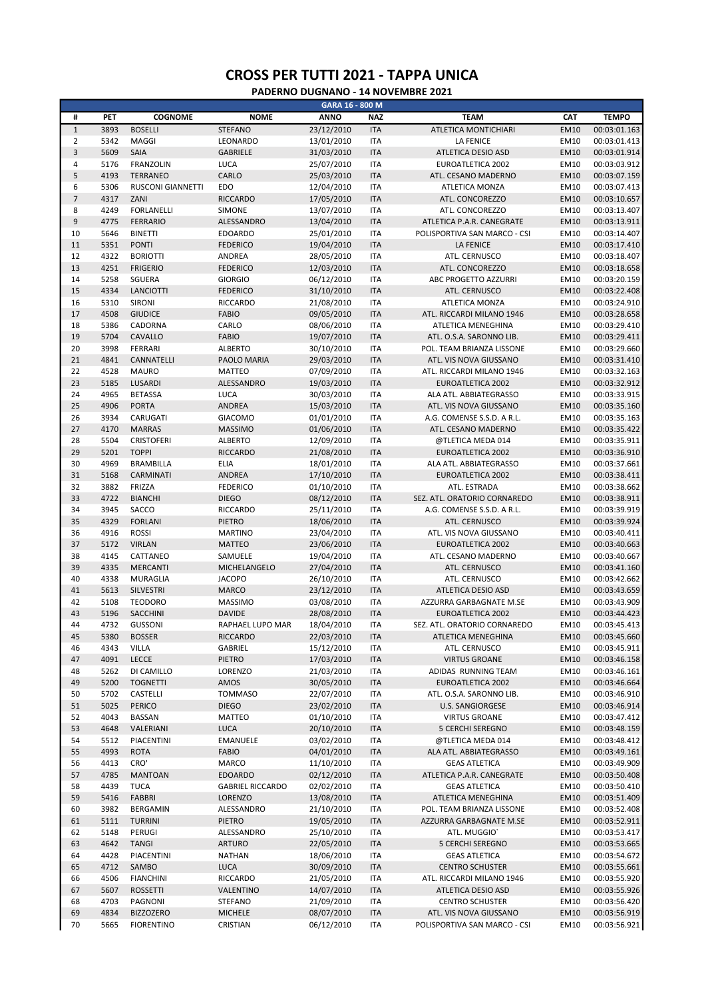|                      |              |                                |                                   | GARA 16 - 800 M          |                          |                                                    |                     |                              |
|----------------------|--------------|--------------------------------|-----------------------------------|--------------------------|--------------------------|----------------------------------------------------|---------------------|------------------------------|
| #                    | PET          | <b>COGNOME</b>                 | <b>NOME</b>                       | <b>ANNO</b>              | <b>NAZ</b>               | <b>TEAM</b>                                        | CAT                 | <b>TEMPO</b>                 |
| $\mathbf 1$          | 3893         | <b>BOSELLI</b>                 | <b>STEFANO</b>                    | 23/12/2010               | <b>ITA</b>               | ATLETICA MONTICHIARI                               | <b>EM10</b>         | 00:03:01.163                 |
| $\overline{2}$       | 5342         | MAGGI                          | LEONARDO                          | 13/01/2010               | <b>ITA</b>               | <b>LA FENICE</b>                                   | EM10                | 00:03:01.413                 |
| $\overline{3}$       | 5609         | SAIA                           | <b>GABRIELE</b>                   | 31/03/2010               | <b>ITA</b>               | ATLETICA DESIO ASD                                 | <b>EM10</b>         | 00:03:01.914                 |
| $\overline{4}$       | 5176         | <b>FRANZOLIN</b>               | <b>LUCA</b>                       | 25/07/2010               | <b>ITA</b>               | <b>EUROATLETICA 2002</b>                           | EM10                | 00:03:03.912                 |
| 5                    | 4193         | <b>TERRANEO</b>                | CARLO                             | 25/03/2010               | <b>ITA</b>               | ATL. CESANO MADERNO                                | <b>EM10</b>         | 00:03:07.159                 |
| 6                    | 5306         | <b>RUSCONI GIANNETTI</b>       | <b>EDO</b>                        | 12/04/2010               | <b>ITA</b>               | ATLETICA MONZA                                     | EM10                | 00:03:07.413                 |
| $\overline{7}$       | 4317         | ZANI                           | <b>RICCARDO</b>                   | 17/05/2010               | <b>ITA</b>               | ATL. CONCOREZZO                                    | <b>EM10</b>         | 00:03:10.657                 |
| 8                    | 4249         | <b>FORLANELLI</b>              | <b>SIMONE</b>                     | 13/07/2010               | <b>ITA</b>               | ATL. CONCOREZZO                                    | EM10                | 00:03:13.407                 |
| $\overline{9}$<br>10 | 4775<br>5646 | <b>FERRARIO</b>                | <b>ALESSANDRO</b>                 | 13/04/2010               | <b>ITA</b>               | ATLETICA P.A.R. CANEGRATE                          | <b>EM10</b><br>EM10 | 00:03:13.911                 |
| 11                   | 5351         | <b>BINETTI</b><br><b>PONTI</b> | <b>EDOARDO</b><br><b>FEDERICO</b> | 25/01/2010<br>19/04/2010 | <b>ITA</b><br><b>ITA</b> | POLISPORTIVA SAN MARCO - CSI<br><b>LA FENICE</b>   | <b>EM10</b>         | 00:03:14.407<br>00:03:17.410 |
| 12                   | 4322         | <b>BORIOTTI</b>                | ANDREA                            | 28/05/2010               | <b>ITA</b>               | ATL. CERNUSCO                                      | EM10                | 00:03:18.407                 |
| 13                   | 4251         | <b>FRIGERIO</b>                | <b>FEDERICO</b>                   | 12/03/2010               | <b>ITA</b>               | ATL. CONCOREZZO                                    | <b>EM10</b>         | 00:03:18.658                 |
| 14                   | 5258         | SGUERA                         | <b>GIORGIO</b>                    | 06/12/2010               | <b>ITA</b>               | ABC PROGETTO AZZURRI                               | EM10                | 00:03:20.159                 |
| 15                   | 4334         | <b>LANCIOTTI</b>               | <b>FEDERICO</b>                   | 31/10/2010               | <b>ITA</b>               | ATL. CERNUSCO                                      | EM10                | 00:03:22.408                 |
| 16                   | 5310         | <b>SIRONI</b>                  | RICCARDO                          | 21/08/2010               | <b>ITA</b>               | ATLETICA MONZA                                     | EM10                | 00:03:24.910                 |
| 17                   | 4508         | <b>GIUDICE</b>                 | <b>FABIO</b>                      | 09/05/2010               | <b>ITA</b>               | ATL. RICCARDI MILANO 1946                          | EM10                | 00:03:28.658                 |
| 18                   | 5386         | CADORNA                        | CARLO                             | 08/06/2010               | <b>ITA</b>               | ATLETICA MENEGHINA                                 | EM10                | 00:03:29.410                 |
| 19                   | 5704         | CAVALLO                        | <b>FABIO</b>                      | 19/07/2010               | <b>ITA</b>               | ATL. O.S.A. SARONNO LIB.                           | <b>EM10</b>         | 00:03:29.411                 |
| 20                   | 3998         | FERRARI                        | <b>ALBERTO</b>                    | 30/10/2010               | <b>ITA</b>               | POL. TEAM BRIANZA LISSONE                          | EM10                | 00:03:29.660                 |
| 21                   | 4841         | CANNATELLI                     | PAOLO MARIA                       | 29/03/2010               | <b>ITA</b>               | ATL. VIS NOVA GIUSSANO                             | <b>EM10</b>         | 00:03:31.410                 |
| 22                   | 4528         | <b>MAURO</b>                   | <b>MATTEO</b>                     | 07/09/2010               | <b>ITA</b>               | ATL. RICCARDI MILANO 1946                          | EM10                | 00:03:32.163                 |
| 23                   | 5185         | LUSARDI                        | ALESSANDRO                        | 19/03/2010               | <b>ITA</b>               | <b>EUROATLETICA 2002</b>                           | EM10                | 00:03:32.912                 |
| 24                   | 4965         | <b>BETASSA</b>                 | LUCA                              | 30/03/2010               | <b>ITA</b>               | ALA ATL. ABBIATEGRASSO                             | EM10                | 00:03:33.915                 |
| 25                   | 4906         | <b>PORTA</b>                   | <b>ANDREA</b>                     | 15/03/2010               | <b>ITA</b>               | ATL. VIS NOVA GIUSSANO                             | EM10                | 00:03:35.160                 |
| 26                   | 3934         | CARUGATI                       | <b>GIACOMO</b>                    | 01/01/2010               | <b>ITA</b>               | A.G. COMENSE S.S.D. A R.L.                         | EM10                | 00:03:35.163                 |
| 27                   | 4170         | <b>MARRAS</b>                  | <b>MASSIMO</b>                    | 01/06/2010               | <b>ITA</b>               | ATL. CESANO MADERNO                                | <b>EM10</b>         | 00:03:35.422                 |
| 28                   | 5504         | <b>CRISTOFERI</b>              | <b>ALBERTO</b>                    | 12/09/2010               | <b>ITA</b>               | @TLETICA MEDA 014                                  | EM10                | 00:03:35.911                 |
| 29                   | 5201         | <b>TOPPI</b>                   | <b>RICCARDO</b>                   | 21/08/2010               | <b>ITA</b>               | EUROATLETICA 2002                                  | <b>EM10</b>         | 00:03:36.910                 |
| 30                   | 4969         | <b>BRAMBILLA</b>               | ELIA                              | 18/01/2010               | <b>ITA</b>               | ALA ATL. ABBIATEGRASSO                             | EM10                | 00:03:37.661                 |
| 31                   | 5168         | CARMINATI                      | ANDREA                            | 17/10/2010               | <b>ITA</b>               | EUROATLETICA 2002                                  | <b>EM10</b>         | 00:03:38.411                 |
| 32                   | 3882         | FRIZZA                         | <b>FEDERICO</b>                   | 01/10/2010               | <b>ITA</b>               | ATL. ESTRADA                                       | EM10                | 00:03:38.662                 |
| 33                   | 4722         | <b>BIANCHI</b>                 | <b>DIEGO</b>                      | 08/12/2010               | <b>ITA</b>               | SEZ. ATL. ORATORIO CORNAREDO                       | <b>EM10</b>         | 00:03:38.911                 |
| 34<br>35             | 3945<br>4329 | SACCO<br><b>FORLANI</b>        | RICCARDO<br><b>PIETRO</b>         | 25/11/2010               | <b>ITA</b><br><b>ITA</b> | A.G. COMENSE S.S.D. A R.L.                         | EM10<br><b>EM10</b> | 00:03:39.919                 |
| 36                   | 4916         | <b>ROSSI</b>                   | <b>MARTINO</b>                    | 18/06/2010<br>23/04/2010 | <b>ITA</b>               | ATL. CERNUSCO                                      | EM10                | 00:03:39.924<br>00:03:40.411 |
| 37                   | 5172         | <b>VIRLAN</b>                  | <b>MATTEO</b>                     | 23/06/2010               | <b>ITA</b>               | ATL. VIS NOVA GIUSSANO<br><b>EUROATLETICA 2002</b> | <b>EM10</b>         | 00:03:40.663                 |
| 38                   | 4145         | CATTANEO                       | SAMUELE                           | 19/04/2010               | <b>ITA</b>               | ATL. CESANO MADERNO                                | EM10                | 00:03:40.667                 |
| 39                   | 4335         | <b>MERCANTI</b>                | MICHELANGELO                      | 27/04/2010               | <b>ITA</b>               | ATL. CERNUSCO                                      | <b>EM10</b>         | 00:03:41.160                 |
| 40                   | 4338         | <b>MURAGLIA</b>                | <b>JACOPO</b>                     | 26/10/2010               | <b>ITA</b>               | ATL. CERNUSCO                                      | EM10                | 00:03:42.662                 |
| 41                   | 5613         | SILVESTRI                      | <b>MARCO</b>                      | 23/12/2010               | <b>ITA</b>               | ATLETICA DESIO ASD                                 | <b>EM10</b>         | 00:03:43.659                 |
| 42                   | 5108         | <b>TEODORO</b>                 | <b>MASSIMO</b>                    | 03/08/2010               | <b>ITA</b>               | AZZURRA GARBAGNATE M.SE                            | EM10                | 00:03:43.909                 |
| 43                   | 5196         | SACCHINI                       | <b>DAVIDE</b>                     | 28/08/2010               | <b>ITA</b>               | <b>EUROATLETICA 2002</b>                           | <b>EM10</b>         | 00:03:44.423                 |
| 44                   | 4732         | <b>GUSSONI</b>                 | RAPHAEL LUPO MAR                  | 18/04/2010               | <b>ITA</b>               | SEZ. ATL. ORATORIO CORNAREDO                       | EM10                | 00:03:45.413                 |
| 45                   | 5380         | <b>BOSSER</b>                  | <b>RICCARDO</b>                   | 22/03/2010               | <b>ITA</b>               | ATLETICA MENEGHINA                                 | EM10                | 00:03:45.660                 |
| 46                   | 4343         | <b>VILLA</b>                   | GABRIEL                           | 15/12/2010               | <b>ITA</b>               | ATL. CERNUSCO                                      | EM10                | 00:03:45.911                 |
| 47                   | 4091         | <b>LECCE</b>                   | PIETRO                            | 17/03/2010               | <b>ITA</b>               | <b>VIRTUS GROANE</b>                               | EM10                | 00:03:46.158                 |
| 48                   | 5262         | DI CAMILLO                     | LORENZO                           | 21/03/2010               | <b>ITA</b>               | ADIDAS RUNNING TEAM                                | EM10                | 00:03:46.161                 |
| 49                   | 5200         | <b>TOGNETTI</b>                | AMOS                              | 30/05/2010               | <b>ITA</b>               | EUROATLETICA 2002                                  | EM10                | 00:03:46.664                 |
| 50                   | 5702         | <b>CASTELLI</b>                | <b>TOMMASO</b>                    | 22/07/2010               | <b>ITA</b>               | ATL. O.S.A. SARONNO LIB.                           | EM10                | 00:03:46.910                 |
| 51                   | 5025         | <b>PERICO</b>                  | <b>DIEGO</b>                      | 23/02/2010               | <b>ITA</b>               | <b>U.S. SANGIORGESE</b>                            | EM10                | 00:03:46.914                 |
| 52                   | 4043         | BASSAN                         | MATTEO                            | 01/10/2010               | <b>ITA</b>               | <b>VIRTUS GROANE</b>                               | EM10                | 00:03:47.412                 |
| 53                   | 4648         | VALERIANI                      | <b>LUCA</b>                       | 20/10/2010               | <b>ITA</b>               | 5 CERCHI SEREGNO                                   | EM10                | 00:03:48.159                 |
| 54                   | 5512         | PIACENTINI                     | EMANUELE                          | 03/02/2010               | <b>ITA</b>               | @TLETICA MEDA 014                                  | EM10                | 00:03:48.412                 |
| 55                   | 4993         | <b>ROTA</b>                    | <b>FABIO</b>                      | 04/01/2010               | <b>ITA</b>               | ALA ATL. ABBIATEGRASSO                             | EM10                | 00:03:49.161                 |
| 56                   | 4413         | CRO'                           | <b>MARCO</b>                      | 11/10/2010               | <b>ITA</b>               | <b>GEAS ATLETICA</b>                               | EM10                | 00:03:49.909                 |
| 57                   | 4785         | <b>MANTOAN</b>                 | <b>EDOARDO</b>                    | 02/12/2010               | <b>ITA</b>               | ATLETICA P.A.R. CANEGRATE                          | EM10                | 00:03:50.408                 |
| 58                   | 4439         | <b>TUCA</b>                    | <b>GABRIEL RICCARDO</b>           | 02/02/2010               | <b>ITA</b>               | <b>GEAS ATLETICA</b>                               | EM10                | 00:03:50.410                 |
| 59                   | 5416         | <b>FABBRI</b>                  | LORENZO                           | 13/08/2010               | <b>ITA</b>               | ATLETICA MENEGHINA                                 | EM10                | 00:03:51.409                 |
| 60                   | 3982<br>5111 | BERGAMIN                       | ALESSANDRO                        | 21/10/2010               | <b>ITA</b>               | POL. TEAM BRIANZA LISSONE                          | EM10                | 00:03:52.408                 |
| 61<br>62             | 5148         | <b>TURRINI</b><br>PERUGI       | <b>PIETRO</b><br>ALESSANDRO       | 19/05/2010<br>25/10/2010 | <b>ITA</b><br><b>ITA</b> | AZZURRA GARBAGNATE M.SE<br>ATL. MUGGIO'            | EM10<br>EM10        | 00:03:52.911<br>00:03:53.417 |
| 63                   | 4642         | <b>TANGI</b>                   | <b>ARTURO</b>                     | 22/05/2010               | <b>ITA</b>               |                                                    | EM10                | 00:03:53.665                 |
| 64                   | 4428         | PIACENTINI                     | <b>NATHAN</b>                     | 18/06/2010               | <b>ITA</b>               | 5 CERCHI SEREGNO                                   | EM10                |                              |
| 65                   | 4712         | SAMBO                          | <b>LUCA</b>                       | 30/09/2010               | <b>ITA</b>               | <b>GEAS ATLETICA</b><br><b>CENTRO SCHUSTER</b>     | EM10                | 00:03:54.672<br>00:03:55.661 |
| 66                   | 4506         | <b>FIANCHINI</b>               | RICCARDO                          | 21/05/2010               | <b>ITA</b>               | ATL. RICCARDI MILANO 1946                          | EM10                | 00:03:55.920                 |
| 67                   | 5607         | <b>ROSSETTI</b>                | VALENTINO                         | 14/07/2010               | <b>ITA</b>               | ATLETICA DESIO ASD                                 | EM10                | 00:03:55.926                 |
| 68                   | 4703         | PAGNONI                        | <b>STEFANO</b>                    | 21/09/2010               | ITA                      | <b>CENTRO SCHUSTER</b>                             | EM10                | 00:03:56.420                 |
| 69                   | 4834         | <b>BIZZOZERO</b>               | <b>MICHELE</b>                    | 08/07/2010               | <b>ITA</b>               | ATL. VIS NOVA GIUSSANO                             | EM10                | 00:03:56.919                 |
| 70                   | 5665         | <b>FIORENTINO</b>              | CRISTIAN                          | 06/12/2010               | ITA                      | POLISPORTIVA SAN MARCO - CSI                       | EM10                | 00:03:56.921                 |
|                      |              |                                |                                   |                          |                          |                                                    |                     |                              |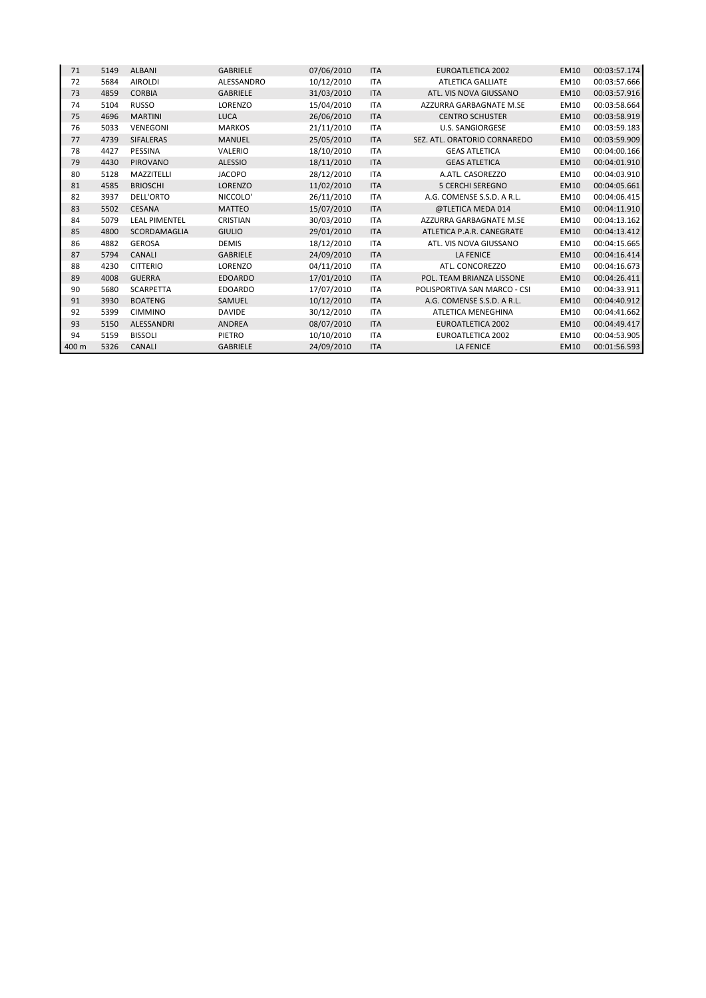| 71    | 5149 | <b>ALBANI</b>        | <b>GABRIELE</b> | 07/06/2010 | <b>ITA</b> | EUROATLETICA 2002            | EM10        | 00:03:57.174 |
|-------|------|----------------------|-----------------|------------|------------|------------------------------|-------------|--------------|
| 72    | 5684 | <b>AIROLDI</b>       | ALESSANDRO      | 10/12/2010 | <b>ITA</b> | <b>ATLETICA GALLIATE</b>     | EM10        | 00:03:57.666 |
| 73    | 4859 | <b>CORBIA</b>        | <b>GABRIELE</b> | 31/03/2010 | <b>ITA</b> | ATL. VIS NOVA GIUSSANO       | EM10        | 00:03:57.916 |
| 74    | 5104 | <b>RUSSO</b>         | LORENZO         | 15/04/2010 | <b>ITA</b> | AZZURRA GARBAGNATE M.SE      | EM10        | 00:03:58.664 |
| 75    | 4696 | <b>MARTINI</b>       | LUCA            | 26/06/2010 | <b>ITA</b> | <b>CENTRO SCHUSTER</b>       | <b>EM10</b> | 00:03:58.919 |
| 76    | 5033 | <b>VENEGONI</b>      | <b>MARKOS</b>   | 21/11/2010 | <b>ITA</b> | <b>U.S. SANGIORGESE</b>      | EM10        | 00:03:59.183 |
| 77    | 4739 | SIFALERAS            | <b>MANUEL</b>   | 25/05/2010 | <b>ITA</b> | SEZ. ATL. ORATORIO CORNAREDO | <b>EM10</b> | 00:03:59.909 |
| 78    | 4427 | PESSINA              | VALERIO         | 18/10/2010 | <b>ITA</b> | <b>GEAS ATLETICA</b>         | EM10        | 00:04:00.166 |
| 79    | 4430 | PIROVANO             | <b>ALESSIO</b>  | 18/11/2010 | <b>ITA</b> | <b>GEAS ATLETICA</b>         | <b>EM10</b> | 00:04:01.910 |
| 80    | 5128 | MAZZITELLI           | <b>JACOPO</b>   | 28/12/2010 | <b>ITA</b> | A.ATL. CASOREZZO             | EM10        | 00:04:03.910 |
| 81    | 4585 | <b>BRIOSCHI</b>      | LORENZO         | 11/02/2010 | <b>ITA</b> | <b>5 CERCHI SEREGNO</b>      | EM10        | 00:04:05.661 |
| 82    | 3937 | DELL'ORTO            | NICCOLO'        | 26/11/2010 | <b>ITA</b> | A.G. COMENSE S.S.D. A R.L.   | EM10        | 00:04:06.415 |
| 83    | 5502 | <b>CESANA</b>        | <b>MATTEO</b>   | 15/07/2010 | <b>ITA</b> | @TLETICA MEDA 014            | EM10        | 00:04:11.910 |
| 84    | 5079 | <b>LEAL PIMENTEL</b> | CRISTIAN        | 30/03/2010 | <b>ITA</b> | AZZURRA GARBAGNATE M.SE      | EM10        | 00:04:13.162 |
| 85    | 4800 | SCORDAMAGLIA         | <b>GIULIO</b>   | 29/01/2010 | <b>ITA</b> | ATLETICA P.A.R. CANEGRATE    | <b>EM10</b> | 00:04:13.412 |
| 86    | 4882 | <b>GEROSA</b>        | <b>DEMIS</b>    | 18/12/2010 | <b>ITA</b> | ATL. VIS NOVA GIUSSANO       | EM10        | 00:04:15.665 |
| 87    | 5794 | <b>CANALI</b>        | <b>GABRIELE</b> | 24/09/2010 | <b>ITA</b> | <b>LA FENICE</b>             | <b>EM10</b> | 00:04:16.414 |
| 88    | 4230 | <b>CITTERIO</b>      | LORENZO         | 04/11/2010 | <b>ITA</b> | ATL. CONCOREZZO              | EM10        | 00:04:16.673 |
| 89    | 4008 | <b>GUERRA</b>        | <b>EDOARDO</b>  | 17/01/2010 | <b>ITA</b> | POL. TEAM BRIANZA LISSONE    | EM10        | 00:04:26.411 |
| 90    | 5680 | <b>SCARPETTA</b>     | <b>EDOARDO</b>  | 17/07/2010 | <b>ITA</b> | POLISPORTIVA SAN MARCO - CSI | EM10        | 00:04:33.911 |
| 91    | 3930 | <b>BOATENG</b>       | SAMUEL          | 10/12/2010 | <b>ITA</b> | A.G. COMENSE S.S.D. A R.L.   | EM10        | 00:04:40.912 |
| 92    | 5399 | <b>CIMMINO</b>       | <b>DAVIDE</b>   | 30/12/2010 | <b>ITA</b> | <b>ATLETICA MENEGHINA</b>    | EM10        | 00:04:41.662 |
| 93    | 5150 | ALESSANDRI           | ANDREA          | 08/07/2010 | <b>ITA</b> | <b>EUROATLETICA 2002</b>     | EM10        | 00:04:49.417 |
| 94    | 5159 | <b>BISSOLI</b>       | PIETRO          | 10/10/2010 | <b>ITA</b> | <b>EUROATLETICA 2002</b>     | EM10        | 00:04:53.905 |
| 400 m | 5326 | <b>CANALI</b>        | <b>GABRIELE</b> | 24/09/2010 | <b>ITA</b> | <b>LA FENICE</b>             | <b>EM10</b> | 00:01:56.593 |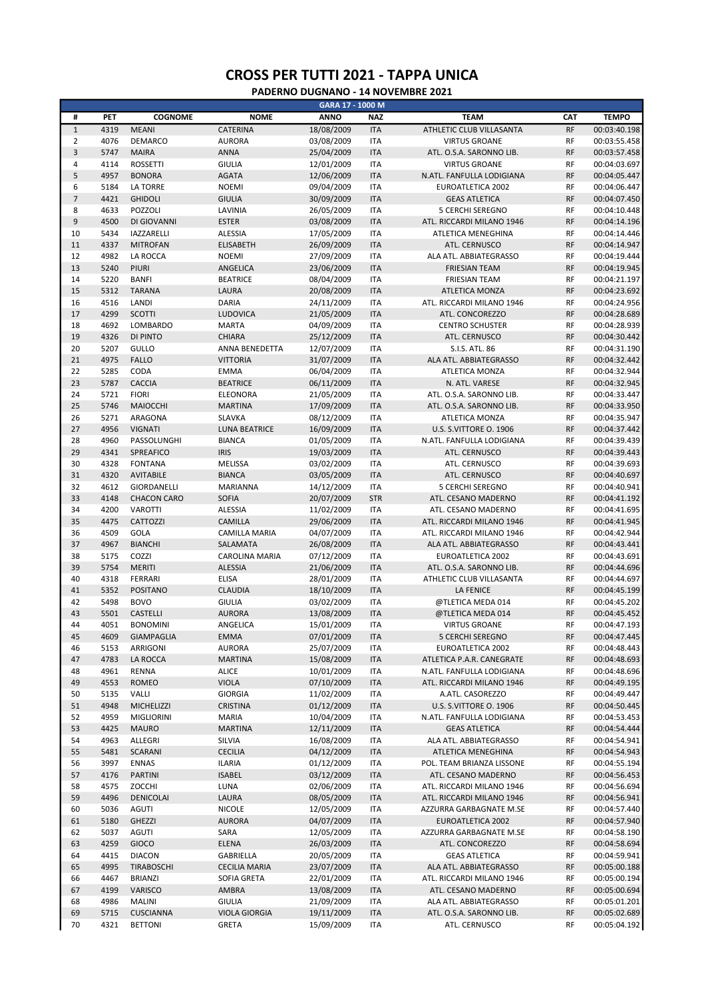|                |      |                    |                       | GARA 17 - 1000 M |            |                           |           |              |
|----------------|------|--------------------|-----------------------|------------------|------------|---------------------------|-----------|--------------|
| #              | PET  | <b>COGNOME</b>     | <b>NOME</b>           | <b>ANNO</b>      | <b>NAZ</b> | <b>TEAM</b>               | CAT       | <b>TEMPO</b> |
| $\mathbf 1$    | 4319 | <b>MEANI</b>       | CATERINA              | 18/08/2009       | <b>ITA</b> | ATHLETIC CLUB VILLASANTA  | RF        | 00:03:40.198 |
| $\overline{2}$ | 4076 | DEMARCO            | <b>AURORA</b>         | 03/08/2009       | <b>ITA</b> | <b>VIRTUS GROANE</b>      | <b>RF</b> | 00:03:55.458 |
| 3              | 5747 | <b>MAIRA</b>       | <b>ANNA</b>           | 25/04/2009       | <b>ITA</b> | ATL. O.S.A. SARONNO LIB.  | <b>RF</b> | 00:03:57.458 |
| $\sqrt{4}$     | 4114 | <b>ROSSETTI</b>    | <b>GIULIA</b>         | 12/01/2009       | <b>ITA</b> | <b>VIRTUS GROANE</b>      | <b>RF</b> | 00:04:03.697 |
| 5              | 4957 | <b>BONORA</b>      | <b>AGATA</b>          | 12/06/2009       | <b>ITA</b> | N.ATL. FANFULLA LODIGIANA | <b>RF</b> | 00:04:05.447 |
| 6              | 5184 | <b>LA TORRE</b>    | <b>NOEMI</b>          | 09/04/2009       | <b>ITA</b> | <b>EUROATLETICA 2002</b>  | <b>RF</b> | 00:04:06.447 |
| $\overline{7}$ | 4421 |                    |                       |                  |            |                           | <b>RF</b> |              |
|                |      | <b>GHIDOLI</b>     | <b>GIULIA</b>         | 30/09/2009       | <b>ITA</b> | <b>GEAS ATLETICA</b>      |           | 00:04:07.450 |
| 8              | 4633 | POZZOLI            | LAVINIA               | 26/05/2009       | <b>ITA</b> | 5 CERCHI SEREGNO          | <b>RF</b> | 00:04:10.448 |
| 9              | 4500 | DI GIOVANNI        | <b>ESTER</b>          | 03/08/2009       | <b>ITA</b> | ATL. RICCARDI MILANO 1946 | <b>RF</b> | 00:04:14.196 |
| 10             | 5434 | <b>IAZZARELLI</b>  | <b>ALESSIA</b>        | 17/05/2009       | <b>ITA</b> | <b>ATLETICA MENEGHINA</b> | <b>RF</b> | 00:04:14.446 |
| 11             | 4337 | <b>MITROFAN</b>    | <b>ELISABETH</b>      | 26/09/2009       | <b>ITA</b> | ATL. CERNUSCO             | <b>RF</b> | 00:04:14.947 |
| 12             | 4982 | LA ROCCA           | <b>NOEMI</b>          | 27/09/2009       | <b>ITA</b> | ALA ATL. ABBIATEGRASSO    | <b>RF</b> | 00:04:19.444 |
| 13             | 5240 | PIURI              | ANGELICA              | 23/06/2009       | <b>ITA</b> | <b>FRIESIAN TEAM</b>      | <b>RF</b> | 00:04:19.945 |
| 14             | 5220 | <b>BANFI</b>       | <b>BEATRICE</b>       | 08/04/2009       | <b>ITA</b> | <b>FRIESIAN TEAM</b>      | <b>RF</b> | 00:04:21.197 |
| 15             | 5312 | <b>TARANA</b>      | LAURA                 | 20/08/2009       | <b>ITA</b> | <b>ATLETICA MONZA</b>     | <b>RF</b> | 00:04:23.692 |
| 16             | 4516 | LANDI              | <b>DARIA</b>          | 24/11/2009       | <b>ITA</b> | ATL. RICCARDI MILANO 1946 | <b>RF</b> | 00:04:24.956 |
| 17             | 4299 | <b>SCOTTI</b>      | LUDOVICA              | 21/05/2009       | <b>ITA</b> | ATL. CONCOREZZO           | <b>RF</b> | 00:04:28.689 |
|                | 4692 | <b>LOMBARDO</b>    |                       |                  |            |                           | <b>RF</b> |              |
| 18             |      |                    | <b>MARTA</b>          | 04/09/2009       | <b>ITA</b> | <b>CENTRO SCHUSTER</b>    |           | 00:04:28.939 |
| 19             | 4326 | DI PINTO           | <b>CHIARA</b>         | 25/12/2009       | <b>ITA</b> | ATL. CERNUSCO             | <b>RF</b> | 00:04:30.442 |
| 20             | 5207 | GULLO              | <b>ANNA BENEDETTA</b> | 12/07/2009       | <b>ITA</b> | S.I.S. ATL. 86            | <b>RF</b> | 00:04:31.190 |
| 21             | 4975 | <b>FALLO</b>       | <b>VITTORIA</b>       | 31/07/2009       | <b>ITA</b> | ALA ATL. ABBIATEGRASSO    | <b>RF</b> | 00:04:32.442 |
| 22             | 5285 | CODA               | <b>EMMA</b>           | 06/04/2009       | <b>ITA</b> | ATLETICA MONZA            | <b>RF</b> | 00:04:32.944 |
| 23             | 5787 | <b>CACCIA</b>      | <b>BEATRICE</b>       | 06/11/2009       | <b>ITA</b> | N. ATL. VARESE            | <b>RF</b> | 00:04:32.945 |
| 24             | 5721 | <b>FIORI</b>       | ELEONORA              | 21/05/2009       | <b>ITA</b> | ATL. O.S.A. SARONNO LIB.  | <b>RF</b> | 00:04:33.447 |
| 25             | 5746 | MAIOCCHI           | <b>MARTINA</b>        | 17/09/2009       | <b>ITA</b> | ATL. O.S.A. SARONNO LIB.  | <b>RF</b> | 00:04:33.950 |
| 26             | 5271 | ARAGONA            | <b>SLAVKA</b>         | 08/12/2009       | <b>ITA</b> | ATLETICA MONZA            | <b>RF</b> | 00:04:35.947 |
| 27             | 4956 | <b>VIGNATI</b>     | <b>LUNA BEATRICE</b>  | 16/09/2009       | <b>ITA</b> | U.S. S.VITTORE O. 1906    | <b>RF</b> | 00:04:37.442 |
| 28             | 4960 | PASSOLUNGHI        | <b>BIANCA</b>         | 01/05/2009       | <b>ITA</b> | N.ATL. FANFULLA LODIGIANA | <b>RF</b> | 00:04:39.439 |
| 29             | 4341 |                    | <b>IRIS</b>           |                  | <b>ITA</b> |                           | <b>RF</b> |              |
|                |      | SPREAFICO          |                       | 19/03/2009       |            | ATL. CERNUSCO             |           | 00:04:39.443 |
| 30             | 4328 | <b>FONTANA</b>     | MELISSA               | 03/02/2009       | <b>ITA</b> | ATL. CERNUSCO             | <b>RF</b> | 00:04:39.693 |
| 31             | 4320 | <b>AVITABILE</b>   | <b>BIANCA</b>         | 03/05/2009       | <b>ITA</b> | ATL. CERNUSCO             | <b>RF</b> | 00:04:40.697 |
| 32             | 4612 | GIORDANELLI        | MARIANNA              | 14/12/2009       | <b>ITA</b> | 5 CERCHI SEREGNO          | <b>RF</b> | 00:04:40.941 |
| 33             | 4148 | <b>CHACON CARO</b> | <b>SOFIA</b>          | 20/07/2009       | <b>STR</b> | ATL. CESANO MADERNO       | <b>RF</b> | 00:04:41.192 |
| 34             | 4200 | <b>VAROTTI</b>     | <b>ALESSIA</b>        | 11/02/2009       | <b>ITA</b> | ATL. CESANO MADERNO       | <b>RF</b> | 00:04:41.695 |
| 35             | 4475 | CATTOZZI           | CAMILLA               | 29/06/2009       | <b>ITA</b> | ATL. RICCARDI MILANO 1946 | <b>RF</b> | 00:04:41.945 |
| 36             | 4509 | GOLA               | CAMILLA MARIA         | 04/07/2009       | <b>ITA</b> | ATL. RICCARDI MILANO 1946 | <b>RF</b> | 00:04:42.944 |
| 37             | 4967 | <b>BIANCHI</b>     | SALAMATA              | 26/08/2009       | <b>ITA</b> | ALA ATL. ABBIATEGRASSO    | <b>RF</b> | 00:04:43.441 |
| 38             | 5175 | COZZI              | <b>CAROLINA MARIA</b> | 07/12/2009       | <b>ITA</b> | EUROATLETICA 2002         | <b>RF</b> | 00:04:43.691 |
| 39             | 5754 | <b>MERITI</b>      | <b>ALESSIA</b>        | 21/06/2009       | <b>ITA</b> | ATL. O.S.A. SARONNO LIB.  | <b>RF</b> | 00:04:44.696 |
| 40             |      |                    |                       |                  |            |                           | <b>RF</b> |              |
|                | 4318 | FERRARI            | <b>ELISA</b>          | 28/01/2009       | <b>ITA</b> | ATHLETIC CLUB VILLASANTA  |           | 00:04:44.697 |
| 41             | 5352 | <b>POSITANO</b>    | <b>CLAUDIA</b>        | 18/10/2009       | <b>ITA</b> | <b>LA FENICE</b>          | <b>RF</b> | 00:04:45.199 |
| 42             | 5498 | <b>BOVO</b>        | <b>GIULIA</b>         | 03/02/2009       | <b>ITA</b> | @TLETICA MEDA 014         | <b>RF</b> | 00:04:45.202 |
| 43             | 5501 | <b>CASTELLI</b>    | <b>AURORA</b>         | 13/08/2009       | <b>ITA</b> | @TLETICA MEDA 014         | <b>RF</b> | 00:04:45.452 |
| 44             | 4051 | <b>BONOMINI</b>    | ANGELICA              | 15/01/2009       | <b>ITA</b> | <b>VIRTUS GROANE</b>      | <b>RF</b> | 00:04:47.193 |
| 45             | 4609 | GIAMPAGLIA         | EMMA                  | 07/01/2009       | <b>ITA</b> | 5 CERCHI SEREGNO          | <b>RF</b> | 00:04:47.445 |
| 46             | 5153 | ARRIGONI           | <b>AURORA</b>         | 25/07/2009       | <b>ITA</b> | EUROATLETICA 2002         | RF        | 00:04:48.443 |
| 47             | 4783 | LA ROCCA           | <b>MARTINA</b>        | 15/08/2009       | <b>ITA</b> | ATLETICA P.A.R. CANEGRATE | RF        | 00:04:48.693 |
| 48             | 4961 | <b>RENNA</b>       | <b>ALICE</b>          | 10/01/2009       | <b>ITA</b> | N.ATL. FANFULLA LODIGIANA | RF        | 00:04:48.696 |
| 49             | 4553 | ROMEO              | <b>VIOLA</b>          | 07/10/2009       | <b>ITA</b> | ATL. RICCARDI MILANO 1946 | RF        | 00:04:49.195 |
| 50             | 5135 | VALLI              | <b>GIORGIA</b>        | 11/02/2009       | <b>ITA</b> | A.ATL. CASOREZZO          | RF        | 00:04:49.447 |
|                |      | <b>MICHELIZZI</b>  |                       |                  |            | U.S. S.VITTORE O. 1906    |           |              |
| 51             | 4948 |                    | <b>CRISTINA</b>       | 01/12/2009       | <b>ITA</b> |                           | RF        | 00:04:50.445 |
| 52             | 4959 | MIGLIORINI         | <b>MARIA</b>          | 10/04/2009       | <b>ITA</b> | N.ATL. FANFULLA LODIGIANA | RF        | 00:04:53.453 |
| 53             | 4425 | <b>MAURO</b>       | <b>MARTINA</b>        | 12/11/2009       | <b>ITA</b> | <b>GEAS ATLETICA</b>      | RF        | 00:04:54.444 |
| 54             | 4963 | ALLEGRI            | SILVIA                | 16/08/2009       | <b>ITA</b> | ALA ATL. ABBIATEGRASSO    | RF        | 00:04:54.941 |
| 55             | 5481 | <b>SCARANI</b>     | <b>CECILIA</b>        | 04/12/2009       | <b>ITA</b> | ATLETICA MENEGHINA        | RF        | 00:04:54.943 |
| 56             | 3997 | <b>ENNAS</b>       | <b>ILARIA</b>         | 01/12/2009       | <b>ITA</b> | POL. TEAM BRIANZA LISSONE | RF        | 00:04:55.194 |
| 57             | 4176 | PARTINI            | <b>ISABEL</b>         | 03/12/2009       | <b>ITA</b> | ATL. CESANO MADERNO       | RF        | 00:04:56.453 |
| 58             | 4575 | ZOCCHI             | LUNA                  | 02/06/2009       | ITA        | ATL. RICCARDI MILANO 1946 | RF        | 00:04:56.694 |
| 59             | 4496 | DENICOLAI          | LAURA                 | 08/05/2009       | <b>ITA</b> | ATL. RICCARDI MILANO 1946 | RF        | 00:04:56.941 |
| 60             | 5036 | <b>AGUTI</b>       | <b>NICOLE</b>         | 12/05/2009       | <b>ITA</b> | AZZURRA GARBAGNATE M.SE   | RF        | 00:04:57.440 |
| 61             | 5180 | <b>GHEZZI</b>      | <b>AURORA</b>         | 04/07/2009       | <b>ITA</b> | EUROATLETICA 2002         | RF        | 00:04:57.940 |
|                |      |                    |                       |                  |            |                           |           |              |
| 62             | 5037 | <b>AGUTI</b>       | SARA                  | 12/05/2009       | <b>ITA</b> | AZZURRA GARBAGNATE M.SE   | RF        | 00:04:58.190 |
| 63             | 4259 | GIOCO              | ELENA                 | 26/03/2009       | <b>ITA</b> | ATL. CONCOREZZO           | <b>RF</b> | 00:04:58.694 |
| 64             | 4415 | <b>DIACON</b>      | GABRIELLA             | 20/05/2009       | <b>ITA</b> | <b>GEAS ATLETICA</b>      | RF        | 00:04:59.941 |
| 65             | 4995 | TIRABOSCHI         | <b>CECILIA MARIA</b>  | 23/07/2009       | <b>ITA</b> | ALA ATL. ABBIATEGRASSO    | <b>RF</b> | 00:05:00.188 |
| 66             | 4467 | <b>BRIANZI</b>     | SOFIA GRETA           | 22/01/2009       | <b>ITA</b> | ATL. RICCARDI MILANO 1946 | RF        | 00:05:00.194 |
| 67             | 4199 | VARISCO            | AMBRA                 | 13/08/2009       | <b>ITA</b> | ATL. CESANO MADERNO       | RF        | 00:05:00.694 |
| 68             | 4986 | <b>MALINI</b>      | <b>GIULIA</b>         | 21/09/2009       | <b>ITA</b> | ALA ATL. ABBIATEGRASSO    | RF        | 00:05:01.201 |
| 69             | 5715 | <b>CUSCIANNA</b>   | <b>VIOLA GIORGIA</b>  | 19/11/2009       | <b>ITA</b> | ATL. O.S.A. SARONNO LIB.  | RF        | 00:05:02.689 |
|                |      |                    |                       |                  |            |                           |           |              |
| 70             | 4321 | <b>BETTONI</b>     | GRETA                 | 15/09/2009       | <b>ITA</b> | ATL. CERNUSCO             | RF        | 00:05:04.192 |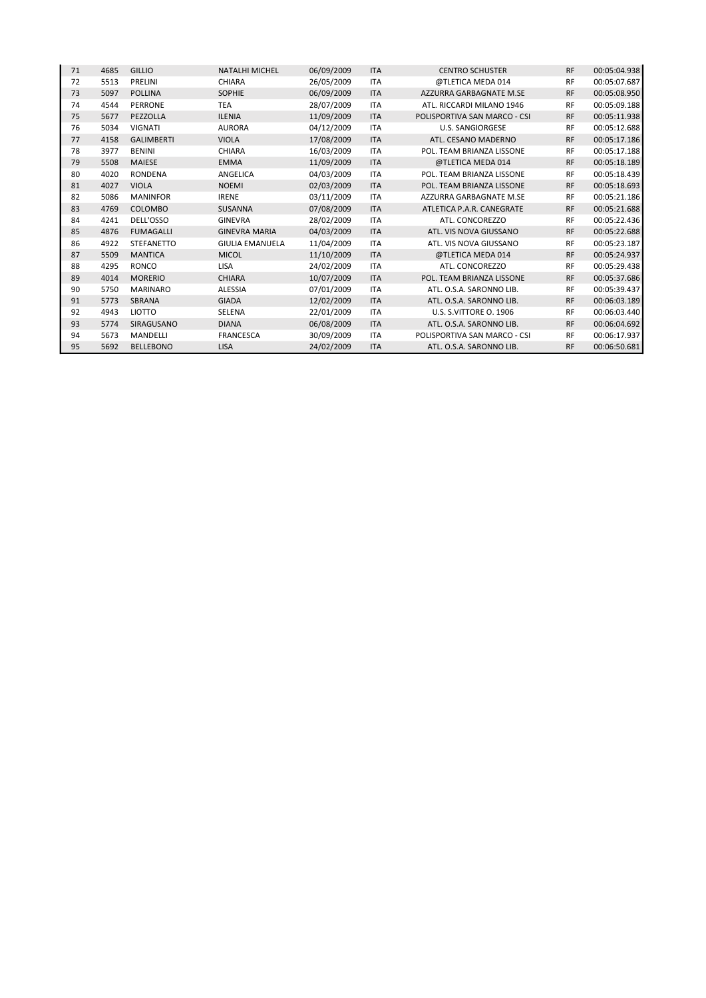| 71 | 4685 | <b>GILLIO</b>     | <b>NATALHI MICHEL</b>  | 06/09/2009 | <b>ITA</b> | <b>CENTRO SCHUSTER</b>       | <b>RF</b> | 00:05:04.938 |
|----|------|-------------------|------------------------|------------|------------|------------------------------|-----------|--------------|
| 72 | 5513 | PRELINI           | CHIARA                 | 26/05/2009 | <b>ITA</b> | @TLETICA MEDA 014            | <b>RF</b> | 00:05:07.687 |
| 73 | 5097 | <b>POLLINA</b>    | <b>SOPHIE</b>          | 06/09/2009 | <b>ITA</b> | AZZURRA GARBAGNATE M.SE      | <b>RF</b> | 00:05:08.950 |
| 74 | 4544 | <b>PERRONE</b>    | <b>TEA</b>             | 28/07/2009 | <b>ITA</b> | ATL. RICCARDI MILANO 1946    | <b>RF</b> | 00:05:09.188 |
| 75 | 5677 | PEZZOLLA          | <b>ILENIA</b>          | 11/09/2009 | <b>ITA</b> | POLISPORTIVA SAN MARCO - CSI | <b>RF</b> | 00:05:11.938 |
| 76 | 5034 | <b>VIGNATI</b>    | <b>AURORA</b>          | 04/12/2009 | <b>ITA</b> | <b>U.S. SANGIORGESE</b>      | <b>RF</b> | 00:05:12.688 |
| 77 | 4158 | <b>GALIMBERTI</b> | <b>VIOLA</b>           | 17/08/2009 | <b>ITA</b> | ATL. CESANO MADERNO          | <b>RF</b> | 00:05:17.186 |
| 78 | 3977 | <b>BENINI</b>     | <b>CHIARA</b>          | 16/03/2009 | <b>ITA</b> | POL. TEAM BRIANZA LISSONE    | <b>RF</b> | 00:05:17.188 |
| 79 | 5508 | <b>MAIESE</b>     | <b>EMMA</b>            | 11/09/2009 | <b>ITA</b> | @TLETICA MEDA 014            | <b>RF</b> | 00:05:18.189 |
| 80 | 4020 | <b>RONDENA</b>    | ANGELICA               | 04/03/2009 | <b>ITA</b> | POL. TEAM BRIANZA LISSONE    | <b>RF</b> | 00:05:18.439 |
| 81 | 4027 | <b>VIOLA</b>      | <b>NOEMI</b>           | 02/03/2009 | <b>ITA</b> | POL. TEAM BRIANZA LISSONE    | <b>RF</b> | 00:05:18.693 |
| 82 | 5086 | <b>MANINFOR</b>   | <b>IRENE</b>           | 03/11/2009 | <b>ITA</b> | AZZURRA GARBAGNATE M.SE      | <b>RF</b> | 00:05:21.186 |
| 83 | 4769 | COLOMBO           | SUSANNA                | 07/08/2009 | <b>ITA</b> | ATLETICA P.A.R. CANEGRATE    | <b>RF</b> | 00:05:21.688 |
| 84 | 4241 | DELL'OSSO         | <b>GINEVRA</b>         | 28/02/2009 | <b>ITA</b> | ATL. CONCOREZZO              | <b>RF</b> | 00:05:22.436 |
| 85 | 4876 | <b>FUMAGALLI</b>  | <b>GINEVRA MARIA</b>   | 04/03/2009 | <b>ITA</b> | ATL. VIS NOVA GIUSSANO       | <b>RF</b> | 00:05:22.688 |
| 86 | 4922 | <b>STEFANETTO</b> | <b>GIULIA EMANUELA</b> | 11/04/2009 | <b>ITA</b> | ATL. VIS NOVA GIUSSANO       | <b>RF</b> | 00:05:23.187 |
| 87 | 5509 | <b>MANTICA</b>    | <b>MICOL</b>           | 11/10/2009 | <b>ITA</b> | @TLETICA MEDA 014            | <b>RF</b> | 00:05:24.937 |
| 88 | 4295 | <b>RONCO</b>      | <b>LISA</b>            | 24/02/2009 | <b>ITA</b> | ATL. CONCOREZZO              | <b>RF</b> | 00:05:29.438 |
| 89 | 4014 | <b>MORERIO</b>    | <b>CHIARA</b>          | 10/07/2009 | <b>ITA</b> | POL. TEAM BRIANZA LISSONE    | <b>RF</b> | 00:05:37.686 |
| 90 | 5750 | <b>MARINARO</b>   | ALESSIA                | 07/01/2009 | <b>ITA</b> | ATL. O.S.A. SARONNO LIB.     | <b>RF</b> | 00:05:39.437 |
| 91 | 5773 | <b>SBRANA</b>     | <b>GIADA</b>           | 12/02/2009 | <b>ITA</b> | ATL. O.S.A. SARONNO LIB.     | <b>RF</b> | 00:06:03.189 |
| 92 | 4943 | <b>LIOTTO</b>     | SELENA                 | 22/01/2009 | <b>ITA</b> | U.S. S.VITTORE O. 1906       | <b>RF</b> | 00:06:03.440 |
| 93 | 5774 | SIRAGUSANO        | <b>DIANA</b>           | 06/08/2009 | <b>ITA</b> | ATL. O.S.A. SARONNO LIB.     | <b>RF</b> | 00:06:04.692 |
| 94 | 5673 | MANDELLI          | <b>FRANCESCA</b>       | 30/09/2009 | ITA        | POLISPORTIVA SAN MARCO - CSI | <b>RF</b> | 00:06:17.937 |
| 95 | 5692 | <b>BELLEBONO</b>  | <b>LISA</b>            | 24/02/2009 | <b>ITA</b> | ATL. O.S.A. SARONNO LIB.     | <b>RF</b> | 00:06:50.681 |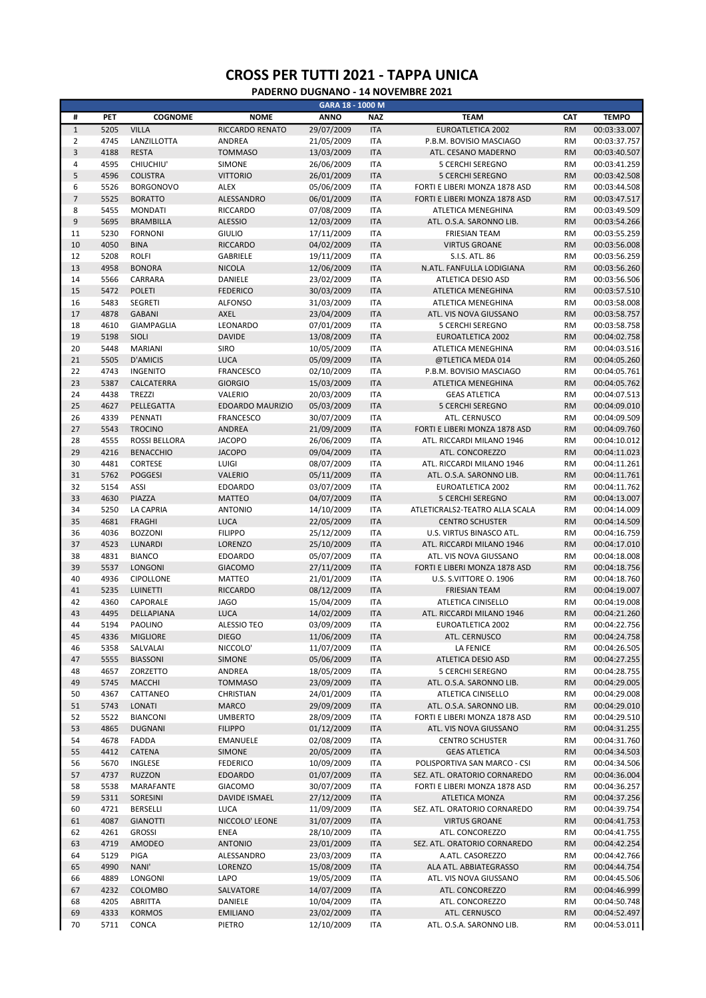|                |      |                  |                    | GARA 18 - 1000 M |            |                                |           |              |
|----------------|------|------------------|--------------------|------------------|------------|--------------------------------|-----------|--------------|
| #              | PET  | <b>COGNOME</b>   | <b>NOME</b>        | <b>ANNO</b>      | <b>NAZ</b> | <b>TEAM</b>                    | CAT       | <b>TEMPO</b> |
| $\mathbf 1$    | 5205 | <b>VILLA</b>     | RICCARDO RENATO    | 29/07/2009       | <b>ITA</b> | EUROATLETICA 2002              | <b>RM</b> | 00:03:33.007 |
| $\overline{2}$ | 4745 | LANZILLOTTA      | <b>ANDREA</b>      | 21/05/2009       | <b>ITA</b> | P.B.M. BOVISIO MASCIAGO        | <b>RM</b> | 00:03:37.757 |
| 3              | 4188 | <b>RESTA</b>     | <b>TOMMASO</b>     | 13/03/2009       | <b>ITA</b> | ATL. CESANO MADERNO            | <b>RM</b> | 00:03:40.507 |
| $\sqrt{4}$     | 4595 | CHIUCHIU'        | SIMONE             | 26/06/2009       | <b>ITA</b> | <b>5 CERCHI SEREGNO</b>        | <b>RM</b> | 00:03:41.259 |
| 5              | 4596 | <b>COLISTRA</b>  | <b>VITTORIO</b>    | 26/01/2009       | <b>ITA</b> | <b>5 CERCHI SEREGNO</b>        | <b>RM</b> | 00:03:42.508 |
| 6              | 5526 | <b>BORGONOVO</b> | <b>ALEX</b>        | 05/06/2009       | <b>ITA</b> | FORTI E LIBERI MONZA 1878 ASD  | <b>RM</b> | 00:03:44.508 |
| $\overline{7}$ | 5525 | <b>BORATTO</b>   | ALESSANDRO         | 06/01/2009       | <b>ITA</b> | FORTI E LIBERI MONZA 1878 ASD  | <b>RM</b> | 00:03:47.517 |
|                |      |                  |                    |                  |            |                                |           |              |
| 8              | 5455 | <b>MONDATI</b>   | RICCARDO           | 07/08/2009       | <b>ITA</b> | ATLETICA MENEGHINA             | <b>RM</b> | 00:03:49.509 |
| 9              | 5695 | <b>BRAMBILLA</b> | <b>ALESSIO</b>     | 12/03/2009       | <b>ITA</b> | ATL. O.S.A. SARONNO LIB.       | <b>RM</b> | 00:03:54.266 |
| 11             | 5230 | <b>FORNONI</b>   | <b>GIULIO</b>      | 17/11/2009       | <b>ITA</b> | <b>FRIESIAN TEAM</b>           | <b>RM</b> | 00:03:55.259 |
| 10             | 4050 | <b>BINA</b>      | <b>RICCARDO</b>    | 04/02/2009       | <b>ITA</b> | <b>VIRTUS GROANE</b>           | <b>RM</b> | 00:03:56.008 |
| 12             | 5208 | <b>ROLFI</b>     | GABRIELE           | 19/11/2009       | <b>ITA</b> | S.I.S. ATL. 86                 | RM        | 00:03:56.259 |
| 13             | 4958 | <b>BONORA</b>    | <b>NICOLA</b>      | 12/06/2009       | <b>ITA</b> | N.ATL. FANFULLA LODIGIANA      | <b>RM</b> | 00:03:56.260 |
| 14             | 5566 | CARRARA          | DANIELE            | 23/02/2009       | <b>ITA</b> | ATLETICA DESIO ASD             | RM        | 00:03:56.506 |
| 15             | 5472 | <b>POLETI</b>    | <b>FEDERICO</b>    | 30/03/2009       | <b>ITA</b> | ATLETICA MENEGHINA             | <b>RM</b> | 00:03:57.510 |
| 16             | 5483 | SEGRETI          | <b>ALFONSO</b>     | 31/03/2009       | <b>ITA</b> | ATLETICA MENEGHINA             | <b>RM</b> | 00:03:58.008 |
| 17             | 4878 | <b>GABANI</b>    | AXEL               | 23/04/2009       | <b>ITA</b> | ATL. VIS NOVA GIUSSANO         | <b>RM</b> | 00:03:58.757 |
|                |      |                  |                    |                  |            |                                |           |              |
| 18             | 4610 | GIAMPAGLIA       | LEONARDO           | 07/01/2009       | <b>ITA</b> | 5 CERCHI SEREGNO               | <b>RM</b> | 00:03:58.758 |
| 19             | 5198 | SIOLI            | <b>DAVIDE</b>      | 13/08/2009       | <b>ITA</b> | <b>EUROATLETICA 2002</b>       | <b>RM</b> | 00:04:02.758 |
| 20             | 5448 | <b>MARIANI</b>   | <b>SIRO</b>        | 10/05/2009       | <b>ITA</b> | ATLETICA MENEGHINA             | RM        | 00:04:03.516 |
| 21             | 5505 | <b>D'AMICIS</b>  | <b>LUCA</b>        | 05/09/2009       | <b>ITA</b> | @TLETICA MEDA 014              | <b>RM</b> | 00:04:05.260 |
| 22             | 4743 | <b>INGENITO</b>  | <b>FRANCESCO</b>   | 02/10/2009       | <b>ITA</b> | P.B.M. BOVISIO MASCIAGO        | <b>RM</b> | 00:04:05.761 |
| 23             | 5387 | CALCATERRA       | <b>GIORGIO</b>     | 15/03/2009       | <b>ITA</b> | ATLETICA MENEGHINA             | <b>RM</b> | 00:04:05.762 |
| 24             | 4438 | <b>TREZZI</b>    | VALERIO            | 20/03/2009       | <b>ITA</b> | <b>GEAS ATLETICA</b>           | <b>RM</b> | 00:04:07.513 |
| 25             | 4627 | PELLEGATTA       | EDOARDO MAURIZIO   | 05/03/2009       | <b>ITA</b> | <b>5 CERCHI SEREGNO</b>        | <b>RM</b> | 00:04:09.010 |
| 26             | 4339 | PENNATI          | <b>FRANCESCO</b>   | 30/07/2009       | <b>ITA</b> | ATL. CERNUSCO                  | <b>RM</b> | 00:04:09.509 |
|                |      |                  |                    |                  |            |                                |           |              |
| 27             | 5543 | <b>TROCINO</b>   | <b>ANDREA</b>      | 21/09/2009       | <b>ITA</b> | FORTI E LIBERI MONZA 1878 ASD  | <b>RM</b> | 00:04:09.760 |
| 28             | 4555 | ROSSI BELLORA    | <b>JACOPO</b>      | 26/06/2009       | <b>ITA</b> | ATL. RICCARDI MILANO 1946      | RM        | 00:04:10.012 |
| 29             | 4216 | <b>BENACCHIO</b> | <b>JACOPO</b>      | 09/04/2009       | <b>ITA</b> | ATL. CONCOREZZO                | <b>RM</b> | 00:04:11.023 |
| 30             | 4481 | CORTESE          | LUIGI              | 08/07/2009       | <b>ITA</b> | ATL. RICCARDI MILANO 1946      | <b>RM</b> | 00:04:11.261 |
| 31             | 5762 | <b>POGGESI</b>   | VALERIO            | 05/11/2009       | <b>ITA</b> | ATL. O.S.A. SARONNO LIB.       | <b>RM</b> | 00:04:11.761 |
| 32             | 5154 | <b>ASSI</b>      | <b>EDOARDO</b>     | 03/07/2009       | <b>ITA</b> | EUROATLETICA 2002              | RM        | 00:04:11.762 |
| 33             | 4630 | PIAZZA           | <b>MATTEO</b>      | 04/07/2009       | <b>ITA</b> | <b>5 CERCHI SEREGNO</b>        | <b>RM</b> | 00:04:13.007 |
| 34             | 5250 | LA CAPRIA        | <b>ANTONIO</b>     | 14/10/2009       | <b>ITA</b> | ATLETICRALS2-TEATRO ALLA SCALA | <b>RM</b> | 00:04:14.009 |
|                |      |                  |                    |                  |            |                                |           |              |
| 35             | 4681 | <b>FRAGHI</b>    | LUCA               | 22/05/2009       | <b>ITA</b> | <b>CENTRO SCHUSTER</b>         | <b>RM</b> | 00:04:14.509 |
| 36             | 4036 | <b>BOZZONI</b>   | <b>FILIPPO</b>     | 25/12/2009       | <b>ITA</b> | U.S. VIRTUS BINASCO ATL.       | RM        | 00:04:16.759 |
| 37             | 4523 | <b>LUNARDI</b>   | LORENZO            | 25/10/2009       | <b>ITA</b> | ATL. RICCARDI MILANO 1946      | <b>RM</b> | 00:04:17.010 |
| 38             | 4831 | <b>BIANCO</b>    | <b>EDOARDO</b>     | 05/07/2009       | <b>ITA</b> | ATL. VIS NOVA GIUSSANO         | RM        | 00:04:18.008 |
| 39             | 5537 | LONGONI          | <b>GIACOMO</b>     | 27/11/2009       | <b>ITA</b> | FORTI E LIBERI MONZA 1878 ASD  | <b>RM</b> | 00:04:18.756 |
| 40             | 4936 | <b>CIPOLLONE</b> | MATTEO             | 21/01/2009       | <b>ITA</b> | U.S. S.VITTORE O. 1906         | RM        | 00:04:18.760 |
| 41             | 5235 | <b>LUINETTI</b>  | <b>RICCARDO</b>    | 08/12/2009       | <b>ITA</b> | <b>FRIESIAN TEAM</b>           | <b>RM</b> | 00:04:19.007 |
| 42             | 4360 | CAPORALE         | <b>JAGO</b>        | 15/04/2009       | <b>ITA</b> | ATLETICA CINISELLO             | <b>RM</b> | 00:04:19.008 |
|                |      |                  |                    |                  |            |                                |           |              |
| 43             | 4495 | DELLAPIANA       | <b>LUCA</b>        | 14/02/2009       | <b>ITA</b> | ATL. RICCARDI MILANO 1946      | <b>RM</b> | 00:04:21.260 |
| 44             | 5194 | <b>PAOLINO</b>   | <b>ALESSIO TEO</b> | 03/09/2009       | <b>ITA</b> | <b>EUROATLETICA 2002</b>       | <b>RM</b> | 00:04:22.756 |
| 45             | 4336 | <b>MIGLIORE</b>  | <b>DIEGO</b>       | 11/06/2009       | <b>ITA</b> | ATL. CERNUSCO                  | <b>RM</b> | 00:04:24.758 |
| 46             | 5358 | SALVALAI         | NICCOLO'           | 11/07/2009       | <b>ITA</b> | <b>LA FENICE</b>               | RM        | 00:04:26.505 |
| 47             | 5555 | <b>BIASSONI</b>  | <b>SIMONE</b>      | 05/06/2009       | <b>ITA</b> | ATLETICA DESIO ASD             | <b>RM</b> | 00:04:27.255 |
| 48             | 4657 | ZORZETTO         | ANDREA             | 18/05/2009       | <b>ITA</b> | 5 CERCHI SEREGNO               | RM        | 00:04:28.755 |
| 49             | 5745 | <b>MACCHI</b>    | <b>TOMMASO</b>     | 23/09/2009       | <b>ITA</b> | ATL. O.S.A. SARONNO LIB.       | <b>RM</b> | 00:04:29.005 |
| 50             | 4367 | CATTANEO         | CHRISTIAN          | 24/01/2009       | <b>ITA</b> | ATLETICA CINISELLO             | RM        | 00:04:29.008 |
|                |      |                  |                    |                  |            |                                |           |              |
| 51             | 5743 | <b>LONATI</b>    | <b>MARCO</b>       | 29/09/2009       | <b>ITA</b> | ATL. O.S.A. SARONNO LIB.       | <b>RM</b> | 00:04:29.010 |
| 52             | 5522 | <b>BIANCONI</b>  | <b>UMBERTO</b>     | 28/09/2009       | <b>ITA</b> | FORTI E LIBERI MONZA 1878 ASD  | <b>RM</b> | 00:04:29.510 |
| 53             | 4865 | <b>DUGNANI</b>   | <b>FILIPPO</b>     | 01/12/2009       | <b>ITA</b> | ATL. VIS NOVA GIUSSANO         | <b>RM</b> | 00:04:31.255 |
| 54             | 4678 | FADDA            | EMANUELE           | 02/08/2009       | <b>ITA</b> | <b>CENTRO SCHUSTER</b>         | RM        | 00:04:31.760 |
| 55             | 4412 | CATENA           | <b>SIMONE</b>      | 20/05/2009       | <b>ITA</b> | <b>GEAS ATLETICA</b>           | <b>RM</b> | 00:04:34.503 |
| 56             | 5670 | INGLESE          | <b>FEDERICO</b>    | 10/09/2009       | <b>ITA</b> | POLISPORTIVA SAN MARCO - CSI   | RM        | 00:04:34.506 |
| 57             | 4737 | <b>RUZZON</b>    | <b>EDOARDO</b>     | 01/07/2009       | <b>ITA</b> | SEZ. ATL. ORATORIO CORNAREDO   | <b>RM</b> | 00:04:36.004 |
| 58             | 5538 | MARAFANTE        | <b>GIACOMO</b>     | 30/07/2009       | ITA        | FORTI E LIBERI MONZA 1878 ASD  | RM        | 00:04:36.257 |
|                |      |                  |                    |                  |            |                                |           |              |
| 59             | 5311 | SORESINI         | DAVIDE ISMAEL      | 27/12/2009       | <b>ITA</b> | ATLETICA MONZA                 | <b>RM</b> | 00:04:37.256 |
| 60             | 4721 | <b>BERSELLI</b>  | <b>LUCA</b>        | 11/09/2009       | <b>ITA</b> | SEZ. ATL. ORATORIO CORNAREDO   | RM        | 00:04:39.754 |
| 61             | 4087 | <b>GIANOTTI</b>  | NICCOLO' LEONE     | 31/07/2009       | <b>ITA</b> | <b>VIRTUS GROANE</b>           | <b>RM</b> | 00:04:41.753 |
| 62             | 4261 | <b>GROSSI</b>    | ENEA               | 28/10/2009       | ITA        | ATL. CONCOREZZO                | RM        | 00:04:41.755 |
| 63             | 4719 | AMODEO           | <b>ANTONIO</b>     | 23/01/2009       | <b>ITA</b> | SEZ. ATL. ORATORIO CORNAREDO   | <b>RM</b> | 00:04:42.254 |
| 64             | 5129 | PIGA             | ALESSANDRO         | 23/03/2009       | <b>ITA</b> | A.ATL. CASOREZZO               | RM        | 00:04:42.766 |
| 65             | 4990 | NANI'            | <b>LORENZO</b>     | 15/08/2009       | <b>ITA</b> | ALA ATL. ABBIATEGRASSO         | <b>RM</b> | 00:04:44.754 |
|                |      |                  |                    |                  |            |                                |           |              |
| 66             | 4889 | LONGONI          | LAPO               | 19/05/2009       | ITA        | ATL. VIS NOVA GIUSSANO         | RM        | 00:04:45.506 |
| 67             | 4232 | COLOMBO          | SALVATORE          | 14/07/2009       | <b>ITA</b> | ATL. CONCOREZZO                | <b>RM</b> | 00:04:46.999 |
| 68             | 4205 | <b>ABRITTA</b>   | DANIELE            | 10/04/2009       | <b>ITA</b> | ATL. CONCOREZZO                | RM        | 00:04:50.748 |
| 69             | 4333 | <b>KORMOS</b>    | <b>EMILIANO</b>    | 23/02/2009       | <b>ITA</b> | ATL. CERNUSCO                  | <b>RM</b> | 00:04:52.497 |
| 70             | 5711 | CONCA            | PIETRO             | 12/10/2009       | <b>ITA</b> | ATL. O.S.A. SARONNO LIB.       | RM        | 00:04:53.011 |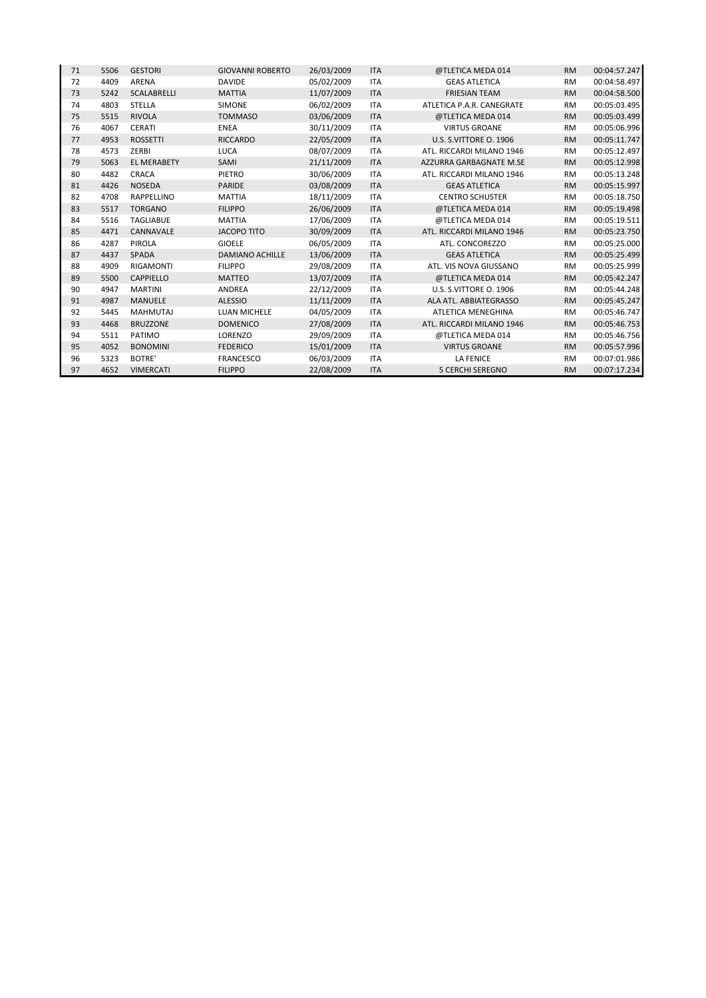| 71 | 5506 | <b>GESTORI</b>     | <b>GIOVANNI ROBERTO</b> | 26/03/2009 | <b>ITA</b> | @TLETICA MEDA 014         | <b>RM</b> | 00:04:57.247 |
|----|------|--------------------|-------------------------|------------|------------|---------------------------|-----------|--------------|
| 72 | 4409 | <b>ARENA</b>       | <b>DAVIDE</b>           | 05/02/2009 | <b>ITA</b> | <b>GEAS ATLETICA</b>      | <b>RM</b> | 00:04:58.497 |
| 73 | 5242 | <b>SCALABRELLI</b> | <b>MATTIA</b>           | 11/07/2009 | <b>ITA</b> | <b>FRIESIAN TEAM</b>      | <b>RM</b> | 00:04:58.500 |
| 74 | 4803 | <b>STELLA</b>      | <b>SIMONE</b>           | 06/02/2009 | <b>ITA</b> | ATLETICA P.A.R. CANEGRATE | <b>RM</b> | 00:05:03.495 |
| 75 | 5515 | <b>RIVOLA</b>      | <b>TOMMASO</b>          | 03/06/2009 | <b>ITA</b> | @TLETICA MEDA 014         | <b>RM</b> | 00:05:03.499 |
| 76 | 4067 | <b>CERATI</b>      | <b>ENEA</b>             | 30/11/2009 | <b>ITA</b> | <b>VIRTUS GROANE</b>      | <b>RM</b> | 00:05:06.996 |
| 77 | 4953 | <b>ROSSETTI</b>    | <b>RICCARDO</b>         | 22/05/2009 | <b>ITA</b> | U.S. S.VITTORE O. 1906    | <b>RM</b> | 00:05:11.747 |
| 78 | 4573 | <b>ZERBI</b>       | <b>LUCA</b>             | 08/07/2009 | <b>ITA</b> | ATL. RICCARDI MILANO 1946 | <b>RM</b> | 00:05:12.497 |
| 79 | 5063 | <b>EL MERABETY</b> | SAMI                    | 21/11/2009 | <b>ITA</b> | AZZURRA GARBAGNATE M.SE   | <b>RM</b> | 00:05:12.998 |
| 80 | 4482 | CRACA              | PIETRO                  | 30/06/2009 | <b>ITA</b> | ATL. RICCARDI MILANO 1946 | <b>RM</b> | 00:05:13.248 |
| 81 | 4426 | <b>NOSEDA</b>      | <b>PARIDE</b>           | 03/08/2009 | <b>ITA</b> | <b>GEAS ATLETICA</b>      | <b>RM</b> | 00:05:15.997 |
| 82 | 4708 | RAPPELLINO         | <b>MATTIA</b>           | 18/11/2009 | <b>ITA</b> | <b>CENTRO SCHUSTER</b>    | <b>RM</b> | 00:05:18.750 |
| 83 | 5517 | <b>TORGANO</b>     | <b>FILIPPO</b>          | 26/06/2009 | <b>ITA</b> | @TLETICA MEDA 014         | <b>RM</b> | 00:05:19.498 |
| 84 | 5516 | <b>TAGLIABUE</b>   | <b>MATTIA</b>           | 17/06/2009 | <b>ITA</b> | @TLETICA MEDA 014         | <b>RM</b> | 00:05:19.511 |
| 85 | 4471 | CANNAVALE          | <b>JACOPO TITO</b>      | 30/09/2009 | <b>ITA</b> | ATL. RICCARDI MILANO 1946 | <b>RM</b> | 00:05:23.750 |
| 86 | 4287 | <b>PIROLA</b>      | <b>GIOELE</b>           | 06/05/2009 | <b>ITA</b> | ATL. CONCOREZZO           | <b>RM</b> | 00:05:25.000 |
| 87 | 4437 | <b>SPADA</b>       | <b>DAMIANO ACHILLE</b>  | 13/06/2009 | <b>ITA</b> | <b>GEAS ATLETICA</b>      | <b>RM</b> | 00:05:25.499 |
| 88 | 4909 | <b>RIGAMONTI</b>   | <b>FILIPPO</b>          | 29/08/2009 | <b>ITA</b> | ATL. VIS NOVA GIUSSANO    | <b>RM</b> | 00:05:25.999 |
| 89 | 5500 | <b>CAPPIELLO</b>   | <b>MATTEO</b>           | 13/07/2009 | <b>ITA</b> | @TLETICA MEDA 014         | <b>RM</b> | 00:05:42.247 |
| 90 | 4947 | <b>MARTINI</b>     | <b>ANDREA</b>           | 22/12/2009 | <b>ITA</b> | U.S. S.VITTORE O. 1906    | <b>RM</b> | 00:05:44.248 |
| 91 | 4987 | <b>MANUELE</b>     | <b>ALESSIO</b>          | 11/11/2009 | <b>ITA</b> | ALA ATL. ABBIATEGRASSO    | <b>RM</b> | 00:05:45.247 |
| 92 | 5445 | <b>MAHMUTAJ</b>    | <b>LUAN MICHELE</b>     | 04/05/2009 | <b>ITA</b> | <b>ATLETICA MENEGHINA</b> | <b>RM</b> | 00:05:46.747 |
| 93 | 4468 | <b>BRUZZONE</b>    | <b>DOMENICO</b>         | 27/08/2009 | <b>ITA</b> | ATL. RICCARDI MILANO 1946 | <b>RM</b> | 00:05:46.753 |
| 94 | 5511 | PATIMO             | LORENZO                 | 29/09/2009 | <b>ITA</b> | @TLETICA MEDA 014         | <b>RM</b> | 00:05:46.756 |
| 95 | 4052 | <b>BONOMINI</b>    | <b>FEDERICO</b>         | 15/01/2009 | <b>ITA</b> | <b>VIRTUS GROANE</b>      | <b>RM</b> | 00:05:57.996 |
| 96 | 5323 | <b>BOTRE'</b>      | <b>FRANCESCO</b>        | 06/03/2009 | <b>ITA</b> | <b>LA FENICE</b>          | <b>RM</b> | 00:07:01.986 |
| 97 | 4652 | <b>VIMERCATI</b>   | <b>FILIPPO</b>          | 22/08/2009 | <b>ITA</b> | <b>5 CERCHI SEREGNO</b>   | <b>RM</b> | 00:07:17.234 |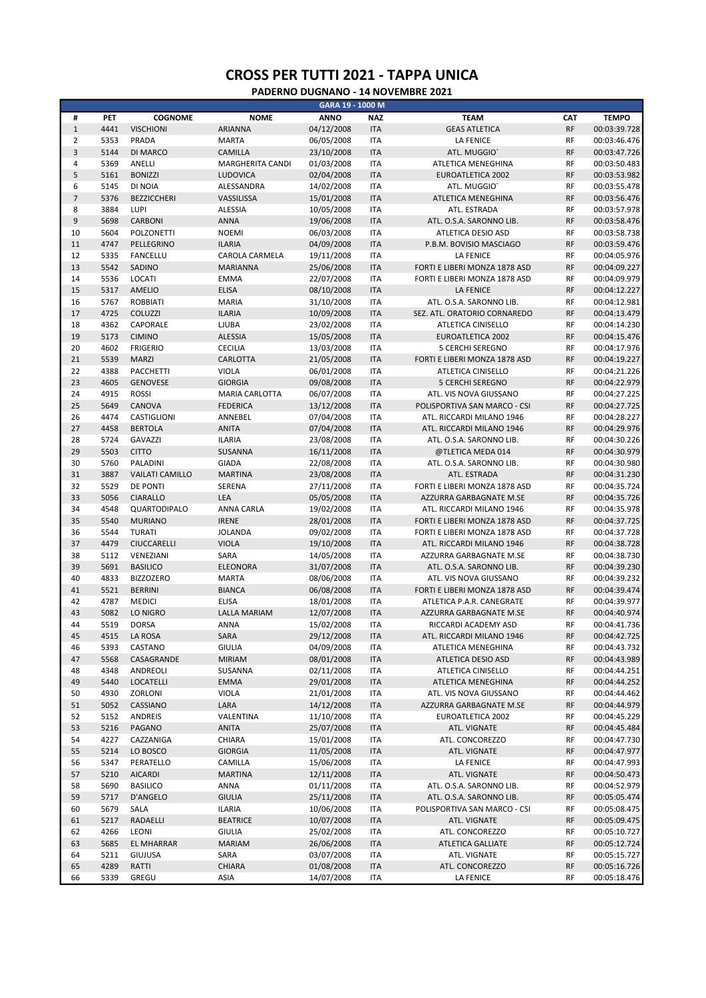| <b>ANNO</b><br><b>TEMPO</b><br>#<br>PET<br><b>COGNOME</b><br><b>NOME</b><br><b>NAZ</b><br><b>TEAM</b><br><b>CAT</b><br>$\mathbf 1$<br>04/12/2008<br><b>RF</b><br>4441<br><b>VISCHIONI</b><br><b>ARIANNA</b><br><b>ITA</b><br><b>GEAS ATLETICA</b><br>00:03:39.728<br>$\overline{2}$<br><b>RF</b><br>5353<br>PRADA<br><b>MARTA</b><br>06/05/2008<br><b>ITA</b><br><b>LA FENICE</b><br>00:03:46.476<br>3<br><b>RF</b><br>5144<br>DI MARCO<br>CAMILLA<br>23/10/2008<br><b>ITA</b><br>ATL. MUGGIO'<br>00:03:47.726<br>5369<br>ANELLI<br><b>RF</b><br>4<br><b>MARGHERITA CANDI</b><br>01/03/2008<br><b>ITA</b><br>00:03:50.483<br>ATLETICA MENEGHINA<br>5<br><b>ITA</b><br><b>RF</b><br>5161<br><b>BONIZZI</b><br>LUDOVICA<br>02/04/2008<br><b>EUROATLETICA 2002</b><br>00:03:53.982<br>6<br><b>RF</b><br>5145<br>DI NOIA<br>ALESSANDRA<br>14/02/2008<br><b>ITA</b><br>ATL. MUGGIO'<br>00:03:55.478<br>$\overline{7}$<br><b>RF</b><br>5376<br><b>BEZZICCHERI</b><br>VASSILISSA<br>15/01/2008<br><b>ITA</b><br>ATLETICA MENEGHINA<br>00:03:56.476<br>8<br>3884<br><b>RF</b><br>LUPI<br><b>ALESSIA</b><br>10/05/2008<br><b>ITA</b><br>ATL. ESTRADA<br>00:03:57.978<br>9<br><b>ANNA</b><br>19/06/2008<br><b>ITA</b><br><b>RF</b><br>5698<br>CARBONI<br>ATL. O.S.A. SARONNO LIB.<br>00:03:58.476<br>10<br>5604<br><b>RF</b><br><b>POLZONETTI</b><br><b>NOEMI</b><br>06/03/2008<br><b>ITA</b><br>ATLETICA DESIO ASD<br>00:03:58.738<br>11<br><b>ITA</b><br><b>RF</b><br>4747<br>PELLEGRINO<br><b>ILARIA</b><br>04/09/2008<br>P.B.M. BOVISIO MASCIAGO<br>00:03:59.476<br><b>RF</b><br>12<br>5335<br><b>FANCELLU</b><br>CAROLA CARMELA<br>19/11/2008<br><b>ITA</b><br><b>LA FENICE</b><br>00:04:05.976<br>13<br><b>RF</b><br>5542<br>SADINO<br><b>MARIANNA</b><br>25/06/2008<br><b>ITA</b><br>00:04:09.227<br>FORTI E LIBERI MONZA 1878 ASD<br>14<br>LOCATI<br><b>RF</b><br>5536<br><b>EMMA</b><br>22/07/2008<br><b>ITA</b><br>FORTI E LIBERI MONZA 1878 ASD<br>00:04:09.979<br>15<br><b>ELISA</b><br><b>RF</b><br>5317<br><b>AMELIO</b><br>08/10/2008<br><b>ITA</b><br><b>LA FENICE</b><br>00:04:12.227<br><b>RF</b><br>16<br>5767<br><b>ROBBIATI</b><br><b>MARIA</b><br>31/10/2008<br><b>ITA</b><br>ATL. O.S.A. SARONNO LIB.<br>00:04:12.981<br>17<br><b>RF</b><br>4725<br><b>COLUZZI</b><br><b>ILARIA</b><br>10/09/2008<br><b>ITA</b><br>SEZ. ATL. ORATORIO CORNAREDO<br>00:04:13.479<br>4362<br>CAPORALE<br><b>RF</b><br>18<br><b>LJUBA</b><br>23/02/2008<br><b>ITA</b><br>ATLETICA CINISELLO<br>00:04:14.230<br>19<br><b>RF</b><br>5173<br><b>CIMINO</b><br><b>ALESSIA</b><br>15/05/2008<br><b>ITA</b><br>EUROATLETICA 2002<br>00:04:15.476<br>20<br>4602<br><b>RF</b><br><b>FRIGERIO</b><br><b>CECILIA</b><br>13/03/2008<br><b>ITA</b><br><b>5 CERCHI SEREGNO</b><br>00:04:17.976<br>21<br><b>ITA</b><br><b>RF</b><br>5539<br><b>MARZI</b><br>CARLOTTA<br>21/05/2008<br>00:04:19.227<br>FORTI E LIBERI MONZA 1878 ASD<br>22<br>4388<br><b>RF</b><br>PACCHETTI<br><b>VIOLA</b><br>06/01/2008<br><b>ITA</b><br>ATLETICA CINISELLO<br>00:04:21.226<br>23<br><b>RF</b><br>4605<br><b>GENOVESE</b><br><b>GIORGIA</b><br>09/08/2008<br><b>ITA</b><br><b>5 CERCHI SEREGNO</b><br>00:04:22.979<br><b>RF</b><br>24<br>4915<br><b>ROSSI</b><br>MARIA CARLOTTA<br>06/07/2008<br><b>ITA</b><br>00:04:27.225<br>ATL. VIS NOVA GIUSSANO<br>25<br><b>RF</b><br>5649<br>CANOVA<br><b>FEDERICA</b><br>13/12/2008<br><b>ITA</b><br>POLISPORTIVA SAN MARCO - CSI<br>00:04:27.725<br>4474<br><b>RF</b><br>26<br>CASTIGLIONI<br>ANNEBEL<br>07/04/2008<br><b>ITA</b><br>ATL. RICCARDI MILANO 1946<br>00:04:28.227<br>27<br>4458<br><b>ITA</b><br><b>RF</b><br>00:04:29.976<br><b>BERTOLA</b><br><b>ANITA</b><br>07/04/2008<br>ATL. RICCARDI MILANO 1946<br><b>RF</b><br>28<br>5724<br><b>GAVAZZI</b><br><b>ILARIA</b><br>23/08/2008<br><b>ITA</b><br>ATL. O.S.A. SARONNO LIB.<br>00:04:30.226<br>29<br><b>RF</b><br>5503<br><b>CITTO</b><br><b>SUSANNA</b><br>16/11/2008<br><b>ITA</b><br>00:04:30.979<br>@TLETICA MEDA 014<br>30<br><b>RF</b><br>5760<br>PALADINI<br><b>GIADA</b><br>22/08/2008<br><b>ITA</b><br>ATL. O.S.A. SARONNO LIB.<br>00:04:30.980<br>31<br>3887<br><b>RF</b><br><b>VAILATI CAMILLO</b><br><b>MARTINA</b><br>23/08/2008<br><b>ITA</b><br>ATL. ESTRADA<br>00:04:31.230<br>32<br><b>RF</b><br>5529<br>DE PONTI<br>SERENA<br>27/11/2008<br><b>ITA</b><br>FORTI E LIBERI MONZA 1878 ASD<br>00:04:35.724<br>33<br>5056<br>LEA<br><b>RF</b><br><b>CIARALLO</b><br>05/05/2008<br><b>ITA</b><br>00:04:35.726<br>AZZURRA GARBAGNATE M.SE<br>34<br><b>RF</b><br>4548<br>QUARTODIPALO<br>ANNA CARLA<br>19/02/2008<br><b>ITA</b><br>ATL. RICCARDI MILANO 1946<br>00:04:35.978<br>35<br><b>ITA</b><br><b>RF</b><br>5540<br><b>MURIANO</b><br><b>IRENE</b><br>28/01/2008<br>FORTI E LIBERI MONZA 1878 ASD<br>00:04:37.725<br>36<br><b>RF</b><br>5544<br><b>TURATI</b><br><b>JOLANDA</b><br>09/02/2008<br><b>ITA</b><br>FORTI E LIBERI MONZA 1878 ASD<br>00:04:37.728<br>37<br>4479<br><b>VIOLA</b><br><b>RF</b><br>CIUCCARELLI<br>19/10/2008<br><b>ITA</b><br>00:04:38.728<br>ATL. RICCARDI MILANO 1946<br><b>RF</b><br>38<br>5112<br>SARA<br>14/05/2008<br><b>ITA</b><br>00:04:38.730<br>VENEZIANI<br>AZZURRA GARBAGNATE M.SE<br>39<br><b>RF</b><br>5691<br><b>BASILICO</b><br>ELEONORA<br>31/07/2008<br><b>ITA</b><br>00:04:39.230<br>ATL. O.S.A. SARONNO LIB.<br>40<br><b>RF</b><br>4833<br><b>BIZZOZERO</b><br><b>MARTA</b><br>08/06/2008<br><b>ITA</b><br>00:04:39.232<br>ATL. VIS NOVA GIUSSANO<br>41<br><b>RF</b><br>5521<br><b>BERRINI</b><br><b>BIANCA</b><br>06/08/2008<br><b>ITA</b><br>FORTI E LIBERI MONZA 1878 ASD<br>00:04:39.474<br>42<br>4787<br><b>MEDICI</b><br><b>ELISA</b><br>18/01/2008<br><b>ITA</b><br>RF<br>00:04:39.977<br>ATLETICA P.A.R. CANEGRATE<br>43<br><b>RF</b><br>5082<br>LO NIGRO<br><b>LALLA MARIAM</b><br>12/07/2008<br><b>ITA</b><br>00:04:40.974<br>AZZURRA GARBAGNATE M.SE<br><b>RF</b><br>44<br>5519<br><b>DORSA</b><br><b>ANNA</b><br>15/02/2008<br><b>ITA</b><br>00:04:41.736<br>RICCARDI ACADEMY ASD<br>45<br>4515<br>LA ROSA<br>SARA<br>29/12/2008<br><b>ITA</b><br>ATL. RICCARDI MILANO 1946<br>RF<br>00:04:42.725<br>46<br>CASTANO<br><b>GIULIA</b><br>04/09/2008<br><b>ITA</b><br>00:04:43.732<br>5393<br>ATLETICA MENEGHINA<br>RF<br>47<br><b>RF</b><br>5568<br>CASAGRANDE<br><b>MIRIAM</b><br>08/01/2008<br><b>ITA</b><br>00:04:43.989<br>ATLETICA DESIO ASD<br>48<br>4348<br>ANDREOLI<br>02/11/2008<br><b>ITA</b><br>RF<br>00:04:44.251<br>SUSANNA<br>ATLETICA CINISELLO<br>49<br>5440<br>LOCATELLI<br><b>EMMA</b><br>29/01/2008<br><b>ITA</b><br>ATLETICA MENEGHINA<br>RF<br>00:04:44.252<br>4930<br>ZORLONI<br>VIOLA<br>21/01/2008<br>00:04:44.462<br>50<br>ITA<br>ATL. VIS NOVA GIUSSANO<br>RF<br>51<br>5052<br>CASSIANO<br>LARA<br>14/12/2008<br><b>ITA</b><br><b>RF</b><br>00:04:44.979<br>AZZURRA GARBAGNATE M.SE<br>52<br>5152<br>ANDREIS<br>VALENTINA<br>11/10/2008<br>RF<br>00:04:45.229<br><b>ITA</b><br>EUROATLETICA 2002<br>53<br>5216<br>PAGANO<br>ANITA<br>25/07/2008<br><b>ITA</b><br>RF<br>00:04:45.484<br>ATL. VIGNATE<br>54<br>4227<br>CAZZANIGA<br>CHIARA<br>15/01/2008<br><b>ITA</b><br>RF<br>ATL. CONCOREZZO<br>00:04:47.730<br>55<br>5214<br>LO BOSCO<br><b>GIORGIA</b><br>11/05/2008<br><b>ITA</b><br>RF<br>00:04:47.977<br>ATL. VIGNATE<br>56<br>PERATELLO<br>CAMILLA<br>15/06/2008<br>RF<br>00:04:47.993<br>5347<br><b>ITA</b><br>LA FENICE<br>57<br>5210<br><b>AICARDI</b><br><b>MARTINA</b><br>12/11/2008<br><b>ITA</b><br>ATL. VIGNATE<br>RF<br>00:04:50.473<br>58<br>5690<br><b>BASILICO</b><br>01/11/2008<br>ATL. O.S.A. SARONNO LIB.<br>RF<br>00:04:52.979<br>ANNA<br>ITA<br>59<br>5717<br>D'ANGELO<br><b>GIULIA</b><br>25/11/2008<br><b>ITA</b><br>ATL. O.S.A. SARONNO LIB.<br>RF<br>00:05:05.474<br>60<br>5679<br><b>ILARIA</b><br>10/06/2008<br>POLISPORTIVA SAN MARCO - CSI<br>RF<br>00:05:08.475<br>SALA<br><b>ITA</b><br>61<br>5217<br>RADAELLI<br><b>BEATRICE</b><br>10/07/2008<br><b>ITA</b><br>RF<br>00:05:09.475<br>ATL. VIGNATE<br>62<br>4266<br>LEONI<br><b>GIULIA</b><br>25/02/2008<br>ATL. CONCOREZZO<br>RF<br>00:05:10.727<br>ITA<br>63<br>5685<br><b>EL MHARRAR</b><br><b>MARIAM</b><br>26/06/2008<br><b>ITA</b><br><b>ATLETICA GALLIATE</b><br>RF<br>00:05:12.724<br>64<br>5211<br><b>GIUJUSA</b><br>SARA<br>03/07/2008<br><b>ITA</b><br>RF<br>00:05:15.727<br>ATL. VIGNATE<br>65<br>4289<br>RATTI<br>CHIARA<br>01/08/2008<br><b>ITA</b><br>ATL. CONCOREZZO<br>RF<br>00:05:16.726 |    |      |       |      | GARA 19 - 1000 M |     |           |    |              |
|---------------------------------------------------------------------------------------------------------------------------------------------------------------------------------------------------------------------------------------------------------------------------------------------------------------------------------------------------------------------------------------------------------------------------------------------------------------------------------------------------------------------------------------------------------------------------------------------------------------------------------------------------------------------------------------------------------------------------------------------------------------------------------------------------------------------------------------------------------------------------------------------------------------------------------------------------------------------------------------------------------------------------------------------------------------------------------------------------------------------------------------------------------------------------------------------------------------------------------------------------------------------------------------------------------------------------------------------------------------------------------------------------------------------------------------------------------------------------------------------------------------------------------------------------------------------------------------------------------------------------------------------------------------------------------------------------------------------------------------------------------------------------------------------------------------------------------------------------------------------------------------------------------------------------------------------------------------------------------------------------------------------------------------------------------------------------------------------------------------------------------------------------------------------------------------------------------------------------------------------------------------------------------------------------------------------------------------------------------------------------------------------------------------------------------------------------------------------------------------------------------------------------------------------------------------------------------------------------------------------------------------------------------------------------------------------------------------------------------------------------------------------------------------------------------------------------------------------------------------------------------------------------------------------------------------------------------------------------------------------------------------------------------------------------------------------------------------------------------------------------------------------------------------------------------------------------------------------------------------------------------------------------------------------------------------------------------------------------------------------------------------------------------------------------------------------------------------------------------------------------------------------------------------------------------------------------------------------------------------------------------------------------------------------------------------------------------------------------------------------------------------------------------------------------------------------------------------------------------------------------------------------------------------------------------------------------------------------------------------------------------------------------------------------------------------------------------------------------------------------------------------------------------------------------------------------------------------------------------------------------------------------------------------------------------------------------------------------------------------------------------------------------------------------------------------------------------------------------------------------------------------------------------------------------------------------------------------------------------------------------------------------------------------------------------------------------------------------------------------------------------------------------------------------------------------------------------------------------------------------------------------------------------------------------------------------------------------------------------------------------------------------------------------------------------------------------------------------------------------------------------------------------------------------------------------------------------------------------------------------------------------------------------------------------------------------------------------------------------------------------------------------------------------------------------------------------------------------------------------------------------------------------------------------------------------------------------------------------------------------------------------------------------------------------------------------------------------------------------------------------------------------------------------------------------------------------------------------------------------------------------------------------------------------------------------------------------------------------------------------------------------------------------------------------------------------------------------------------------------------------------------------------------------------------------------------------------------------------------------------------------------------------------------------------------------------------------------------------------------------------------------------------------------------------------------------------------------------------------------------------------------------------------------------------------------------------------------------------------------------------------------------------------------------------------------------------------------------------------------------------------------------------------------------------------------------------------------------------------------------------------------------------------------------------------------------------------------------------------------------------------------------------------------------------------------------------------------------------------------------------------------------------------------------------------------------------------------------------------------------------------------------------------------------------------------------------------------------------------------------------------------------------------------------------------------------------------------------------------------------------------------------------------------------------------------------------------------------------------------------------------------------------------------------------------------------------------------------------------------------------------------------------------------------------------------------------------------------------------------------------------------------------------------------------------------------------------------------------------------------------------------------------------------------------------------------------------------------------------------------------------------------------------------------------------------------------------------------------------------------------------------------------------------------------------------------------------------------------------------------------------------------------------------------------------------------------------------------|----|------|-------|------|------------------|-----|-----------|----|--------------|
|                                                                                                                                                                                                                                                                                                                                                                                                                                                                                                                                                                                                                                                                                                                                                                                                                                                                                                                                                                                                                                                                                                                                                                                                                                                                                                                                                                                                                                                                                                                                                                                                                                                                                                                                                                                                                                                                                                                                                                                                                                                                                                                                                                                                                                                                                                                                                                                                                                                                                                                                                                                                                                                                                                                                                                                                                                                                                                                                                                                                                                                                                                                                                                                                                                                                                                                                                                                                                                                                                                                                                                                                                                                                                                                                                                                                                                                                                                                                                                                                                                                                                                                                                                                                                                                                                                                                                                                                                                                                                                                                                                                                                                                                                                                                                                                                                                                                                                                                                                                                                                                                                                                                                                                                                                                                                                                                                                                                                                                                                                                                                                                                                                                                                                                                                                                                                                                                                                                                                                                                                                                                                                                                                                                                                                                                                                                                                                                                                                                                                                                                                                                                                                                                                                                                                                                                                                                                                                                                                                                                                                                                                                                                                                                                                                                                                                                                                                                                                                                                                                                                                                                                                                                                                                                                                                                                                                                                                                                                                                                                                                                                                                                                                                                                                                                                                                                                                                                                                                                                     |    |      |       |      |                  |     |           |    |              |
|                                                                                                                                                                                                                                                                                                                                                                                                                                                                                                                                                                                                                                                                                                                                                                                                                                                                                                                                                                                                                                                                                                                                                                                                                                                                                                                                                                                                                                                                                                                                                                                                                                                                                                                                                                                                                                                                                                                                                                                                                                                                                                                                                                                                                                                                                                                                                                                                                                                                                                                                                                                                                                                                                                                                                                                                                                                                                                                                                                                                                                                                                                                                                                                                                                                                                                                                                                                                                                                                                                                                                                                                                                                                                                                                                                                                                                                                                                                                                                                                                                                                                                                                                                                                                                                                                                                                                                                                                                                                                                                                                                                                                                                                                                                                                                                                                                                                                                                                                                                                                                                                                                                                                                                                                                                                                                                                                                                                                                                                                                                                                                                                                                                                                                                                                                                                                                                                                                                                                                                                                                                                                                                                                                                                                                                                                                                                                                                                                                                                                                                                                                                                                                                                                                                                                                                                                                                                                                                                                                                                                                                                                                                                                                                                                                                                                                                                                                                                                                                                                                                                                                                                                                                                                                                                                                                                                                                                                                                                                                                                                                                                                                                                                                                                                                                                                                                                                                                                                                                                     |    |      |       |      |                  |     |           |    |              |
|                                                                                                                                                                                                                                                                                                                                                                                                                                                                                                                                                                                                                                                                                                                                                                                                                                                                                                                                                                                                                                                                                                                                                                                                                                                                                                                                                                                                                                                                                                                                                                                                                                                                                                                                                                                                                                                                                                                                                                                                                                                                                                                                                                                                                                                                                                                                                                                                                                                                                                                                                                                                                                                                                                                                                                                                                                                                                                                                                                                                                                                                                                                                                                                                                                                                                                                                                                                                                                                                                                                                                                                                                                                                                                                                                                                                                                                                                                                                                                                                                                                                                                                                                                                                                                                                                                                                                                                                                                                                                                                                                                                                                                                                                                                                                                                                                                                                                                                                                                                                                                                                                                                                                                                                                                                                                                                                                                                                                                                                                                                                                                                                                                                                                                                                                                                                                                                                                                                                                                                                                                                                                                                                                                                                                                                                                                                                                                                                                                                                                                                                                                                                                                                                                                                                                                                                                                                                                                                                                                                                                                                                                                                                                                                                                                                                                                                                                                                                                                                                                                                                                                                                                                                                                                                                                                                                                                                                                                                                                                                                                                                                                                                                                                                                                                                                                                                                                                                                                                                                     |    |      |       |      |                  |     |           |    |              |
|                                                                                                                                                                                                                                                                                                                                                                                                                                                                                                                                                                                                                                                                                                                                                                                                                                                                                                                                                                                                                                                                                                                                                                                                                                                                                                                                                                                                                                                                                                                                                                                                                                                                                                                                                                                                                                                                                                                                                                                                                                                                                                                                                                                                                                                                                                                                                                                                                                                                                                                                                                                                                                                                                                                                                                                                                                                                                                                                                                                                                                                                                                                                                                                                                                                                                                                                                                                                                                                                                                                                                                                                                                                                                                                                                                                                                                                                                                                                                                                                                                                                                                                                                                                                                                                                                                                                                                                                                                                                                                                                                                                                                                                                                                                                                                                                                                                                                                                                                                                                                                                                                                                                                                                                                                                                                                                                                                                                                                                                                                                                                                                                                                                                                                                                                                                                                                                                                                                                                                                                                                                                                                                                                                                                                                                                                                                                                                                                                                                                                                                                                                                                                                                                                                                                                                                                                                                                                                                                                                                                                                                                                                                                                                                                                                                                                                                                                                                                                                                                                                                                                                                                                                                                                                                                                                                                                                                                                                                                                                                                                                                                                                                                                                                                                                                                                                                                                                                                                                                                     |    |      |       |      |                  |     |           |    |              |
|                                                                                                                                                                                                                                                                                                                                                                                                                                                                                                                                                                                                                                                                                                                                                                                                                                                                                                                                                                                                                                                                                                                                                                                                                                                                                                                                                                                                                                                                                                                                                                                                                                                                                                                                                                                                                                                                                                                                                                                                                                                                                                                                                                                                                                                                                                                                                                                                                                                                                                                                                                                                                                                                                                                                                                                                                                                                                                                                                                                                                                                                                                                                                                                                                                                                                                                                                                                                                                                                                                                                                                                                                                                                                                                                                                                                                                                                                                                                                                                                                                                                                                                                                                                                                                                                                                                                                                                                                                                                                                                                                                                                                                                                                                                                                                                                                                                                                                                                                                                                                                                                                                                                                                                                                                                                                                                                                                                                                                                                                                                                                                                                                                                                                                                                                                                                                                                                                                                                                                                                                                                                                                                                                                                                                                                                                                                                                                                                                                                                                                                                                                                                                                                                                                                                                                                                                                                                                                                                                                                                                                                                                                                                                                                                                                                                                                                                                                                                                                                                                                                                                                                                                                                                                                                                                                                                                                                                                                                                                                                                                                                                                                                                                                                                                                                                                                                                                                                                                                                                     |    |      |       |      |                  |     |           |    |              |
|                                                                                                                                                                                                                                                                                                                                                                                                                                                                                                                                                                                                                                                                                                                                                                                                                                                                                                                                                                                                                                                                                                                                                                                                                                                                                                                                                                                                                                                                                                                                                                                                                                                                                                                                                                                                                                                                                                                                                                                                                                                                                                                                                                                                                                                                                                                                                                                                                                                                                                                                                                                                                                                                                                                                                                                                                                                                                                                                                                                                                                                                                                                                                                                                                                                                                                                                                                                                                                                                                                                                                                                                                                                                                                                                                                                                                                                                                                                                                                                                                                                                                                                                                                                                                                                                                                                                                                                                                                                                                                                                                                                                                                                                                                                                                                                                                                                                                                                                                                                                                                                                                                                                                                                                                                                                                                                                                                                                                                                                                                                                                                                                                                                                                                                                                                                                                                                                                                                                                                                                                                                                                                                                                                                                                                                                                                                                                                                                                                                                                                                                                                                                                                                                                                                                                                                                                                                                                                                                                                                                                                                                                                                                                                                                                                                                                                                                                                                                                                                                                                                                                                                                                                                                                                                                                                                                                                                                                                                                                                                                                                                                                                                                                                                                                                                                                                                                                                                                                                                                     |    |      |       |      |                  |     |           |    |              |
|                                                                                                                                                                                                                                                                                                                                                                                                                                                                                                                                                                                                                                                                                                                                                                                                                                                                                                                                                                                                                                                                                                                                                                                                                                                                                                                                                                                                                                                                                                                                                                                                                                                                                                                                                                                                                                                                                                                                                                                                                                                                                                                                                                                                                                                                                                                                                                                                                                                                                                                                                                                                                                                                                                                                                                                                                                                                                                                                                                                                                                                                                                                                                                                                                                                                                                                                                                                                                                                                                                                                                                                                                                                                                                                                                                                                                                                                                                                                                                                                                                                                                                                                                                                                                                                                                                                                                                                                                                                                                                                                                                                                                                                                                                                                                                                                                                                                                                                                                                                                                                                                                                                                                                                                                                                                                                                                                                                                                                                                                                                                                                                                                                                                                                                                                                                                                                                                                                                                                                                                                                                                                                                                                                                                                                                                                                                                                                                                                                                                                                                                                                                                                                                                                                                                                                                                                                                                                                                                                                                                                                                                                                                                                                                                                                                                                                                                                                                                                                                                                                                                                                                                                                                                                                                                                                                                                                                                                                                                                                                                                                                                                                                                                                                                                                                                                                                                                                                                                                                                     |    |      |       |      |                  |     |           |    |              |
|                                                                                                                                                                                                                                                                                                                                                                                                                                                                                                                                                                                                                                                                                                                                                                                                                                                                                                                                                                                                                                                                                                                                                                                                                                                                                                                                                                                                                                                                                                                                                                                                                                                                                                                                                                                                                                                                                                                                                                                                                                                                                                                                                                                                                                                                                                                                                                                                                                                                                                                                                                                                                                                                                                                                                                                                                                                                                                                                                                                                                                                                                                                                                                                                                                                                                                                                                                                                                                                                                                                                                                                                                                                                                                                                                                                                                                                                                                                                                                                                                                                                                                                                                                                                                                                                                                                                                                                                                                                                                                                                                                                                                                                                                                                                                                                                                                                                                                                                                                                                                                                                                                                                                                                                                                                                                                                                                                                                                                                                                                                                                                                                                                                                                                                                                                                                                                                                                                                                                                                                                                                                                                                                                                                                                                                                                                                                                                                                                                                                                                                                                                                                                                                                                                                                                                                                                                                                                                                                                                                                                                                                                                                                                                                                                                                                                                                                                                                                                                                                                                                                                                                                                                                                                                                                                                                                                                                                                                                                                                                                                                                                                                                                                                                                                                                                                                                                                                                                                                                                     |    |      |       |      |                  |     |           |    |              |
|                                                                                                                                                                                                                                                                                                                                                                                                                                                                                                                                                                                                                                                                                                                                                                                                                                                                                                                                                                                                                                                                                                                                                                                                                                                                                                                                                                                                                                                                                                                                                                                                                                                                                                                                                                                                                                                                                                                                                                                                                                                                                                                                                                                                                                                                                                                                                                                                                                                                                                                                                                                                                                                                                                                                                                                                                                                                                                                                                                                                                                                                                                                                                                                                                                                                                                                                                                                                                                                                                                                                                                                                                                                                                                                                                                                                                                                                                                                                                                                                                                                                                                                                                                                                                                                                                                                                                                                                                                                                                                                                                                                                                                                                                                                                                                                                                                                                                                                                                                                                                                                                                                                                                                                                                                                                                                                                                                                                                                                                                                                                                                                                                                                                                                                                                                                                                                                                                                                                                                                                                                                                                                                                                                                                                                                                                                                                                                                                                                                                                                                                                                                                                                                                                                                                                                                                                                                                                                                                                                                                                                                                                                                                                                                                                                                                                                                                                                                                                                                                                                                                                                                                                                                                                                                                                                                                                                                                                                                                                                                                                                                                                                                                                                                                                                                                                                                                                                                                                                                                     |    |      |       |      |                  |     |           |    |              |
|                                                                                                                                                                                                                                                                                                                                                                                                                                                                                                                                                                                                                                                                                                                                                                                                                                                                                                                                                                                                                                                                                                                                                                                                                                                                                                                                                                                                                                                                                                                                                                                                                                                                                                                                                                                                                                                                                                                                                                                                                                                                                                                                                                                                                                                                                                                                                                                                                                                                                                                                                                                                                                                                                                                                                                                                                                                                                                                                                                                                                                                                                                                                                                                                                                                                                                                                                                                                                                                                                                                                                                                                                                                                                                                                                                                                                                                                                                                                                                                                                                                                                                                                                                                                                                                                                                                                                                                                                                                                                                                                                                                                                                                                                                                                                                                                                                                                                                                                                                                                                                                                                                                                                                                                                                                                                                                                                                                                                                                                                                                                                                                                                                                                                                                                                                                                                                                                                                                                                                                                                                                                                                                                                                                                                                                                                                                                                                                                                                                                                                                                                                                                                                                                                                                                                                                                                                                                                                                                                                                                                                                                                                                                                                                                                                                                                                                                                                                                                                                                                                                                                                                                                                                                                                                                                                                                                                                                                                                                                                                                                                                                                                                                                                                                                                                                                                                                                                                                                                                                     |    |      |       |      |                  |     |           |    |              |
|                                                                                                                                                                                                                                                                                                                                                                                                                                                                                                                                                                                                                                                                                                                                                                                                                                                                                                                                                                                                                                                                                                                                                                                                                                                                                                                                                                                                                                                                                                                                                                                                                                                                                                                                                                                                                                                                                                                                                                                                                                                                                                                                                                                                                                                                                                                                                                                                                                                                                                                                                                                                                                                                                                                                                                                                                                                                                                                                                                                                                                                                                                                                                                                                                                                                                                                                                                                                                                                                                                                                                                                                                                                                                                                                                                                                                                                                                                                                                                                                                                                                                                                                                                                                                                                                                                                                                                                                                                                                                                                                                                                                                                                                                                                                                                                                                                                                                                                                                                                                                                                                                                                                                                                                                                                                                                                                                                                                                                                                                                                                                                                                                                                                                                                                                                                                                                                                                                                                                                                                                                                                                                                                                                                                                                                                                                                                                                                                                                                                                                                                                                                                                                                                                                                                                                                                                                                                                                                                                                                                                                                                                                                                                                                                                                                                                                                                                                                                                                                                                                                                                                                                                                                                                                                                                                                                                                                                                                                                                                                                                                                                                                                                                                                                                                                                                                                                                                                                                                                                     |    |      |       |      |                  |     |           |    |              |
|                                                                                                                                                                                                                                                                                                                                                                                                                                                                                                                                                                                                                                                                                                                                                                                                                                                                                                                                                                                                                                                                                                                                                                                                                                                                                                                                                                                                                                                                                                                                                                                                                                                                                                                                                                                                                                                                                                                                                                                                                                                                                                                                                                                                                                                                                                                                                                                                                                                                                                                                                                                                                                                                                                                                                                                                                                                                                                                                                                                                                                                                                                                                                                                                                                                                                                                                                                                                                                                                                                                                                                                                                                                                                                                                                                                                                                                                                                                                                                                                                                                                                                                                                                                                                                                                                                                                                                                                                                                                                                                                                                                                                                                                                                                                                                                                                                                                                                                                                                                                                                                                                                                                                                                                                                                                                                                                                                                                                                                                                                                                                                                                                                                                                                                                                                                                                                                                                                                                                                                                                                                                                                                                                                                                                                                                                                                                                                                                                                                                                                                                                                                                                                                                                                                                                                                                                                                                                                                                                                                                                                                                                                                                                                                                                                                                                                                                                                                                                                                                                                                                                                                                                                                                                                                                                                                                                                                                                                                                                                                                                                                                                                                                                                                                                                                                                                                                                                                                                                                                     |    |      |       |      |                  |     |           |    |              |
|                                                                                                                                                                                                                                                                                                                                                                                                                                                                                                                                                                                                                                                                                                                                                                                                                                                                                                                                                                                                                                                                                                                                                                                                                                                                                                                                                                                                                                                                                                                                                                                                                                                                                                                                                                                                                                                                                                                                                                                                                                                                                                                                                                                                                                                                                                                                                                                                                                                                                                                                                                                                                                                                                                                                                                                                                                                                                                                                                                                                                                                                                                                                                                                                                                                                                                                                                                                                                                                                                                                                                                                                                                                                                                                                                                                                                                                                                                                                                                                                                                                                                                                                                                                                                                                                                                                                                                                                                                                                                                                                                                                                                                                                                                                                                                                                                                                                                                                                                                                                                                                                                                                                                                                                                                                                                                                                                                                                                                                                                                                                                                                                                                                                                                                                                                                                                                                                                                                                                                                                                                                                                                                                                                                                                                                                                                                                                                                                                                                                                                                                                                                                                                                                                                                                                                                                                                                                                                                                                                                                                                                                                                                                                                                                                                                                                                                                                                                                                                                                                                                                                                                                                                                                                                                                                                                                                                                                                                                                                                                                                                                                                                                                                                                                                                                                                                                                                                                                                                                                     |    |      |       |      |                  |     |           |    |              |
|                                                                                                                                                                                                                                                                                                                                                                                                                                                                                                                                                                                                                                                                                                                                                                                                                                                                                                                                                                                                                                                                                                                                                                                                                                                                                                                                                                                                                                                                                                                                                                                                                                                                                                                                                                                                                                                                                                                                                                                                                                                                                                                                                                                                                                                                                                                                                                                                                                                                                                                                                                                                                                                                                                                                                                                                                                                                                                                                                                                                                                                                                                                                                                                                                                                                                                                                                                                                                                                                                                                                                                                                                                                                                                                                                                                                                                                                                                                                                                                                                                                                                                                                                                                                                                                                                                                                                                                                                                                                                                                                                                                                                                                                                                                                                                                                                                                                                                                                                                                                                                                                                                                                                                                                                                                                                                                                                                                                                                                                                                                                                                                                                                                                                                                                                                                                                                                                                                                                                                                                                                                                                                                                                                                                                                                                                                                                                                                                                                                                                                                                                                                                                                                                                                                                                                                                                                                                                                                                                                                                                                                                                                                                                                                                                                                                                                                                                                                                                                                                                                                                                                                                                                                                                                                                                                                                                                                                                                                                                                                                                                                                                                                                                                                                                                                                                                                                                                                                                                                                     |    |      |       |      |                  |     |           |    |              |
|                                                                                                                                                                                                                                                                                                                                                                                                                                                                                                                                                                                                                                                                                                                                                                                                                                                                                                                                                                                                                                                                                                                                                                                                                                                                                                                                                                                                                                                                                                                                                                                                                                                                                                                                                                                                                                                                                                                                                                                                                                                                                                                                                                                                                                                                                                                                                                                                                                                                                                                                                                                                                                                                                                                                                                                                                                                                                                                                                                                                                                                                                                                                                                                                                                                                                                                                                                                                                                                                                                                                                                                                                                                                                                                                                                                                                                                                                                                                                                                                                                                                                                                                                                                                                                                                                                                                                                                                                                                                                                                                                                                                                                                                                                                                                                                                                                                                                                                                                                                                                                                                                                                                                                                                                                                                                                                                                                                                                                                                                                                                                                                                                                                                                                                                                                                                                                                                                                                                                                                                                                                                                                                                                                                                                                                                                                                                                                                                                                                                                                                                                                                                                                                                                                                                                                                                                                                                                                                                                                                                                                                                                                                                                                                                                                                                                                                                                                                                                                                                                                                                                                                                                                                                                                                                                                                                                                                                                                                                                                                                                                                                                                                                                                                                                                                                                                                                                                                                                                                                     |    |      |       |      |                  |     |           |    |              |
|                                                                                                                                                                                                                                                                                                                                                                                                                                                                                                                                                                                                                                                                                                                                                                                                                                                                                                                                                                                                                                                                                                                                                                                                                                                                                                                                                                                                                                                                                                                                                                                                                                                                                                                                                                                                                                                                                                                                                                                                                                                                                                                                                                                                                                                                                                                                                                                                                                                                                                                                                                                                                                                                                                                                                                                                                                                                                                                                                                                                                                                                                                                                                                                                                                                                                                                                                                                                                                                                                                                                                                                                                                                                                                                                                                                                                                                                                                                                                                                                                                                                                                                                                                                                                                                                                                                                                                                                                                                                                                                                                                                                                                                                                                                                                                                                                                                                                                                                                                                                                                                                                                                                                                                                                                                                                                                                                                                                                                                                                                                                                                                                                                                                                                                                                                                                                                                                                                                                                                                                                                                                                                                                                                                                                                                                                                                                                                                                                                                                                                                                                                                                                                                                                                                                                                                                                                                                                                                                                                                                                                                                                                                                                                                                                                                                                                                                                                                                                                                                                                                                                                                                                                                                                                                                                                                                                                                                                                                                                                                                                                                                                                                                                                                                                                                                                                                                                                                                                                                                     |    |      |       |      |                  |     |           |    |              |
|                                                                                                                                                                                                                                                                                                                                                                                                                                                                                                                                                                                                                                                                                                                                                                                                                                                                                                                                                                                                                                                                                                                                                                                                                                                                                                                                                                                                                                                                                                                                                                                                                                                                                                                                                                                                                                                                                                                                                                                                                                                                                                                                                                                                                                                                                                                                                                                                                                                                                                                                                                                                                                                                                                                                                                                                                                                                                                                                                                                                                                                                                                                                                                                                                                                                                                                                                                                                                                                                                                                                                                                                                                                                                                                                                                                                                                                                                                                                                                                                                                                                                                                                                                                                                                                                                                                                                                                                                                                                                                                                                                                                                                                                                                                                                                                                                                                                                                                                                                                                                                                                                                                                                                                                                                                                                                                                                                                                                                                                                                                                                                                                                                                                                                                                                                                                                                                                                                                                                                                                                                                                                                                                                                                                                                                                                                                                                                                                                                                                                                                                                                                                                                                                                                                                                                                                                                                                                                                                                                                                                                                                                                                                                                                                                                                                                                                                                                                                                                                                                                                                                                                                                                                                                                                                                                                                                                                                                                                                                                                                                                                                                                                                                                                                                                                                                                                                                                                                                                                                     |    |      |       |      |                  |     |           |    |              |
|                                                                                                                                                                                                                                                                                                                                                                                                                                                                                                                                                                                                                                                                                                                                                                                                                                                                                                                                                                                                                                                                                                                                                                                                                                                                                                                                                                                                                                                                                                                                                                                                                                                                                                                                                                                                                                                                                                                                                                                                                                                                                                                                                                                                                                                                                                                                                                                                                                                                                                                                                                                                                                                                                                                                                                                                                                                                                                                                                                                                                                                                                                                                                                                                                                                                                                                                                                                                                                                                                                                                                                                                                                                                                                                                                                                                                                                                                                                                                                                                                                                                                                                                                                                                                                                                                                                                                                                                                                                                                                                                                                                                                                                                                                                                                                                                                                                                                                                                                                                                                                                                                                                                                                                                                                                                                                                                                                                                                                                                                                                                                                                                                                                                                                                                                                                                                                                                                                                                                                                                                                                                                                                                                                                                                                                                                                                                                                                                                                                                                                                                                                                                                                                                                                                                                                                                                                                                                                                                                                                                                                                                                                                                                                                                                                                                                                                                                                                                                                                                                                                                                                                                                                                                                                                                                                                                                                                                                                                                                                                                                                                                                                                                                                                                                                                                                                                                                                                                                                                                     |    |      |       |      |                  |     |           |    |              |
|                                                                                                                                                                                                                                                                                                                                                                                                                                                                                                                                                                                                                                                                                                                                                                                                                                                                                                                                                                                                                                                                                                                                                                                                                                                                                                                                                                                                                                                                                                                                                                                                                                                                                                                                                                                                                                                                                                                                                                                                                                                                                                                                                                                                                                                                                                                                                                                                                                                                                                                                                                                                                                                                                                                                                                                                                                                                                                                                                                                                                                                                                                                                                                                                                                                                                                                                                                                                                                                                                                                                                                                                                                                                                                                                                                                                                                                                                                                                                                                                                                                                                                                                                                                                                                                                                                                                                                                                                                                                                                                                                                                                                                                                                                                                                                                                                                                                                                                                                                                                                                                                                                                                                                                                                                                                                                                                                                                                                                                                                                                                                                                                                                                                                                                                                                                                                                                                                                                                                                                                                                                                                                                                                                                                                                                                                                                                                                                                                                                                                                                                                                                                                                                                                                                                                                                                                                                                                                                                                                                                                                                                                                                                                                                                                                                                                                                                                                                                                                                                                                                                                                                                                                                                                                                                                                                                                                                                                                                                                                                                                                                                                                                                                                                                                                                                                                                                                                                                                                                                     |    |      |       |      |                  |     |           |    |              |
|                                                                                                                                                                                                                                                                                                                                                                                                                                                                                                                                                                                                                                                                                                                                                                                                                                                                                                                                                                                                                                                                                                                                                                                                                                                                                                                                                                                                                                                                                                                                                                                                                                                                                                                                                                                                                                                                                                                                                                                                                                                                                                                                                                                                                                                                                                                                                                                                                                                                                                                                                                                                                                                                                                                                                                                                                                                                                                                                                                                                                                                                                                                                                                                                                                                                                                                                                                                                                                                                                                                                                                                                                                                                                                                                                                                                                                                                                                                                                                                                                                                                                                                                                                                                                                                                                                                                                                                                                                                                                                                                                                                                                                                                                                                                                                                                                                                                                                                                                                                                                                                                                                                                                                                                                                                                                                                                                                                                                                                                                                                                                                                                                                                                                                                                                                                                                                                                                                                                                                                                                                                                                                                                                                                                                                                                                                                                                                                                                                                                                                                                                                                                                                                                                                                                                                                                                                                                                                                                                                                                                                                                                                                                                                                                                                                                                                                                                                                                                                                                                                                                                                                                                                                                                                                                                                                                                                                                                                                                                                                                                                                                                                                                                                                                                                                                                                                                                                                                                                                                     |    |      |       |      |                  |     |           |    |              |
|                                                                                                                                                                                                                                                                                                                                                                                                                                                                                                                                                                                                                                                                                                                                                                                                                                                                                                                                                                                                                                                                                                                                                                                                                                                                                                                                                                                                                                                                                                                                                                                                                                                                                                                                                                                                                                                                                                                                                                                                                                                                                                                                                                                                                                                                                                                                                                                                                                                                                                                                                                                                                                                                                                                                                                                                                                                                                                                                                                                                                                                                                                                                                                                                                                                                                                                                                                                                                                                                                                                                                                                                                                                                                                                                                                                                                                                                                                                                                                                                                                                                                                                                                                                                                                                                                                                                                                                                                                                                                                                                                                                                                                                                                                                                                                                                                                                                                                                                                                                                                                                                                                                                                                                                                                                                                                                                                                                                                                                                                                                                                                                                                                                                                                                                                                                                                                                                                                                                                                                                                                                                                                                                                                                                                                                                                                                                                                                                                                                                                                                                                                                                                                                                                                                                                                                                                                                                                                                                                                                                                                                                                                                                                                                                                                                                                                                                                                                                                                                                                                                                                                                                                                                                                                                                                                                                                                                                                                                                                                                                                                                                                                                                                                                                                                                                                                                                                                                                                                                                     |    |      |       |      |                  |     |           |    |              |
|                                                                                                                                                                                                                                                                                                                                                                                                                                                                                                                                                                                                                                                                                                                                                                                                                                                                                                                                                                                                                                                                                                                                                                                                                                                                                                                                                                                                                                                                                                                                                                                                                                                                                                                                                                                                                                                                                                                                                                                                                                                                                                                                                                                                                                                                                                                                                                                                                                                                                                                                                                                                                                                                                                                                                                                                                                                                                                                                                                                                                                                                                                                                                                                                                                                                                                                                                                                                                                                                                                                                                                                                                                                                                                                                                                                                                                                                                                                                                                                                                                                                                                                                                                                                                                                                                                                                                                                                                                                                                                                                                                                                                                                                                                                                                                                                                                                                                                                                                                                                                                                                                                                                                                                                                                                                                                                                                                                                                                                                                                                                                                                                                                                                                                                                                                                                                                                                                                                                                                                                                                                                                                                                                                                                                                                                                                                                                                                                                                                                                                                                                                                                                                                                                                                                                                                                                                                                                                                                                                                                                                                                                                                                                                                                                                                                                                                                                                                                                                                                                                                                                                                                                                                                                                                                                                                                                                                                                                                                                                                                                                                                                                                                                                                                                                                                                                                                                                                                                                                                     |    |      |       |      |                  |     |           |    |              |
|                                                                                                                                                                                                                                                                                                                                                                                                                                                                                                                                                                                                                                                                                                                                                                                                                                                                                                                                                                                                                                                                                                                                                                                                                                                                                                                                                                                                                                                                                                                                                                                                                                                                                                                                                                                                                                                                                                                                                                                                                                                                                                                                                                                                                                                                                                                                                                                                                                                                                                                                                                                                                                                                                                                                                                                                                                                                                                                                                                                                                                                                                                                                                                                                                                                                                                                                                                                                                                                                                                                                                                                                                                                                                                                                                                                                                                                                                                                                                                                                                                                                                                                                                                                                                                                                                                                                                                                                                                                                                                                                                                                                                                                                                                                                                                                                                                                                                                                                                                                                                                                                                                                                                                                                                                                                                                                                                                                                                                                                                                                                                                                                                                                                                                                                                                                                                                                                                                                                                                                                                                                                                                                                                                                                                                                                                                                                                                                                                                                                                                                                                                                                                                                                                                                                                                                                                                                                                                                                                                                                                                                                                                                                                                                                                                                                                                                                                                                                                                                                                                                                                                                                                                                                                                                                                                                                                                                                                                                                                                                                                                                                                                                                                                                                                                                                                                                                                                                                                                                                     |    |      |       |      |                  |     |           |    |              |
|                                                                                                                                                                                                                                                                                                                                                                                                                                                                                                                                                                                                                                                                                                                                                                                                                                                                                                                                                                                                                                                                                                                                                                                                                                                                                                                                                                                                                                                                                                                                                                                                                                                                                                                                                                                                                                                                                                                                                                                                                                                                                                                                                                                                                                                                                                                                                                                                                                                                                                                                                                                                                                                                                                                                                                                                                                                                                                                                                                                                                                                                                                                                                                                                                                                                                                                                                                                                                                                                                                                                                                                                                                                                                                                                                                                                                                                                                                                                                                                                                                                                                                                                                                                                                                                                                                                                                                                                                                                                                                                                                                                                                                                                                                                                                                                                                                                                                                                                                                                                                                                                                                                                                                                                                                                                                                                                                                                                                                                                                                                                                                                                                                                                                                                                                                                                                                                                                                                                                                                                                                                                                                                                                                                                                                                                                                                                                                                                                                                                                                                                                                                                                                                                                                                                                                                                                                                                                                                                                                                                                                                                                                                                                                                                                                                                                                                                                                                                                                                                                                                                                                                                                                                                                                                                                                                                                                                                                                                                                                                                                                                                                                                                                                                                                                                                                                                                                                                                                                                                     |    |      |       |      |                  |     |           |    |              |
|                                                                                                                                                                                                                                                                                                                                                                                                                                                                                                                                                                                                                                                                                                                                                                                                                                                                                                                                                                                                                                                                                                                                                                                                                                                                                                                                                                                                                                                                                                                                                                                                                                                                                                                                                                                                                                                                                                                                                                                                                                                                                                                                                                                                                                                                                                                                                                                                                                                                                                                                                                                                                                                                                                                                                                                                                                                                                                                                                                                                                                                                                                                                                                                                                                                                                                                                                                                                                                                                                                                                                                                                                                                                                                                                                                                                                                                                                                                                                                                                                                                                                                                                                                                                                                                                                                                                                                                                                                                                                                                                                                                                                                                                                                                                                                                                                                                                                                                                                                                                                                                                                                                                                                                                                                                                                                                                                                                                                                                                                                                                                                                                                                                                                                                                                                                                                                                                                                                                                                                                                                                                                                                                                                                                                                                                                                                                                                                                                                                                                                                                                                                                                                                                                                                                                                                                                                                                                                                                                                                                                                                                                                                                                                                                                                                                                                                                                                                                                                                                                                                                                                                                                                                                                                                                                                                                                                                                                                                                                                                                                                                                                                                                                                                                                                                                                                                                                                                                                                                                     |    |      |       |      |                  |     |           |    |              |
|                                                                                                                                                                                                                                                                                                                                                                                                                                                                                                                                                                                                                                                                                                                                                                                                                                                                                                                                                                                                                                                                                                                                                                                                                                                                                                                                                                                                                                                                                                                                                                                                                                                                                                                                                                                                                                                                                                                                                                                                                                                                                                                                                                                                                                                                                                                                                                                                                                                                                                                                                                                                                                                                                                                                                                                                                                                                                                                                                                                                                                                                                                                                                                                                                                                                                                                                                                                                                                                                                                                                                                                                                                                                                                                                                                                                                                                                                                                                                                                                                                                                                                                                                                                                                                                                                                                                                                                                                                                                                                                                                                                                                                                                                                                                                                                                                                                                                                                                                                                                                                                                                                                                                                                                                                                                                                                                                                                                                                                                                                                                                                                                                                                                                                                                                                                                                                                                                                                                                                                                                                                                                                                                                                                                                                                                                                                                                                                                                                                                                                                                                                                                                                                                                                                                                                                                                                                                                                                                                                                                                                                                                                                                                                                                                                                                                                                                                                                                                                                                                                                                                                                                                                                                                                                                                                                                                                                                                                                                                                                                                                                                                                                                                                                                                                                                                                                                                                                                                                                                     |    |      |       |      |                  |     |           |    |              |
|                                                                                                                                                                                                                                                                                                                                                                                                                                                                                                                                                                                                                                                                                                                                                                                                                                                                                                                                                                                                                                                                                                                                                                                                                                                                                                                                                                                                                                                                                                                                                                                                                                                                                                                                                                                                                                                                                                                                                                                                                                                                                                                                                                                                                                                                                                                                                                                                                                                                                                                                                                                                                                                                                                                                                                                                                                                                                                                                                                                                                                                                                                                                                                                                                                                                                                                                                                                                                                                                                                                                                                                                                                                                                                                                                                                                                                                                                                                                                                                                                                                                                                                                                                                                                                                                                                                                                                                                                                                                                                                                                                                                                                                                                                                                                                                                                                                                                                                                                                                                                                                                                                                                                                                                                                                                                                                                                                                                                                                                                                                                                                                                                                                                                                                                                                                                                                                                                                                                                                                                                                                                                                                                                                                                                                                                                                                                                                                                                                                                                                                                                                                                                                                                                                                                                                                                                                                                                                                                                                                                                                                                                                                                                                                                                                                                                                                                                                                                                                                                                                                                                                                                                                                                                                                                                                                                                                                                                                                                                                                                                                                                                                                                                                                                                                                                                                                                                                                                                                                                     |    |      |       |      |                  |     |           |    |              |
|                                                                                                                                                                                                                                                                                                                                                                                                                                                                                                                                                                                                                                                                                                                                                                                                                                                                                                                                                                                                                                                                                                                                                                                                                                                                                                                                                                                                                                                                                                                                                                                                                                                                                                                                                                                                                                                                                                                                                                                                                                                                                                                                                                                                                                                                                                                                                                                                                                                                                                                                                                                                                                                                                                                                                                                                                                                                                                                                                                                                                                                                                                                                                                                                                                                                                                                                                                                                                                                                                                                                                                                                                                                                                                                                                                                                                                                                                                                                                                                                                                                                                                                                                                                                                                                                                                                                                                                                                                                                                                                                                                                                                                                                                                                                                                                                                                                                                                                                                                                                                                                                                                                                                                                                                                                                                                                                                                                                                                                                                                                                                                                                                                                                                                                                                                                                                                                                                                                                                                                                                                                                                                                                                                                                                                                                                                                                                                                                                                                                                                                                                                                                                                                                                                                                                                                                                                                                                                                                                                                                                                                                                                                                                                                                                                                                                                                                                                                                                                                                                                                                                                                                                                                                                                                                                                                                                                                                                                                                                                                                                                                                                                                                                                                                                                                                                                                                                                                                                                                                     |    |      |       |      |                  |     |           |    |              |
|                                                                                                                                                                                                                                                                                                                                                                                                                                                                                                                                                                                                                                                                                                                                                                                                                                                                                                                                                                                                                                                                                                                                                                                                                                                                                                                                                                                                                                                                                                                                                                                                                                                                                                                                                                                                                                                                                                                                                                                                                                                                                                                                                                                                                                                                                                                                                                                                                                                                                                                                                                                                                                                                                                                                                                                                                                                                                                                                                                                                                                                                                                                                                                                                                                                                                                                                                                                                                                                                                                                                                                                                                                                                                                                                                                                                                                                                                                                                                                                                                                                                                                                                                                                                                                                                                                                                                                                                                                                                                                                                                                                                                                                                                                                                                                                                                                                                                                                                                                                                                                                                                                                                                                                                                                                                                                                                                                                                                                                                                                                                                                                                                                                                                                                                                                                                                                                                                                                                                                                                                                                                                                                                                                                                                                                                                                                                                                                                                                                                                                                                                                                                                                                                                                                                                                                                                                                                                                                                                                                                                                                                                                                                                                                                                                                                                                                                                                                                                                                                                                                                                                                                                                                                                                                                                                                                                                                                                                                                                                                                                                                                                                                                                                                                                                                                                                                                                                                                                                                                     |    |      |       |      |                  |     |           |    |              |
|                                                                                                                                                                                                                                                                                                                                                                                                                                                                                                                                                                                                                                                                                                                                                                                                                                                                                                                                                                                                                                                                                                                                                                                                                                                                                                                                                                                                                                                                                                                                                                                                                                                                                                                                                                                                                                                                                                                                                                                                                                                                                                                                                                                                                                                                                                                                                                                                                                                                                                                                                                                                                                                                                                                                                                                                                                                                                                                                                                                                                                                                                                                                                                                                                                                                                                                                                                                                                                                                                                                                                                                                                                                                                                                                                                                                                                                                                                                                                                                                                                                                                                                                                                                                                                                                                                                                                                                                                                                                                                                                                                                                                                                                                                                                                                                                                                                                                                                                                                                                                                                                                                                                                                                                                                                                                                                                                                                                                                                                                                                                                                                                                                                                                                                                                                                                                                                                                                                                                                                                                                                                                                                                                                                                                                                                                                                                                                                                                                                                                                                                                                                                                                                                                                                                                                                                                                                                                                                                                                                                                                                                                                                                                                                                                                                                                                                                                                                                                                                                                                                                                                                                                                                                                                                                                                                                                                                                                                                                                                                                                                                                                                                                                                                                                                                                                                                                                                                                                                                                     |    |      |       |      |                  |     |           |    |              |
|                                                                                                                                                                                                                                                                                                                                                                                                                                                                                                                                                                                                                                                                                                                                                                                                                                                                                                                                                                                                                                                                                                                                                                                                                                                                                                                                                                                                                                                                                                                                                                                                                                                                                                                                                                                                                                                                                                                                                                                                                                                                                                                                                                                                                                                                                                                                                                                                                                                                                                                                                                                                                                                                                                                                                                                                                                                                                                                                                                                                                                                                                                                                                                                                                                                                                                                                                                                                                                                                                                                                                                                                                                                                                                                                                                                                                                                                                                                                                                                                                                                                                                                                                                                                                                                                                                                                                                                                                                                                                                                                                                                                                                                                                                                                                                                                                                                                                                                                                                                                                                                                                                                                                                                                                                                                                                                                                                                                                                                                                                                                                                                                                                                                                                                                                                                                                                                                                                                                                                                                                                                                                                                                                                                                                                                                                                                                                                                                                                                                                                                                                                                                                                                                                                                                                                                                                                                                                                                                                                                                                                                                                                                                                                                                                                                                                                                                                                                                                                                                                                                                                                                                                                                                                                                                                                                                                                                                                                                                                                                                                                                                                                                                                                                                                                                                                                                                                                                                                                                                     |    |      |       |      |                  |     |           |    |              |
|                                                                                                                                                                                                                                                                                                                                                                                                                                                                                                                                                                                                                                                                                                                                                                                                                                                                                                                                                                                                                                                                                                                                                                                                                                                                                                                                                                                                                                                                                                                                                                                                                                                                                                                                                                                                                                                                                                                                                                                                                                                                                                                                                                                                                                                                                                                                                                                                                                                                                                                                                                                                                                                                                                                                                                                                                                                                                                                                                                                                                                                                                                                                                                                                                                                                                                                                                                                                                                                                                                                                                                                                                                                                                                                                                                                                                                                                                                                                                                                                                                                                                                                                                                                                                                                                                                                                                                                                                                                                                                                                                                                                                                                                                                                                                                                                                                                                                                                                                                                                                                                                                                                                                                                                                                                                                                                                                                                                                                                                                                                                                                                                                                                                                                                                                                                                                                                                                                                                                                                                                                                                                                                                                                                                                                                                                                                                                                                                                                                                                                                                                                                                                                                                                                                                                                                                                                                                                                                                                                                                                                                                                                                                                                                                                                                                                                                                                                                                                                                                                                                                                                                                                                                                                                                                                                                                                                                                                                                                                                                                                                                                                                                                                                                                                                                                                                                                                                                                                                                                     |    |      |       |      |                  |     |           |    |              |
|                                                                                                                                                                                                                                                                                                                                                                                                                                                                                                                                                                                                                                                                                                                                                                                                                                                                                                                                                                                                                                                                                                                                                                                                                                                                                                                                                                                                                                                                                                                                                                                                                                                                                                                                                                                                                                                                                                                                                                                                                                                                                                                                                                                                                                                                                                                                                                                                                                                                                                                                                                                                                                                                                                                                                                                                                                                                                                                                                                                                                                                                                                                                                                                                                                                                                                                                                                                                                                                                                                                                                                                                                                                                                                                                                                                                                                                                                                                                                                                                                                                                                                                                                                                                                                                                                                                                                                                                                                                                                                                                                                                                                                                                                                                                                                                                                                                                                                                                                                                                                                                                                                                                                                                                                                                                                                                                                                                                                                                                                                                                                                                                                                                                                                                                                                                                                                                                                                                                                                                                                                                                                                                                                                                                                                                                                                                                                                                                                                                                                                                                                                                                                                                                                                                                                                                                                                                                                                                                                                                                                                                                                                                                                                                                                                                                                                                                                                                                                                                                                                                                                                                                                                                                                                                                                                                                                                                                                                                                                                                                                                                                                                                                                                                                                                                                                                                                                                                                                                                                     |    |      |       |      |                  |     |           |    |              |
|                                                                                                                                                                                                                                                                                                                                                                                                                                                                                                                                                                                                                                                                                                                                                                                                                                                                                                                                                                                                                                                                                                                                                                                                                                                                                                                                                                                                                                                                                                                                                                                                                                                                                                                                                                                                                                                                                                                                                                                                                                                                                                                                                                                                                                                                                                                                                                                                                                                                                                                                                                                                                                                                                                                                                                                                                                                                                                                                                                                                                                                                                                                                                                                                                                                                                                                                                                                                                                                                                                                                                                                                                                                                                                                                                                                                                                                                                                                                                                                                                                                                                                                                                                                                                                                                                                                                                                                                                                                                                                                                                                                                                                                                                                                                                                                                                                                                                                                                                                                                                                                                                                                                                                                                                                                                                                                                                                                                                                                                                                                                                                                                                                                                                                                                                                                                                                                                                                                                                                                                                                                                                                                                                                                                                                                                                                                                                                                                                                                                                                                                                                                                                                                                                                                                                                                                                                                                                                                                                                                                                                                                                                                                                                                                                                                                                                                                                                                                                                                                                                                                                                                                                                                                                                                                                                                                                                                                                                                                                                                                                                                                                                                                                                                                                                                                                                                                                                                                                                                                     |    |      |       |      |                  |     |           |    |              |
|                                                                                                                                                                                                                                                                                                                                                                                                                                                                                                                                                                                                                                                                                                                                                                                                                                                                                                                                                                                                                                                                                                                                                                                                                                                                                                                                                                                                                                                                                                                                                                                                                                                                                                                                                                                                                                                                                                                                                                                                                                                                                                                                                                                                                                                                                                                                                                                                                                                                                                                                                                                                                                                                                                                                                                                                                                                                                                                                                                                                                                                                                                                                                                                                                                                                                                                                                                                                                                                                                                                                                                                                                                                                                                                                                                                                                                                                                                                                                                                                                                                                                                                                                                                                                                                                                                                                                                                                                                                                                                                                                                                                                                                                                                                                                                                                                                                                                                                                                                                                                                                                                                                                                                                                                                                                                                                                                                                                                                                                                                                                                                                                                                                                                                                                                                                                                                                                                                                                                                                                                                                                                                                                                                                                                                                                                                                                                                                                                                                                                                                                                                                                                                                                                                                                                                                                                                                                                                                                                                                                                                                                                                                                                                                                                                                                                                                                                                                                                                                                                                                                                                                                                                                                                                                                                                                                                                                                                                                                                                                                                                                                                                                                                                                                                                                                                                                                                                                                                                                                     |    |      |       |      |                  |     |           |    |              |
|                                                                                                                                                                                                                                                                                                                                                                                                                                                                                                                                                                                                                                                                                                                                                                                                                                                                                                                                                                                                                                                                                                                                                                                                                                                                                                                                                                                                                                                                                                                                                                                                                                                                                                                                                                                                                                                                                                                                                                                                                                                                                                                                                                                                                                                                                                                                                                                                                                                                                                                                                                                                                                                                                                                                                                                                                                                                                                                                                                                                                                                                                                                                                                                                                                                                                                                                                                                                                                                                                                                                                                                                                                                                                                                                                                                                                                                                                                                                                                                                                                                                                                                                                                                                                                                                                                                                                                                                                                                                                                                                                                                                                                                                                                                                                                                                                                                                                                                                                                                                                                                                                                                                                                                                                                                                                                                                                                                                                                                                                                                                                                                                                                                                                                                                                                                                                                                                                                                                                                                                                                                                                                                                                                                                                                                                                                                                                                                                                                                                                                                                                                                                                                                                                                                                                                                                                                                                                                                                                                                                                                                                                                                                                                                                                                                                                                                                                                                                                                                                                                                                                                                                                                                                                                                                                                                                                                                                                                                                                                                                                                                                                                                                                                                                                                                                                                                                                                                                                                                                     |    |      |       |      |                  |     |           |    |              |
|                                                                                                                                                                                                                                                                                                                                                                                                                                                                                                                                                                                                                                                                                                                                                                                                                                                                                                                                                                                                                                                                                                                                                                                                                                                                                                                                                                                                                                                                                                                                                                                                                                                                                                                                                                                                                                                                                                                                                                                                                                                                                                                                                                                                                                                                                                                                                                                                                                                                                                                                                                                                                                                                                                                                                                                                                                                                                                                                                                                                                                                                                                                                                                                                                                                                                                                                                                                                                                                                                                                                                                                                                                                                                                                                                                                                                                                                                                                                                                                                                                                                                                                                                                                                                                                                                                                                                                                                                                                                                                                                                                                                                                                                                                                                                                                                                                                                                                                                                                                                                                                                                                                                                                                                                                                                                                                                                                                                                                                                                                                                                                                                                                                                                                                                                                                                                                                                                                                                                                                                                                                                                                                                                                                                                                                                                                                                                                                                                                                                                                                                                                                                                                                                                                                                                                                                                                                                                                                                                                                                                                                                                                                                                                                                                                                                                                                                                                                                                                                                                                                                                                                                                                                                                                                                                                                                                                                                                                                                                                                                                                                                                                                                                                                                                                                                                                                                                                                                                                                                     |    |      |       |      |                  |     |           |    |              |
|                                                                                                                                                                                                                                                                                                                                                                                                                                                                                                                                                                                                                                                                                                                                                                                                                                                                                                                                                                                                                                                                                                                                                                                                                                                                                                                                                                                                                                                                                                                                                                                                                                                                                                                                                                                                                                                                                                                                                                                                                                                                                                                                                                                                                                                                                                                                                                                                                                                                                                                                                                                                                                                                                                                                                                                                                                                                                                                                                                                                                                                                                                                                                                                                                                                                                                                                                                                                                                                                                                                                                                                                                                                                                                                                                                                                                                                                                                                                                                                                                                                                                                                                                                                                                                                                                                                                                                                                                                                                                                                                                                                                                                                                                                                                                                                                                                                                                                                                                                                                                                                                                                                                                                                                                                                                                                                                                                                                                                                                                                                                                                                                                                                                                                                                                                                                                                                                                                                                                                                                                                                                                                                                                                                                                                                                                                                                                                                                                                                                                                                                                                                                                                                                                                                                                                                                                                                                                                                                                                                                                                                                                                                                                                                                                                                                                                                                                                                                                                                                                                                                                                                                                                                                                                                                                                                                                                                                                                                                                                                                                                                                                                                                                                                                                                                                                                                                                                                                                                                                     |    |      |       |      |                  |     |           |    |              |
|                                                                                                                                                                                                                                                                                                                                                                                                                                                                                                                                                                                                                                                                                                                                                                                                                                                                                                                                                                                                                                                                                                                                                                                                                                                                                                                                                                                                                                                                                                                                                                                                                                                                                                                                                                                                                                                                                                                                                                                                                                                                                                                                                                                                                                                                                                                                                                                                                                                                                                                                                                                                                                                                                                                                                                                                                                                                                                                                                                                                                                                                                                                                                                                                                                                                                                                                                                                                                                                                                                                                                                                                                                                                                                                                                                                                                                                                                                                                                                                                                                                                                                                                                                                                                                                                                                                                                                                                                                                                                                                                                                                                                                                                                                                                                                                                                                                                                                                                                                                                                                                                                                                                                                                                                                                                                                                                                                                                                                                                                                                                                                                                                                                                                                                                                                                                                                                                                                                                                                                                                                                                                                                                                                                                                                                                                                                                                                                                                                                                                                                                                                                                                                                                                                                                                                                                                                                                                                                                                                                                                                                                                                                                                                                                                                                                                                                                                                                                                                                                                                                                                                                                                                                                                                                                                                                                                                                                                                                                                                                                                                                                                                                                                                                                                                                                                                                                                                                                                                                                     |    |      |       |      |                  |     |           |    |              |
|                                                                                                                                                                                                                                                                                                                                                                                                                                                                                                                                                                                                                                                                                                                                                                                                                                                                                                                                                                                                                                                                                                                                                                                                                                                                                                                                                                                                                                                                                                                                                                                                                                                                                                                                                                                                                                                                                                                                                                                                                                                                                                                                                                                                                                                                                                                                                                                                                                                                                                                                                                                                                                                                                                                                                                                                                                                                                                                                                                                                                                                                                                                                                                                                                                                                                                                                                                                                                                                                                                                                                                                                                                                                                                                                                                                                                                                                                                                                                                                                                                                                                                                                                                                                                                                                                                                                                                                                                                                                                                                                                                                                                                                                                                                                                                                                                                                                                                                                                                                                                                                                                                                                                                                                                                                                                                                                                                                                                                                                                                                                                                                                                                                                                                                                                                                                                                                                                                                                                                                                                                                                                                                                                                                                                                                                                                                                                                                                                                                                                                                                                                                                                                                                                                                                                                                                                                                                                                                                                                                                                                                                                                                                                                                                                                                                                                                                                                                                                                                                                                                                                                                                                                                                                                                                                                                                                                                                                                                                                                                                                                                                                                                                                                                                                                                                                                                                                                                                                                                                     |    |      |       |      |                  |     |           |    |              |
|                                                                                                                                                                                                                                                                                                                                                                                                                                                                                                                                                                                                                                                                                                                                                                                                                                                                                                                                                                                                                                                                                                                                                                                                                                                                                                                                                                                                                                                                                                                                                                                                                                                                                                                                                                                                                                                                                                                                                                                                                                                                                                                                                                                                                                                                                                                                                                                                                                                                                                                                                                                                                                                                                                                                                                                                                                                                                                                                                                                                                                                                                                                                                                                                                                                                                                                                                                                                                                                                                                                                                                                                                                                                                                                                                                                                                                                                                                                                                                                                                                                                                                                                                                                                                                                                                                                                                                                                                                                                                                                                                                                                                                                                                                                                                                                                                                                                                                                                                                                                                                                                                                                                                                                                                                                                                                                                                                                                                                                                                                                                                                                                                                                                                                                                                                                                                                                                                                                                                                                                                                                                                                                                                                                                                                                                                                                                                                                                                                                                                                                                                                                                                                                                                                                                                                                                                                                                                                                                                                                                                                                                                                                                                                                                                                                                                                                                                                                                                                                                                                                                                                                                                                                                                                                                                                                                                                                                                                                                                                                                                                                                                                                                                                                                                                                                                                                                                                                                                                                                     |    |      |       |      |                  |     |           |    |              |
|                                                                                                                                                                                                                                                                                                                                                                                                                                                                                                                                                                                                                                                                                                                                                                                                                                                                                                                                                                                                                                                                                                                                                                                                                                                                                                                                                                                                                                                                                                                                                                                                                                                                                                                                                                                                                                                                                                                                                                                                                                                                                                                                                                                                                                                                                                                                                                                                                                                                                                                                                                                                                                                                                                                                                                                                                                                                                                                                                                                                                                                                                                                                                                                                                                                                                                                                                                                                                                                                                                                                                                                                                                                                                                                                                                                                                                                                                                                                                                                                                                                                                                                                                                                                                                                                                                                                                                                                                                                                                                                                                                                                                                                                                                                                                                                                                                                                                                                                                                                                                                                                                                                                                                                                                                                                                                                                                                                                                                                                                                                                                                                                                                                                                                                                                                                                                                                                                                                                                                                                                                                                                                                                                                                                                                                                                                                                                                                                                                                                                                                                                                                                                                                                                                                                                                                                                                                                                                                                                                                                                                                                                                                                                                                                                                                                                                                                                                                                                                                                                                                                                                                                                                                                                                                                                                                                                                                                                                                                                                                                                                                                                                                                                                                                                                                                                                                                                                                                                                                                     |    |      |       |      |                  |     |           |    |              |
|                                                                                                                                                                                                                                                                                                                                                                                                                                                                                                                                                                                                                                                                                                                                                                                                                                                                                                                                                                                                                                                                                                                                                                                                                                                                                                                                                                                                                                                                                                                                                                                                                                                                                                                                                                                                                                                                                                                                                                                                                                                                                                                                                                                                                                                                                                                                                                                                                                                                                                                                                                                                                                                                                                                                                                                                                                                                                                                                                                                                                                                                                                                                                                                                                                                                                                                                                                                                                                                                                                                                                                                                                                                                                                                                                                                                                                                                                                                                                                                                                                                                                                                                                                                                                                                                                                                                                                                                                                                                                                                                                                                                                                                                                                                                                                                                                                                                                                                                                                                                                                                                                                                                                                                                                                                                                                                                                                                                                                                                                                                                                                                                                                                                                                                                                                                                                                                                                                                                                                                                                                                                                                                                                                                                                                                                                                                                                                                                                                                                                                                                                                                                                                                                                                                                                                                                                                                                                                                                                                                                                                                                                                                                                                                                                                                                                                                                                                                                                                                                                                                                                                                                                                                                                                                                                                                                                                                                                                                                                                                                                                                                                                                                                                                                                                                                                                                                                                                                                                                                     |    |      |       |      |                  |     |           |    |              |
|                                                                                                                                                                                                                                                                                                                                                                                                                                                                                                                                                                                                                                                                                                                                                                                                                                                                                                                                                                                                                                                                                                                                                                                                                                                                                                                                                                                                                                                                                                                                                                                                                                                                                                                                                                                                                                                                                                                                                                                                                                                                                                                                                                                                                                                                                                                                                                                                                                                                                                                                                                                                                                                                                                                                                                                                                                                                                                                                                                                                                                                                                                                                                                                                                                                                                                                                                                                                                                                                                                                                                                                                                                                                                                                                                                                                                                                                                                                                                                                                                                                                                                                                                                                                                                                                                                                                                                                                                                                                                                                                                                                                                                                                                                                                                                                                                                                                                                                                                                                                                                                                                                                                                                                                                                                                                                                                                                                                                                                                                                                                                                                                                                                                                                                                                                                                                                                                                                                                                                                                                                                                                                                                                                                                                                                                                                                                                                                                                                                                                                                                                                                                                                                                                                                                                                                                                                                                                                                                                                                                                                                                                                                                                                                                                                                                                                                                                                                                                                                                                                                                                                                                                                                                                                                                                                                                                                                                                                                                                                                                                                                                                                                                                                                                                                                                                                                                                                                                                                                                     |    |      |       |      |                  |     |           |    |              |
|                                                                                                                                                                                                                                                                                                                                                                                                                                                                                                                                                                                                                                                                                                                                                                                                                                                                                                                                                                                                                                                                                                                                                                                                                                                                                                                                                                                                                                                                                                                                                                                                                                                                                                                                                                                                                                                                                                                                                                                                                                                                                                                                                                                                                                                                                                                                                                                                                                                                                                                                                                                                                                                                                                                                                                                                                                                                                                                                                                                                                                                                                                                                                                                                                                                                                                                                                                                                                                                                                                                                                                                                                                                                                                                                                                                                                                                                                                                                                                                                                                                                                                                                                                                                                                                                                                                                                                                                                                                                                                                                                                                                                                                                                                                                                                                                                                                                                                                                                                                                                                                                                                                                                                                                                                                                                                                                                                                                                                                                                                                                                                                                                                                                                                                                                                                                                                                                                                                                                                                                                                                                                                                                                                                                                                                                                                                                                                                                                                                                                                                                                                                                                                                                                                                                                                                                                                                                                                                                                                                                                                                                                                                                                                                                                                                                                                                                                                                                                                                                                                                                                                                                                                                                                                                                                                                                                                                                                                                                                                                                                                                                                                                                                                                                                                                                                                                                                                                                                                                                     |    |      |       |      |                  |     |           |    |              |
|                                                                                                                                                                                                                                                                                                                                                                                                                                                                                                                                                                                                                                                                                                                                                                                                                                                                                                                                                                                                                                                                                                                                                                                                                                                                                                                                                                                                                                                                                                                                                                                                                                                                                                                                                                                                                                                                                                                                                                                                                                                                                                                                                                                                                                                                                                                                                                                                                                                                                                                                                                                                                                                                                                                                                                                                                                                                                                                                                                                                                                                                                                                                                                                                                                                                                                                                                                                                                                                                                                                                                                                                                                                                                                                                                                                                                                                                                                                                                                                                                                                                                                                                                                                                                                                                                                                                                                                                                                                                                                                                                                                                                                                                                                                                                                                                                                                                                                                                                                                                                                                                                                                                                                                                                                                                                                                                                                                                                                                                                                                                                                                                                                                                                                                                                                                                                                                                                                                                                                                                                                                                                                                                                                                                                                                                                                                                                                                                                                                                                                                                                                                                                                                                                                                                                                                                                                                                                                                                                                                                                                                                                                                                                                                                                                                                                                                                                                                                                                                                                                                                                                                                                                                                                                                                                                                                                                                                                                                                                                                                                                                                                                                                                                                                                                                                                                                                                                                                                                                                     |    |      |       |      |                  |     |           |    |              |
|                                                                                                                                                                                                                                                                                                                                                                                                                                                                                                                                                                                                                                                                                                                                                                                                                                                                                                                                                                                                                                                                                                                                                                                                                                                                                                                                                                                                                                                                                                                                                                                                                                                                                                                                                                                                                                                                                                                                                                                                                                                                                                                                                                                                                                                                                                                                                                                                                                                                                                                                                                                                                                                                                                                                                                                                                                                                                                                                                                                                                                                                                                                                                                                                                                                                                                                                                                                                                                                                                                                                                                                                                                                                                                                                                                                                                                                                                                                                                                                                                                                                                                                                                                                                                                                                                                                                                                                                                                                                                                                                                                                                                                                                                                                                                                                                                                                                                                                                                                                                                                                                                                                                                                                                                                                                                                                                                                                                                                                                                                                                                                                                                                                                                                                                                                                                                                                                                                                                                                                                                                                                                                                                                                                                                                                                                                                                                                                                                                                                                                                                                                                                                                                                                                                                                                                                                                                                                                                                                                                                                                                                                                                                                                                                                                                                                                                                                                                                                                                                                                                                                                                                                                                                                                                                                                                                                                                                                                                                                                                                                                                                                                                                                                                                                                                                                                                                                                                                                                                                     |    |      |       |      |                  |     |           |    |              |
|                                                                                                                                                                                                                                                                                                                                                                                                                                                                                                                                                                                                                                                                                                                                                                                                                                                                                                                                                                                                                                                                                                                                                                                                                                                                                                                                                                                                                                                                                                                                                                                                                                                                                                                                                                                                                                                                                                                                                                                                                                                                                                                                                                                                                                                                                                                                                                                                                                                                                                                                                                                                                                                                                                                                                                                                                                                                                                                                                                                                                                                                                                                                                                                                                                                                                                                                                                                                                                                                                                                                                                                                                                                                                                                                                                                                                                                                                                                                                                                                                                                                                                                                                                                                                                                                                                                                                                                                                                                                                                                                                                                                                                                                                                                                                                                                                                                                                                                                                                                                                                                                                                                                                                                                                                                                                                                                                                                                                                                                                                                                                                                                                                                                                                                                                                                                                                                                                                                                                                                                                                                                                                                                                                                                                                                                                                                                                                                                                                                                                                                                                                                                                                                                                                                                                                                                                                                                                                                                                                                                                                                                                                                                                                                                                                                                                                                                                                                                                                                                                                                                                                                                                                                                                                                                                                                                                                                                                                                                                                                                                                                                                                                                                                                                                                                                                                                                                                                                                                                                     |    |      |       |      |                  |     |           |    |              |
|                                                                                                                                                                                                                                                                                                                                                                                                                                                                                                                                                                                                                                                                                                                                                                                                                                                                                                                                                                                                                                                                                                                                                                                                                                                                                                                                                                                                                                                                                                                                                                                                                                                                                                                                                                                                                                                                                                                                                                                                                                                                                                                                                                                                                                                                                                                                                                                                                                                                                                                                                                                                                                                                                                                                                                                                                                                                                                                                                                                                                                                                                                                                                                                                                                                                                                                                                                                                                                                                                                                                                                                                                                                                                                                                                                                                                                                                                                                                                                                                                                                                                                                                                                                                                                                                                                                                                                                                                                                                                                                                                                                                                                                                                                                                                                                                                                                                                                                                                                                                                                                                                                                                                                                                                                                                                                                                                                                                                                                                                                                                                                                                                                                                                                                                                                                                                                                                                                                                                                                                                                                                                                                                                                                                                                                                                                                                                                                                                                                                                                                                                                                                                                                                                                                                                                                                                                                                                                                                                                                                                                                                                                                                                                                                                                                                                                                                                                                                                                                                                                                                                                                                                                                                                                                                                                                                                                                                                                                                                                                                                                                                                                                                                                                                                                                                                                                                                                                                                                                                     |    |      |       |      |                  |     |           |    |              |
|                                                                                                                                                                                                                                                                                                                                                                                                                                                                                                                                                                                                                                                                                                                                                                                                                                                                                                                                                                                                                                                                                                                                                                                                                                                                                                                                                                                                                                                                                                                                                                                                                                                                                                                                                                                                                                                                                                                                                                                                                                                                                                                                                                                                                                                                                                                                                                                                                                                                                                                                                                                                                                                                                                                                                                                                                                                                                                                                                                                                                                                                                                                                                                                                                                                                                                                                                                                                                                                                                                                                                                                                                                                                                                                                                                                                                                                                                                                                                                                                                                                                                                                                                                                                                                                                                                                                                                                                                                                                                                                                                                                                                                                                                                                                                                                                                                                                                                                                                                                                                                                                                                                                                                                                                                                                                                                                                                                                                                                                                                                                                                                                                                                                                                                                                                                                                                                                                                                                                                                                                                                                                                                                                                                                                                                                                                                                                                                                                                                                                                                                                                                                                                                                                                                                                                                                                                                                                                                                                                                                                                                                                                                                                                                                                                                                                                                                                                                                                                                                                                                                                                                                                                                                                                                                                                                                                                                                                                                                                                                                                                                                                                                                                                                                                                                                                                                                                                                                                                                                     |    |      |       |      |                  |     |           |    |              |
|                                                                                                                                                                                                                                                                                                                                                                                                                                                                                                                                                                                                                                                                                                                                                                                                                                                                                                                                                                                                                                                                                                                                                                                                                                                                                                                                                                                                                                                                                                                                                                                                                                                                                                                                                                                                                                                                                                                                                                                                                                                                                                                                                                                                                                                                                                                                                                                                                                                                                                                                                                                                                                                                                                                                                                                                                                                                                                                                                                                                                                                                                                                                                                                                                                                                                                                                                                                                                                                                                                                                                                                                                                                                                                                                                                                                                                                                                                                                                                                                                                                                                                                                                                                                                                                                                                                                                                                                                                                                                                                                                                                                                                                                                                                                                                                                                                                                                                                                                                                                                                                                                                                                                                                                                                                                                                                                                                                                                                                                                                                                                                                                                                                                                                                                                                                                                                                                                                                                                                                                                                                                                                                                                                                                                                                                                                                                                                                                                                                                                                                                                                                                                                                                                                                                                                                                                                                                                                                                                                                                                                                                                                                                                                                                                                                                                                                                                                                                                                                                                                                                                                                                                                                                                                                                                                                                                                                                                                                                                                                                                                                                                                                                                                                                                                                                                                                                                                                                                                                                     |    |      |       |      |                  |     |           |    |              |
|                                                                                                                                                                                                                                                                                                                                                                                                                                                                                                                                                                                                                                                                                                                                                                                                                                                                                                                                                                                                                                                                                                                                                                                                                                                                                                                                                                                                                                                                                                                                                                                                                                                                                                                                                                                                                                                                                                                                                                                                                                                                                                                                                                                                                                                                                                                                                                                                                                                                                                                                                                                                                                                                                                                                                                                                                                                                                                                                                                                                                                                                                                                                                                                                                                                                                                                                                                                                                                                                                                                                                                                                                                                                                                                                                                                                                                                                                                                                                                                                                                                                                                                                                                                                                                                                                                                                                                                                                                                                                                                                                                                                                                                                                                                                                                                                                                                                                                                                                                                                                                                                                                                                                                                                                                                                                                                                                                                                                                                                                                                                                                                                                                                                                                                                                                                                                                                                                                                                                                                                                                                                                                                                                                                                                                                                                                                                                                                                                                                                                                                                                                                                                                                                                                                                                                                                                                                                                                                                                                                                                                                                                                                                                                                                                                                                                                                                                                                                                                                                                                                                                                                                                                                                                                                                                                                                                                                                                                                                                                                                                                                                                                                                                                                                                                                                                                                                                                                                                                                                     |    |      |       |      |                  |     |           |    |              |
|                                                                                                                                                                                                                                                                                                                                                                                                                                                                                                                                                                                                                                                                                                                                                                                                                                                                                                                                                                                                                                                                                                                                                                                                                                                                                                                                                                                                                                                                                                                                                                                                                                                                                                                                                                                                                                                                                                                                                                                                                                                                                                                                                                                                                                                                                                                                                                                                                                                                                                                                                                                                                                                                                                                                                                                                                                                                                                                                                                                                                                                                                                                                                                                                                                                                                                                                                                                                                                                                                                                                                                                                                                                                                                                                                                                                                                                                                                                                                                                                                                                                                                                                                                                                                                                                                                                                                                                                                                                                                                                                                                                                                                                                                                                                                                                                                                                                                                                                                                                                                                                                                                                                                                                                                                                                                                                                                                                                                                                                                                                                                                                                                                                                                                                                                                                                                                                                                                                                                                                                                                                                                                                                                                                                                                                                                                                                                                                                                                                                                                                                                                                                                                                                                                                                                                                                                                                                                                                                                                                                                                                                                                                                                                                                                                                                                                                                                                                                                                                                                                                                                                                                                                                                                                                                                                                                                                                                                                                                                                                                                                                                                                                                                                                                                                                                                                                                                                                                                                                                     |    |      |       |      |                  |     |           |    |              |
|                                                                                                                                                                                                                                                                                                                                                                                                                                                                                                                                                                                                                                                                                                                                                                                                                                                                                                                                                                                                                                                                                                                                                                                                                                                                                                                                                                                                                                                                                                                                                                                                                                                                                                                                                                                                                                                                                                                                                                                                                                                                                                                                                                                                                                                                                                                                                                                                                                                                                                                                                                                                                                                                                                                                                                                                                                                                                                                                                                                                                                                                                                                                                                                                                                                                                                                                                                                                                                                                                                                                                                                                                                                                                                                                                                                                                                                                                                                                                                                                                                                                                                                                                                                                                                                                                                                                                                                                                                                                                                                                                                                                                                                                                                                                                                                                                                                                                                                                                                                                                                                                                                                                                                                                                                                                                                                                                                                                                                                                                                                                                                                                                                                                                                                                                                                                                                                                                                                                                                                                                                                                                                                                                                                                                                                                                                                                                                                                                                                                                                                                                                                                                                                                                                                                                                                                                                                                                                                                                                                                                                                                                                                                                                                                                                                                                                                                                                                                                                                                                                                                                                                                                                                                                                                                                                                                                                                                                                                                                                                                                                                                                                                                                                                                                                                                                                                                                                                                                                                                     |    |      |       |      |                  |     |           |    |              |
|                                                                                                                                                                                                                                                                                                                                                                                                                                                                                                                                                                                                                                                                                                                                                                                                                                                                                                                                                                                                                                                                                                                                                                                                                                                                                                                                                                                                                                                                                                                                                                                                                                                                                                                                                                                                                                                                                                                                                                                                                                                                                                                                                                                                                                                                                                                                                                                                                                                                                                                                                                                                                                                                                                                                                                                                                                                                                                                                                                                                                                                                                                                                                                                                                                                                                                                                                                                                                                                                                                                                                                                                                                                                                                                                                                                                                                                                                                                                                                                                                                                                                                                                                                                                                                                                                                                                                                                                                                                                                                                                                                                                                                                                                                                                                                                                                                                                                                                                                                                                                                                                                                                                                                                                                                                                                                                                                                                                                                                                                                                                                                                                                                                                                                                                                                                                                                                                                                                                                                                                                                                                                                                                                                                                                                                                                                                                                                                                                                                                                                                                                                                                                                                                                                                                                                                                                                                                                                                                                                                                                                                                                                                                                                                                                                                                                                                                                                                                                                                                                                                                                                                                                                                                                                                                                                                                                                                                                                                                                                                                                                                                                                                                                                                                                                                                                                                                                                                                                                                                     |    |      |       |      |                  |     |           |    |              |
|                                                                                                                                                                                                                                                                                                                                                                                                                                                                                                                                                                                                                                                                                                                                                                                                                                                                                                                                                                                                                                                                                                                                                                                                                                                                                                                                                                                                                                                                                                                                                                                                                                                                                                                                                                                                                                                                                                                                                                                                                                                                                                                                                                                                                                                                                                                                                                                                                                                                                                                                                                                                                                                                                                                                                                                                                                                                                                                                                                                                                                                                                                                                                                                                                                                                                                                                                                                                                                                                                                                                                                                                                                                                                                                                                                                                                                                                                                                                                                                                                                                                                                                                                                                                                                                                                                                                                                                                                                                                                                                                                                                                                                                                                                                                                                                                                                                                                                                                                                                                                                                                                                                                                                                                                                                                                                                                                                                                                                                                                                                                                                                                                                                                                                                                                                                                                                                                                                                                                                                                                                                                                                                                                                                                                                                                                                                                                                                                                                                                                                                                                                                                                                                                                                                                                                                                                                                                                                                                                                                                                                                                                                                                                                                                                                                                                                                                                                                                                                                                                                                                                                                                                                                                                                                                                                                                                                                                                                                                                                                                                                                                                                                                                                                                                                                                                                                                                                                                                                                                     |    |      |       |      |                  |     |           |    |              |
|                                                                                                                                                                                                                                                                                                                                                                                                                                                                                                                                                                                                                                                                                                                                                                                                                                                                                                                                                                                                                                                                                                                                                                                                                                                                                                                                                                                                                                                                                                                                                                                                                                                                                                                                                                                                                                                                                                                                                                                                                                                                                                                                                                                                                                                                                                                                                                                                                                                                                                                                                                                                                                                                                                                                                                                                                                                                                                                                                                                                                                                                                                                                                                                                                                                                                                                                                                                                                                                                                                                                                                                                                                                                                                                                                                                                                                                                                                                                                                                                                                                                                                                                                                                                                                                                                                                                                                                                                                                                                                                                                                                                                                                                                                                                                                                                                                                                                                                                                                                                                                                                                                                                                                                                                                                                                                                                                                                                                                                                                                                                                                                                                                                                                                                                                                                                                                                                                                                                                                                                                                                                                                                                                                                                                                                                                                                                                                                                                                                                                                                                                                                                                                                                                                                                                                                                                                                                                                                                                                                                                                                                                                                                                                                                                                                                                                                                                                                                                                                                                                                                                                                                                                                                                                                                                                                                                                                                                                                                                                                                                                                                                                                                                                                                                                                                                                                                                                                                                                                                     |    |      |       |      |                  |     |           |    |              |
|                                                                                                                                                                                                                                                                                                                                                                                                                                                                                                                                                                                                                                                                                                                                                                                                                                                                                                                                                                                                                                                                                                                                                                                                                                                                                                                                                                                                                                                                                                                                                                                                                                                                                                                                                                                                                                                                                                                                                                                                                                                                                                                                                                                                                                                                                                                                                                                                                                                                                                                                                                                                                                                                                                                                                                                                                                                                                                                                                                                                                                                                                                                                                                                                                                                                                                                                                                                                                                                                                                                                                                                                                                                                                                                                                                                                                                                                                                                                                                                                                                                                                                                                                                                                                                                                                                                                                                                                                                                                                                                                                                                                                                                                                                                                                                                                                                                                                                                                                                                                                                                                                                                                                                                                                                                                                                                                                                                                                                                                                                                                                                                                                                                                                                                                                                                                                                                                                                                                                                                                                                                                                                                                                                                                                                                                                                                                                                                                                                                                                                                                                                                                                                                                                                                                                                                                                                                                                                                                                                                                                                                                                                                                                                                                                                                                                                                                                                                                                                                                                                                                                                                                                                                                                                                                                                                                                                                                                                                                                                                                                                                                                                                                                                                                                                                                                                                                                                                                                                                                     |    |      |       |      |                  |     |           |    |              |
|                                                                                                                                                                                                                                                                                                                                                                                                                                                                                                                                                                                                                                                                                                                                                                                                                                                                                                                                                                                                                                                                                                                                                                                                                                                                                                                                                                                                                                                                                                                                                                                                                                                                                                                                                                                                                                                                                                                                                                                                                                                                                                                                                                                                                                                                                                                                                                                                                                                                                                                                                                                                                                                                                                                                                                                                                                                                                                                                                                                                                                                                                                                                                                                                                                                                                                                                                                                                                                                                                                                                                                                                                                                                                                                                                                                                                                                                                                                                                                                                                                                                                                                                                                                                                                                                                                                                                                                                                                                                                                                                                                                                                                                                                                                                                                                                                                                                                                                                                                                                                                                                                                                                                                                                                                                                                                                                                                                                                                                                                                                                                                                                                                                                                                                                                                                                                                                                                                                                                                                                                                                                                                                                                                                                                                                                                                                                                                                                                                                                                                                                                                                                                                                                                                                                                                                                                                                                                                                                                                                                                                                                                                                                                                                                                                                                                                                                                                                                                                                                                                                                                                                                                                                                                                                                                                                                                                                                                                                                                                                                                                                                                                                                                                                                                                                                                                                                                                                                                                                                     |    |      |       |      |                  |     |           |    |              |
|                                                                                                                                                                                                                                                                                                                                                                                                                                                                                                                                                                                                                                                                                                                                                                                                                                                                                                                                                                                                                                                                                                                                                                                                                                                                                                                                                                                                                                                                                                                                                                                                                                                                                                                                                                                                                                                                                                                                                                                                                                                                                                                                                                                                                                                                                                                                                                                                                                                                                                                                                                                                                                                                                                                                                                                                                                                                                                                                                                                                                                                                                                                                                                                                                                                                                                                                                                                                                                                                                                                                                                                                                                                                                                                                                                                                                                                                                                                                                                                                                                                                                                                                                                                                                                                                                                                                                                                                                                                                                                                                                                                                                                                                                                                                                                                                                                                                                                                                                                                                                                                                                                                                                                                                                                                                                                                                                                                                                                                                                                                                                                                                                                                                                                                                                                                                                                                                                                                                                                                                                                                                                                                                                                                                                                                                                                                                                                                                                                                                                                                                                                                                                                                                                                                                                                                                                                                                                                                                                                                                                                                                                                                                                                                                                                                                                                                                                                                                                                                                                                                                                                                                                                                                                                                                                                                                                                                                                                                                                                                                                                                                                                                                                                                                                                                                                                                                                                                                                                                                     |    |      |       |      |                  |     |           |    |              |
|                                                                                                                                                                                                                                                                                                                                                                                                                                                                                                                                                                                                                                                                                                                                                                                                                                                                                                                                                                                                                                                                                                                                                                                                                                                                                                                                                                                                                                                                                                                                                                                                                                                                                                                                                                                                                                                                                                                                                                                                                                                                                                                                                                                                                                                                                                                                                                                                                                                                                                                                                                                                                                                                                                                                                                                                                                                                                                                                                                                                                                                                                                                                                                                                                                                                                                                                                                                                                                                                                                                                                                                                                                                                                                                                                                                                                                                                                                                                                                                                                                                                                                                                                                                                                                                                                                                                                                                                                                                                                                                                                                                                                                                                                                                                                                                                                                                                                                                                                                                                                                                                                                                                                                                                                                                                                                                                                                                                                                                                                                                                                                                                                                                                                                                                                                                                                                                                                                                                                                                                                                                                                                                                                                                                                                                                                                                                                                                                                                                                                                                                                                                                                                                                                                                                                                                                                                                                                                                                                                                                                                                                                                                                                                                                                                                                                                                                                                                                                                                                                                                                                                                                                                                                                                                                                                                                                                                                                                                                                                                                                                                                                                                                                                                                                                                                                                                                                                                                                                                                     |    |      |       |      |                  |     |           |    |              |
|                                                                                                                                                                                                                                                                                                                                                                                                                                                                                                                                                                                                                                                                                                                                                                                                                                                                                                                                                                                                                                                                                                                                                                                                                                                                                                                                                                                                                                                                                                                                                                                                                                                                                                                                                                                                                                                                                                                                                                                                                                                                                                                                                                                                                                                                                                                                                                                                                                                                                                                                                                                                                                                                                                                                                                                                                                                                                                                                                                                                                                                                                                                                                                                                                                                                                                                                                                                                                                                                                                                                                                                                                                                                                                                                                                                                                                                                                                                                                                                                                                                                                                                                                                                                                                                                                                                                                                                                                                                                                                                                                                                                                                                                                                                                                                                                                                                                                                                                                                                                                                                                                                                                                                                                                                                                                                                                                                                                                                                                                                                                                                                                                                                                                                                                                                                                                                                                                                                                                                                                                                                                                                                                                                                                                                                                                                                                                                                                                                                                                                                                                                                                                                                                                                                                                                                                                                                                                                                                                                                                                                                                                                                                                                                                                                                                                                                                                                                                                                                                                                                                                                                                                                                                                                                                                                                                                                                                                                                                                                                                                                                                                                                                                                                                                                                                                                                                                                                                                                                                     |    |      |       |      |                  |     |           |    |              |
|                                                                                                                                                                                                                                                                                                                                                                                                                                                                                                                                                                                                                                                                                                                                                                                                                                                                                                                                                                                                                                                                                                                                                                                                                                                                                                                                                                                                                                                                                                                                                                                                                                                                                                                                                                                                                                                                                                                                                                                                                                                                                                                                                                                                                                                                                                                                                                                                                                                                                                                                                                                                                                                                                                                                                                                                                                                                                                                                                                                                                                                                                                                                                                                                                                                                                                                                                                                                                                                                                                                                                                                                                                                                                                                                                                                                                                                                                                                                                                                                                                                                                                                                                                                                                                                                                                                                                                                                                                                                                                                                                                                                                                                                                                                                                                                                                                                                                                                                                                                                                                                                                                                                                                                                                                                                                                                                                                                                                                                                                                                                                                                                                                                                                                                                                                                                                                                                                                                                                                                                                                                                                                                                                                                                                                                                                                                                                                                                                                                                                                                                                                                                                                                                                                                                                                                                                                                                                                                                                                                                                                                                                                                                                                                                                                                                                                                                                                                                                                                                                                                                                                                                                                                                                                                                                                                                                                                                                                                                                                                                                                                                                                                                                                                                                                                                                                                                                                                                                                                                     |    |      |       |      |                  |     |           |    |              |
|                                                                                                                                                                                                                                                                                                                                                                                                                                                                                                                                                                                                                                                                                                                                                                                                                                                                                                                                                                                                                                                                                                                                                                                                                                                                                                                                                                                                                                                                                                                                                                                                                                                                                                                                                                                                                                                                                                                                                                                                                                                                                                                                                                                                                                                                                                                                                                                                                                                                                                                                                                                                                                                                                                                                                                                                                                                                                                                                                                                                                                                                                                                                                                                                                                                                                                                                                                                                                                                                                                                                                                                                                                                                                                                                                                                                                                                                                                                                                                                                                                                                                                                                                                                                                                                                                                                                                                                                                                                                                                                                                                                                                                                                                                                                                                                                                                                                                                                                                                                                                                                                                                                                                                                                                                                                                                                                                                                                                                                                                                                                                                                                                                                                                                                                                                                                                                                                                                                                                                                                                                                                                                                                                                                                                                                                                                                                                                                                                                                                                                                                                                                                                                                                                                                                                                                                                                                                                                                                                                                                                                                                                                                                                                                                                                                                                                                                                                                                                                                                                                                                                                                                                                                                                                                                                                                                                                                                                                                                                                                                                                                                                                                                                                                                                                                                                                                                                                                                                                                                     |    |      |       |      |                  |     |           |    |              |
|                                                                                                                                                                                                                                                                                                                                                                                                                                                                                                                                                                                                                                                                                                                                                                                                                                                                                                                                                                                                                                                                                                                                                                                                                                                                                                                                                                                                                                                                                                                                                                                                                                                                                                                                                                                                                                                                                                                                                                                                                                                                                                                                                                                                                                                                                                                                                                                                                                                                                                                                                                                                                                                                                                                                                                                                                                                                                                                                                                                                                                                                                                                                                                                                                                                                                                                                                                                                                                                                                                                                                                                                                                                                                                                                                                                                                                                                                                                                                                                                                                                                                                                                                                                                                                                                                                                                                                                                                                                                                                                                                                                                                                                                                                                                                                                                                                                                                                                                                                                                                                                                                                                                                                                                                                                                                                                                                                                                                                                                                                                                                                                                                                                                                                                                                                                                                                                                                                                                                                                                                                                                                                                                                                                                                                                                                                                                                                                                                                                                                                                                                                                                                                                                                                                                                                                                                                                                                                                                                                                                                                                                                                                                                                                                                                                                                                                                                                                                                                                                                                                                                                                                                                                                                                                                                                                                                                                                                                                                                                                                                                                                                                                                                                                                                                                                                                                                                                                                                                                                     |    |      |       |      |                  |     |           |    |              |
|                                                                                                                                                                                                                                                                                                                                                                                                                                                                                                                                                                                                                                                                                                                                                                                                                                                                                                                                                                                                                                                                                                                                                                                                                                                                                                                                                                                                                                                                                                                                                                                                                                                                                                                                                                                                                                                                                                                                                                                                                                                                                                                                                                                                                                                                                                                                                                                                                                                                                                                                                                                                                                                                                                                                                                                                                                                                                                                                                                                                                                                                                                                                                                                                                                                                                                                                                                                                                                                                                                                                                                                                                                                                                                                                                                                                                                                                                                                                                                                                                                                                                                                                                                                                                                                                                                                                                                                                                                                                                                                                                                                                                                                                                                                                                                                                                                                                                                                                                                                                                                                                                                                                                                                                                                                                                                                                                                                                                                                                                                                                                                                                                                                                                                                                                                                                                                                                                                                                                                                                                                                                                                                                                                                                                                                                                                                                                                                                                                                                                                                                                                                                                                                                                                                                                                                                                                                                                                                                                                                                                                                                                                                                                                                                                                                                                                                                                                                                                                                                                                                                                                                                                                                                                                                                                                                                                                                                                                                                                                                                                                                                                                                                                                                                                                                                                                                                                                                                                                                                     |    |      |       |      |                  |     |           |    |              |
|                                                                                                                                                                                                                                                                                                                                                                                                                                                                                                                                                                                                                                                                                                                                                                                                                                                                                                                                                                                                                                                                                                                                                                                                                                                                                                                                                                                                                                                                                                                                                                                                                                                                                                                                                                                                                                                                                                                                                                                                                                                                                                                                                                                                                                                                                                                                                                                                                                                                                                                                                                                                                                                                                                                                                                                                                                                                                                                                                                                                                                                                                                                                                                                                                                                                                                                                                                                                                                                                                                                                                                                                                                                                                                                                                                                                                                                                                                                                                                                                                                                                                                                                                                                                                                                                                                                                                                                                                                                                                                                                                                                                                                                                                                                                                                                                                                                                                                                                                                                                                                                                                                                                                                                                                                                                                                                                                                                                                                                                                                                                                                                                                                                                                                                                                                                                                                                                                                                                                                                                                                                                                                                                                                                                                                                                                                                                                                                                                                                                                                                                                                                                                                                                                                                                                                                                                                                                                                                                                                                                                                                                                                                                                                                                                                                                                                                                                                                                                                                                                                                                                                                                                                                                                                                                                                                                                                                                                                                                                                                                                                                                                                                                                                                                                                                                                                                                                                                                                                                                     |    |      |       |      |                  |     |           |    |              |
|                                                                                                                                                                                                                                                                                                                                                                                                                                                                                                                                                                                                                                                                                                                                                                                                                                                                                                                                                                                                                                                                                                                                                                                                                                                                                                                                                                                                                                                                                                                                                                                                                                                                                                                                                                                                                                                                                                                                                                                                                                                                                                                                                                                                                                                                                                                                                                                                                                                                                                                                                                                                                                                                                                                                                                                                                                                                                                                                                                                                                                                                                                                                                                                                                                                                                                                                                                                                                                                                                                                                                                                                                                                                                                                                                                                                                                                                                                                                                                                                                                                                                                                                                                                                                                                                                                                                                                                                                                                                                                                                                                                                                                                                                                                                                                                                                                                                                                                                                                                                                                                                                                                                                                                                                                                                                                                                                                                                                                                                                                                                                                                                                                                                                                                                                                                                                                                                                                                                                                                                                                                                                                                                                                                                                                                                                                                                                                                                                                                                                                                                                                                                                                                                                                                                                                                                                                                                                                                                                                                                                                                                                                                                                                                                                                                                                                                                                                                                                                                                                                                                                                                                                                                                                                                                                                                                                                                                                                                                                                                                                                                                                                                                                                                                                                                                                                                                                                                                                                                                     |    |      |       |      |                  |     |           |    |              |
|                                                                                                                                                                                                                                                                                                                                                                                                                                                                                                                                                                                                                                                                                                                                                                                                                                                                                                                                                                                                                                                                                                                                                                                                                                                                                                                                                                                                                                                                                                                                                                                                                                                                                                                                                                                                                                                                                                                                                                                                                                                                                                                                                                                                                                                                                                                                                                                                                                                                                                                                                                                                                                                                                                                                                                                                                                                                                                                                                                                                                                                                                                                                                                                                                                                                                                                                                                                                                                                                                                                                                                                                                                                                                                                                                                                                                                                                                                                                                                                                                                                                                                                                                                                                                                                                                                                                                                                                                                                                                                                                                                                                                                                                                                                                                                                                                                                                                                                                                                                                                                                                                                                                                                                                                                                                                                                                                                                                                                                                                                                                                                                                                                                                                                                                                                                                                                                                                                                                                                                                                                                                                                                                                                                                                                                                                                                                                                                                                                                                                                                                                                                                                                                                                                                                                                                                                                                                                                                                                                                                                                                                                                                                                                                                                                                                                                                                                                                                                                                                                                                                                                                                                                                                                                                                                                                                                                                                                                                                                                                                                                                                                                                                                                                                                                                                                                                                                                                                                                                                     |    |      |       |      |                  |     |           |    |              |
|                                                                                                                                                                                                                                                                                                                                                                                                                                                                                                                                                                                                                                                                                                                                                                                                                                                                                                                                                                                                                                                                                                                                                                                                                                                                                                                                                                                                                                                                                                                                                                                                                                                                                                                                                                                                                                                                                                                                                                                                                                                                                                                                                                                                                                                                                                                                                                                                                                                                                                                                                                                                                                                                                                                                                                                                                                                                                                                                                                                                                                                                                                                                                                                                                                                                                                                                                                                                                                                                                                                                                                                                                                                                                                                                                                                                                                                                                                                                                                                                                                                                                                                                                                                                                                                                                                                                                                                                                                                                                                                                                                                                                                                                                                                                                                                                                                                                                                                                                                                                                                                                                                                                                                                                                                                                                                                                                                                                                                                                                                                                                                                                                                                                                                                                                                                                                                                                                                                                                                                                                                                                                                                                                                                                                                                                                                                                                                                                                                                                                                                                                                                                                                                                                                                                                                                                                                                                                                                                                                                                                                                                                                                                                                                                                                                                                                                                                                                                                                                                                                                                                                                                                                                                                                                                                                                                                                                                                                                                                                                                                                                                                                                                                                                                                                                                                                                                                                                                                                                                     |    |      |       |      |                  |     |           |    |              |
|                                                                                                                                                                                                                                                                                                                                                                                                                                                                                                                                                                                                                                                                                                                                                                                                                                                                                                                                                                                                                                                                                                                                                                                                                                                                                                                                                                                                                                                                                                                                                                                                                                                                                                                                                                                                                                                                                                                                                                                                                                                                                                                                                                                                                                                                                                                                                                                                                                                                                                                                                                                                                                                                                                                                                                                                                                                                                                                                                                                                                                                                                                                                                                                                                                                                                                                                                                                                                                                                                                                                                                                                                                                                                                                                                                                                                                                                                                                                                                                                                                                                                                                                                                                                                                                                                                                                                                                                                                                                                                                                                                                                                                                                                                                                                                                                                                                                                                                                                                                                                                                                                                                                                                                                                                                                                                                                                                                                                                                                                                                                                                                                                                                                                                                                                                                                                                                                                                                                                                                                                                                                                                                                                                                                                                                                                                                                                                                                                                                                                                                                                                                                                                                                                                                                                                                                                                                                                                                                                                                                                                                                                                                                                                                                                                                                                                                                                                                                                                                                                                                                                                                                                                                                                                                                                                                                                                                                                                                                                                                                                                                                                                                                                                                                                                                                                                                                                                                                                                                                     |    |      |       |      |                  |     |           |    |              |
|                                                                                                                                                                                                                                                                                                                                                                                                                                                                                                                                                                                                                                                                                                                                                                                                                                                                                                                                                                                                                                                                                                                                                                                                                                                                                                                                                                                                                                                                                                                                                                                                                                                                                                                                                                                                                                                                                                                                                                                                                                                                                                                                                                                                                                                                                                                                                                                                                                                                                                                                                                                                                                                                                                                                                                                                                                                                                                                                                                                                                                                                                                                                                                                                                                                                                                                                                                                                                                                                                                                                                                                                                                                                                                                                                                                                                                                                                                                                                                                                                                                                                                                                                                                                                                                                                                                                                                                                                                                                                                                                                                                                                                                                                                                                                                                                                                                                                                                                                                                                                                                                                                                                                                                                                                                                                                                                                                                                                                                                                                                                                                                                                                                                                                                                                                                                                                                                                                                                                                                                                                                                                                                                                                                                                                                                                                                                                                                                                                                                                                                                                                                                                                                                                                                                                                                                                                                                                                                                                                                                                                                                                                                                                                                                                                                                                                                                                                                                                                                                                                                                                                                                                                                                                                                                                                                                                                                                                                                                                                                                                                                                                                                                                                                                                                                                                                                                                                                                                                                                     |    |      |       |      |                  |     |           |    |              |
|                                                                                                                                                                                                                                                                                                                                                                                                                                                                                                                                                                                                                                                                                                                                                                                                                                                                                                                                                                                                                                                                                                                                                                                                                                                                                                                                                                                                                                                                                                                                                                                                                                                                                                                                                                                                                                                                                                                                                                                                                                                                                                                                                                                                                                                                                                                                                                                                                                                                                                                                                                                                                                                                                                                                                                                                                                                                                                                                                                                                                                                                                                                                                                                                                                                                                                                                                                                                                                                                                                                                                                                                                                                                                                                                                                                                                                                                                                                                                                                                                                                                                                                                                                                                                                                                                                                                                                                                                                                                                                                                                                                                                                                                                                                                                                                                                                                                                                                                                                                                                                                                                                                                                                                                                                                                                                                                                                                                                                                                                                                                                                                                                                                                                                                                                                                                                                                                                                                                                                                                                                                                                                                                                                                                                                                                                                                                                                                                                                                                                                                                                                                                                                                                                                                                                                                                                                                                                                                                                                                                                                                                                                                                                                                                                                                                                                                                                                                                                                                                                                                                                                                                                                                                                                                                                                                                                                                                                                                                                                                                                                                                                                                                                                                                                                                                                                                                                                                                                                                                     | 66 | 5339 | GREGU | ASIA | 14/07/2008       | ITA | LA FENICE | RF | 00:05:18.476 |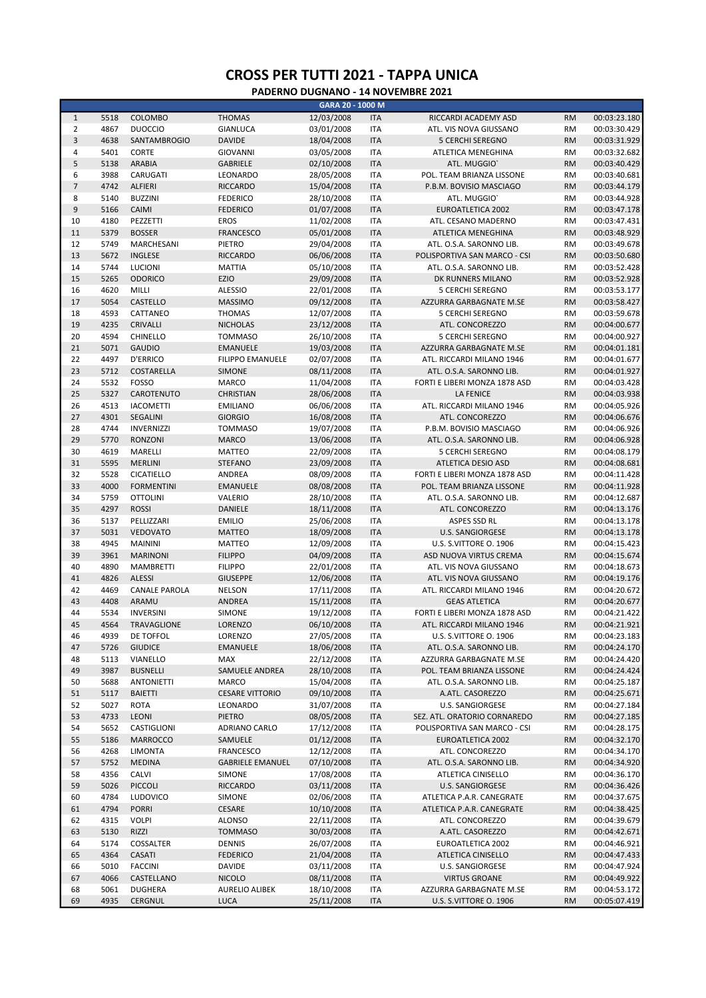|                |      |                      |                         | GARA 20 - 1000 M |            |                               |           |              |
|----------------|------|----------------------|-------------------------|------------------|------------|-------------------------------|-----------|--------------|
| $\mathbf 1$    | 5518 | COLOMBO              | <b>THOMAS</b>           | 12/03/2008       | <b>ITA</b> | RICCARDI ACADEMY ASD          | <b>RM</b> | 00:03:23.180 |
| $\overline{2}$ | 4867 | <b>DUOCCIO</b>       | <b>GIANLUCA</b>         | 03/01/2008       | <b>ITA</b> | ATL. VIS NOVA GIUSSANO        | <b>RM</b> | 00:03:30.429 |
| 3              | 4638 | <b>SANTAMBROGIO</b>  | <b>DAVIDE</b>           | 18/04/2008       | <b>ITA</b> | <b>5 CERCHI SEREGNO</b>       | <b>RM</b> | 00:03:31.929 |
| 4              | 5401 | <b>CORTE</b>         | GIOVANNI                | 03/05/2008       | <b>ITA</b> |                               | <b>RM</b> | 00:03:32.682 |
|                |      |                      |                         |                  |            | ATLETICA MENEGHINA            |           |              |
| 5              | 5138 | <b>ARABIA</b>        | <b>GABRIELE</b>         | 02/10/2008       | <b>ITA</b> | ATL. MUGGIO'                  | <b>RM</b> | 00:03:40.429 |
| 6              | 3988 | CARUGATI             | LEONARDO                | 28/05/2008       | <b>ITA</b> | POL. TEAM BRIANZA LISSONE     | <b>RM</b> | 00:03:40.681 |
| $\overline{7}$ | 4742 | <b>ALFIERI</b>       | <b>RICCARDO</b>         | 15/04/2008       | <b>ITA</b> | P.B.M. BOVISIO MASCIAGO       | <b>RM</b> | 00:03:44.179 |
| 8              | 5140 | <b>BUZZINI</b>       | <b>FEDERICO</b>         | 28/10/2008       | <b>ITA</b> | ATL. MUGGIO'                  | <b>RM</b> | 00:03:44.928 |
| 9              | 5166 | CAIMI                | <b>FEDERICO</b>         | 01/07/2008       | <b>ITA</b> | <b>EUROATLETICA 2002</b>      | <b>RM</b> | 00:03:47.178 |
| 10             | 4180 | PEZZETTI             | <b>EROS</b>             | 11/02/2008       | <b>ITA</b> | ATL. CESANO MADERNO           | <b>RM</b> | 00:03:47.431 |
| 11             | 5379 | <b>BOSSER</b>        | <b>FRANCESCO</b>        | 05/01/2008       | <b>ITA</b> | ATLETICA MENEGHINA            | <b>RM</b> | 00:03:48.929 |
| 12             | 5749 | MARCHESANI           | PIETRO                  |                  | <b>ITA</b> |                               | <b>RM</b> | 00:03:49.678 |
|                |      |                      |                         | 29/04/2008       |            | ATL. O.S.A. SARONNO LIB.      |           |              |
| 13             | 5672 | <b>INGLESE</b>       | <b>RICCARDO</b>         | 06/06/2008       | <b>ITA</b> | POLISPORTIVA SAN MARCO - CSI  | <b>RM</b> | 00:03:50.680 |
| 14             | 5744 | <b>LUCIONI</b>       | <b>MATTIA</b>           | 05/10/2008       | <b>ITA</b> | ATL. O.S.A. SARONNO LIB.      | <b>RM</b> | 00:03:52.428 |
| 15             | 5265 | <b>ODORICO</b>       | EZIO                    | 29/09/2008       | <b>ITA</b> | DK RUNNERS MILANO             | <b>RM</b> | 00:03:52.928 |
| 16             | 4620 | MILLI                | <b>ALESSIO</b>          | 22/01/2008       | <b>ITA</b> | 5 CERCHI SEREGNO              | <b>RM</b> | 00:03:53.177 |
| 17             | 5054 | CASTELLO             | <b>MASSIMO</b>          | 09/12/2008       | <b>ITA</b> | AZZURRA GARBAGNATE M.SE       | <b>RM</b> | 00:03:58.427 |
| 18             | 4593 | CATTANEO             | <b>THOMAS</b>           | 12/07/2008       | <b>ITA</b> | <b>5 CERCHI SEREGNO</b>       | <b>RM</b> | 00:03:59.678 |
| 19             | 4235 | CRIVALLI             | <b>NICHOLAS</b>         | 23/12/2008       | <b>ITA</b> | ATL. CONCOREZZO               | <b>RM</b> | 00:04:00.677 |
| 20             | 4594 | <b>CHINELLO</b>      | <b>TOMMASO</b>          | 26/10/2008       | <b>ITA</b> | <b>5 CERCHI SEREGNO</b>       | <b>RM</b> | 00:04:00.927 |
|                |      |                      |                         |                  |            |                               |           |              |
| 21             | 5071 | <b>GAUDIO</b>        | <b>EMANUELE</b>         | 19/03/2008       | <b>ITA</b> | AZZURRA GARBAGNATE M.SE       | <b>RM</b> | 00:04:01.181 |
| 22             | 4497 | <b>D'ERRICO</b>      | FILIPPO EMANUELE        | 02/07/2008       | <b>ITA</b> | ATL. RICCARDI MILANO 1946     | <b>RM</b> | 00:04:01.677 |
| 23             | 5712 | COSTARELLA           | SIMONE                  | 08/11/2008       | <b>ITA</b> | ATL. O.S.A. SARONNO LIB.      | <b>RM</b> | 00:04:01.927 |
| 24             | 5532 | <b>FOSSO</b>         | <b>MARCO</b>            | 11/04/2008       | <b>ITA</b> | FORTI E LIBERI MONZA 1878 ASD | <b>RM</b> | 00:04:03.428 |
| 25             | 5327 | CAROTENUTO           | <b>CHRISTIAN</b>        | 28/06/2008       | <b>ITA</b> | <b>LA FENICE</b>              | <b>RM</b> | 00:04:03.938 |
| 26             | 4513 | <b>IACOMETTI</b>     | <b>EMILIANO</b>         | 06/06/2008       | <b>ITA</b> | ATL. RICCARDI MILANO 1946     | <b>RM</b> | 00:04:05.926 |
| 27             | 4301 | <b>SEGALINI</b>      | <b>GIORGIO</b>          | 16/08/2008       | <b>ITA</b> | ATL. CONCOREZZO               | <b>RM</b> | 00:04:06.676 |
| 28             | 4744 | <b>INVERNIZZI</b>    | <b>TOMMASO</b>          | 19/07/2008       | <b>ITA</b> | P.B.M. BOVISIO MASCIAGO       | <b>RM</b> | 00:04:06.926 |
| 29             |      |                      |                         |                  |            |                               |           |              |
|                | 5770 | <b>RONZONI</b>       | <b>MARCO</b>            | 13/06/2008       | <b>ITA</b> | ATL. O.S.A. SARONNO LIB.      | <b>RM</b> | 00:04:06.928 |
| 30             | 4619 | MARELLI              | <b>MATTEO</b>           | 22/09/2008       | <b>ITA</b> | <b>5 CERCHI SEREGNO</b>       | <b>RM</b> | 00:04:08.179 |
| 31             | 5595 | <b>MERLINI</b>       | <b>STEFANO</b>          | 23/09/2008       | <b>ITA</b> | <b>ATLETICA DESIO ASD</b>     | <b>RM</b> | 00:04:08.681 |
| 32             | 5528 | <b>CICATIELLO</b>    | ANDREA                  | 08/09/2008       | <b>ITA</b> | FORTI E LIBERI MONZA 1878 ASD | <b>RM</b> | 00:04:11.428 |
| 33             | 4000 | <b>FORMENTINI</b>    | <b>EMANUELE</b>         | 08/08/2008       | <b>ITA</b> | POL. TEAM BRIANZA LISSONE     | <b>RM</b> | 00:04:11.928 |
| 34             | 5759 | <b>OTTOLINI</b>      | VALERIO                 | 28/10/2008       | <b>ITA</b> | ATL. O.S.A. SARONNO LIB.      | <b>RM</b> | 00:04:12.687 |
| 35             | 4297 | <b>ROSSI</b>         | DANIELE                 | 18/11/2008       | <b>ITA</b> | ATL. CONCOREZZO               | <b>RM</b> | 00:04:13.176 |
| 36             | 5137 | PELLIZZARI           | <b>EMILIO</b>           | 25/06/2008       | <b>ITA</b> | ASPES SSD RL                  | <b>RM</b> | 00:04:13.178 |
| 37             | 5031 | <b>VEDOVATO</b>      | <b>MATTEO</b>           | 18/09/2008       | <b>ITA</b> | U.S. SANGIORGESE              | <b>RM</b> | 00:04:13.178 |
|                |      |                      |                         |                  |            |                               |           |              |
| 38             | 4945 | <b>MAININI</b>       | <b>MATTEO</b>           | 12/09/2008       | <b>ITA</b> | U.S. S.VITTORE O. 1906        | <b>RM</b> | 00:04:15.423 |
| 39             | 3961 | <b>MARINONI</b>      | <b>FILIPPO</b>          | 04/09/2008       | <b>ITA</b> | ASD NUOVA VIRTUS CREMA        | <b>RM</b> | 00:04:15.674 |
| 40             | 4890 | <b>MAMBRETTI</b>     | <b>FILIPPO</b>          | 22/01/2008       | <b>ITA</b> | ATL. VIS NOVA GIUSSANO        | <b>RM</b> | 00:04:18.673 |
| 41             | 4826 | <b>ALESSI</b>        | <b>GIUSEPPE</b>         | 12/06/2008       | <b>ITA</b> | ATL. VIS NOVA GIUSSANO        | <b>RM</b> | 00:04:19.176 |
| 42             | 4469 | <b>CANALE PAROLA</b> | <b>NELSON</b>           | 17/11/2008       | <b>ITA</b> | ATL. RICCARDI MILANO 1946     | <b>RM</b> | 00:04:20.672 |
| 43             | 4408 | ARAMU                | ANDREA                  | 15/11/2008       | <b>ITA</b> | <b>GEAS ATLETICA</b>          | <b>RM</b> | 00:04:20.677 |
| 44             | 5534 | <b>INVERSINI</b>     | SIMONE                  | 19/12/2008       | <b>ITA</b> | FORTI E LIBERI MONZA 1878 ASD | <b>RM</b> | 00:04:21.422 |
| 45             | 4564 | <b>TRAVAGLIONE</b>   | LORENZO                 | 06/10/2008       | <b>ITA</b> | ATL. RICCARDI MILANO 1946     | <b>RM</b> | 00:04:21.921 |
| 46             | 4939 | DE TOFFOL            | LORENZO                 | 27/05/2008       | <b>ITA</b> | U.S. S.VITTORE O. 1906        | RM        | 00:04:23.183 |
|                |      |                      |                         |                  |            |                               |           |              |
| 47             | 5726 | <b>GIUDICE</b>       | <b>EMANUELE</b>         | 18/06/2008       | <b>ITA</b> | ATL. O.S.A. SARONNO LIB.      | <b>RM</b> | 00:04:24.170 |
| 48             | 5113 | VIANELLO             | MAX                     | 22/12/2008       | <b>ITA</b> | AZZURRA GARBAGNATE M.SE       | <b>RM</b> | 00:04:24.420 |
| 49             | 3987 | <b>BUSNELLI</b>      | SAMUELE ANDREA          | 28/10/2008       | <b>ITA</b> | POL. TEAM BRIANZA LISSONE     | <b>RM</b> | 00:04:24.424 |
| 50             | 5688 | <b>ANTONIETTI</b>    | MARCO                   | 15/04/2008       | <b>ITA</b> | ATL. O.S.A. SARONNO LIB.      | RM        | 00:04:25.187 |
| 51             | 5117 | <b>BAIETTI</b>       | <b>CESARE VITTORIO</b>  | 09/10/2008       | <b>ITA</b> | A.ATL. CASOREZZO              | <b>RM</b> | 00:04:25.671 |
| 52             | 5027 | <b>ROTA</b>          | LEONARDO                | 31/07/2008       | <b>ITA</b> | U.S. SANGIORGESE              | RM        | 00:04:27.184 |
| 53             | 4733 | LEONI                | <b>PIETRO</b>           | 08/05/2008       | <b>ITA</b> | SEZ. ATL. ORATORIO CORNAREDO  | <b>RM</b> | 00:04:27.185 |
| 54             | 5652 | CASTIGLIONI          | ADRIANO CARLO           | 17/12/2008       | ITA        | POLISPORTIVA SAN MARCO - CSI  | RM        | 00:04:28.175 |
|                |      |                      |                         |                  |            |                               |           |              |
| 55             | 5186 | MARROCCO             | SAMUELE                 | 01/12/2008       | <b>ITA</b> | EUROATLETICA 2002             | <b>RM</b> | 00:04:32.170 |
| 56             | 4268 | <b>LIMONTA</b>       | <b>FRANCESCO</b>        | 12/12/2008       | ITA        | ATL. CONCOREZZO               | RM        | 00:04:34.170 |
| 57             | 5752 | <b>MEDINA</b>        | <b>GABRIELE EMANUEL</b> | 07/10/2008       | <b>ITA</b> | ATL. O.S.A. SARONNO LIB.      | <b>RM</b> | 00:04:34.920 |
| 58             | 4356 | CALVI                | SIMONE                  | 17/08/2008       | ITA        | ATLETICA CINISELLO            | RM        | 00:04:36.170 |
| 59             | 5026 | <b>PICCOLI</b>       | <b>RICCARDO</b>         | 03/11/2008       | <b>ITA</b> | <b>U.S. SANGIORGESE</b>       | <b>RM</b> | 00:04:36.426 |
| 60             | 4784 | <b>LUDOVICO</b>      | SIMONE                  | 02/06/2008       | <b>ITA</b> | ATLETICA P.A.R. CANEGRATE     | <b>RM</b> | 00:04:37.675 |
| 61             | 4794 | <b>PORRI</b>         | CESARE                  | 10/10/2008       | <b>ITA</b> | ATLETICA P.A.R. CANEGRATE     | <b>RM</b> | 00:04:38.425 |
|                |      |                      |                         |                  |            |                               |           |              |
| 62             | 4315 | <b>VOLPI</b>         | <b>ALONSO</b>           | 22/11/2008       | ITA        | ATL. CONCOREZZO               | RM        | 00:04:39.679 |
| 63             | 5130 | RIZZI                | <b>TOMMASO</b>          | 30/03/2008       | <b>ITA</b> | A.ATL. CASOREZZO              | <b>RM</b> | 00:04:42.671 |
| 64             | 5174 | COSSALTER            | <b>DENNIS</b>           | 26/07/2008       | <b>ITA</b> | EUROATLETICA 2002             | RM        | 00:04:46.921 |
| 65             | 4364 | CASATI               | <b>FEDERICO</b>         | 21/04/2008       | <b>ITA</b> | ATLETICA CINISELLO            | <b>RM</b> | 00:04:47.433 |
| 66             | 5010 | <b>FACCINI</b>       | <b>DAVIDE</b>           | 03/11/2008       | <b>ITA</b> | U.S. SANGIORGESE              | RM        | 00:04:47.924 |
| 67             | 4066 | CASTELLANO           | <b>NICOLO</b>           | 08/11/2008       | <b>ITA</b> | <b>VIRTUS GROANE</b>          | <b>RM</b> | 00:04:49.922 |
| 68             | 5061 | <b>DUGHERA</b>       | <b>AURELIO ALIBEK</b>   | 18/10/2008       | ITA        | AZZURRA GARBAGNATE M.SE       | RM        | 00:04:53.172 |
| 69             | 4935 | CERGNUL              | <b>LUCA</b>             | 25/11/2008       | <b>ITA</b> | U.S. S.VITTORE O. 1906        | <b>RM</b> | 00:05:07.419 |
|                |      |                      |                         |                  |            |                               |           |              |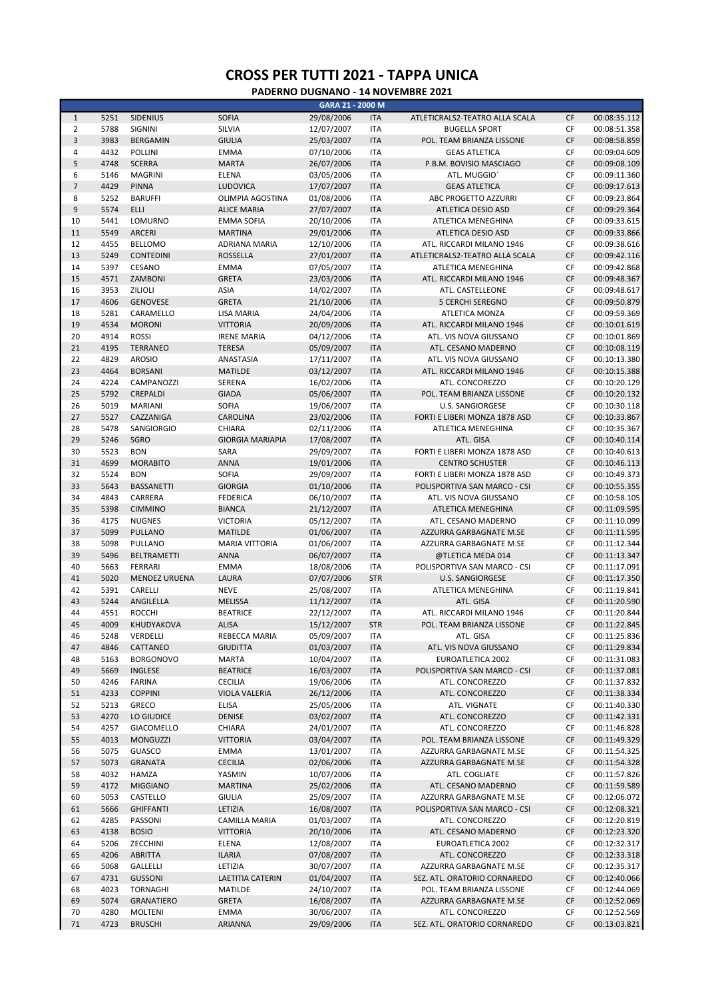|                |      |                      |                         | GARA 21 - 2000 M |            |                                |           |              |
|----------------|------|----------------------|-------------------------|------------------|------------|--------------------------------|-----------|--------------|
| $\mathbf{1}$   | 5251 | <b>SIDENIUS</b>      | <b>SOFIA</b>            | 29/08/2006       | <b>ITA</b> | ATLETICRALS2-TEATRO ALLA SCALA | CF        | 00:08:35.112 |
| $\overline{2}$ | 5788 | SIGNINI              | SILVIA                  | 12/07/2007       | <b>ITA</b> | <b>BUGELLA SPORT</b>           | CF        | 00:08:51.358 |
| 3              | 3983 | <b>BERGAMIN</b>      | <b>GIULIA</b>           | 25/03/2007       | <b>ITA</b> | POL. TEAM BRIANZA LISSONE      | CF        | 00:08:58.859 |
| 4              | 4432 | POLLINI              | <b>EMMA</b>             | 07/10/2006       | <b>ITA</b> | <b>GEAS ATLETICA</b>           | CF        | 00:09:04.609 |
| 5              | 4748 | <b>SCERRA</b>        | <b>MARTA</b>            | 26/07/2006       | <b>ITA</b> | P.B.M. BOVISIO MASCIAGO        | CF        | 00:09:08.109 |
| 6              | 5146 | <b>MAGRINI</b>       | <b>ELENA</b>            | 03/05/2006       | <b>ITA</b> | ATL. MUGGIO'                   | CF        | 00:09:11.360 |
| $\overline{7}$ | 4429 | <b>PINNA</b>         | <b>LUDOVICA</b>         | 17/07/2007       | <b>ITA</b> | <b>GEAS ATLETICA</b>           | CF        | 00:09:17.613 |
| 8              | 5252 | <b>BARUFFI</b>       | OLIMPIA AGOSTINA        | 01/08/2006       | <b>ITA</b> | ABC PROGETTO AZZURRI           | CF        | 00:09:23.864 |
|                |      |                      |                         |                  |            |                                |           |              |
| 9              | 5574 | <b>ELLI</b>          | <b>ALICE MARIA</b>      | 27/07/2007       | <b>ITA</b> | <b>ATLETICA DESIO ASD</b>      | CF        | 00:09:29.364 |
| 10             | 5441 | LOMURNO              | <b>EMMA SOFIA</b>       | 20/10/2006       | <b>ITA</b> | ATLETICA MENEGHINA             | CF        | 00:09:33.615 |
| 11             | 5549 | <b>ARCERI</b>        | <b>MARTINA</b>          | 29/01/2006       | <b>ITA</b> | <b>ATLETICA DESIO ASD</b>      | CF        | 00:09:33.866 |
| 12             | 4455 | <b>BELLOMO</b>       | <b>ADRIANA MARIA</b>    | 12/10/2006       | <b>ITA</b> | ATL. RICCARDI MILANO 1946      | CF        | 00:09:38.616 |
| 13             | 5249 | <b>CONTEDINI</b>     | <b>ROSSELLA</b>         | 27/01/2007       | <b>ITA</b> | ATLETICRALS2-TEATRO ALLA SCALA | CF        | 00:09:42.116 |
| 14             | 5397 | CESANO               | <b>EMMA</b>             | 07/05/2007       | <b>ITA</b> | ATLETICA MENEGHINA             | CF        | 00:09:42.868 |
| 15             | 4571 | ZAMBONI              | <b>GRETA</b>            | 23/03/2006       | <b>ITA</b> | ATL. RICCARDI MILANO 1946      | <b>CF</b> | 00:09:48.367 |
| 16             | 3953 | ZILIOLI              | <b>ASIA</b>             | 14/02/2007       | <b>ITA</b> | ATL. CASTELLEONE               | CF        | 00:09:48.617 |
| 17             | 4606 | <b>GENOVESE</b>      | <b>GRETA</b>            | 21/10/2006       | <b>ITA</b> | <b>5 CERCHI SEREGNO</b>        | CF        | 00:09:50.879 |
| 18             | 5281 | CARAMELLO            | <b>LISA MARIA</b>       | 24/04/2006       | <b>ITA</b> | ATLETICA MONZA                 | CF        | 00:09:59.369 |
| 19             | 4534 | <b>MORONI</b>        | <b>VITTORIA</b>         | 20/09/2006       | <b>ITA</b> | ATL. RICCARDI MILANO 1946      | <b>CF</b> | 00:10:01.619 |
| 20             | 4914 | <b>ROSSI</b>         | <b>IRENE MARIA</b>      | 04/12/2006       | <b>ITA</b> | ATL. VIS NOVA GIUSSANO         | CF        | 00:10:01.869 |
|                |      |                      |                         |                  |            |                                |           |              |
| 21             | 4195 | <b>TERRANEO</b>      | <b>TERESA</b>           | 05/09/2007       | <b>ITA</b> | ATL. CESANO MADERNO            | CF        | 00:10:08.119 |
| 22             | 4829 | <b>AROSIO</b>        | ANASTASIA               | 17/11/2007       | <b>ITA</b> | ATL. VIS NOVA GIUSSANO         | CF        | 00:10:13.380 |
| 23             | 4464 | <b>BORSANI</b>       | <b>MATILDE</b>          | 03/12/2007       | <b>ITA</b> | ATL. RICCARDI MILANO 1946      | <b>CF</b> | 00:10:15.388 |
| 24             | 4224 | CAMPANOZZI           | SERENA                  | 16/02/2006       | <b>ITA</b> | ATL. CONCOREZZO                | CF        | 00:10:20.129 |
| 25             | 5792 | CREPALDI             | <b>GIADA</b>            | 05/06/2007       | <b>ITA</b> | POL. TEAM BRIANZA LISSONE      | CF        | 00:10:20.132 |
| 26             | 5019 | <b>MARIANI</b>       | <b>SOFIA</b>            | 19/06/2007       | <b>ITA</b> | <b>U.S. SANGIORGESE</b>        | CF        | 00:10:30.118 |
| 27             | 5527 | CAZZANIGA            | <b>CAROLINA</b>         | 23/02/2006       | <b>ITA</b> | FORTI E LIBERI MONZA 1878 ASD  | CF        | 00:10:33.867 |
| 28             | 5478 | <b>SANGIORGIO</b>    | CHIARA                  | 02/11/2006       | <b>ITA</b> | ATLETICA MENEGHINA             | CF        | 00:10:35.367 |
| 29             | 5246 | SGRO                 | <b>GIORGIA MARIAPIA</b> | 17/08/2007       | <b>ITA</b> | ATL. GISA                      | CF        | 00:10:40.114 |
| 30             | 5523 | <b>BON</b>           | SARA                    | 29/09/2007       | <b>ITA</b> | FORTI E LIBERI MONZA 1878 ASD  | CF        | 00:10:40.613 |
| 31             | 4699 | <b>MORABITO</b>      | <b>ANNA</b>             |                  | <b>ITA</b> | <b>CENTRO SCHUSTER</b>         | CF        | 00:10:46.113 |
|                |      |                      |                         | 19/01/2006       |            |                                |           |              |
| 32             | 5524 | <b>BON</b>           | <b>SOFIA</b>            | 29/09/2007       | <b>ITA</b> | FORTI E LIBERI MONZA 1878 ASD  | CF        | 00:10:49.373 |
| 33             | 5643 | <b>BASSANETTI</b>    | <b>GIORGIA</b>          | 01/10/2006       | <b>ITA</b> | POLISPORTIVA SAN MARCO - CSI   | CF        | 00:10:55.355 |
| 34             | 4843 | CARRERA              | <b>FEDERICA</b>         | 06/10/2007       | <b>ITA</b> | ATL. VIS NOVA GIUSSANO         | CF        | 00:10:58.105 |
| 35             | 5398 | <b>CIMMINO</b>       | <b>BIANCA</b>           | 21/12/2007       | <b>ITA</b> | ATLETICA MENEGHINA             | CF        | 00:11:09.595 |
| 36             | 4175 | <b>NUGNES</b>        | <b>VICTORIA</b>         | 05/12/2007       | <b>ITA</b> | ATL. CESANO MADERNO            | CF        | 00:11:10.099 |
| 37             | 5099 | <b>PULLANO</b>       | <b>MATILDE</b>          | 01/06/2007       | <b>ITA</b> | AZZURRA GARBAGNATE M.SE        | CF        | 00:11:11.595 |
| 38             | 5098 | PULLANO              | <b>MARIA VITTORIA</b>   | 01/06/2007       | <b>ITA</b> | AZZURRA GARBAGNATE M.SE        | CF        | 00:11:12.344 |
| 39             | 5496 | <b>BELTRAMETTI</b>   | <b>ANNA</b>             | 06/07/2007       | <b>ITA</b> | @TLETICA MEDA 014              | CF        | 00:11:13.347 |
| 40             | 5663 | FERRARI              | <b>EMMA</b>             | 18/08/2006       | <b>ITA</b> | POLISPORTIVA SAN MARCO - CSI   | CF        | 00:11:17.091 |
| 41             | 5020 | <b>MENDEZ URUENA</b> | LAURA                   | 07/07/2006       | <b>STR</b> | <b>U.S. SANGIORGESE</b>        | CF        | 00:11:17.350 |
| 42             | 5391 | CARELLI              | <b>NEVE</b>             |                  |            |                                | CF        | 00:11:19.841 |
|                |      |                      |                         | 25/08/2007       | <b>ITA</b> | ATLETICA MENEGHINA             |           |              |
| 43             | 5244 | ANGILELLA            | <b>MELISSA</b>          | 11/12/2007       | <b>ITA</b> | ATL. GISA                      | CF        | 00:11:20.590 |
| 44             | 4551 | <b>ROCCHI</b>        | <b>BEATRICE</b>         | 22/12/2007       | <b>ITA</b> | ATL. RICCARDI MILANO 1946      | CF        | 00:11:20.844 |
| 45             | 4009 | KHUDYAKOVA           | <b>ALISA</b>            | 15/12/2007       | <b>STR</b> | POL. TEAM BRIANZA LISSONE      | CF        | 00:11:22.845 |
| 46             | 5248 | VERDELLI             | REBECCA MARIA           | 05/09/2007       | <b>ITA</b> | ATL. GISA                      | CF        | 00:11:25.836 |
| 47             | 4846 | CATTANEO             | <b>GIUDITTA</b>         | 01/03/2007       | <b>ITA</b> | ATL. VIS NOVA GIUSSANO         | CF        | 00:11:29.834 |
| 48             | 5163 | <b>BORGONOVO</b>     | <b>MARTA</b>            | 10/04/2007       | <b>ITA</b> | EUROATLETICA 2002              | СF        | 00:11:31.083 |
| 49             | 5669 | <b>INGLESE</b>       | <b>BEATRICE</b>         | 16/03/2007       | <b>ITA</b> | POLISPORTIVA SAN MARCO - CSI   | CF        | 00:11:37.081 |
| 50             | 4246 | <b>FARINA</b>        | <b>CECILIA</b>          | 19/06/2006       | ITA        | ATL. CONCOREZZO                | CF        | 00:11:37.832 |
| 51             | 4233 | <b>COPPINI</b>       | <b>VIOLA VALERIA</b>    | 26/12/2006       | <b>ITA</b> | ATL. CONCOREZZO                | CF        | 00:11:38.334 |
| 52             | 5213 | GRECO                | <b>ELISA</b>            | 25/05/2006       | <b>ITA</b> | ATL. VIGNATE                   | СF        | 00:11:40.330 |
|                |      |                      |                         |                  |            |                                |           |              |
| 53             | 4270 | LO GIUDICE           | <b>DENISE</b>           | 03/02/2007       | <b>ITA</b> | ATL. CONCOREZZO                | CF        | 00:11:42.331 |
| 54             | 4257 | GIACOMELLO           | CHIARA                  | 24/01/2007       | <b>ITA</b> | ATL. CONCOREZZO                | СF        | 00:11:46.828 |
| 55             | 4013 | <b>MONGUZZI</b>      | <b>VITTORIA</b>         | 03/04/2007       | <b>ITA</b> | POL. TEAM BRIANZA LISSONE      | CF        | 00:11:49.329 |
| 56             | 5075 | <b>GUASCO</b>        | <b>EMMA</b>             | 13/01/2007       | <b>ITA</b> | AZZURRA GARBAGNATE M.SE        | СF        | 00:11:54.325 |
| 57             | 5073 | <b>GRANATA</b>       | <b>CECILIA</b>          | 02/06/2006       | <b>ITA</b> | AZZURRA GARBAGNATE M.SE        | CF        | 00:11:54.328 |
| 58             | 4032 | HAMZA                | YASMIN                  | 10/07/2006       | <b>ITA</b> | ATL. COGLIATE                  | СF        | 00:11:57.826 |
| 59             | 4172 | <b>MIGGIANO</b>      | <b>MARTINA</b>          | 25/02/2006       | <b>ITA</b> | ATL. CESANO MADERNO            | CF        | 00:11:59.589 |
| 60             | 5053 | CASTELLO             | <b>GIULIA</b>           | 25/09/2007       | <b>ITA</b> | AZZURRA GARBAGNATE M.SE        | СF        | 00:12:06.072 |
| 61             | 5666 | <b>GHIFFANTI</b>     | LETIZIA                 | 16/08/2007       | <b>ITA</b> | POLISPORTIVA SAN MARCO - CSI   | CF        | 00:12:08.321 |
| 62             | 4285 | PASSONI              | CAMILLA MARIA           | 01/03/2007       | <b>ITA</b> | ATL. CONCOREZZO                | СF        | 00:12:20.819 |
| 63             | 4138 | <b>BOSIO</b>         | <b>VITTORIA</b>         | 20/10/2006       | <b>ITA</b> |                                | CF        |              |
|                |      |                      |                         |                  |            | ATL. CESANO MADERNO            |           | 00:12:23.320 |
| 64             | 5206 | ZECCHINI             | ELENA                   | 12/08/2007       | <b>ITA</b> | EUROATLETICA 2002              | CF        | 00:12:32.317 |
| 65             | 4206 | <b>ABRITTA</b>       | <b>ILARIA</b>           | 07/08/2007       | <b>ITA</b> | ATL. CONCOREZZO                | CF        | 00:12:33.318 |
| 66             | 5068 | GALLELLI             | LETIZIA                 | 30/07/2007       | <b>ITA</b> | AZZURRA GARBAGNATE M.SE        | CF        | 00:12:35.317 |
| 67             | 4731 | <b>GUSSONI</b>       | LAETITIA CATERIN        | 01/04/2007       | <b>ITA</b> | SEZ. ATL. ORATORIO CORNAREDO   | CF        | 00:12:40.066 |
| 68             | 4023 | <b>TORNAGHI</b>      | MATILDE                 | 24/10/2007       | ITA        | POL. TEAM BRIANZA LISSONE      | СF        | 00:12:44.069 |
| 69             | 5074 | <b>GRANATIERO</b>    | <b>GRETA</b>            | 16/08/2007       | <b>ITA</b> | AZZURRA GARBAGNATE M.SE        | CF        | 00:12:52.069 |
| 70             | 4280 | <b>MOLTENI</b>       | <b>EMMA</b>             | 30/06/2007       | <b>ITA</b> | ATL. CONCOREZZO                | CF        | 00:12:52.569 |
| 71             | 4723 | <b>BRUSCHI</b>       | ARIANNA                 | 29/09/2006       | <b>ITA</b> | SEZ. ATL. ORATORIO CORNAREDO   | CF        | 00:13:03.821 |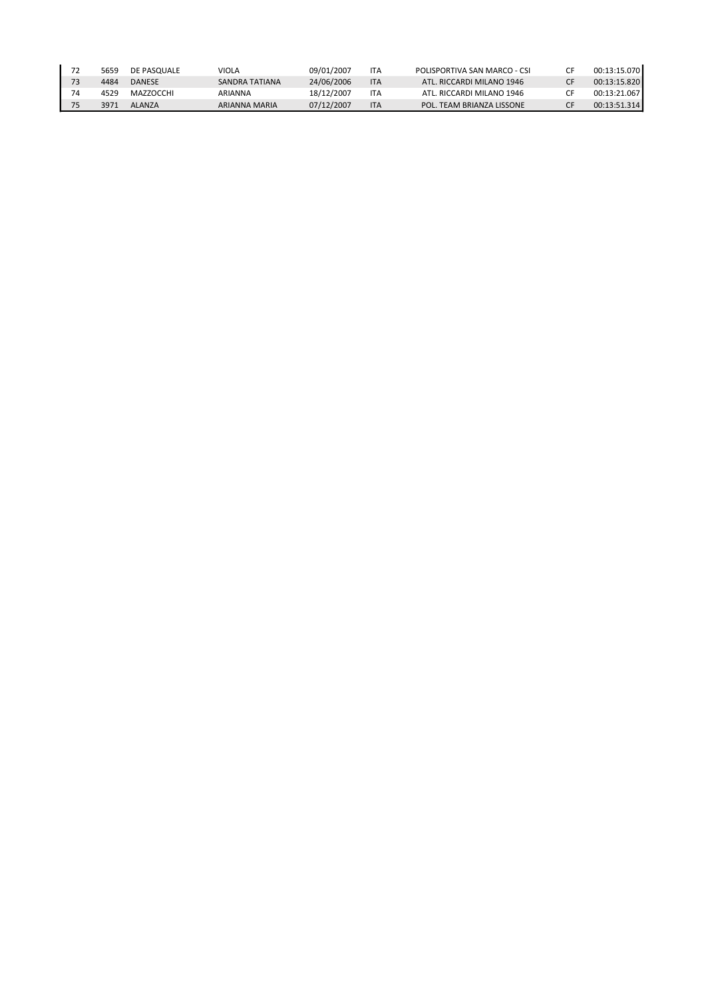| 5659 | DE PASOUALE   | VIOLA          | 09/01/2007 | <b>ITA</b> | POLISPORTIVA SAN MARCO - CSI | 00:13:15.070 |
|------|---------------|----------------|------------|------------|------------------------------|--------------|
| 4484 | <b>DANESE</b> | SANDRA TATIANA | 24/06/2006 | <b>ITA</b> | ATL. RICCARDI MILANO 1946    | 00:13:15.820 |
| 4529 | MAZZOCCHI     | ARIANNA        | 18/12/2007 | ITA        | ATL. RICCARDI MILANO 1946    | 00:13:21.067 |
| 3971 | ALANZA        | ARIANNA MARIA  | 07/12/2007 | <b>ITA</b> | POL. TEAM BRIANZA LISSONE    | 00:13:51.314 |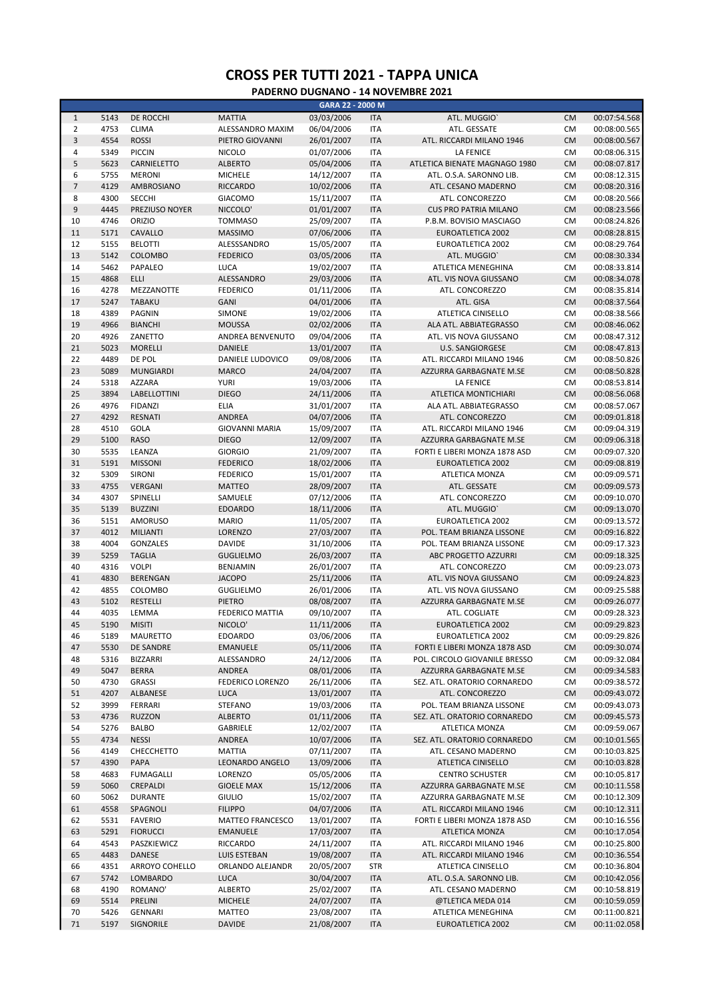|                |      |                  |                         | GARA 22 - 2000 M |            |                               |           |              |
|----------------|------|------------------|-------------------------|------------------|------------|-------------------------------|-----------|--------------|
| $\mathbf{1}$   | 5143 | DE ROCCHI        | <b>MATTIA</b>           | 03/03/2006       | <b>ITA</b> | ATL. MUGGIO'                  | <b>CM</b> | 00:07:54.568 |
| $\overline{2}$ | 4753 | <b>CLIMA</b>     | ALESSANDRO MAXIM        | 06/04/2006       | <b>ITA</b> | ATL. GESSATE                  | <b>CM</b> | 00:08:00.565 |
| 3              | 4554 | <b>ROSSI</b>     | PIETRO GIOVANNI         | 26/01/2007       | <b>ITA</b> | ATL. RICCARDI MILANO 1946     | <b>CM</b> | 00:08:00.567 |
| 4              | 5349 | <b>PICCIN</b>    | <b>NICOLO</b>           | 01/07/2006       | <b>ITA</b> | LA FENICE                     | <b>CM</b> | 00:08:06.315 |
|                |      |                  |                         |                  |            |                               |           |              |
| 5              | 5623 | CARNIELETTO      | <b>ALBERTO</b>          | 05/04/2006       | <b>ITA</b> | ATLETICA BIENATE MAGNAGO 1980 | <b>CM</b> | 00:08:07.817 |
| 6              | 5755 | <b>MERONI</b>    | <b>MICHELE</b>          | 14/12/2007       | <b>ITA</b> | ATL. O.S.A. SARONNO LIB.      | <b>CM</b> | 00:08:12.315 |
| $\overline{7}$ | 4129 | AMBROSIANO       | <b>RICCARDO</b>         | 10/02/2006       | <b>ITA</b> | ATL. CESANO MADERNO           | <b>CM</b> | 00:08:20.316 |
| 8              | 4300 | SECCHI           | <b>GIACOMO</b>          | 15/11/2007       | <b>ITA</b> | ATL. CONCOREZZO               | <b>CM</b> | 00:08:20.566 |
| 9              | 4445 | PREZIUSO NOYER   | NICCOLO'                | 01/01/2007       | <b>ITA</b> | <b>CUS PRO PATRIA MILANO</b>  | <b>CM</b> | 00:08:23.566 |
| 10             | 4746 | <b>ORIZIO</b>    | <b>TOMMASO</b>          | 25/09/2007       | <b>ITA</b> | P.B.M. BOVISIO MASCIAGO       | <b>CM</b> | 00:08:24.826 |
| 11             | 5171 | CAVALLO          | <b>MASSIMO</b>          | 07/06/2006       | <b>ITA</b> | <b>EUROATLETICA 2002</b>      | <b>CM</b> | 00:08:28.815 |
| 12             | 5155 | <b>BELOTTI</b>   |                         | 15/05/2007       |            | EUROATLETICA 2002             |           |              |
|                |      |                  | ALESSSANDRO             |                  | <b>ITA</b> |                               | <b>CM</b> | 00:08:29.764 |
| 13             | 5142 | <b>COLOMBO</b>   | <b>FEDERICO</b>         | 03/05/2006       | <b>ITA</b> | ATL. MUGGIO'                  | <b>CM</b> | 00:08:30.334 |
| 14             | 5462 | PAPALEO          | LUCA                    | 19/02/2007       | <b>ITA</b> | ATLETICA MENEGHINA            | <b>CM</b> | 00:08:33.814 |
| 15             | 4868 | ELLI             | ALESSANDRO              | 29/03/2006       | <b>ITA</b> | ATL. VIS NOVA GIUSSANO        | <b>CM</b> | 00:08:34.078 |
| 16             | 4278 | MEZZANOTTE       | <b>FEDERICO</b>         | 01/11/2006       | <b>ITA</b> | ATL. CONCOREZZO               | <b>CM</b> | 00:08:35.814 |
| 17             | 5247 | <b>TABAKU</b>    | <b>GANI</b>             | 04/01/2006       | <b>ITA</b> | ATL. GISA                     | <b>CM</b> | 00:08:37.564 |
| 18             | 4389 | PAGNIN           | SIMONE                  | 19/02/2006       | <b>ITA</b> | ATLETICA CINISELLO            | <b>CM</b> | 00:08:38.566 |
| 19             | 4966 | <b>BIANCHI</b>   | <b>MOUSSA</b>           | 02/02/2006       | <b>ITA</b> | ALA ATL. ABBIATEGRASSO        | <b>CM</b> | 00:08:46.062 |
|                |      |                  |                         |                  |            |                               |           |              |
| 20             | 4926 | ZANETTO          | ANDREA BENVENUTO        | 09/04/2006       | <b>ITA</b> | ATL. VIS NOVA GIUSSANO        | <b>CM</b> | 00:08:47.312 |
| 21             | 5023 | <b>MORELLI</b>   | <b>DANIELE</b>          | 13/01/2007       | <b>ITA</b> | <b>U.S. SANGIORGESE</b>       | <b>CM</b> | 00:08:47.813 |
| 22             | 4489 | DE POL           | DANIELE LUDOVICO        | 09/08/2006       | <b>ITA</b> | ATL. RICCARDI MILANO 1946     | <b>CM</b> | 00:08:50.826 |
| 23             | 5089 | <b>MUNGIARDI</b> | <b>MARCO</b>            | 24/04/2007       | <b>ITA</b> | AZZURRA GARBAGNATE M.SE       | <b>CM</b> | 00:08:50.828 |
| 24             | 5318 | <b>AZZARA</b>    | YURI                    | 19/03/2006       | <b>ITA</b> | LA FENICE                     | <b>CM</b> | 00:08:53.814 |
| 25             | 3894 | LABELLOTTINI     | <b>DIEGO</b>            | 24/11/2006       | <b>ITA</b> | ATLETICA MONTICHIARI          | <b>CM</b> | 00:08:56.068 |
| 26             | 4976 | <b>FIDANZI</b>   | <b>ELIA</b>             | 31/01/2007       | <b>ITA</b> | ALA ATL. ABBIATEGRASSO        | <b>CM</b> | 00:08:57.067 |
| 27             | 4292 | <b>RESNATI</b>   | <b>ANDREA</b>           | 04/07/2006       | <b>ITA</b> | ATL. CONCOREZZO               | <b>CM</b> | 00:09:01.818 |
|                |      |                  |                         |                  |            |                               |           |              |
| 28             | 4510 | <b>GOLA</b>      | <b>GIOVANNI MARIA</b>   | 15/09/2007       | <b>ITA</b> | ATL. RICCARDI MILANO 1946     | <b>CM</b> | 00:09:04.319 |
| 29             | 5100 | <b>RASO</b>      | <b>DIEGO</b>            | 12/09/2007       | <b>ITA</b> | AZZURRA GARBAGNATE M.SE       | <b>CM</b> | 00:09:06.318 |
| 30             | 5535 | LEANZA           | <b>GIORGIO</b>          | 21/09/2007       | <b>ITA</b> | FORTI E LIBERI MONZA 1878 ASD | <b>CM</b> | 00:09:07.320 |
| 31             | 5191 | <b>MISSONI</b>   | <b>FEDERICO</b>         | 18/02/2006       | <b>ITA</b> | <b>EUROATLETICA 2002</b>      | <b>CM</b> | 00:09:08.819 |
| 32             | 5309 | SIRONI           | <b>FEDERICO</b>         | 15/01/2007       | <b>ITA</b> | ATLETICA MONZA                | <b>CM</b> | 00:09:09.571 |
| 33             | 4755 | <b>VERGANI</b>   | <b>MATTEO</b>           | 28/09/2007       | <b>ITA</b> | ATL. GESSATE                  | <b>CM</b> | 00:09:09.573 |
| 34             | 4307 | SPINELLI         | SAMUELE                 | 07/12/2006       | <b>ITA</b> | ATL. CONCOREZZO               | <b>CM</b> | 00:09:10.070 |
|                |      |                  |                         |                  |            |                               |           |              |
| 35             | 5139 | <b>BUZZINI</b>   | <b>EDOARDO</b>          | 18/11/2006       | <b>ITA</b> | ATL. MUGGIO'                  | <b>CM</b> | 00:09:13.070 |
| 36             | 5151 | <b>AMORUSO</b>   | <b>MARIO</b>            | 11/05/2007       | <b>ITA</b> | <b>EUROATLETICA 2002</b>      | <b>CM</b> | 00:09:13.572 |
| 37             | 4012 | <b>MILIANTI</b>  | <b>LORENZO</b>          | 27/03/2007       | <b>ITA</b> | POL. TEAM BRIANZA LISSONE     | <b>CM</b> | 00:09:16.822 |
| 38             | 4004 | <b>GONZALES</b>  | <b>DAVIDE</b>           | 31/10/2006       | <b>ITA</b> | POL. TEAM BRIANZA LISSONE     | <b>CM</b> | 00:09:17.323 |
| 39             | 5259 | <b>TAGLIA</b>    | <b>GUGLIELMO</b>        | 26/03/2007       | <b>ITA</b> | ABC PROGETTO AZZURRI          | <b>CM</b> | 00:09:18.325 |
| 40             | 4316 | <b>VOLPI</b>     | BENJAMIN                | 26/01/2007       | <b>ITA</b> | ATL. CONCOREZZO               | <b>CM</b> | 00:09:23.073 |
| 41             | 4830 | <b>BERENGAN</b>  | <b>JACOPO</b>           | 25/11/2006       | <b>ITA</b> | ATL. VIS NOVA GIUSSANO        | <b>CM</b> | 00:09:24.823 |
| 42             | 4855 | COLOMBO          | <b>GUGLIELMO</b>        | 26/01/2006       | <b>ITA</b> | ATL. VIS NOVA GIUSSANO        | <b>CM</b> | 00:09:25.588 |
| 43             | 5102 | <b>RESTELLI</b>  | PIETRO                  | 08/08/2007       | <b>ITA</b> | AZZURRA GARBAGNATE M.SE       | <b>CM</b> | 00:09:26.077 |
|                |      |                  |                         |                  |            |                               |           |              |
| 44             | 4035 | LEMMA            | <b>FEDERICO MATTIA</b>  | 09/10/2007       | <b>ITA</b> | ATL. COGLIATE                 | <b>CM</b> | 00:09:28.323 |
| 45             | 5190 | <b>MISITI</b>    | NICOLO'                 | 11/11/2006       | <b>ITA</b> | <b>EUROATLETICA 2002</b>      | <b>CM</b> | 00:09:29.823 |
| 46             | 5189 | MAURETTO         | EDOARDO                 | 03/06/2006       | ПA         | EUROATLETICA 2002             | CM.       | 00:09:29.826 |
| 47             | 5530 | DE SANDRE        | <b>EMANUELE</b>         | 05/11/2006       | <b>ITA</b> | FORTI E LIBERI MONZA 1878 ASD | <b>CM</b> | 00:09:30.074 |
| 48             | 5316 | <b>BIZZARRI</b>  | ALESSANDRO              | 24/12/2006       | <b>ITA</b> | POL. CIRCOLO GIOVANILE BRESSO | <b>CM</b> | 00:09:32.084 |
| 49             | 5047 | <b>BERRA</b>     | ANDREA                  | 08/01/2006       | <b>ITA</b> | AZZURRA GARBAGNATE M.SE       | <b>CM</b> | 00:09:34.583 |
| 50             | 4730 | <b>GRASSI</b>    | FEDERICO LORENZO        | 26/11/2006       | ITA        | SEZ. ATL. ORATORIO CORNAREDO  | CM        | 00:09:38.572 |
| 51             | 4207 | ALBANESE         | <b>LUCA</b>             | 13/01/2007       | <b>ITA</b> | ATL. CONCOREZZO               | <b>CM</b> | 00:09:43.072 |
|                |      |                  |                         |                  |            |                               |           |              |
| 52             | 3999 | FERRARI          | <b>STEFANO</b>          | 19/03/2006       | <b>ITA</b> | POL. TEAM BRIANZA LISSONE     | <b>CM</b> | 00:09:43.073 |
| 53             | 4736 | <b>RUZZON</b>    | <b>ALBERTO</b>          | 01/11/2006       | <b>ITA</b> | SEZ. ATL. ORATORIO CORNAREDO  | <b>CM</b> | 00:09:45.573 |
| 54             | 5276 | <b>BALBO</b>     | GABRIELE                | 12/02/2007       | <b>ITA</b> | ATLETICA MONZA                | CM        | 00:09:59.067 |
| 55             | 4734 | <b>NESSI</b>     | <b>ANDREA</b>           | 10/07/2006       | <b>ITA</b> | SEZ. ATL. ORATORIO CORNAREDO  | <b>CM</b> | 00:10:01.565 |
| 56             | 4149 | CHECCHETTO       | <b>MATTIA</b>           | 07/11/2007       | ITA        | ATL. CESANO MADERNO           | CM        | 00:10:03.825 |
| 57             | 4390 | PAPA             | LEONARDO ANGELO         | 13/09/2006       | <b>ITA</b> | ATLETICA CINISELLO            | <b>CM</b> | 00:10:03.828 |
| 58             | 4683 | <b>FUMAGALLI</b> | LORENZO                 | 05/05/2006       | <b>ITA</b> | <b>CENTRO SCHUSTER</b>        | <b>CM</b> | 00:10:05.817 |
| 59             | 5060 | CREPALDI         | <b>GIOELE MAX</b>       | 15/12/2006       | <b>ITA</b> | AZZURRA GARBAGNATE M.SE       | <b>CM</b> | 00:10:11.558 |
|                |      |                  |                         |                  |            |                               |           |              |
| 60             | 5062 | <b>DURANTE</b>   | <b>GIULIO</b>           | 15/02/2007       | <b>ITA</b> | AZZURRA GARBAGNATE M.SE       | CM        | 00:10:12.309 |
| 61             | 4558 | SPAGNOLI         | <b>FILIPPO</b>          | 04/07/2006       | <b>ITA</b> | ATL. RICCARDI MILANO 1946     | <b>CM</b> | 00:10:12.311 |
| 62             | 5531 | <b>FAVERIO</b>   | <b>MATTEO FRANCESCO</b> | 13/01/2007       | <b>ITA</b> | FORTI E LIBERI MONZA 1878 ASD | CM        | 00:10:16.556 |
| 63             | 5291 | <b>FIORUCCI</b>  | <b>EMANUELE</b>         | 17/03/2007       | <b>ITA</b> | <b>ATLETICA MONZA</b>         | <b>CM</b> | 00:10:17.054 |
| 64             | 4543 | PASZKIEWICZ      | <b>RICCARDO</b>         | 24/11/2007       | <b>ITA</b> | ATL. RICCARDI MILANO 1946     | CM        | 00:10:25.800 |
| 65             | 4483 | DANESE           | LUIS ESTEBAN            | 19/08/2007       | <b>ITA</b> | ATL. RICCARDI MILANO 1946     | <b>CM</b> | 00:10:36.554 |
| 66             | 4351 | ARROYO COHELLO   | ORLANDO ALEJANDR        | 20/05/2007       | <b>STR</b> | ATLETICA CINISELLO            | <b>CM</b> | 00:10:36.804 |
| 67             | 5742 | LOMBARDO         | <b>LUCA</b>             | 30/04/2007       | <b>ITA</b> | ATL. O.S.A. SARONNO LIB.      | <b>CM</b> | 00:10:42.056 |
| 68             | 4190 | ROMANO'          |                         | 25/02/2007       |            |                               |           |              |
|                |      |                  | ALBERTO                 |                  | <b>ITA</b> | ATL. CESANO MADERNO           | <b>CM</b> | 00:10:58.819 |
| 69             | 5514 | PRELINI          | <b>MICHELE</b>          | 24/07/2007       | <b>ITA</b> | @TLETICA MEDA 014             | <b>CM</b> | 00:10:59.059 |
| 70             | 5426 | GENNARI          | <b>MATTEO</b>           | 23/08/2007       | <b>ITA</b> | ATLETICA MENEGHINA            | <b>CM</b> | 00:11:00.821 |
| 71             | 5197 | SIGNORILE        | <b>DAVIDE</b>           | 21/08/2007       | <b>ITA</b> | EUROATLETICA 2002             | <b>CM</b> | 00:11:02.058 |